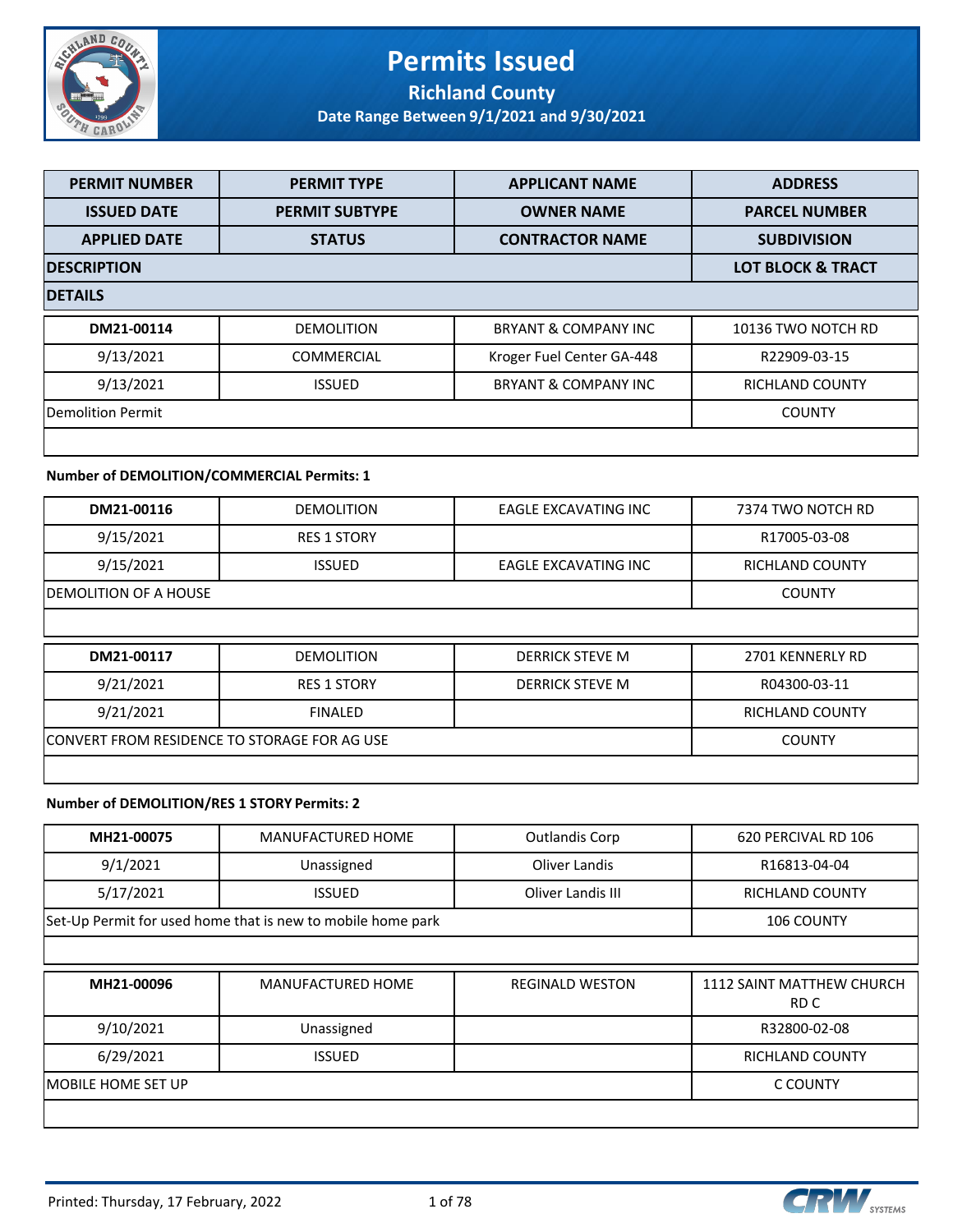

#### **Permits Issued Richland County**

**Date Range Between 9/1/2021 and 9/30/2021**

| <b>PERMIT NUMBER</b>     | <b>PERMIT TYPE</b>    | <b>APPLICANT NAME</b>     | <b>ADDRESS</b>         |  |  |
|--------------------------|-----------------------|---------------------------|------------------------|--|--|
| <b>ISSUED DATE</b>       | <b>PERMIT SUBTYPE</b> | <b>OWNER NAME</b>         | <b>PARCEL NUMBER</b>   |  |  |
| <b>APPLIED DATE</b>      | <b>STATUS</b>         | <b>CONTRACTOR NAME</b>    | <b>SUBDIVISION</b>     |  |  |
| <b>DESCRIPTION</b>       |                       |                           |                        |  |  |
| <b>DETAILS</b>           |                       |                           |                        |  |  |
| DM21-00114               | <b>DEMOLITION</b>     | BRYANT & COMPANY INC      | 10136 TWO NOTCH RD     |  |  |
| 9/13/2021                | <b>COMMERCIAL</b>     | Kroger Fuel Center GA-448 | R22909-03-15           |  |  |
| 9/13/2021                | <b>ISSUED</b>         | BRYANT & COMPANY INC      | <b>RICHLAND COUNTY</b> |  |  |
| <b>Demolition Permit</b> |                       |                           | <b>COUNTY</b>          |  |  |
|                          |                       |                           |                        |  |  |

#### **Number of DEMOLITION/COMMERCIAL Permits: 1**

| DM21-00116                                   | <b>DEMOLITION</b>      | EAGLE EXCAVATING INC   | 7374 TWO NOTCH RD      |
|----------------------------------------------|------------------------|------------------------|------------------------|
| 9/15/2021                                    | <b>RES 1 STORY</b>     |                        | R17005-03-08           |
| 9/15/2021                                    | <b>ISSUED</b>          | EAGLE EXCAVATING INC   | <b>RICHLAND COUNTY</b> |
| DEMOLITION OF A HOUSE                        | <b>COUNTY</b>          |                        |                        |
|                                              |                        |                        |                        |
| DM21-00117                                   | <b>DEMOLITION</b>      | <b>DERRICK STEVE M</b> | 2701 KENNERLY RD       |
| 9/21/2021                                    | <b>RES 1 STORY</b>     | <b>DERRICK STEVE M</b> | R04300-03-11           |
| 9/21/2021                                    | <b>RICHLAND COUNTY</b> |                        |                        |
| CONVERT FROM RESIDENCE TO STORAGE FOR AG USE |                        |                        | <b>COUNTY</b>          |
|                                              |                        |                        |                        |

#### **Number of DEMOLITION/RES 1 STORY Permits: 2**

| MH21-00075 | <b>MANUFACTURED HOME</b>                                    | <b>Outlandis Corp</b>  | 620 PERCIVAL RD 106                      |  |
|------------|-------------------------------------------------------------|------------------------|------------------------------------------|--|
| 9/1/2021   | Unassigned                                                  | Oliver Landis          | R16813-04-04                             |  |
| 5/17/2021  | <b>ISSUED</b>                                               | Oliver Landis III      | <b>RICHLAND COUNTY</b>                   |  |
|            | Set-Up Permit for used home that is new to mobile home park |                        |                                          |  |
|            |                                                             |                        |                                          |  |
| MH21-00096 | <b>MANUFACTURED HOME</b>                                    | <b>REGINALD WESTON</b> | <b>1112 SAINT MATTHEW CHURCH</b><br>RD C |  |
| 9/10/2021  | Unassigned                                                  |                        | R32800-02-08                             |  |
|            |                                                             |                        |                                          |  |
| 6/29/2021  | <b>ISSUED</b>                                               |                        | <b>RICHLAND COUNTY</b>                   |  |

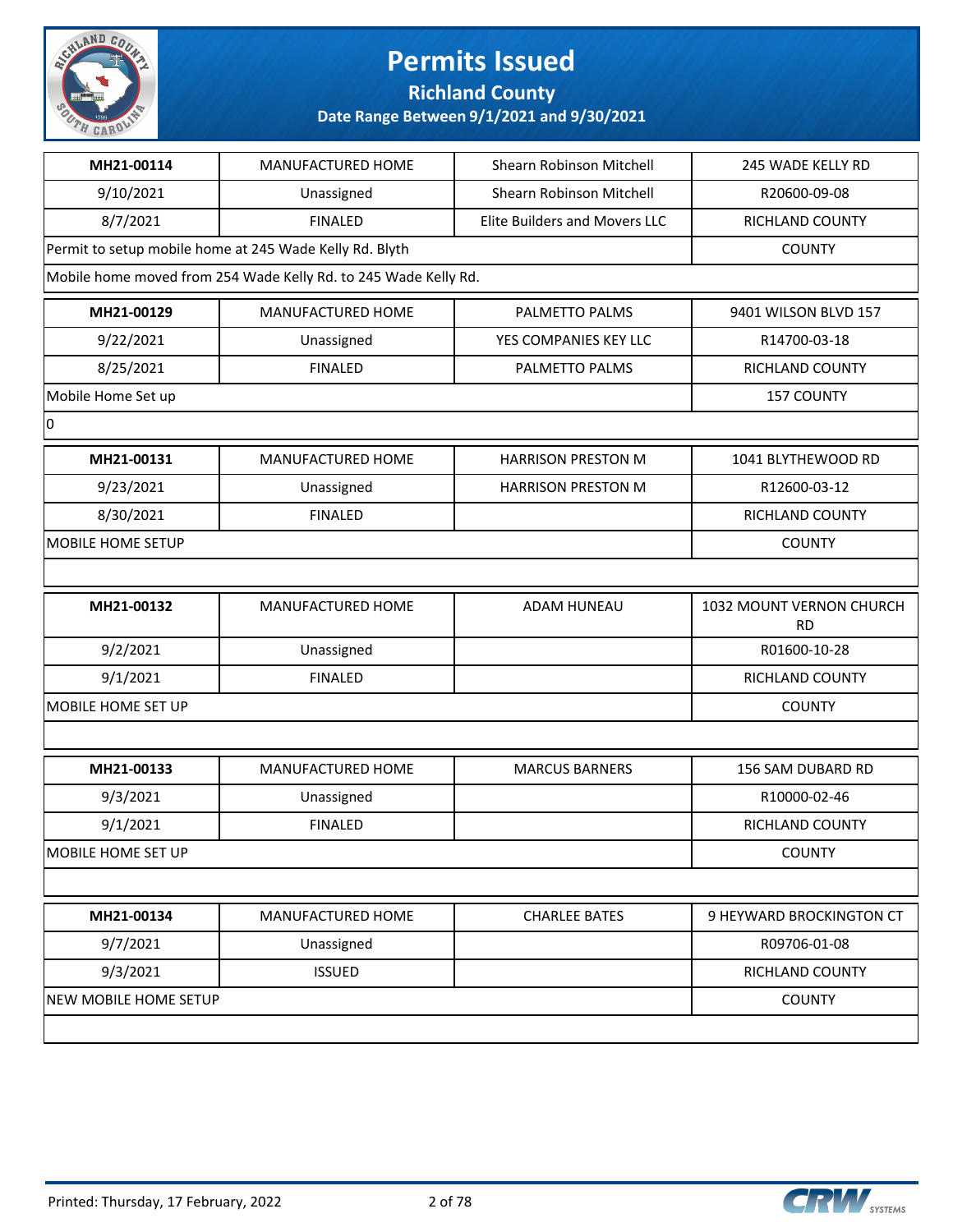

#### **Richland County**

| MH21-00114               | MANUFACTURED HOME                                               | Shearn Robinson Mitchell             | 245 WADE KELLY RD                     |
|--------------------------|-----------------------------------------------------------------|--------------------------------------|---------------------------------------|
| 9/10/2021                | Unassigned                                                      | Shearn Robinson Mitchell             | R20600-09-08                          |
| 8/7/2021                 | <b>FINALED</b>                                                  | <b>Elite Builders and Movers LLC</b> | RICHLAND COUNTY                       |
|                          | Permit to setup mobile home at 245 Wade Kelly Rd. Blyth         |                                      | <b>COUNTY</b>                         |
|                          | Mobile home moved from 254 Wade Kelly Rd. to 245 Wade Kelly Rd. |                                      |                                       |
| MH21-00129               | MANUFACTURED HOME                                               | PALMETTO PALMS                       | 9401 WILSON BLVD 157                  |
| 9/22/2021                | Unassigned                                                      | YES COMPANIES KEY LLC                | R14700-03-18                          |
| 8/25/2021                | <b>FINALED</b>                                                  | PALMETTO PALMS                       | RICHLAND COUNTY                       |
| Mobile Home Set up       |                                                                 |                                      | <b>157 COUNTY</b>                     |
| 0                        |                                                                 |                                      |                                       |
| MH21-00131               | MANUFACTURED HOME                                               | <b>HARRISON PRESTON M</b>            | 1041 BLYTHEWOOD RD                    |
| 9/23/2021                | Unassigned                                                      | <b>HARRISON PRESTON M</b>            | R12600-03-12                          |
| 8/30/2021                | <b>FINALED</b>                                                  |                                      | RICHLAND COUNTY                       |
| <b>MOBILE HOME SETUP</b> |                                                                 |                                      | <b>COUNTY</b>                         |
|                          |                                                                 |                                      |                                       |
| MH21-00132               | MANUFACTURED HOME                                               | <b>ADAM HUNEAU</b>                   | 1032 MOUNT VERNON CHURCH<br><b>RD</b> |
| 9/2/2021                 | Unassigned                                                      |                                      | R01600-10-28                          |
| 9/1/2021                 | <b>FINALED</b>                                                  |                                      | RICHLAND COUNTY                       |
| MOBILE HOME SET UP       |                                                                 |                                      | <b>COUNTY</b>                         |
|                          |                                                                 |                                      |                                       |
| MH21-00133               | MANUFACTURED HOME                                               | <b>MARCUS BARNERS</b>                | 156 SAM DUBARD RD                     |
| 9/3/2021                 | Unassigned                                                      |                                      | R10000-02-46                          |
| 9/1/2021                 | <b>FINALED</b>                                                  |                                      | RICHLAND COUNTY                       |
| MOBILE HOME SET UP       |                                                                 |                                      | <b>COUNTY</b>                         |
|                          |                                                                 |                                      |                                       |
|                          |                                                                 |                                      |                                       |
| MH21-00134               | MANUFACTURED HOME                                               | <b>CHARLEE BATES</b>                 | 9 HEYWARD BROCKINGTON CT              |
| 9/7/2021                 | Unassigned                                                      |                                      | R09706-01-08                          |
| 9/3/2021                 | <b>ISSUED</b>                                                   |                                      | RICHLAND COUNTY                       |
| NEW MOBILE HOME SETUP    |                                                                 |                                      | <b>COUNTY</b>                         |

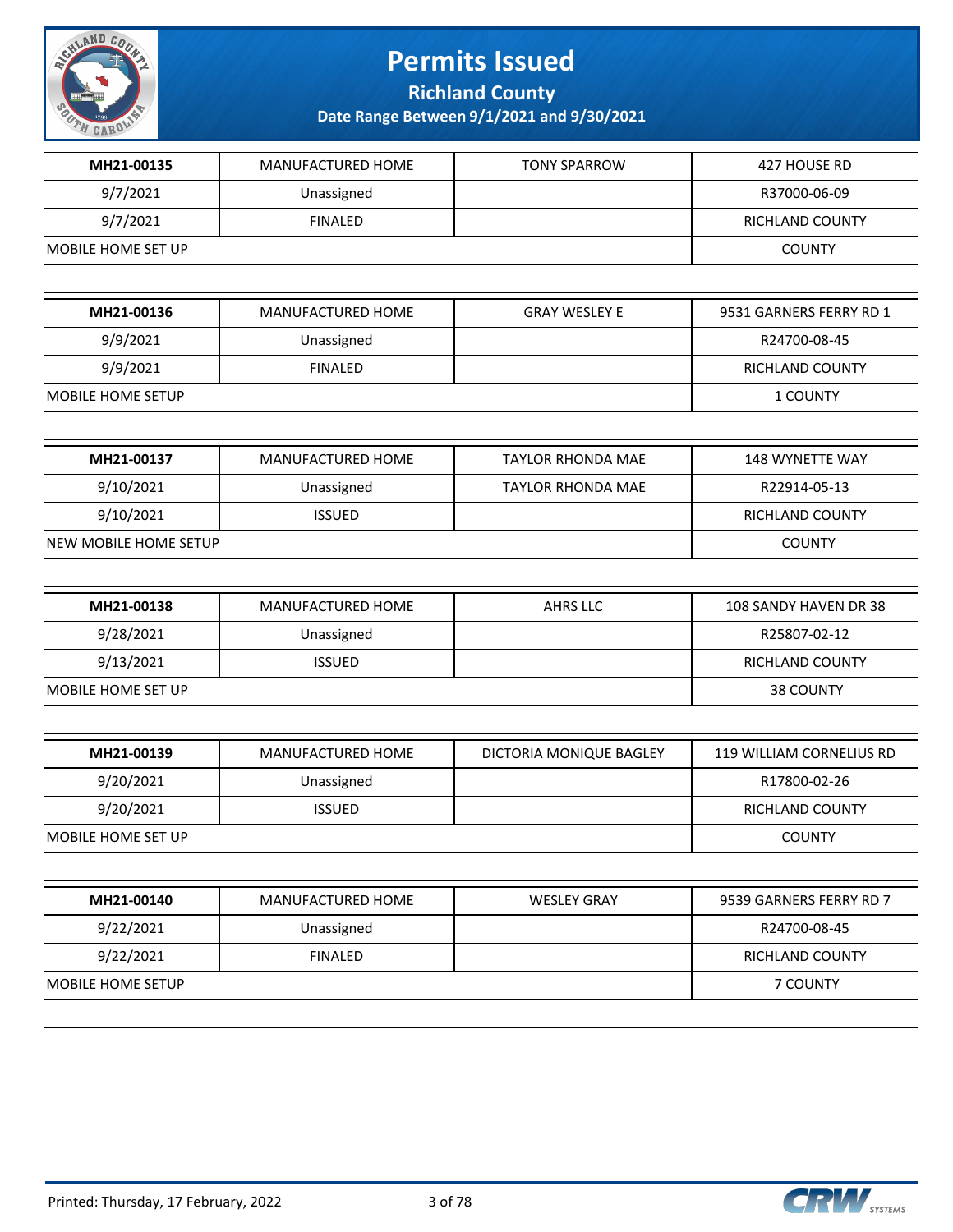

**Richland County**

| MH21-00135            | MANUFACTURED HOME | <b>TONY SPARROW</b>      | 427 HOUSE RD             |
|-----------------------|-------------------|--------------------------|--------------------------|
| 9/7/2021              | Unassigned        |                          | R37000-06-09             |
| 9/7/2021              | <b>FINALED</b>    |                          | RICHLAND COUNTY          |
| MOBILE HOME SET UP    |                   |                          | <b>COUNTY</b>            |
|                       |                   |                          |                          |
| MH21-00136            | MANUFACTURED HOME | <b>GRAY WESLEY E</b>     | 9531 GARNERS FERRY RD 1  |
| 9/9/2021              | Unassigned        |                          | R24700-08-45             |
| 9/9/2021              | <b>FINALED</b>    |                          | RICHLAND COUNTY          |
| MOBILE HOME SETUP     |                   |                          | 1 COUNTY                 |
|                       |                   |                          |                          |
| MH21-00137            | MANUFACTURED HOME | <b>TAYLOR RHONDA MAE</b> | 148 WYNETTE WAY          |
| 9/10/2021             | Unassigned        | <b>TAYLOR RHONDA MAE</b> | R22914-05-13             |
| 9/10/2021             | <b>ISSUED</b>     |                          | RICHLAND COUNTY          |
| NEW MOBILE HOME SETUP |                   |                          | <b>COUNTY</b>            |
|                       |                   |                          |                          |
| MH21-00138            | MANUFACTURED HOME | <b>AHRS LLC</b>          | 108 SANDY HAVEN DR 38    |
| 9/28/2021             | Unassigned        |                          | R25807-02-12             |
| 9/13/2021             | <b>ISSUED</b>     |                          | RICHLAND COUNTY          |
| MOBILE HOME SET UP    |                   |                          | 38 COUNTY                |
|                       |                   |                          |                          |
| MH21-00139            | MANUFACTURED HOME | DICTORIA MONIQUE BAGLEY  | 119 WILLIAM CORNELIUS RD |
| 9/20/2021             | Unassigned        |                          | R17800-02-26             |
| 9/20/2021             | <b>ISSUED</b>     |                          | RICHLAND COUNTY          |
| MOBILE HOME SET UP    |                   |                          | <b>COUNTY</b>            |
|                       |                   |                          |                          |
| MH21-00140            | MANUFACTURED HOME | <b>WESLEY GRAY</b>       | 9539 GARNERS FERRY RD 7  |
| 9/22/2021             | Unassigned        |                          | R24700-08-45             |
| 9/22/2021             | <b>FINALED</b>    |                          | RICHLAND COUNTY          |
| MOBILE HOME SETUP     |                   |                          | 7 COUNTY                 |
|                       |                   |                          |                          |

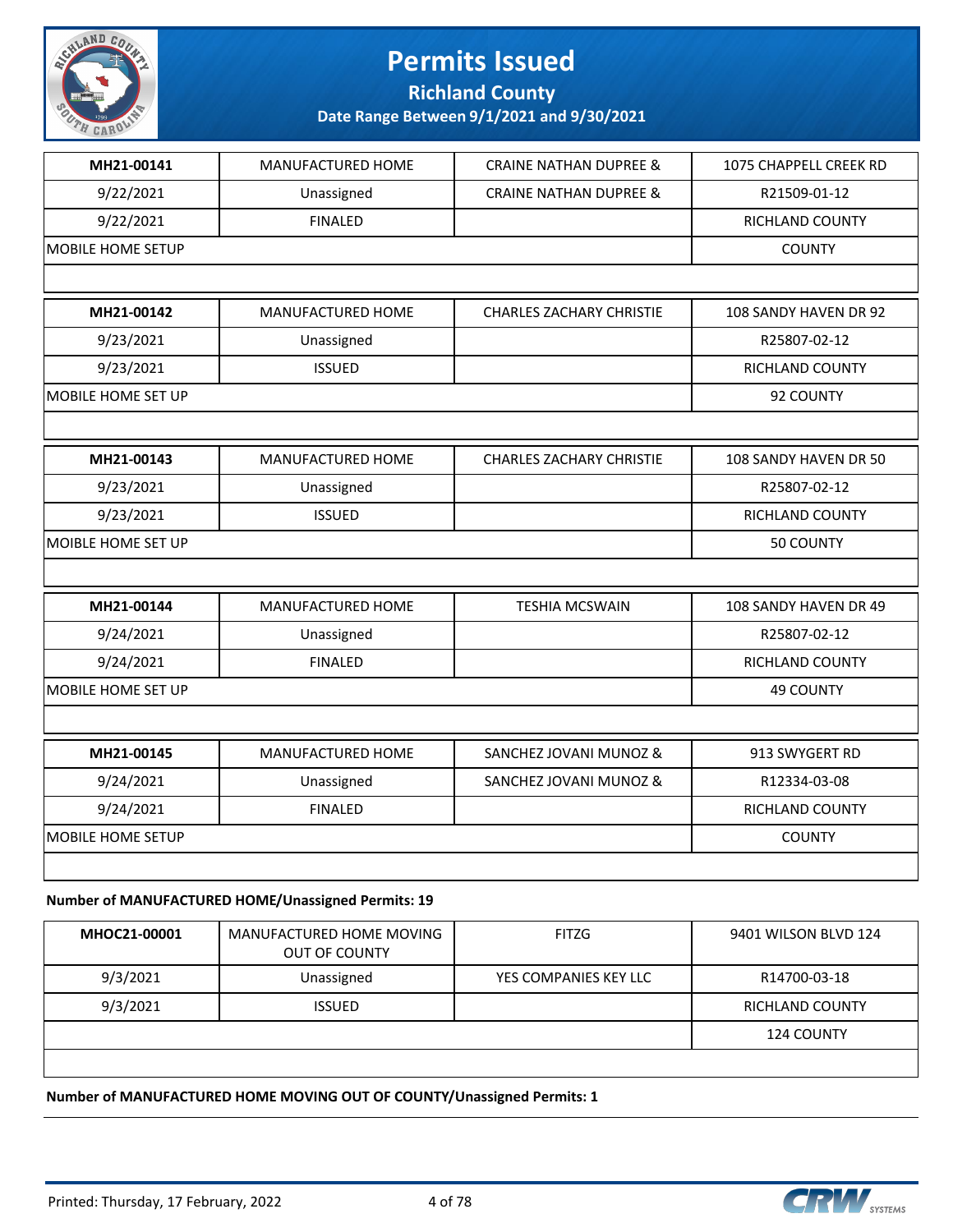

**Richland County**

**Date Range Between 9/1/2021 and 9/30/2021**

| MH21-00141                | MANUFACTURED HOME                                  | <b>CRAINE NATHAN DUPREE &amp;</b> | 1075 CHAPPELL CREEK RD |
|---------------------------|----------------------------------------------------|-----------------------------------|------------------------|
| 9/22/2021                 | Unassigned                                         | <b>CRAINE NATHAN DUPREE &amp;</b> | R21509-01-12           |
| 9/22/2021                 | <b>FINALED</b>                                     |                                   | RICHLAND COUNTY        |
| <b>MOBILE HOME SETUP</b>  |                                                    |                                   | <b>COUNTY</b>          |
|                           |                                                    |                                   |                        |
| MH21-00142                | <b>MANUFACTURED HOME</b>                           | <b>CHARLES ZACHARY CHRISTIE</b>   | 108 SANDY HAVEN DR 92  |
| 9/23/2021                 | Unassigned                                         |                                   | R25807-02-12           |
| 9/23/2021                 | <b>ISSUED</b>                                      |                                   | <b>RICHLAND COUNTY</b> |
| MOBILE HOME SET UP        |                                                    |                                   | 92 COUNTY              |
|                           |                                                    |                                   |                        |
| MH21-00143                | MANUFACTURED HOME                                  | <b>CHARLES ZACHARY CHRISTIE</b>   | 108 SANDY HAVEN DR 50  |
| 9/23/2021                 | Unassigned                                         |                                   | R25807-02-12           |
| 9/23/2021                 | <b>ISSUED</b>                                      |                                   | RICHLAND COUNTY        |
| MOIBLE HOME SET UP        |                                                    |                                   | 50 COUNTY              |
|                           |                                                    |                                   |                        |
| MH21-00144                | MANUFACTURED HOME                                  | <b>TESHIA MCSWAIN</b>             | 108 SANDY HAVEN DR 49  |
| 9/24/2021                 | Unassigned                                         |                                   | R25807-02-12           |
| 9/24/2021                 | <b>FINALED</b>                                     |                                   | RICHLAND COUNTY        |
| <b>MOBILE HOME SET UP</b> |                                                    |                                   | 49 COUNTY              |
|                           |                                                    |                                   |                        |
| MH21-00145                | MANUFACTURED HOME                                  | SANCHEZ JOVANI MUNOZ &            | 913 SWYGERT RD         |
| 9/24/2021                 | Unassigned                                         | SANCHEZ JOVANI MUNOZ &            | R12334-03-08           |
| 9/24/2021                 | <b>FINALED</b>                                     |                                   | RICHLAND COUNTY        |
| MOBILE HOME SETUP         |                                                    |                                   | <b>COUNTY</b>          |
|                           |                                                    |                                   |                        |
|                           | Number of MANUFACTURED HOME/Unassigned Permits: 19 |                                   |                        |

#### **MHOC21-00001** MANUFACTURED HOME MOVING OUT OF COUNTY FITZG 3401 WILSON BLVD 124 9/3/2021 Unassigned YES COMPANIES KEY LLC R14700-03-18 9/3/2021 | ISSUED | RICHLAND COUNTY 124 COUNTY

#### **Number of MANUFACTURED HOME MOVING OUT OF COUNTY/Unassigned Permits: 1**

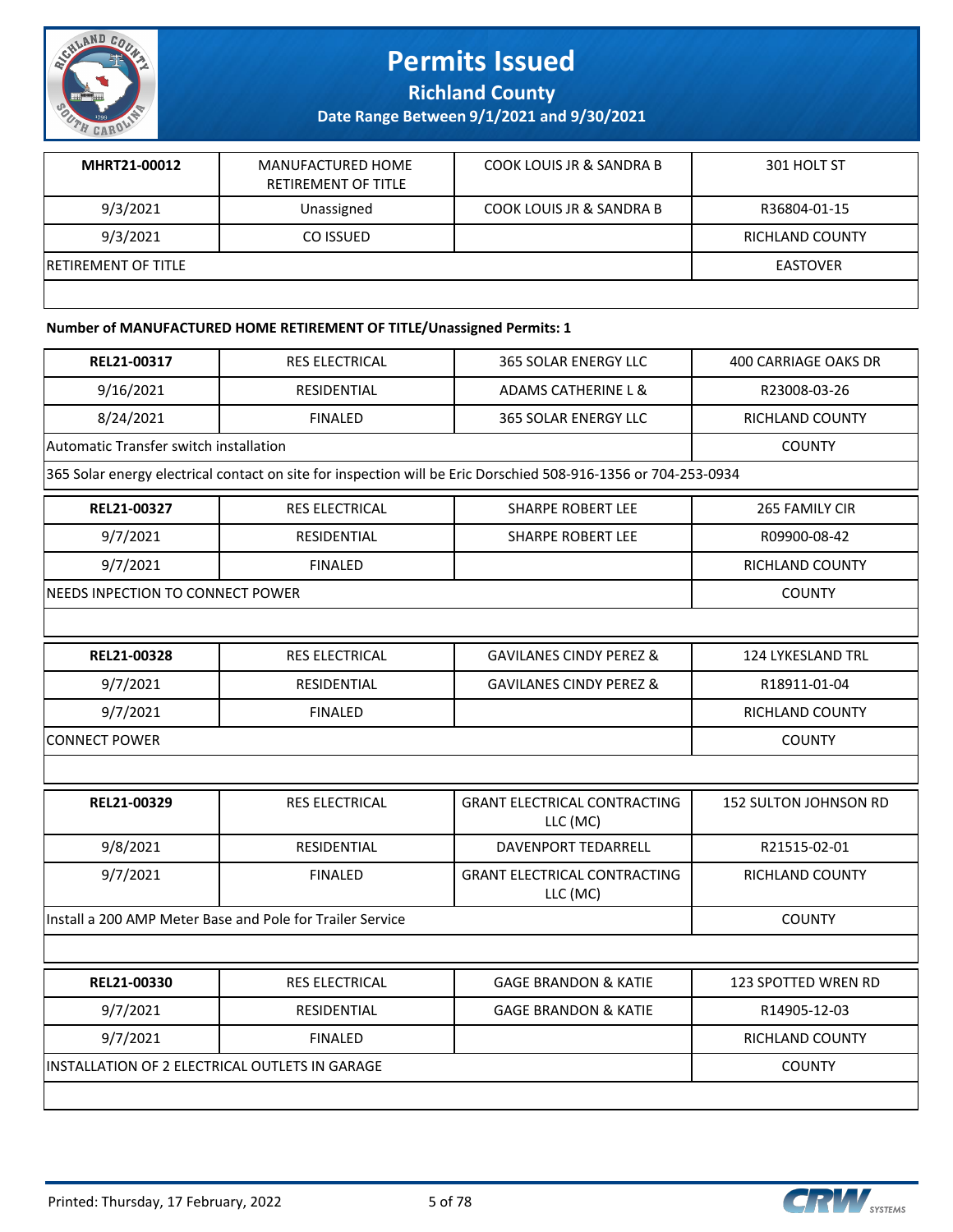

**Richland County**

**Date Range Between 9/1/2021 and 9/30/2021**

| MHRT21-00012                | MANUFACTURED HOME<br>RETIREMENT OF TITLE | <b>COOK LOUIS JR &amp; SANDRA B</b> | 301 HOLT ST     |
|-----------------------------|------------------------------------------|-------------------------------------|-----------------|
| 9/3/2021                    | Unassigned                               | COOK LOUIS JR & SANDRA B            | R36804-01-15    |
| 9/3/2021                    | CO ISSUED                                |                                     | RICHLAND COUNTY |
| <b>IRETIREMENT OF TITLE</b> |                                          |                                     | <b>EASTOVER</b> |
|                             |                                          |                                     |                 |

#### **Number of MANUFACTURED HOME RETIREMENT OF TITLE/Unassigned Permits: 1**

| REL21-00317                                    | <b>RES ELECTRICAL</b>                                     | 365 SOLAR ENERGY LLC                                                                                           | <b>400 CARRIAGE OAKS DR</b>  |
|------------------------------------------------|-----------------------------------------------------------|----------------------------------------------------------------------------------------------------------------|------------------------------|
| 9/16/2021                                      | <b>RESIDENTIAL</b>                                        | <b>ADAMS CATHERINE L &amp;</b>                                                                                 | R23008-03-26                 |
| 8/24/2021                                      | <b>FINALED</b>                                            | <b>365 SOLAR ENERGY LLC</b>                                                                                    | <b>RICHLAND COUNTY</b>       |
| Automatic Transfer switch installation         |                                                           |                                                                                                                | <b>COUNTY</b>                |
|                                                |                                                           | 365 Solar energy electrical contact on site for inspection will be Eric Dorschied 508-916-1356 or 704-253-0934 |                              |
| REL21-00327                                    | <b>RES ELECTRICAL</b>                                     | <b>SHARPE ROBERT LEE</b>                                                                                       | 265 FAMILY CIR               |
| 9/7/2021                                       | <b>RESIDENTIAL</b>                                        | <b>SHARPE ROBERT LEE</b>                                                                                       | R09900-08-42                 |
| 9/7/2021                                       | <b>FINALED</b>                                            |                                                                                                                | <b>RICHLAND COUNTY</b>       |
| NEEDS INPECTION TO CONNECT POWER               |                                                           |                                                                                                                | <b>COUNTY</b>                |
|                                                |                                                           |                                                                                                                |                              |
| REL21-00328                                    | <b>RES ELECTRICAL</b>                                     | <b>GAVILANES CINDY PEREZ &amp;</b>                                                                             | <b>124 LYKESLAND TRL</b>     |
| 9/7/2021                                       | <b>RESIDENTIAL</b>                                        | <b>GAVILANES CINDY PEREZ &amp;</b>                                                                             | R18911-01-04                 |
| 9/7/2021                                       | <b>FINALED</b>                                            |                                                                                                                | <b>RICHLAND COUNTY</b>       |
| <b>CONNECT POWER</b>                           | <b>COUNTY</b>                                             |                                                                                                                |                              |
|                                                |                                                           |                                                                                                                |                              |
| REL21-00329                                    | <b>RES ELECTRICAL</b>                                     | <b>GRANT ELECTRICAL CONTRACTING</b><br>LLC (MC)                                                                | <b>152 SULTON JOHNSON RD</b> |
| 9/8/2021                                       | RESIDENTIAL                                               | DAVENPORT TEDARRELL                                                                                            | R21515-02-01                 |
| 9/7/2021                                       | <b>FINALED</b>                                            | <b>GRANT ELECTRICAL CONTRACTING</b><br>LLC (MC)                                                                | <b>RICHLAND COUNTY</b>       |
|                                                | Install a 200 AMP Meter Base and Pole for Trailer Service |                                                                                                                | <b>COUNTY</b>                |
|                                                |                                                           |                                                                                                                |                              |
| REL21-00330                                    | <b>RES ELECTRICAL</b>                                     | <b>GAGE BRANDON &amp; KATIE</b>                                                                                | <b>123 SPOTTED WREN RD</b>   |
| 9/7/2021                                       | RESIDENTIAL                                               | <b>GAGE BRANDON &amp; KATIE</b>                                                                                | R14905-12-03                 |
| 9/7/2021                                       | <b>FINALED</b>                                            |                                                                                                                | RICHLAND COUNTY              |
| INSTALLATION OF 2 ELECTRICAL OUTLETS IN GARAGE |                                                           |                                                                                                                | <b>COUNTY</b>                |
|                                                |                                                           |                                                                                                                |                              |
|                                                |                                                           |                                                                                                                |                              |

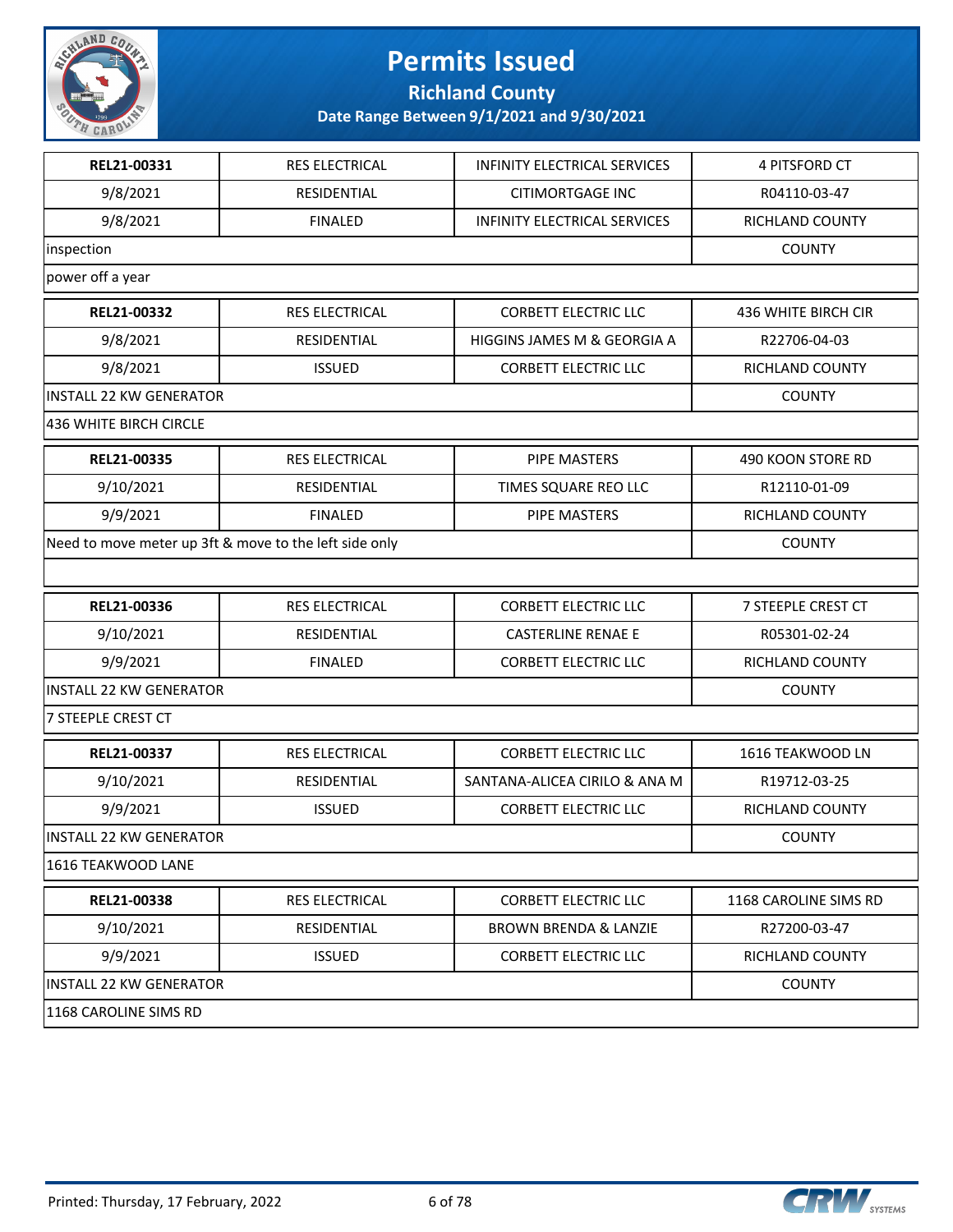

**Richland County**

| REL21-00331                    | <b>RES ELECTRICAL</b>                                  | INFINITY ELECTRICAL SERVICES        | 4 PITSFORD CT          |
|--------------------------------|--------------------------------------------------------|-------------------------------------|------------------------|
| 9/8/2021                       | RESIDENTIAL                                            | <b>CITIMORTGAGE INC</b>             | R04110-03-47           |
| 9/8/2021                       | <b>FINALED</b>                                         | <b>INFINITY ELECTRICAL SERVICES</b> | RICHLAND COUNTY        |
| inspection                     |                                                        |                                     | <b>COUNTY</b>          |
| power off a year               |                                                        |                                     |                        |
| REL21-00332                    | RES ELECTRICAL                                         | <b>CORBETT ELECTRIC LLC</b>         | 436 WHITE BIRCH CIR    |
| 9/8/2021                       | RESIDENTIAL                                            | HIGGINS JAMES M & GEORGIA A         | R22706-04-03           |
| 9/8/2021                       | <b>ISSUED</b>                                          | <b>CORBETT ELECTRIC LLC</b>         | RICHLAND COUNTY        |
| <b>INSTALL 22 KW GENERATOR</b> |                                                        |                                     | <b>COUNTY</b>          |
| 436 WHITE BIRCH CIRCLE         |                                                        |                                     |                        |
| REL21-00335                    | <b>RES ELECTRICAL</b>                                  | <b>PIPE MASTERS</b>                 | 490 KOON STORE RD      |
| 9/10/2021                      | RESIDENTIAL                                            | TIMES SQUARE REO LLC                | R12110-01-09           |
| 9/9/2021                       | <b>FINALED</b>                                         | <b>PIPE MASTERS</b>                 | <b>RICHLAND COUNTY</b> |
|                                | Need to move meter up 3ft & move to the left side only |                                     | <b>COUNTY</b>          |
|                                |                                                        |                                     |                        |
| REL21-00336                    | RES ELECTRICAL                                         | <b>CORBETT ELECTRIC LLC</b>         | 7 STEEPLE CREST CT     |
| 9/10/2021                      | RESIDENTIAL                                            | <b>CASTERLINE RENAE E</b>           | R05301-02-24           |
| 9/9/2021                       | <b>FINALED</b>                                         | <b>CORBETT ELECTRIC LLC</b>         | RICHLAND COUNTY        |
| <b>INSTALL 22 KW GENERATOR</b> |                                                        |                                     | <b>COUNTY</b>          |
| 7 STEEPLE CREST CT             |                                                        |                                     |                        |
| REL21-00337                    | <b>RES ELECTRICAL</b>                                  | <b>CORBETT ELECTRIC LLC</b>         | 1616 TEAKWOOD LN       |
| 9/10/2021                      | RESIDENTIAL                                            | SANTANA-ALICEA CIRILO & ANA M       | R19712-03-25           |
| 9/9/2021                       | <b>ISSUED</b>                                          | <b>CORBETT ELECTRIC LLC</b>         | <b>RICHLAND COUNTY</b> |
| INSTALL 22 KW GENERATOR        |                                                        |                                     | <b>COUNTY</b>          |
| 1616 TEAKWOOD LANE             |                                                        |                                     |                        |
| REL21-00338                    | RES ELECTRICAL                                         | <b>CORBETT ELECTRIC LLC</b>         | 1168 CAROLINE SIMS RD  |
| 9/10/2021                      | RESIDENTIAL                                            | <b>BROWN BRENDA &amp; LANZIE</b>    | R27200-03-47           |
| 9/9/2021                       | <b>ISSUED</b>                                          | <b>CORBETT ELECTRIC LLC</b>         | RICHLAND COUNTY        |
| <b>INSTALL 22 KW GENERATOR</b> |                                                        |                                     | <b>COUNTY</b>          |
| 1168 CAROLINE SIMS RD          |                                                        |                                     |                        |

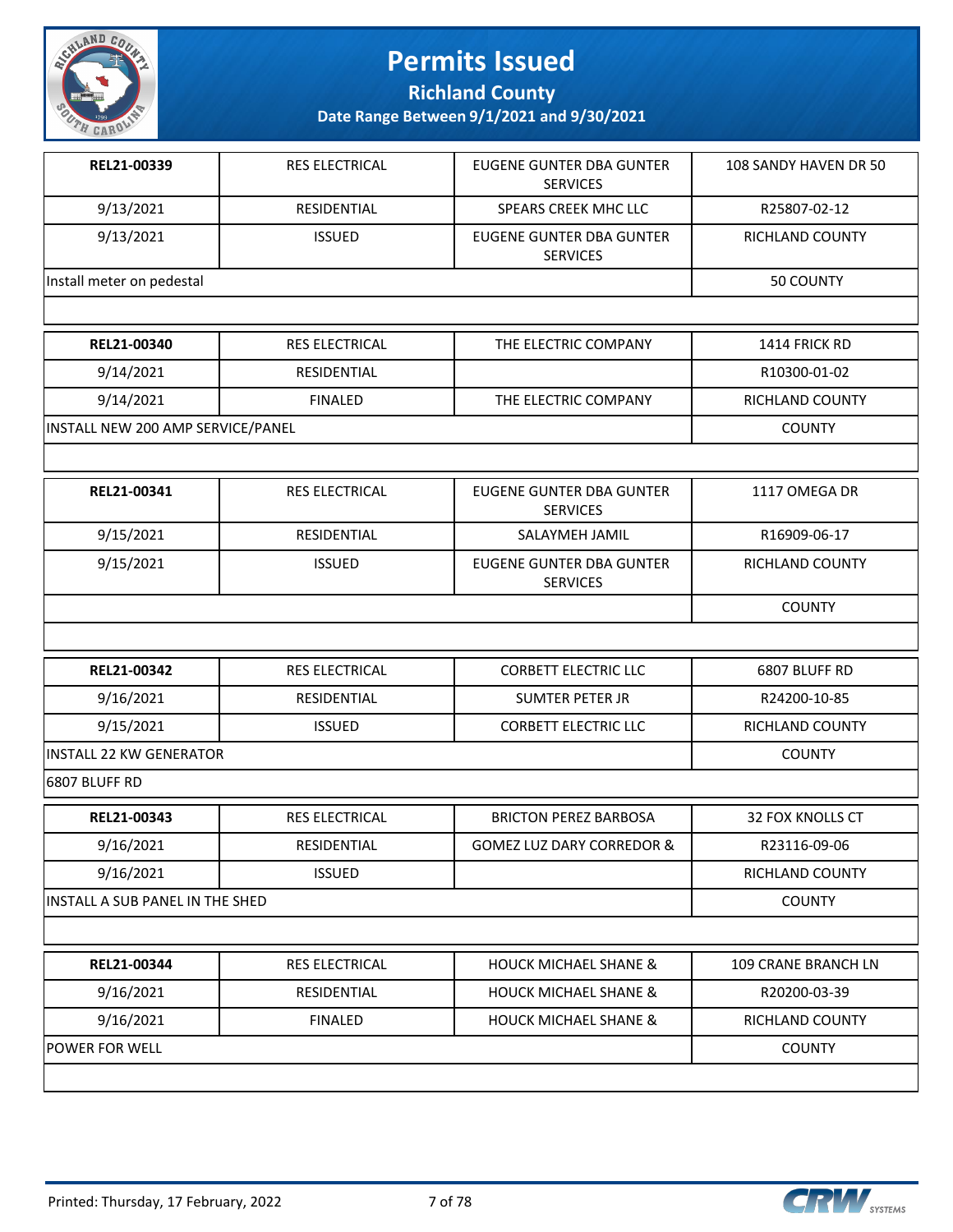

**Richland County**

| REL21-00339                       | <b>RES ELECTRICAL</b> | EUGENE GUNTER DBA GUNTER<br><b>SERVICES</b>        | 108 SANDY HAVEN DR 50 |
|-----------------------------------|-----------------------|----------------------------------------------------|-----------------------|
| 9/13/2021                         | RESIDENTIAL           | SPEARS CREEK MHC LLC                               | R25807-02-12          |
| 9/13/2021                         | <b>ISSUED</b>         | EUGENE GUNTER DBA GUNTER<br><b>SERVICES</b>        | RICHLAND COUNTY       |
| Install meter on pedestal         |                       |                                                    | 50 COUNTY             |
|                                   |                       |                                                    |                       |
| REL21-00340                       | <b>RES ELECTRICAL</b> | THE ELECTRIC COMPANY                               | 1414 FRICK RD         |
| 9/14/2021                         | <b>RESIDENTIAL</b>    |                                                    | R10300-01-02          |
| 9/14/2021                         | <b>FINALED</b>        | THE ELECTRIC COMPANY                               | RICHLAND COUNTY       |
| INSTALL NEW 200 AMP SERVICE/PANEL |                       |                                                    | <b>COUNTY</b>         |
|                                   |                       |                                                    |                       |
| REL21-00341                       | <b>RES ELECTRICAL</b> | <b>EUGENE GUNTER DBA GUNTER</b><br><b>SERVICES</b> | 1117 OMEGA DR         |
| 9/15/2021                         | RESIDENTIAL           | SALAYMEH JAMIL                                     | R16909-06-17          |
| 9/15/2021                         | <b>ISSUED</b>         | <b>EUGENE GUNTER DBA GUNTER</b><br><b>SERVICES</b> | RICHLAND COUNTY       |
|                                   |                       |                                                    | <b>COUNTY</b>         |
|                                   |                       |                                                    |                       |
| REL21-00342                       | <b>RES ELECTRICAL</b> | <b>CORBETT ELECTRIC LLC</b>                        | 6807 BLUFF RD         |
| 9/16/2021                         | RESIDENTIAL           | <b>SUMTER PETER JR</b>                             | R24200-10-85          |
| 9/15/2021                         | <b>ISSUED</b>         | <b>CORBETT ELECTRIC LLC</b>                        | RICHLAND COUNTY       |
| <b>INSTALL 22 KW GENERATOR</b>    |                       |                                                    | <b>COUNTY</b>         |
| 6807 BLUFF RD                     |                       |                                                    |                       |
| REL21-00343                       | RES ELECTRICAL        | <b>BRICTON PEREZ BARBOSA</b>                       | 32 FOX KNOLLS CT      |
| 9/16/2021                         | RESIDENTIAL           | <b>GOMEZ LUZ DARY CORREDOR &amp;</b>               | R23116-09-06          |
| 9/16/2021                         | <b>ISSUED</b>         |                                                    | RICHLAND COUNTY       |
| INSTALL A SUB PANEL IN THE SHED   |                       |                                                    | <b>COUNTY</b>         |
|                                   |                       |                                                    |                       |
| REL21-00344                       | <b>RES ELECTRICAL</b> | <b>HOUCK MICHAEL SHANE &amp;</b>                   | 109 CRANE BRANCH LN   |
| 9/16/2021                         | RESIDENTIAL           | <b>HOUCK MICHAEL SHANE &amp;</b>                   | R20200-03-39          |
| 9/16/2021                         | <b>FINALED</b>        | <b>HOUCK MICHAEL SHANE &amp;</b>                   | RICHLAND COUNTY       |
| <b>POWER FOR WELL</b>             |                       |                                                    | <b>COUNTY</b>         |

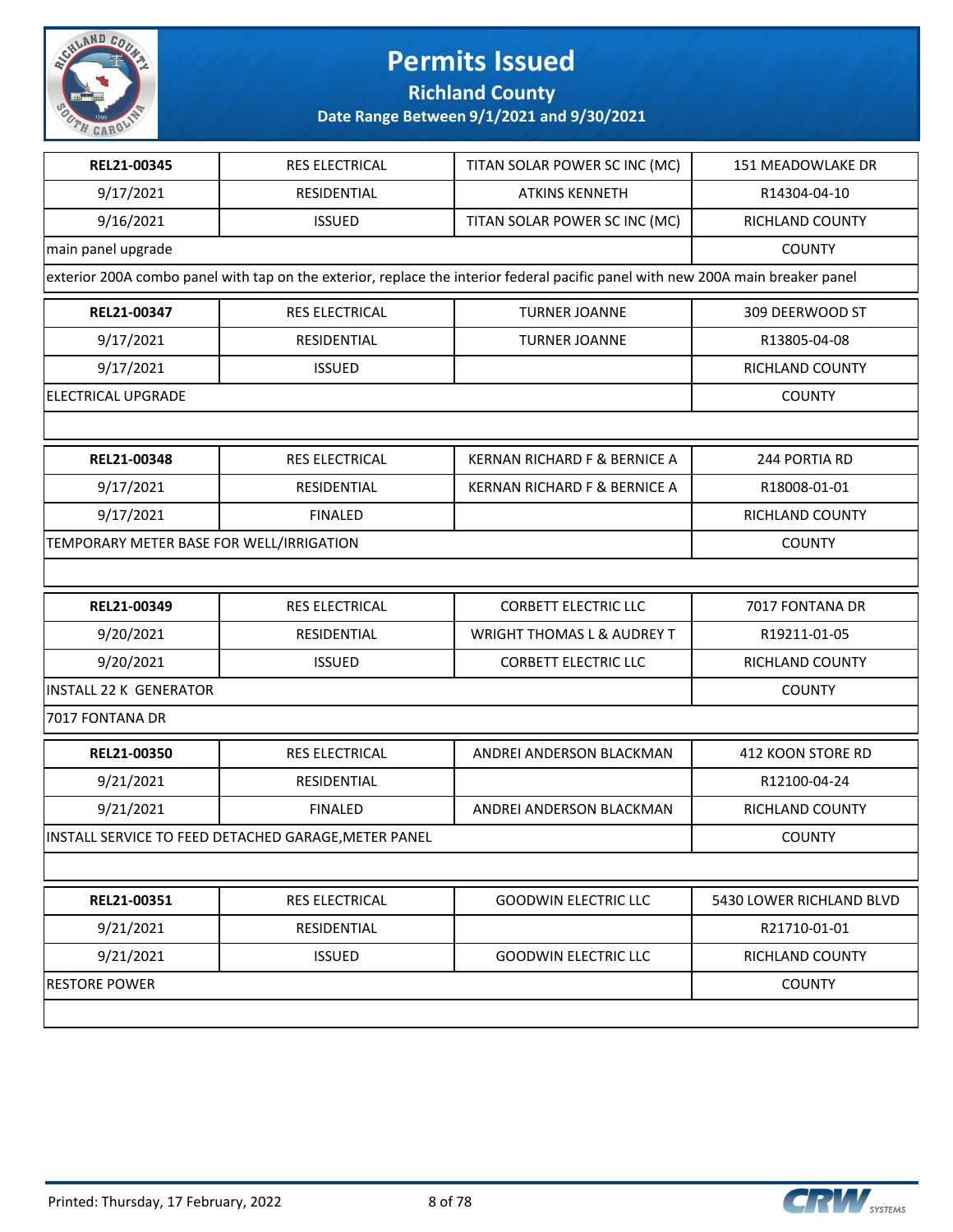

#### **Richland County**

| REL21-00345                              | <b>RES ELECTRICAL</b>                                | TITAN SOLAR POWER SC INC (MC)                                                                                                   | 151 MEADOWLAKE DR        |
|------------------------------------------|------------------------------------------------------|---------------------------------------------------------------------------------------------------------------------------------|--------------------------|
| 9/17/2021                                | RESIDENTIAL                                          | <b>ATKINS KENNETH</b>                                                                                                           | R14304-04-10             |
| 9/16/2021                                | <b>ISSUED</b>                                        | TITAN SOLAR POWER SC INC (MC)                                                                                                   | RICHLAND COUNTY          |
| main panel upgrade                       |                                                      |                                                                                                                                 | <b>COUNTY</b>            |
|                                          |                                                      | exterior 200A combo panel with tap on the exterior, replace the interior federal pacific panel with new 200A main breaker panel |                          |
| REL21-00347                              | <b>RES ELECTRICAL</b>                                | <b>TURNER JOANNE</b>                                                                                                            | 309 DEERWOOD ST          |
| 9/17/2021                                | RESIDENTIAL                                          | <b>TURNER JOANNE</b>                                                                                                            | R13805-04-08             |
| 9/17/2021                                | <b>ISSUED</b>                                        |                                                                                                                                 | RICHLAND COUNTY          |
| <b>ELECTRICAL UPGRADE</b>                |                                                      |                                                                                                                                 | <b>COUNTY</b>            |
|                                          |                                                      |                                                                                                                                 |                          |
| REL21-00348                              | <b>RES ELECTRICAL</b>                                | KERNAN RICHARD F & BERNICE A                                                                                                    | 244 PORTIA RD            |
| 9/17/2021                                | RESIDENTIAL                                          | KERNAN RICHARD F & BERNICE A                                                                                                    | R18008-01-01             |
| 9/17/2021                                | <b>FINALED</b>                                       |                                                                                                                                 | RICHLAND COUNTY          |
| TEMPORARY METER BASE FOR WELL/IRRIGATION |                                                      |                                                                                                                                 | <b>COUNTY</b>            |
|                                          |                                                      |                                                                                                                                 |                          |
| REL21-00349                              | RES ELECTRICAL                                       | <b>CORBETT ELECTRIC LLC</b>                                                                                                     | 7017 FONTANA DR          |
| 9/20/2021                                | RESIDENTIAL                                          | <b>WRIGHT THOMAS L &amp; AUDREY T</b>                                                                                           | R19211-01-05             |
| 9/20/2021                                | <b>ISSUED</b>                                        | <b>CORBETT ELECTRIC LLC</b>                                                                                                     | RICHLAND COUNTY          |
| <b>INSTALL 22 K GENERATOR</b>            |                                                      |                                                                                                                                 | <b>COUNTY</b>            |
| 7017 FONTANA DR                          |                                                      |                                                                                                                                 |                          |
| REL21-00350                              | <b>RES ELECTRICAL</b>                                | ANDREI ANDERSON BLACKMAN                                                                                                        | 412 KOON STORE RD        |
| 9/21/2021                                | RESIDENTIAL                                          |                                                                                                                                 | R12100-04-24             |
| 9/21/2021                                | <b>FINALED</b>                                       | ANDREI ANDERSON BLACKMAN                                                                                                        | RICHLAND COUNTY          |
|                                          | INSTALL SERVICE TO FEED DETACHED GARAGE, METER PANEL |                                                                                                                                 | <b>COUNTY</b>            |
|                                          |                                                      |                                                                                                                                 |                          |
| REL21-00351                              | RES ELECTRICAL                                       | <b>GOODWIN ELECTRIC LLC</b>                                                                                                     | 5430 LOWER RICHLAND BLVD |
| 9/21/2021                                | RESIDENTIAL                                          |                                                                                                                                 | R21710-01-01             |
| 9/21/2021                                | <b>ISSUED</b>                                        | <b>GOODWIN ELECTRIC LLC</b>                                                                                                     | RICHLAND COUNTY          |
| <b>RESTORE POWER</b>                     |                                                      |                                                                                                                                 | <b>COUNTY</b>            |
|                                          |                                                      |                                                                                                                                 |                          |

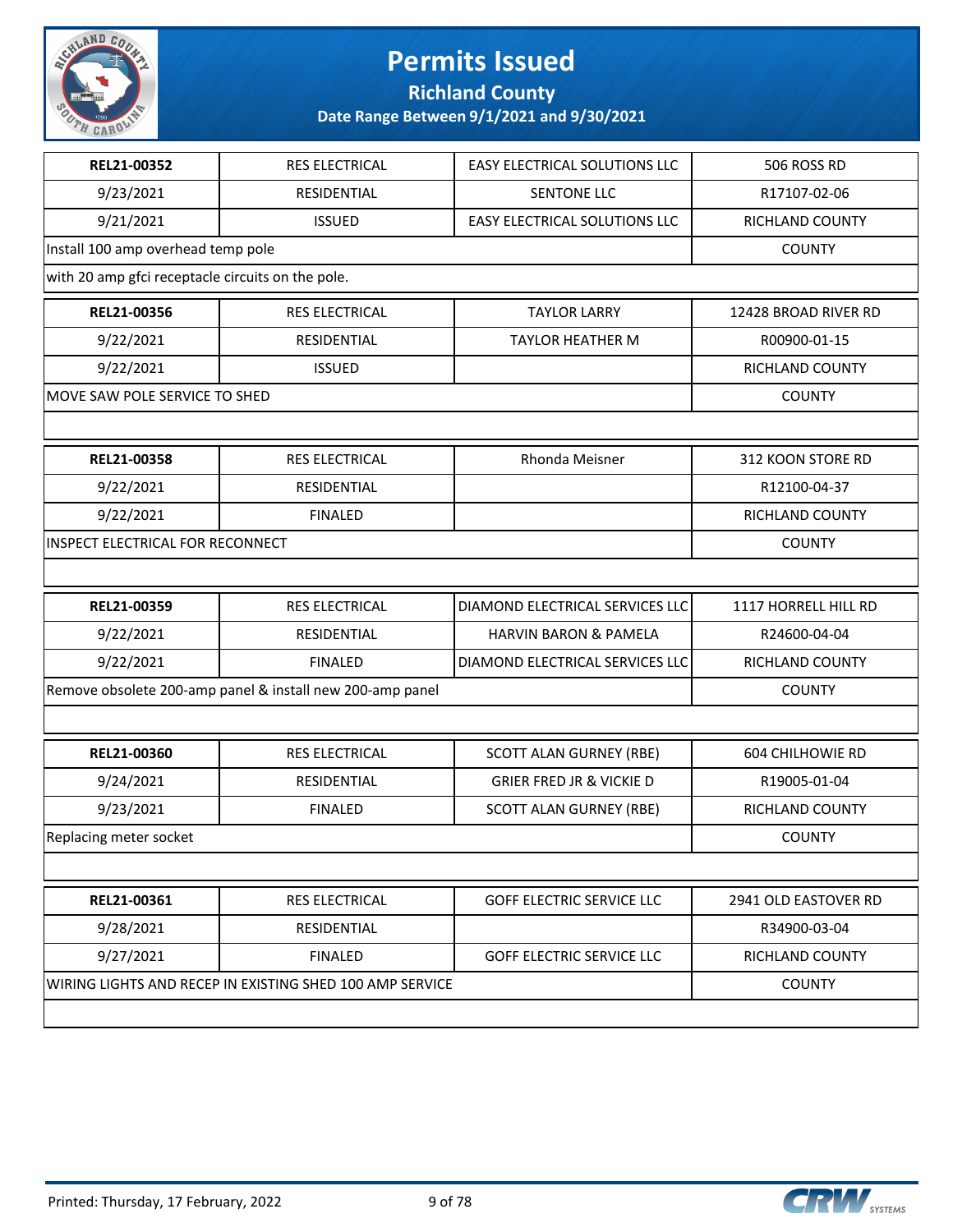

**Richland County**

| REL21-00352                                       | RES ELECTRICAL                                            | EASY ELECTRICAL SOLUTIONS LLC       | 506 ROSS RD             |
|---------------------------------------------------|-----------------------------------------------------------|-------------------------------------|-------------------------|
| 9/23/2021                                         | RESIDENTIAL                                               | SENTONE LLC                         | R17107-02-06            |
| 9/21/2021                                         | <b>ISSUED</b>                                             | EASY ELECTRICAL SOLUTIONS LLC       | RICHLAND COUNTY         |
| Install 100 amp overhead temp pole                |                                                           |                                     | <b>COUNTY</b>           |
| with 20 amp gfci receptacle circuits on the pole. |                                                           |                                     |                         |
| REL21-00356                                       | RES ELECTRICAL                                            | <b>TAYLOR LARRY</b>                 | 12428 BROAD RIVER RD    |
| 9/22/2021                                         | RESIDENTIAL                                               | <b>TAYLOR HEATHER M</b>             | R00900-01-15            |
| 9/22/2021                                         | <b>ISSUED</b>                                             |                                     | RICHLAND COUNTY         |
| MOVE SAW POLE SERVICE TO SHED                     |                                                           |                                     | <b>COUNTY</b>           |
|                                                   |                                                           |                                     |                         |
| REL21-00358                                       | RES ELECTRICAL                                            | Rhonda Meisner                      | 312 KOON STORE RD       |
| 9/22/2021                                         | RESIDENTIAL                                               |                                     | R12100-04-37            |
| 9/22/2021                                         | <b>FINALED</b>                                            |                                     | RICHLAND COUNTY         |
| INSPECT ELECTRICAL FOR RECONNECT                  |                                                           |                                     | <b>COUNTY</b>           |
|                                                   |                                                           |                                     |                         |
| REL21-00359                                       | RES ELECTRICAL                                            | DIAMOND ELECTRICAL SERVICES LLC     | 1117 HORRELL HILL RD    |
| 9/22/2021                                         | RESIDENTIAL                                               | HARVIN BARON & PAMELA               | R24600-04-04            |
| 9/22/2021                                         | <b>FINALED</b>                                            | DIAMOND ELECTRICAL SERVICES LLC     | RICHLAND COUNTY         |
|                                                   | Remove obsolete 200-amp panel & install new 200-amp panel |                                     | <b>COUNTY</b>           |
|                                                   |                                                           |                                     |                         |
| REL21-00360                                       | RES ELECTRICAL                                            | <b>SCOTT ALAN GURNEY (RBE)</b>      | <b>604 CHILHOWIE RD</b> |
| 9/24/2021                                         | RESIDENTIAL                                               | <b>GRIER FRED JR &amp; VICKIE D</b> | R19005-01-04            |
| 9/23/2021                                         | <b>FINALED</b>                                            | <b>SCOTT ALAN GURNEY (RBE)</b>      | RICHLAND COUNTY         |
| Replacing meter socket                            |                                                           |                                     | <b>COUNTY</b>           |
|                                                   |                                                           |                                     |                         |
| REL21-00361                                       | RES ELECTRICAL                                            | <b>GOFF ELECTRIC SERVICE LLC</b>    | 2941 OLD EASTOVER RD    |
| 9/28/2021                                         | RESIDENTIAL                                               |                                     | R34900-03-04            |
| 9/27/2021                                         | <b>FINALED</b>                                            | <b>GOFF ELECTRIC SERVICE LLC</b>    | RICHLAND COUNTY         |
|                                                   | WIRING LIGHTS AND RECEP IN EXISTING SHED 100 AMP SERVICE  |                                     | <b>COUNTY</b>           |
|                                                   |                                                           |                                     |                         |
|                                                   |                                                           |                                     |                         |

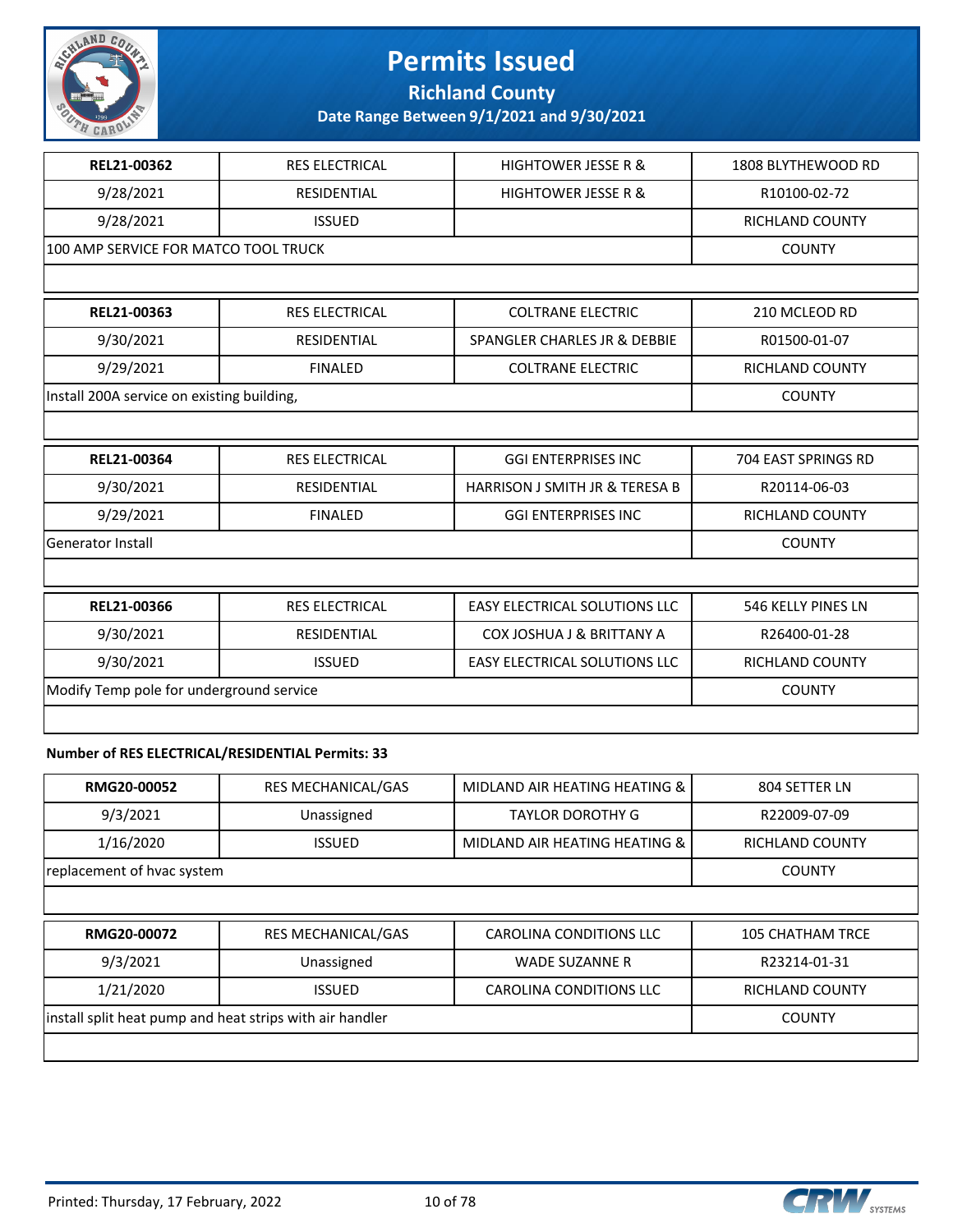

**Richland County**

**Date Range Between 9/1/2021 and 9/30/2021**

| REL21-00362                                | <b>RES ELECTRICAL</b> | <b>HIGHTOWER JESSE R &amp;</b>       | 1808 BLYTHEWOOD RD  |
|--------------------------------------------|-----------------------|--------------------------------------|---------------------|
| 9/28/2021                                  | <b>RESIDENTIAL</b>    | <b>HIGHTOWER JESSE R &amp;</b>       | R10100-02-72        |
| 9/28/2021                                  | <b>ISSUED</b>         |                                      | RICHLAND COUNTY     |
| 100 AMP SERVICE FOR MATCO TOOL TRUCK       |                       |                                      | <b>COUNTY</b>       |
|                                            |                       |                                      |                     |
| REL21-00363                                | <b>RES ELECTRICAL</b> | <b>COLTRANE ELECTRIC</b>             | 210 MCLEOD RD       |
| 9/30/2021                                  | <b>RESIDENTIAL</b>    | SPANGLER CHARLES JR & DEBBIE         | R01500-01-07        |
| 9/29/2021                                  | <b>FINALED</b>        | <b>COLTRANE ELECTRIC</b>             | RICHLAND COUNTY     |
| Install 200A service on existing building, |                       |                                      | <b>COUNTY</b>       |
|                                            |                       |                                      |                     |
| REL21-00364                                | <b>RES ELECTRICAL</b> | <b>GGI ENTERPRISES INC</b>           | 704 EAST SPRINGS RD |
| 9/30/2021                                  | <b>RESIDENTIAL</b>    | HARRISON J SMITH JR & TERESA B       | R20114-06-03        |
| 9/29/2021                                  | <b>FINALED</b>        | <b>GGI ENTERPRISES INC</b>           | RICHLAND COUNTY     |
|                                            |                       |                                      |                     |
| <b>Generator Install</b>                   |                       |                                      | <b>COUNTY</b>       |
|                                            |                       |                                      |                     |
| REL21-00366                                | RES ELECTRICAL        | EASY ELECTRICAL SOLUTIONS LLC        | 546 KELLY PINES LN  |
| 9/30/2021                                  | <b>RESIDENTIAL</b>    | <b>COX JOSHUA J &amp; BRITTANY A</b> | R26400-01-28        |
| 9/30/2021                                  | <b>ISSUED</b>         | <b>EASY ELECTRICAL SOLUTIONS LLC</b> | RICHLAND COUNTY     |
| Modify Temp pole for underground service   |                       |                                      | <b>COUNTY</b>       |
|                                            |                       |                                      |                     |

#### **Number of RES ELECTRICAL/RESIDENTIAL Permits: 33**

| <b>RES MECHANICAL/GAS</b>  | MIDLAND AIR HEATING HEATING & | 804 SETTER LN           |  |
|----------------------------|-------------------------------|-------------------------|--|
| Unassigned                 | TAYLOR DOROTHY G              | R22009-07-09            |  |
| <b>ISSUED</b>              | MIDLAND AIR HEATING HEATING & | RICHLAND COUNTY         |  |
| replacement of hvac system |                               |                         |  |
|                            |                               |                         |  |
| <b>RES MECHANICAL/GAS</b>  | CAROLINA CONDITIONS LLC       | <b>105 CHATHAM TRCE</b> |  |
|                            |                               |                         |  |

| 9/3/2021                                                 | Unassigned | WADE SUZANNE R          | R23214-01-31    |
|----------------------------------------------------------|------------|-------------------------|-----------------|
| 1/21/2020                                                | ISSUED.    | CAROLINA CONDITIONS LLC | RICHLAND COUNTY |
| install split heat pump and heat strips with air handler |            |                         | COUNTY          |
|                                                          |            |                         |                 |

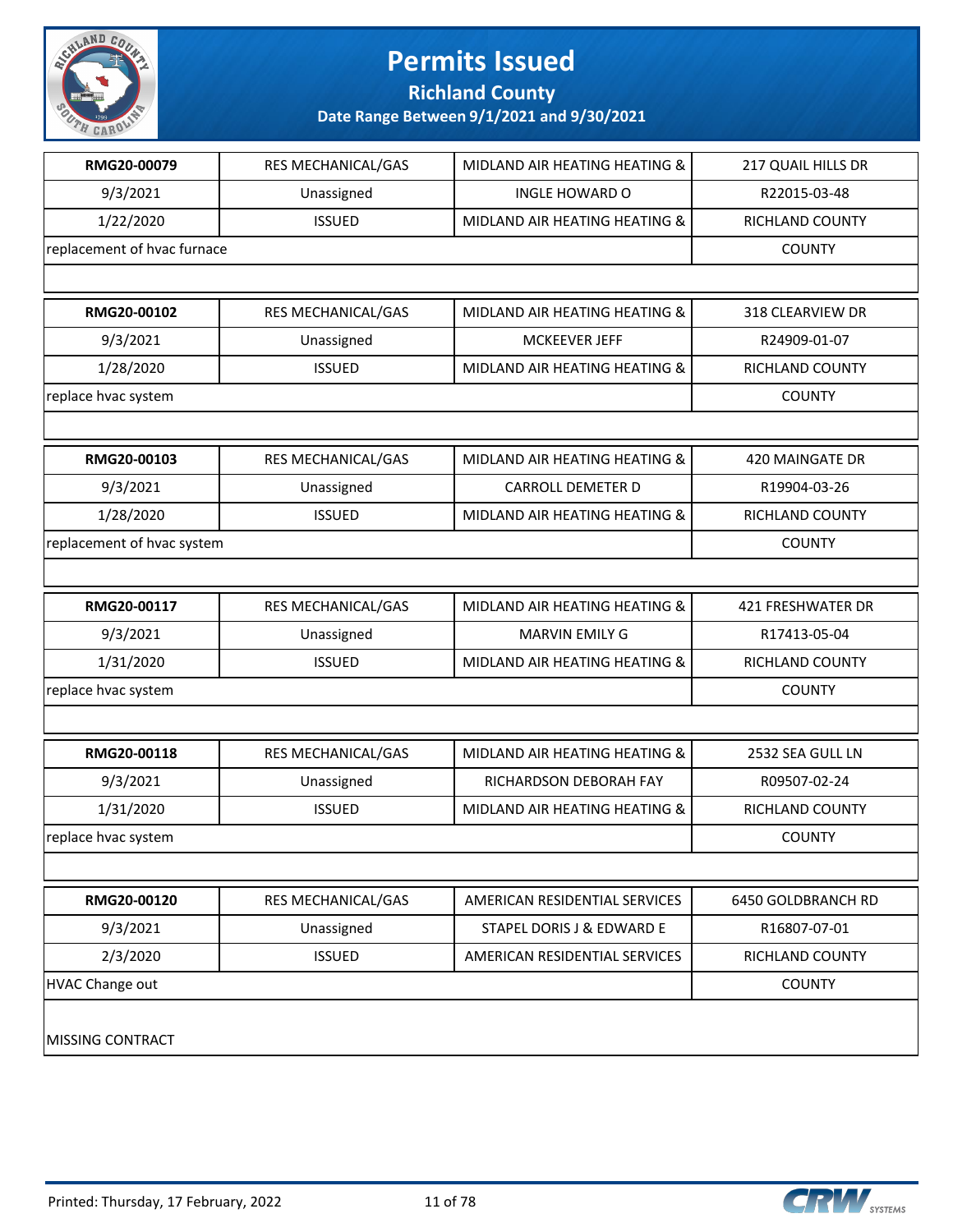

**Richland County**

| RMG20-00079                 | RES MECHANICAL/GAS | MIDLAND AIR HEATING HEATING & | 217 QUAIL HILLS DR     |
|-----------------------------|--------------------|-------------------------------|------------------------|
| 9/3/2021                    | Unassigned         | <b>INGLE HOWARD O</b>         | R22015-03-48           |
| 1/22/2020                   | <b>ISSUED</b>      | MIDLAND AIR HEATING HEATING & | RICHLAND COUNTY        |
| replacement of hvac furnace |                    |                               | <b>COUNTY</b>          |
|                             |                    |                               |                        |
| RMG20-00102                 | RES MECHANICAL/GAS | MIDLAND AIR HEATING HEATING & | 318 CLEARVIEW DR       |
| 9/3/2021                    | Unassigned         | <b>MCKEEVER JEFF</b>          | R24909-01-07           |
| 1/28/2020                   | <b>ISSUED</b>      | MIDLAND AIR HEATING HEATING & | <b>RICHLAND COUNTY</b> |
| replace hvac system         |                    |                               | <b>COUNTY</b>          |
|                             |                    |                               |                        |
| RMG20-00103                 | RES MECHANICAL/GAS | MIDLAND AIR HEATING HEATING & | 420 MAINGATE DR        |
| 9/3/2021                    | Unassigned         | <b>CARROLL DEMETER D</b>      | R19904-03-26           |
| 1/28/2020                   | <b>ISSUED</b>      | MIDLAND AIR HEATING HEATING & | RICHLAND COUNTY        |
| replacement of hvac system  |                    |                               | <b>COUNTY</b>          |
|                             |                    |                               |                        |
| RMG20-00117                 | RES MECHANICAL/GAS | MIDLAND AIR HEATING HEATING & | 421 FRESHWATER DR      |
| 9/3/2021                    | Unassigned         | MARVIN EMILY G                | R17413-05-04           |
| 1/31/2020                   | <b>ISSUED</b>      | MIDLAND AIR HEATING HEATING & | RICHLAND COUNTY        |
| replace hvac system         |                    |                               | <b>COUNTY</b>          |
|                             |                    |                               |                        |
| RMG20-00118                 | RES MECHANICAL/GAS | MIDLAND AIR HEATING HEATING & | 2532 SEA GULL LN       |
| 9/3/2021                    | Unassigned         | RICHARDSON DEBORAH FAY        | R09507-02-24           |
| 1/31/2020                   | <b>ISSUED</b>      | MIDLAND AIR HEATING HEATING & | RICHLAND COUNTY        |
| replace hvac system         |                    |                               | <b>COUNTY</b>          |
|                             |                    |                               |                        |
| RMG20-00120                 | RES MECHANICAL/GAS | AMERICAN RESIDENTIAL SERVICES | 6450 GOLDBRANCH RD     |
| 9/3/2021                    | Unassigned         | STAPEL DORIS J & EDWARD E     | R16807-07-01           |
| 2/3/2020                    | <b>ISSUED</b>      | AMERICAN RESIDENTIAL SERVICES | RICHLAND COUNTY        |
| <b>HVAC Change out</b>      |                    |                               | <b>COUNTY</b>          |
| MISSING CONTRACT            |                    |                               |                        |

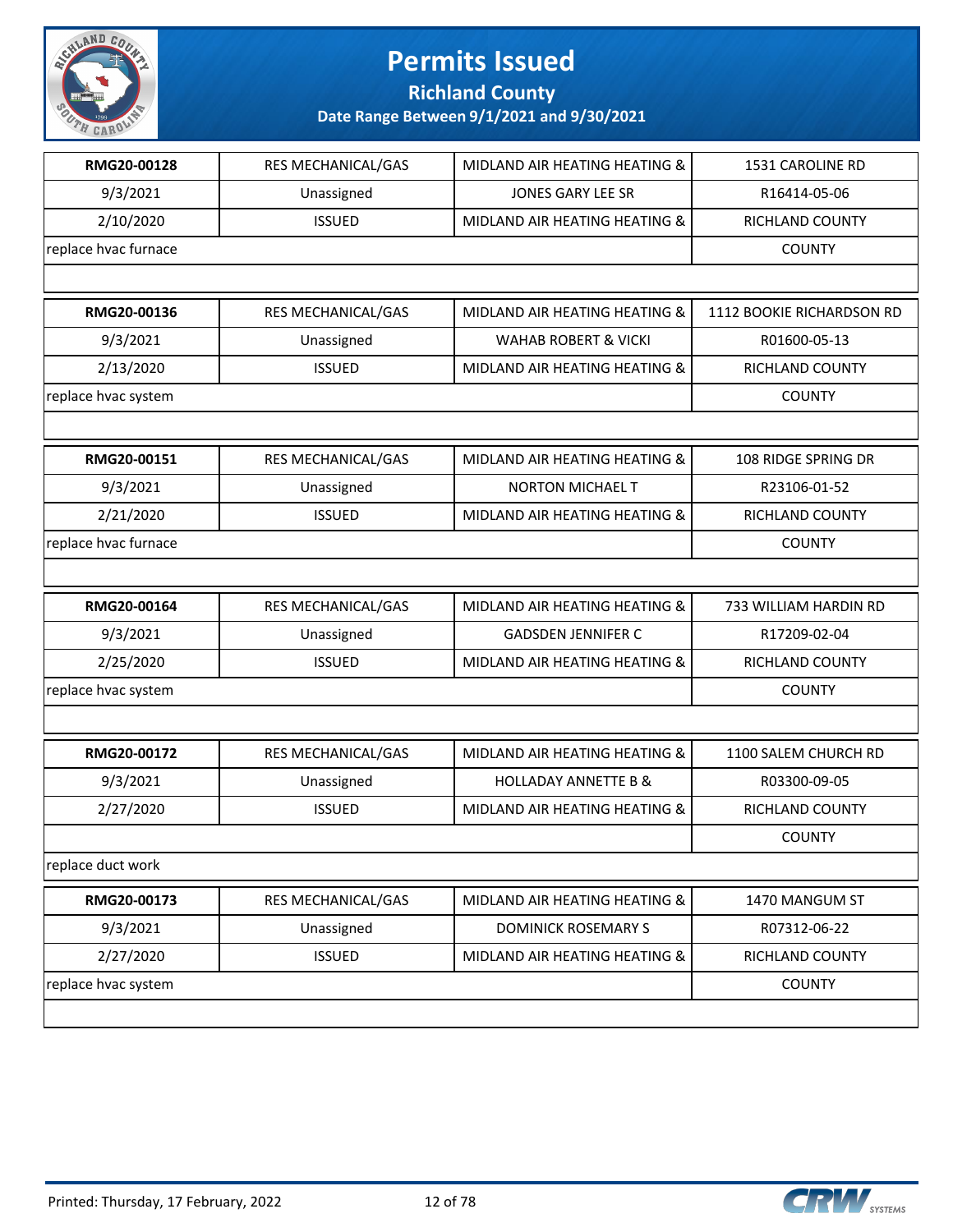

**Richland County**

| RMG20-00128          | RES MECHANICAL/GAS | MIDLAND AIR HEATING HEATING &   | 1531 CAROLINE RD          |
|----------------------|--------------------|---------------------------------|---------------------------|
| 9/3/2021             | Unassigned         | <b>JONES GARY LEE SR</b>        | R16414-05-06              |
| 2/10/2020            | <b>ISSUED</b>      | MIDLAND AIR HEATING HEATING &   | RICHLAND COUNTY           |
| replace hvac furnace |                    |                                 | <b>COUNTY</b>             |
|                      |                    |                                 |                           |
| RMG20-00136          | RES MECHANICAL/GAS | MIDLAND AIR HEATING HEATING &   | 1112 BOOKIE RICHARDSON RD |
| 9/3/2021             | Unassigned         | <b>WAHAB ROBERT &amp; VICKI</b> | R01600-05-13              |
| 2/13/2020            | <b>ISSUED</b>      | MIDLAND AIR HEATING HEATING &   | RICHLAND COUNTY           |
| replace hvac system  |                    |                                 | <b>COUNTY</b>             |
|                      |                    |                                 |                           |
| RMG20-00151          | RES MECHANICAL/GAS | MIDLAND AIR HEATING HEATING &   | 108 RIDGE SPRING DR       |
| 9/3/2021             | Unassigned         | <b>NORTON MICHAEL T</b>         | R23106-01-52              |
| 2/21/2020            | <b>ISSUED</b>      | MIDLAND AIR HEATING HEATING &   | RICHLAND COUNTY           |
| replace hvac furnace |                    |                                 | <b>COUNTY</b>             |
|                      |                    |                                 |                           |
| RMG20-00164          | RES MECHANICAL/GAS | MIDLAND AIR HEATING HEATING &   | 733 WILLIAM HARDIN RD     |
| 9/3/2021             | Unassigned         | <b>GADSDEN JENNIFER C</b>       | R17209-02-04              |
| 2/25/2020            | <b>ISSUED</b>      | MIDLAND AIR HEATING HEATING &   | RICHLAND COUNTY           |
| replace hvac system  |                    |                                 | <b>COUNTY</b>             |
|                      |                    |                                 |                           |
| RMG20-00172          | RES MECHANICAL/GAS | MIDLAND AIR HEATING HEATING &   | 1100 SALEM CHURCH RD      |
| 9/3/2021             | Unassigned         | <b>HOLLADAY ANNETTE B &amp;</b> | R03300-09-05              |
| 2/27/2020            | <b>ISSUED</b>      | MIDLAND AIR HEATING HEATING &   | <b>RICHLAND COUNTY</b>    |
|                      |                    |                                 | <b>COUNTY</b>             |
| replace duct work    |                    |                                 |                           |
| RMG20-00173          | RES MECHANICAL/GAS | MIDLAND AIR HEATING HEATING &   | 1470 MANGUM ST            |
| 9/3/2021             | Unassigned         | <b>DOMINICK ROSEMARY S</b>      | R07312-06-22              |
| 2/27/2020            | <b>ISSUED</b>      | MIDLAND AIR HEATING HEATING &   | RICHLAND COUNTY           |
| replace hvac system  |                    |                                 | <b>COUNTY</b>             |
|                      |                    |                                 |                           |

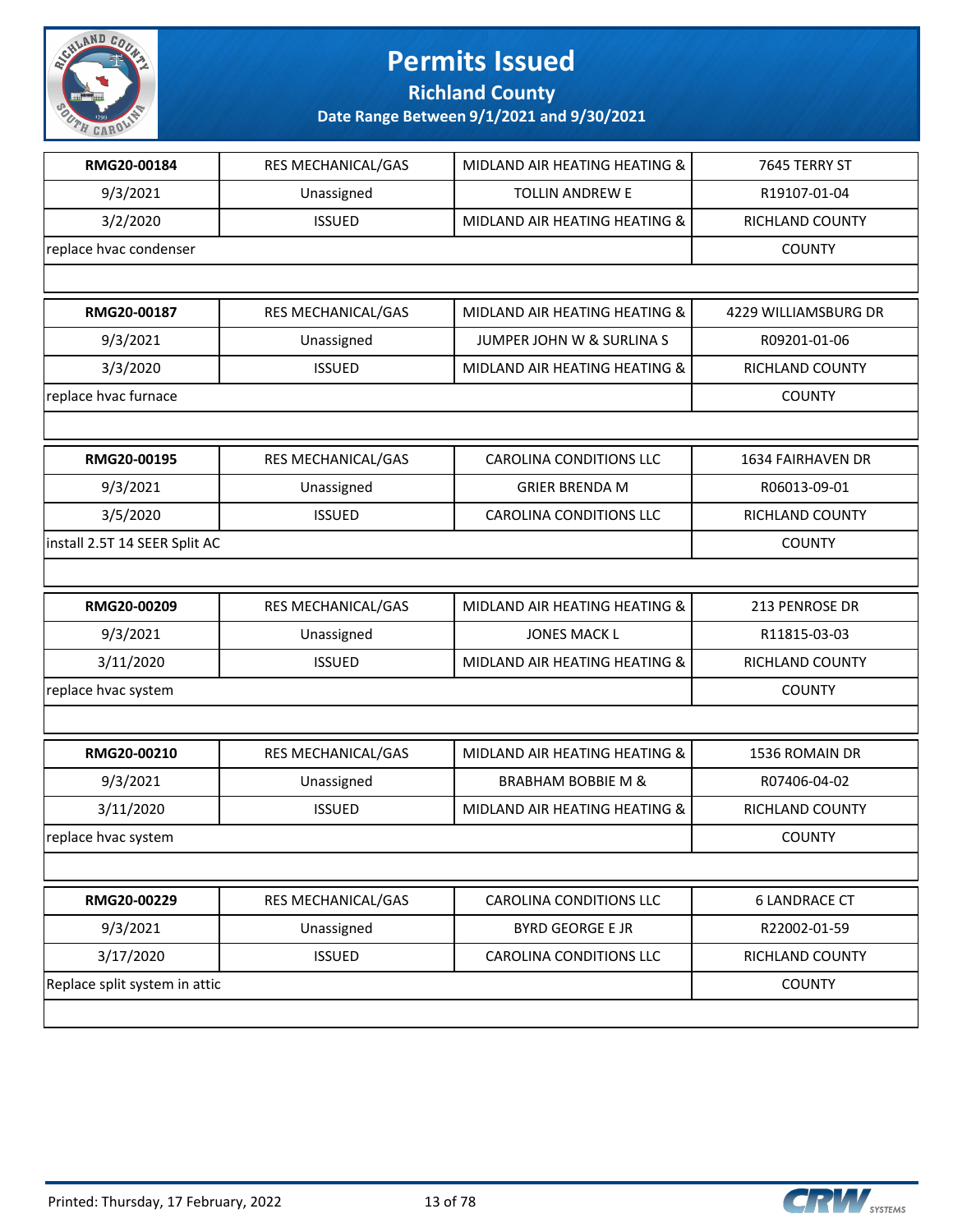

**Richland County**

| RMG20-00184                   | RES MECHANICAL/GAS        | MIDLAND AIR HEATING HEATING &        | 7645 TERRY ST            |
|-------------------------------|---------------------------|--------------------------------------|--------------------------|
| 9/3/2021                      | Unassigned                | <b>TOLLIN ANDREW E</b>               | R19107-01-04             |
| 3/2/2020                      | <b>ISSUED</b>             | MIDLAND AIR HEATING HEATING &        | RICHLAND COUNTY          |
| replace hvac condenser        |                           |                                      | <b>COUNTY</b>            |
|                               |                           |                                      |                          |
| RMG20-00187                   | <b>RES MECHANICAL/GAS</b> | MIDLAND AIR HEATING HEATING &        | 4229 WILLIAMSBURG DR     |
| 9/3/2021                      | Unassigned                | <b>JUMPER JOHN W &amp; SURLINA S</b> | R09201-01-06             |
| 3/3/2020                      | <b>ISSUED</b>             | MIDLAND AIR HEATING HEATING &        | RICHLAND COUNTY          |
| replace hvac furnace          |                           |                                      | <b>COUNTY</b>            |
|                               |                           |                                      |                          |
| RMG20-00195                   | RES MECHANICAL/GAS        | <b>CAROLINA CONDITIONS LLC</b>       | <b>1634 FAIRHAVEN DR</b> |
| 9/3/2021                      | Unassigned                | <b>GRIER BRENDA M</b>                | R06013-09-01             |
| 3/5/2020                      | <b>ISSUED</b>             | <b>CAROLINA CONDITIONS LLC</b>       | RICHLAND COUNTY          |
| install 2.5T 14 SEER Split AC |                           |                                      | <b>COUNTY</b>            |
|                               |                           |                                      |                          |
| RMG20-00209                   | <b>RES MECHANICAL/GAS</b> | MIDLAND AIR HEATING HEATING &        | 213 PENROSE DR           |
| 9/3/2021                      | Unassigned                | <b>JONES MACK L</b>                  | R11815-03-03             |
| 3/11/2020                     | <b>ISSUED</b>             | MIDLAND AIR HEATING HEATING &        | RICHLAND COUNTY          |
| replace hvac system           |                           |                                      | <b>COUNTY</b>            |
|                               |                           |                                      |                          |
| RMG20-00210                   | RES MECHANICAL/GAS        | MIDLAND AIR HEATING HEATING &        | 1536 ROMAIN DR           |
| 9/3/2021                      | Unassigned                | <b>BRABHAM BOBBIE M &amp;</b>        | R07406-04-02             |
| 3/11/2020                     | <b>ISSUED</b>             | MIDLAND AIR HEATING HEATING &        | RICHLAND COUNTY          |
| replace hvac system           |                           |                                      | <b>COUNTY</b>            |
|                               |                           |                                      |                          |
| RMG20-00229                   | RES MECHANICAL/GAS        | CAROLINA CONDITIONS LLC              | <b>6 LANDRACE CT</b>     |
| 9/3/2021                      | Unassigned                | <b>BYRD GEORGE E JR</b>              | R22002-01-59             |
| 3/17/2020                     | <b>ISSUED</b>             | CAROLINA CONDITIONS LLC              | RICHLAND COUNTY          |
| Replace split system in attic |                           |                                      | <b>COUNTY</b>            |
|                               |                           |                                      |                          |

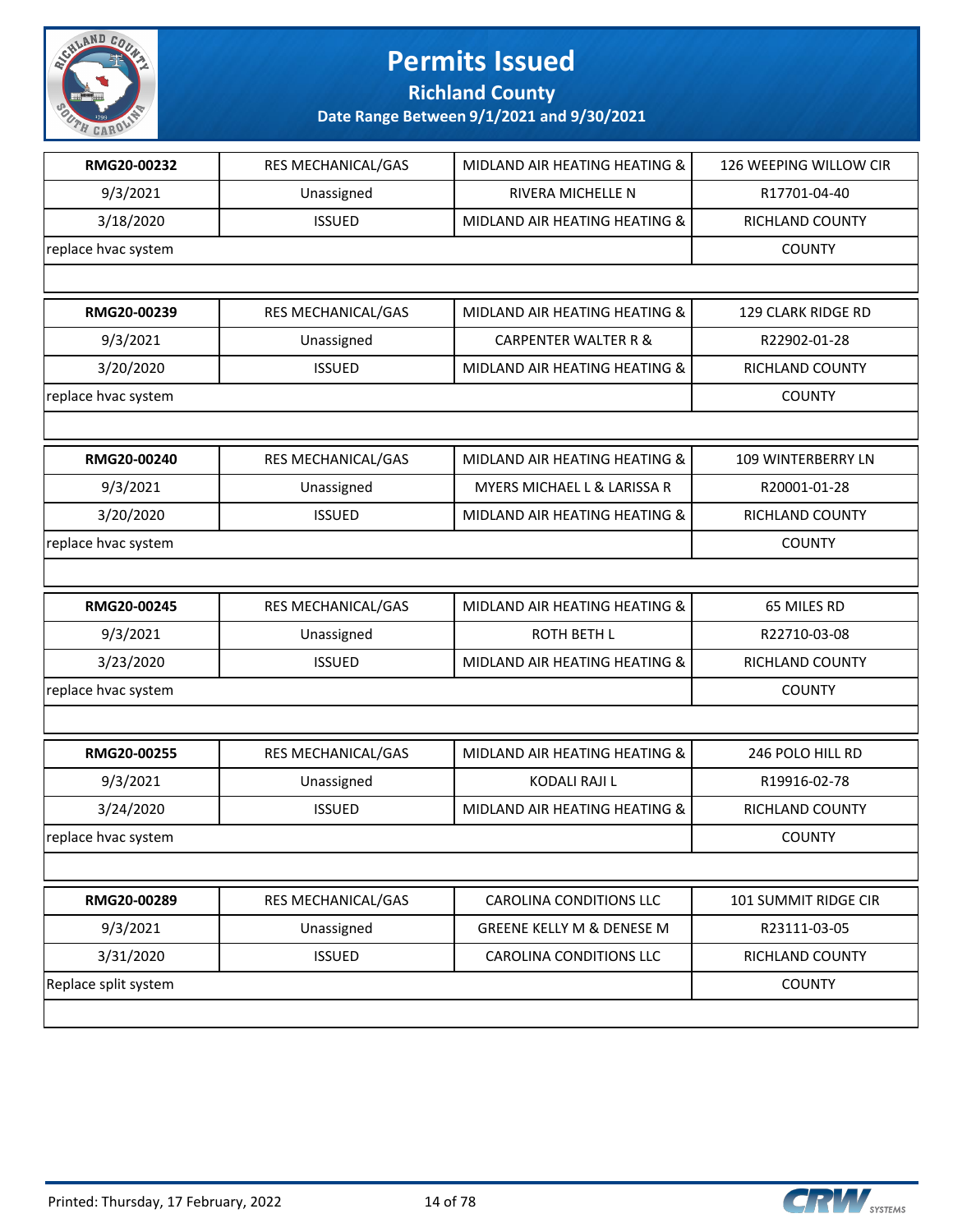

**Richland County**

| RMG20-00232          | RES MECHANICAL/GAS | MIDLAND AIR HEATING HEATING &   | 126 WEEPING WILLOW CIR |
|----------------------|--------------------|---------------------------------|------------------------|
| 9/3/2021             | Unassigned         | <b>RIVERA MICHELLE N</b>        | R17701-04-40           |
| 3/18/2020            | <b>ISSUED</b>      | MIDLAND AIR HEATING HEATING &   | RICHLAND COUNTY        |
| replace hvac system  |                    |                                 | <b>COUNTY</b>          |
|                      |                    |                                 |                        |
| RMG20-00239          | RES MECHANICAL/GAS | MIDLAND AIR HEATING HEATING &   | 129 CLARK RIDGE RD     |
| 9/3/2021             | Unassigned         | <b>CARPENTER WALTER R &amp;</b> | R22902-01-28           |
| 3/20/2020            | <b>ISSUED</b>      | MIDLAND AIR HEATING HEATING &   | RICHLAND COUNTY        |
| replace hvac system  |                    |                                 | <b>COUNTY</b>          |
|                      |                    |                                 |                        |
| RMG20-00240          | RES MECHANICAL/GAS | MIDLAND AIR HEATING HEATING &   | 109 WINTERBERRY LN     |
| 9/3/2021             | Unassigned         | MYERS MICHAEL L & LARISSA R     | R20001-01-28           |
| 3/20/2020            | <b>ISSUED</b>      | MIDLAND AIR HEATING HEATING &   | RICHLAND COUNTY        |
| replace hvac system  |                    |                                 | <b>COUNTY</b>          |
|                      |                    |                                 |                        |
| RMG20-00245          | RES MECHANICAL/GAS | MIDLAND AIR HEATING HEATING &   | 65 MILES RD            |
| 9/3/2021             | Unassigned         | <b>ROTH BETH L</b>              | R22710-03-08           |
| 3/23/2020            | <b>ISSUED</b>      | MIDLAND AIR HEATING HEATING &   | <b>RICHLAND COUNTY</b> |
| replace hvac system  |                    |                                 | <b>COUNTY</b>          |
|                      |                    |                                 |                        |
| RMG20-00255          | RES MECHANICAL/GAS | MIDLAND AIR HEATING HEATING &   | 246 POLO HILL RD       |
| 9/3/2021             | Unassigned         | KODALI RAJI L                   | R19916-02-78           |
| 3/24/2020            | <b>ISSUED</b>      | MIDLAND AIR HEATING HEATING &   | <b>RICHLAND COUNTY</b> |
| replace hvac system  |                    |                                 | <b>COUNTY</b>          |
|                      |                    |                                 |                        |
| RMG20-00289          | RES MECHANICAL/GAS | <b>CAROLINA CONDITIONS LLC</b>  | 101 SUMMIT RIDGE CIR   |
| 9/3/2021             | Unassigned         | GREENE KELLY M & DENESE M       | R23111-03-05           |
| 3/31/2020            | <b>ISSUED</b>      | <b>CAROLINA CONDITIONS LLC</b>  | RICHLAND COUNTY        |
| Replace split system |                    |                                 | <b>COUNTY</b>          |
|                      |                    |                                 |                        |

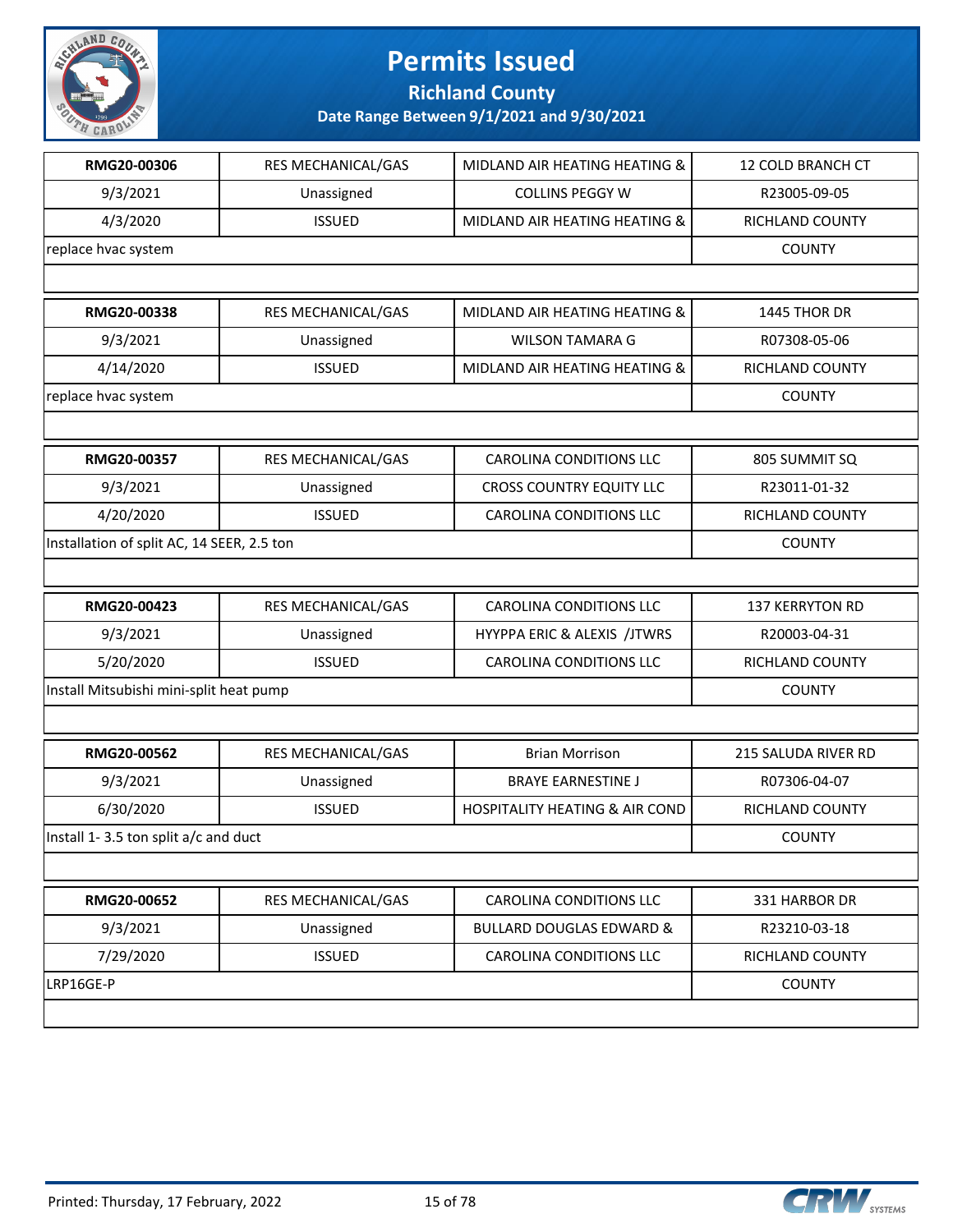

**Richland County**

|                                            | RES MECHANICAL/GAS        | MIDLAND AIR HEATING HEATING &             | 12 COLD BRANCH CT      |
|--------------------------------------------|---------------------------|-------------------------------------------|------------------------|
| 9/3/2021                                   | Unassigned                | <b>COLLINS PEGGY W</b>                    | R23005-09-05           |
| 4/3/2020                                   | <b>ISSUED</b>             | MIDLAND AIR HEATING HEATING &             | RICHLAND COUNTY        |
| replace hvac system                        |                           |                                           | <b>COUNTY</b>          |
|                                            |                           |                                           |                        |
| RMG20-00338                                | RES MECHANICAL/GAS        | MIDLAND AIR HEATING HEATING &             | 1445 THOR DR           |
| 9/3/2021                                   | Unassigned                | <b>WILSON TAMARA G</b>                    | R07308-05-06           |
| 4/14/2020                                  | <b>ISSUED</b>             | MIDLAND AIR HEATING HEATING &             | RICHLAND COUNTY        |
| replace hvac system                        |                           |                                           | <b>COUNTY</b>          |
|                                            |                           |                                           |                        |
| RMG20-00357                                | RES MECHANICAL/GAS        | <b>CAROLINA CONDITIONS LLC</b>            | 805 SUMMIT SQ          |
| 9/3/2021                                   | Unassigned                | <b>CROSS COUNTRY EQUITY LLC</b>           | R23011-01-32           |
| 4/20/2020                                  | <b>ISSUED</b>             | <b>CAROLINA CONDITIONS LLC</b>            | RICHLAND COUNTY        |
| Installation of split AC, 14 SEER, 2.5 ton |                           |                                           | <b>COUNTY</b>          |
|                                            |                           |                                           |                        |
| RMG20-00423                                | <b>RES MECHANICAL/GAS</b> | CAROLINA CONDITIONS LLC                   | <b>137 KERRYTON RD</b> |
| 9/3/2021                                   | Unassigned                | HYYPPA ERIC & ALEXIS /JTWRS               | R20003-04-31           |
| 5/20/2020                                  | <b>ISSUED</b>             | <b>CAROLINA CONDITIONS LLC</b>            | RICHLAND COUNTY        |
| Install Mitsubishi mini-split heat pump    |                           |                                           | <b>COUNTY</b>          |
|                                            |                           |                                           |                        |
|                                            |                           |                                           |                        |
| RMG20-00562                                | RES MECHANICAL/GAS        | <b>Brian Morrison</b>                     | 215 SALUDA RIVER RD    |
| 9/3/2021                                   | Unassigned                | <b>BRAYE EARNESTINE J</b>                 | R07306-04-07           |
| 6/30/2020                                  | <b>ISSUED</b>             | <b>HOSPITALITY HEATING &amp; AIR COND</b> | <b>RICHLAND COUNTY</b> |
| Install 1-3.5 ton split a/c and duct       |                           |                                           | <b>COUNTY</b>          |
|                                            |                           |                                           |                        |
| RMG20-00652                                | RES MECHANICAL/GAS        | <b>CAROLINA CONDITIONS LLC</b>            | 331 HARBOR DR          |
| 9/3/2021                                   | Unassigned                | <b>BULLARD DOUGLAS EDWARD &amp;</b>       | R23210-03-18           |
| 7/29/2020                                  | <b>ISSUED</b>             | CAROLINA CONDITIONS LLC                   | RICHLAND COUNTY        |
| LRP16GE-P                                  |                           |                                           | <b>COUNTY</b>          |

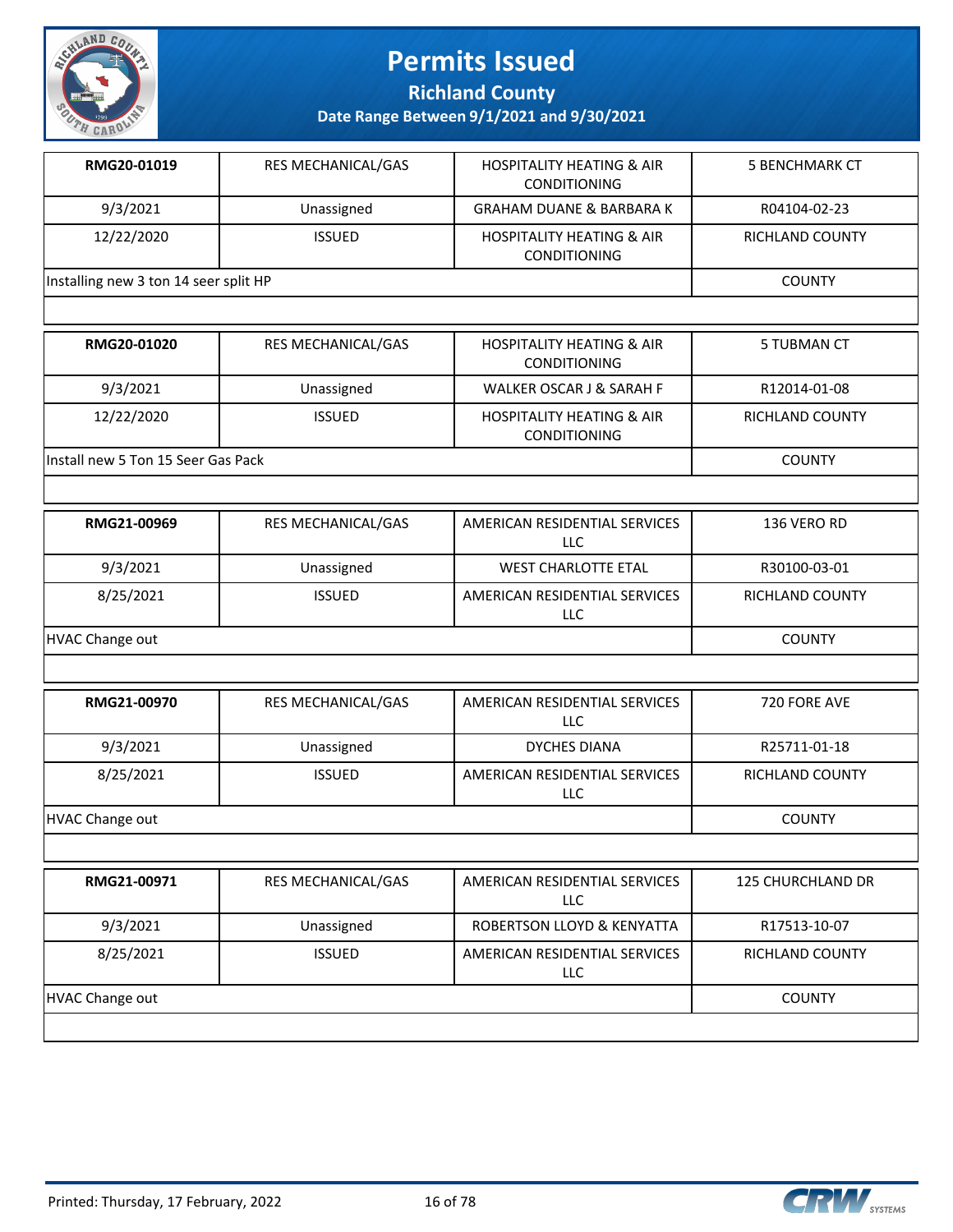

**Richland County**

| RMG20-01019                           | <b>RES MECHANICAL/GAS</b> | <b>HOSPITALITY HEATING &amp; AIR</b><br><b>CONDITIONING</b> | 5 BENCHMARK CT  |
|---------------------------------------|---------------------------|-------------------------------------------------------------|-----------------|
| 9/3/2021                              | Unassigned                | <b>GRAHAM DUANE &amp; BARBARA K</b>                         | R04104-02-23    |
| 12/22/2020                            | <b>ISSUED</b>             | <b>HOSPITALITY HEATING &amp; AIR</b><br><b>CONDITIONING</b> | RICHLAND COUNTY |
| Installing new 3 ton 14 seer split HP |                           |                                                             | <b>COUNTY</b>   |
|                                       |                           |                                                             |                 |

| RMG20-01020                         | <b>RES MECHANICAL/GAS</b> | <b>HOSPITALITY HEATING &amp; AIR</b><br><b>CONDITIONING</b> | 5 TUBMAN CT     |
|-------------------------------------|---------------------------|-------------------------------------------------------------|-----------------|
| 9/3/2021                            | Unassigned                | WALKER OSCAR J & SARAH F                                    | R12014-01-08    |
| 12/22/2020                          | <b>ISSUED</b>             | <b>HOSPITALITY HEATING &amp; AIR</b><br><b>CONDITIONING</b> | RICHLAND COUNTY |
| linstall new 5 Ton 15 Seer Gas Pack |                           |                                                             | <b>COUNTY</b>   |

| RMG21-00969     | <b>RES MECHANICAL/GAS</b> | AMERICAN RESIDENTIAL SERVICES<br>LLC | 136 VERO RD            |
|-----------------|---------------------------|--------------------------------------|------------------------|
| 9/3/2021        | Unassigned                | <b>WEST CHARLOTTE ETAL</b>           | R30100-03-01           |
| 8/25/2021       | <b>ISSUED</b>             | AMERICAN RESIDENTIAL SERVICES<br>LLC | <b>RICHLAND COUNTY</b> |
| HVAC Change out |                           |                                      | <b>COUNTY</b>          |

| RMG21-00970     | <b>RES MECHANICAL/GAS</b> | AMERICAN RESIDENTIAL SERVICES<br>LLC | 720 FORE AVE           |
|-----------------|---------------------------|--------------------------------------|------------------------|
| 9/3/2021        | Unassigned                | DYCHES DIANA                         | R25711-01-18           |
| 8/25/2021       | <b>ISSUED</b>             | AMERICAN RESIDENTIAL SERVICES<br>LLC | <b>RICHLAND COUNTY</b> |
| HVAC Change out |                           |                                      | <b>COUNTY</b>          |

| RMG21-00971     | <b>RES MECHANICAL/GAS</b> | AMERICAN RESIDENTIAL SERVICES<br>LLC. | <b>125 CHURCHLAND DR</b> |
|-----------------|---------------------------|---------------------------------------|--------------------------|
| 9/3/2021        | Unassigned                | ROBERTSON LLOYD & KENYATTA            | R17513-10-07             |
| 8/25/2021       | <b>ISSUED</b>             | AMERICAN RESIDENTIAL SERVICES<br>LLC. | <b>RICHLAND COUNTY</b>   |
| HVAC Change out |                           |                                       | <b>COUNTY</b>            |
|                 |                           |                                       |                          |

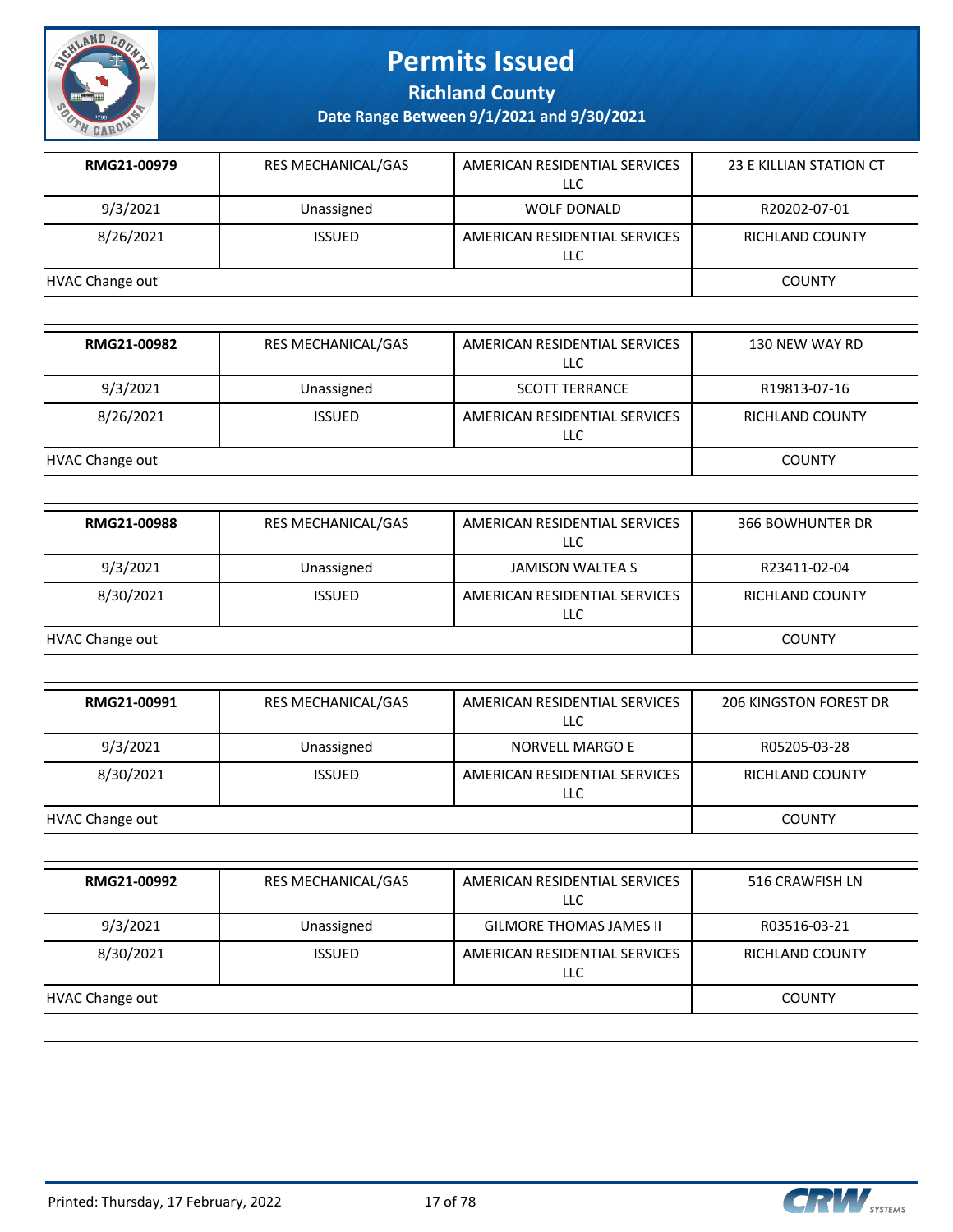

**Richland County**

| RMG21-00979            | <b>RES MECHANICAL/GAS</b> | AMERICAN RESIDENTIAL SERVICES<br><b>LLC</b> | 23 E KILLIAN STATION CT       |
|------------------------|---------------------------|---------------------------------------------|-------------------------------|
| 9/3/2021               | Unassigned                | <b>WOLF DONALD</b>                          | R20202-07-01                  |
| 8/26/2021              | <b>ISSUED</b>             | AMERICAN RESIDENTIAL SERVICES<br>LLC        | RICHLAND COUNTY               |
| <b>HVAC Change out</b> | <b>COUNTY</b>             |                                             |                               |
|                        |                           |                                             |                               |
| RMG21-00982            | RES MECHANICAL/GAS        | AMERICAN RESIDENTIAL SERVICES<br><b>LLC</b> | 130 NEW WAY RD                |
| 9/3/2021               | Unassigned                | <b>SCOTT TERRANCE</b>                       | R19813-07-16                  |
| 8/26/2021              | <b>ISSUED</b>             | AMERICAN RESIDENTIAL SERVICES<br>LLC        | RICHLAND COUNTY               |
| <b>HVAC Change out</b> |                           |                                             | <b>COUNTY</b>                 |
|                        |                           |                                             |                               |
| RMG21-00988            | RES MECHANICAL/GAS        | AMERICAN RESIDENTIAL SERVICES<br><b>LLC</b> | <b>366 BOWHUNTER DR</b>       |
| 9/3/2021               | Unassigned                | <b>JAMISON WALTEA S</b>                     | R23411-02-04                  |
| 8/30/2021              | <b>ISSUED</b>             | AMERICAN RESIDENTIAL SERVICES<br>LLC        | RICHLAND COUNTY               |
| <b>HVAC Change out</b> |                           |                                             | <b>COUNTY</b>                 |
|                        |                           |                                             |                               |
| RMG21-00991            | RES MECHANICAL/GAS        | AMERICAN RESIDENTIAL SERVICES<br><b>LLC</b> | <b>206 KINGSTON FOREST DR</b> |
| 9/3/2021               | Unassigned                | <b>NORVELL MARGO E</b>                      | R05205-03-28                  |
| 8/30/2021              | <b>ISSUED</b>             | AMERICAN RESIDENTIAL SERVICES<br><b>LLC</b> | RICHLAND COUNTY               |
| <b>HVAC Change out</b> |                           |                                             | <b>COUNTY</b>                 |
|                        |                           |                                             |                               |
| RMG21-00992            | RES MECHANICAL/GAS        | AMERICAN RESIDENTIAL SERVICES<br><b>LLC</b> | 516 CRAWFISH LN               |
| 9/3/2021               | Unassigned                | <b>GILMORE THOMAS JAMES II</b>              | R03516-03-21                  |
| 8/30/2021              | <b>ISSUED</b>             | AMERICAN RESIDENTIAL SERVICES<br>LLC        | RICHLAND COUNTY               |
| <b>HVAC Change out</b> |                           |                                             | <b>COUNTY</b>                 |
|                        |                           |                                             |                               |

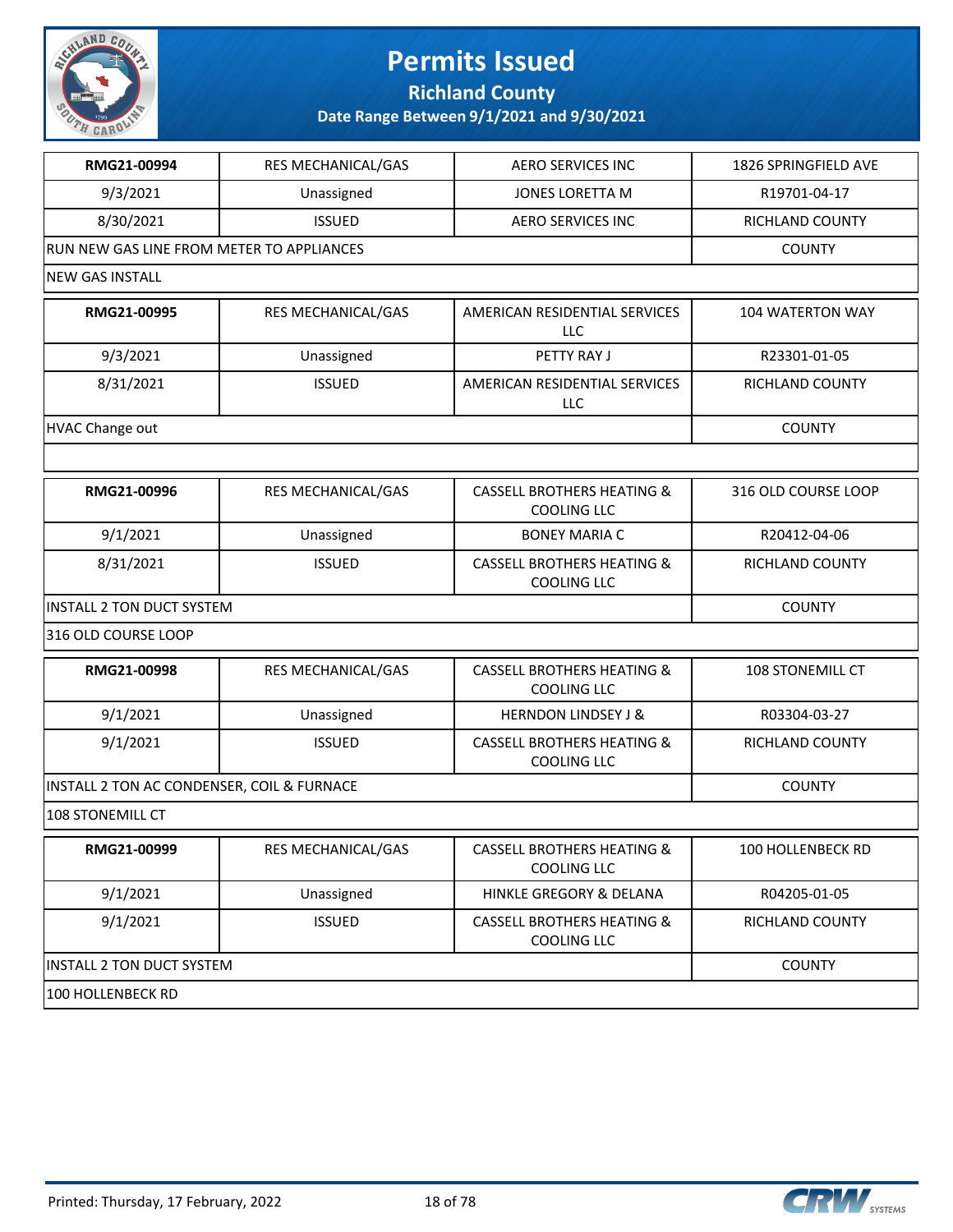

**Richland County**

| RMG21-00994                                | RES MECHANICAL/GAS | <b>AERO SERVICES INC</b>                                    | 1826 SPRINGFIELD AVE |
|--------------------------------------------|--------------------|-------------------------------------------------------------|----------------------|
| 9/3/2021                                   | Unassigned         | <b>JONES LORETTA M</b>                                      | R19701-04-17         |
| 8/30/2021                                  | <b>ISSUED</b>      | <b>AERO SERVICES INC</b>                                    | RICHLAND COUNTY      |
| RUN NEW GAS LINE FROM METER TO APPLIANCES  |                    |                                                             | <b>COUNTY</b>        |
| <b>NEW GAS INSTALL</b>                     |                    |                                                             |                      |
| RMG21-00995                                | RES MECHANICAL/GAS | AMERICAN RESIDENTIAL SERVICES<br><b>LLC</b>                 | 104 WATERTON WAY     |
| 9/3/2021                                   | Unassigned         | PETTY RAY J                                                 | R23301-01-05         |
| 8/31/2021                                  | <b>ISSUED</b>      | AMERICAN RESIDENTIAL SERVICES<br><b>LLC</b>                 | RICHLAND COUNTY      |
| <b>HVAC Change out</b>                     |                    |                                                             | <b>COUNTY</b>        |
|                                            |                    |                                                             |                      |
| RMG21-00996                                | RES MECHANICAL/GAS | <b>CASSELL BROTHERS HEATING &amp;</b><br><b>COOLING LLC</b> | 316 OLD COURSE LOOP  |
| 9/1/2021                                   | Unassigned         | <b>BONEY MARIA C</b>                                        | R20412-04-06         |
| 8/31/2021                                  | <b>ISSUED</b>      | <b>CASSELL BROTHERS HEATING &amp;</b><br>COOLING LLC        | RICHLAND COUNTY      |
| <b>INSTALL 2 TON DUCT SYSTEM</b>           | <b>COUNTY</b>      |                                                             |                      |
| 316 OLD COURSE LOOP                        |                    |                                                             |                      |
| RMG21-00998                                | RES MECHANICAL/GAS | <b>CASSELL BROTHERS HEATING &amp;</b><br><b>COOLING LLC</b> | 108 STONEMILL CT     |
| 9/1/2021                                   | Unassigned         | <b>HERNDON LINDSEY J &amp;</b>                              | R03304-03-27         |
| 9/1/2021                                   | <b>ISSUED</b>      | <b>CASSELL BROTHERS HEATING &amp;</b><br><b>COOLING LLC</b> | RICHLAND COUNTY      |
| INSTALL 2 TON AC CONDENSER, COIL & FURNACE |                    |                                                             | <b>COUNTY</b>        |
| 108 STONEMILL CT                           |                    |                                                             |                      |
| RMG21-00999                                | RES MECHANICAL/GAS | <b>CASSELL BROTHERS HEATING &amp;</b><br><b>COOLING LLC</b> | 100 HOLLENBECK RD    |
| 9/1/2021                                   | Unassigned         | HINKLE GREGORY & DELANA                                     | R04205-01-05         |
| 9/1/2021                                   | <b>ISSUED</b>      | <b>CASSELL BROTHERS HEATING &amp;</b><br><b>COOLING LLC</b> | RICHLAND COUNTY      |
| <b>INSTALL 2 TON DUCT SYSTEM</b>           |                    |                                                             | <b>COUNTY</b>        |
| 100 HOLLENBECK RD                          |                    |                                                             |                      |

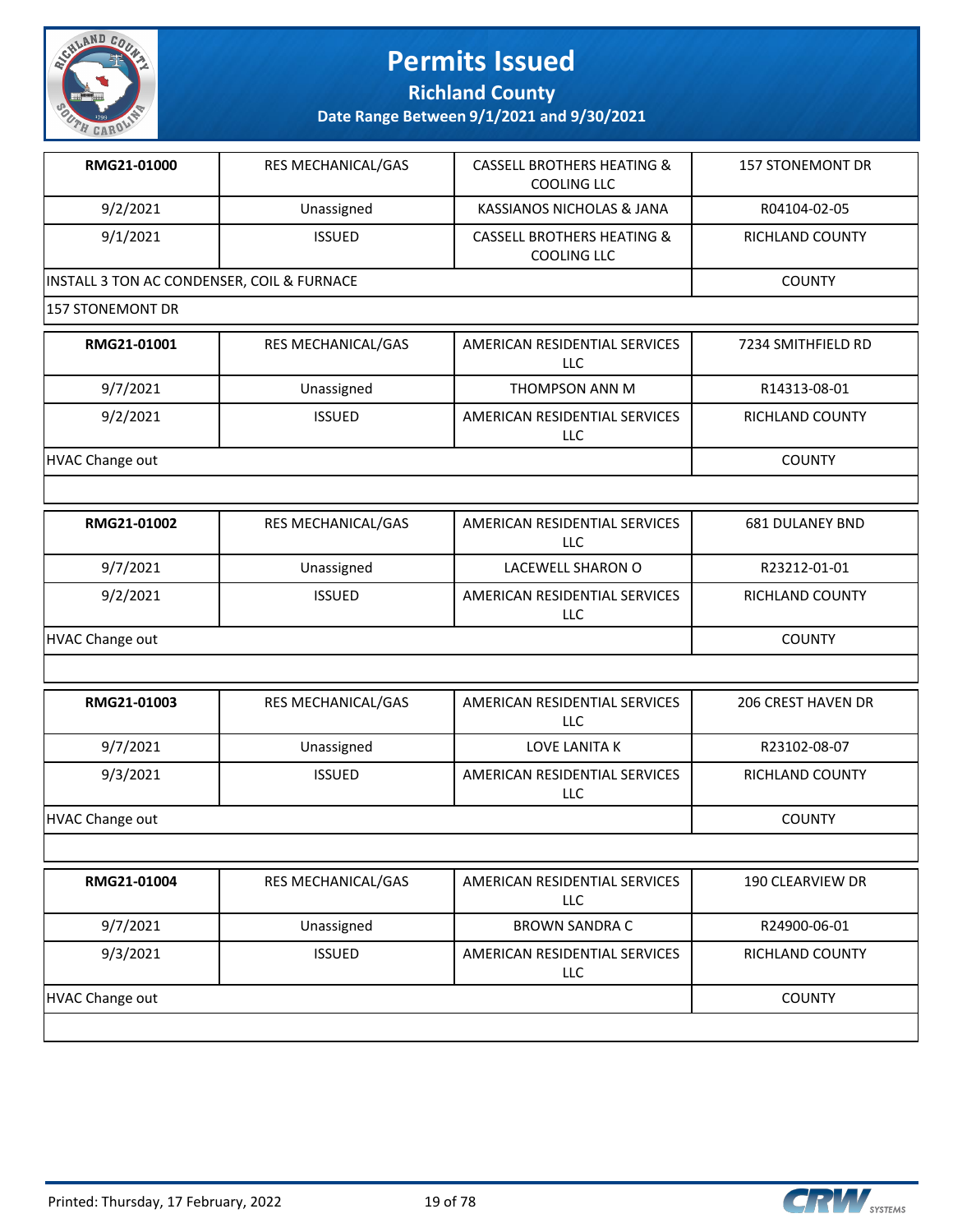

**Richland County**

| RMG21-01000             | RES MECHANICAL/GAS                         | <b>CASSELL BROTHERS HEATING &amp;</b><br><b>COOLING LLC</b> | <b>157 STONEMONT DR</b> |  |  |
|-------------------------|--------------------------------------------|-------------------------------------------------------------|-------------------------|--|--|
| 9/2/2021                | Unassigned                                 | KASSIANOS NICHOLAS & JANA                                   | R04104-02-05            |  |  |
| 9/1/2021                | <b>ISSUED</b>                              | <b>CASSELL BROTHERS HEATING &amp;</b><br>COOLING LLC        | RICHLAND COUNTY         |  |  |
|                         | INSTALL 3 TON AC CONDENSER, COIL & FURNACE |                                                             |                         |  |  |
| <b>157 STONEMONT DR</b> |                                            |                                                             |                         |  |  |
| RMG21-01001             | RES MECHANICAL/GAS                         | AMERICAN RESIDENTIAL SERVICES<br><b>LLC</b>                 | 7234 SMITHFIELD RD      |  |  |
| 9/7/2021                | Unassigned                                 | THOMPSON ANN M                                              | R14313-08-01            |  |  |
| 9/2/2021                | <b>ISSUED</b>                              | AMERICAN RESIDENTIAL SERVICES<br>LLC                        | RICHLAND COUNTY         |  |  |
| <b>HVAC Change out</b>  |                                            |                                                             | <b>COUNTY</b>           |  |  |
|                         |                                            |                                                             |                         |  |  |
| RMG21-01002             | RES MECHANICAL/GAS                         | AMERICAN RESIDENTIAL SERVICES<br><b>LLC</b>                 | <b>681 DULANEY BND</b>  |  |  |
| 9/7/2021                | Unassigned                                 | LACEWELL SHARON O                                           | R23212-01-01            |  |  |
| 9/2/2021                | <b>ISSUED</b>                              | AMERICAN RESIDENTIAL SERVICES<br>LLC                        | RICHLAND COUNTY         |  |  |
| <b>HVAC Change out</b>  |                                            |                                                             | <b>COUNTY</b>           |  |  |
|                         |                                            |                                                             |                         |  |  |
| RMG21-01003             | RES MECHANICAL/GAS                         | AMERICAN RESIDENTIAL SERVICES<br><b>LLC</b>                 | 206 CREST HAVEN DR      |  |  |
| 9/7/2021                | Unassigned                                 | LOVE LANITA K                                               | R23102-08-07            |  |  |
| 9/3/2021                | <b>ISSUED</b>                              | AMERICAN RESIDENTIAL SERVICES<br>LLC                        | RICHLAND COUNTY         |  |  |
| <b>HVAC Change out</b>  |                                            |                                                             | <b>COUNTY</b>           |  |  |
|                         |                                            |                                                             |                         |  |  |
| RMG21-01004             | RES MECHANICAL/GAS                         | AMERICAN RESIDENTIAL SERVICES<br>LLC                        | 190 CLEARVIEW DR        |  |  |
| 9/7/2021                | Unassigned                                 | <b>BROWN SANDRA C</b>                                       | R24900-06-01            |  |  |
| 9/3/2021                | <b>ISSUED</b>                              | AMERICAN RESIDENTIAL SERVICES<br>LLC                        | RICHLAND COUNTY         |  |  |
| <b>HVAC Change out</b>  |                                            |                                                             | <b>COUNTY</b>           |  |  |

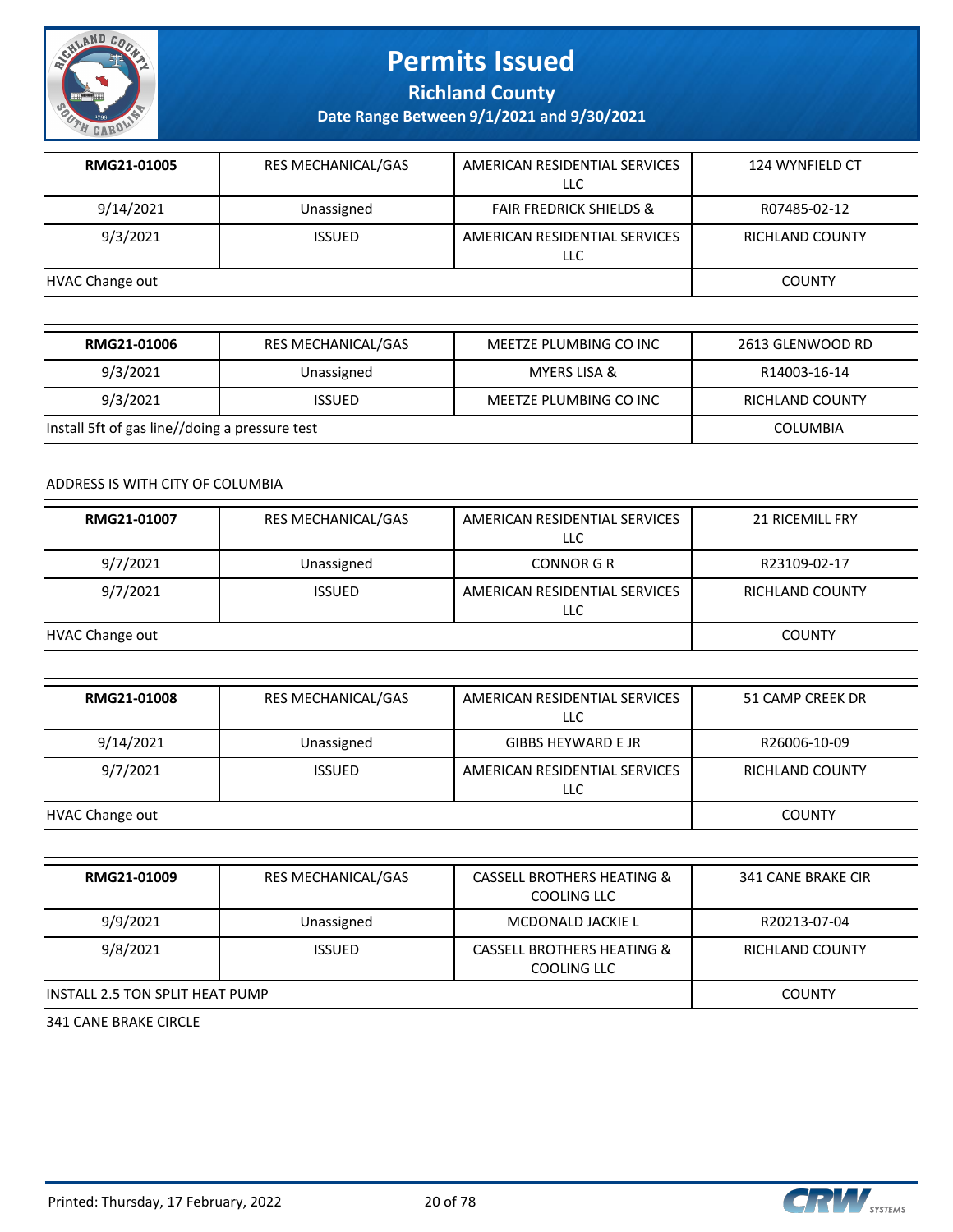

**Richland County**

**Date Range Between 9/1/2021 and 9/30/2021**

| RMG21-01005     | <b>RES MECHANICAL/GAS</b> | AMERICAN RESIDENTIAL SERVICES<br>LLC | 124 WYNFIELD CT |
|-----------------|---------------------------|--------------------------------------|-----------------|
| 9/14/2021       | Unassigned                | <b>FAIR FREDRICK SHIELDS &amp;</b>   | R07485-02-12    |
| 9/3/2021        | <b>ISSUED</b>             | AMERICAN RESIDENTIAL SERVICES<br>LLC | RICHLAND COUNTY |
| HVAC Change out |                           |                                      | <b>COUNTY</b>   |

| RMG21-01006                                    | RES MECHANICAL/GAS | MEETZE PLUMBING CO INC | 2613 GLENWOOD RD       |
|------------------------------------------------|--------------------|------------------------|------------------------|
| 9/3/2021                                       | Unassigned         | MYERS LISA &           | R14003-16-14           |
| 9/3/2021                                       | <b>ISSUED</b>      | MEETZE PLUMBING CO INC | <b>RICHLAND COUNTY</b> |
| Install 5ft of gas line//doing a pressure test |                    |                        | <b>COLUMBIA</b>        |

#### ADDRESS IS WITH CITY OF COLUMBIA

| RMG21-01007     | <b>RES MECHANICAL/GAS</b> | AMERICAN RESIDENTIAL SERVICES<br>LLC | <b>21 RICEMILL FRY</b> |
|-----------------|---------------------------|--------------------------------------|------------------------|
| 9/7/2021        | Unassigned                | <b>CONNOR G R</b>                    | R23109-02-17           |
| 9/7/2021        | <b>ISSUED</b>             | AMERICAN RESIDENTIAL SERVICES<br>LLC | <b>RICHLAND COUNTY</b> |
| HVAC Change out | <b>COUNTY</b>             |                                      |                        |

| RMG21-01008     | <b>RES MECHANICAL/GAS</b> | AMERICAN RESIDENTIAL SERVICES<br>LLC | 51 CAMP CREEK DR       |
|-----------------|---------------------------|--------------------------------------|------------------------|
| 9/14/2021       | Unassigned                | <b>GIBBS HEYWARD E JR</b>            | R26006-10-09           |
| 9/7/2021        | <b>ISSUED</b>             | AMERICAN RESIDENTIAL SERVICES<br>LLC | <b>RICHLAND COUNTY</b> |
| HVAC Change out |                           |                                      | <b>COUNTY</b>          |

| RMG21-01009                     | <b>RES MECHANICAL/GAS</b> | <b>CASSELL BROTHERS HEATING &amp;</b><br><b>COOLING LLC</b> | <b>341 CANE BRAKE CIR</b> |
|---------------------------------|---------------------------|-------------------------------------------------------------|---------------------------|
| 9/9/2021                        | Unassigned                | MCDONALD JACKIE L                                           | R20213-07-04              |
| 9/8/2021                        | <b>ISSUED</b>             | <b>CASSELL BROTHERS HEATING &amp;</b><br>COOLING LLC        | RICHLAND COUNTY           |
| INSTALL 2.5 TON SPLIT HEAT PUMP | <b>COUNTY</b>             |                                                             |                           |
| 341 CANE BRAKE CIRCLE           |                           |                                                             |                           |

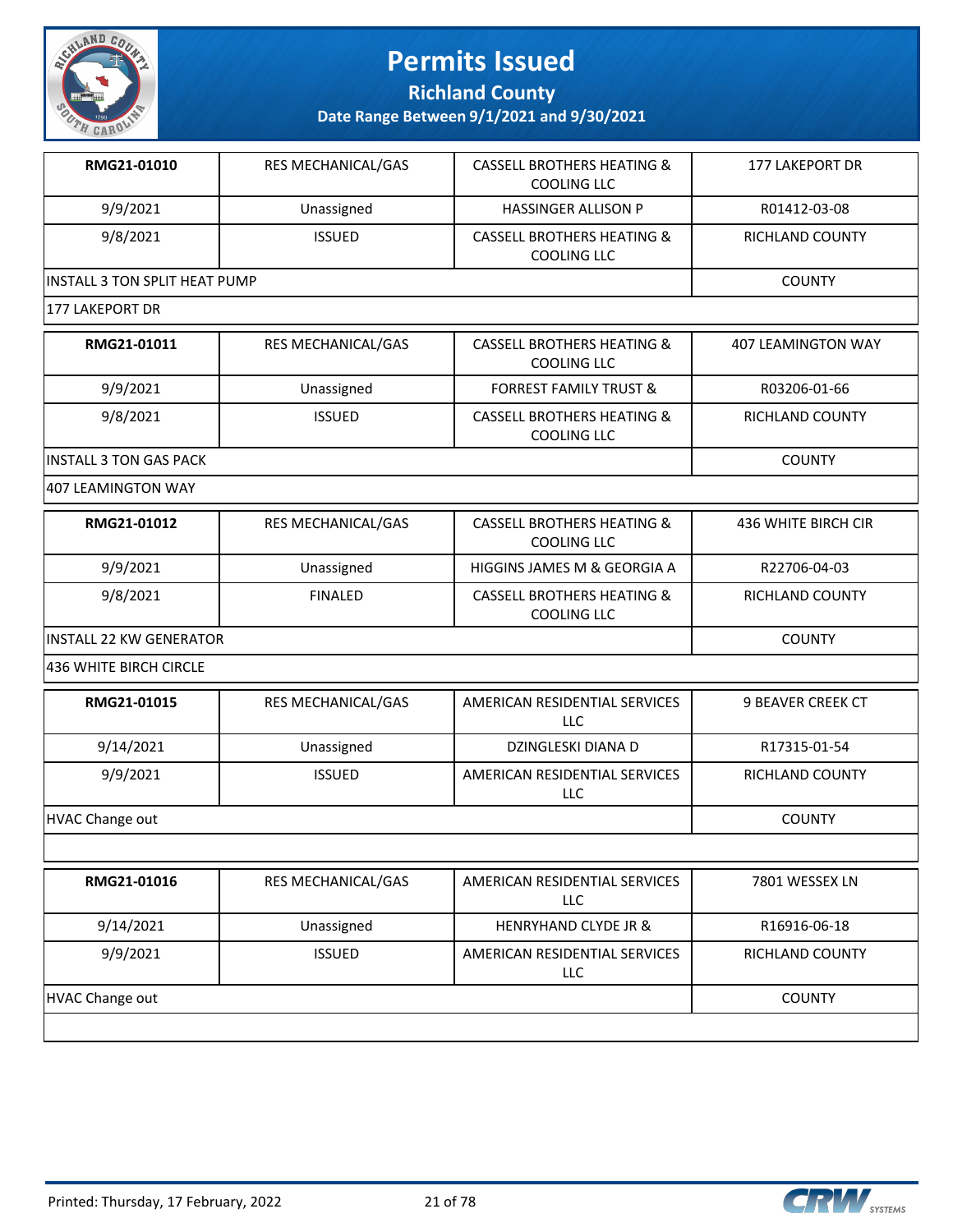

**Richland County**

**Date Range Between 9/1/2021 and 9/30/2021**

| RMG21-01010                    | <b>RES MECHANICAL/GAS</b> | <b>CASSELL BROTHERS HEATING &amp;</b><br>COOLING LLC | <b>177 LAKEPORT DR</b> |
|--------------------------------|---------------------------|------------------------------------------------------|------------------------|
| 9/9/2021                       | Unassigned                | <b>HASSINGER ALLISON P</b>                           | R01412-03-08           |
| 9/8/2021                       | <b>ISSUED</b>             | <b>CASSELL BROTHERS HEATING &amp;</b><br>COOLING LLC | RICHLAND COUNTY        |
| lINSTALL 3 TON SPLIT HEAT PUMP |                           |                                                      | <b>COUNTY</b>          |
| 177 LAKEPORT DR                |                           |                                                      |                        |

| RMG21-01011                    | <b>RES MECHANICAL/GAS</b> | <b>CASSELL BROTHERS HEATING &amp;</b><br>COOLING LLC | 407 LEAMINGTON WAY |
|--------------------------------|---------------------------|------------------------------------------------------|--------------------|
| 9/9/2021                       | Unassigned                | <b>FORREST FAMILY TRUST &amp;</b>                    | R03206-01-66       |
| 9/8/2021                       | <b>ISSUED</b>             | CASSELL BROTHERS HEATING &<br><b>COOLING LLC</b>     | RICHLAND COUNTY    |
| <b>IINSTALL 3 TON GAS PACK</b> |                           |                                                      | <b>COUNTY</b>      |

407 LEAMINGTON WAY

| RMG21-01012              | <b>RES MECHANICAL/GAS</b> | <b>CASSELL BROTHERS HEATING &amp;</b><br>COOLING LLC | 436 WHITE BIRCH CIR |
|--------------------------|---------------------------|------------------------------------------------------|---------------------|
| 9/9/2021                 | Unassigned                | HIGGINS JAMES M & GEORGIA A                          | R22706-04-03        |
| 9/8/2021                 | <b>FINALED</b>            | CASSELL BROTHERS HEATING &<br>COOLING LLC            | RICHLAND COUNTY     |
| lINSTALL 22 KW GENERATOR | <b>COUNTY</b>             |                                                      |                     |

436 WHITE BIRCH CIRCLE

| RMG21-01015     | <b>RES MECHANICAL/GAS</b> | AMERICAN RESIDENTIAL SERVICES<br>LLC | <b>9 BEAVER CREEK CT</b> |
|-----------------|---------------------------|--------------------------------------|--------------------------|
| 9/14/2021       | Unassigned                | DZINGLESKI DIANA D                   | R17315-01-54             |
| 9/9/2021        | <b>ISSUED</b>             | AMERICAN RESIDENTIAL SERVICES<br>LLC | RICHLAND COUNTY          |
| HVAC Change out |                           |                                      | <b>COUNTY</b>            |

|                 |               | LLC.                                        |                        |
|-----------------|---------------|---------------------------------------------|------------------------|
| 9/14/2021       | Unassigned    | <b>HENRYHAND CLYDE JR &amp;</b>             | R16916-06-18           |
| 9/9/2021        | <b>ISSUED</b> | AMERICAN RESIDENTIAL SERVICES<br><b>LLC</b> | <b>RICHLAND COUNTY</b> |
| HVAC Change out |               |                                             | <b>COUNTY</b>          |

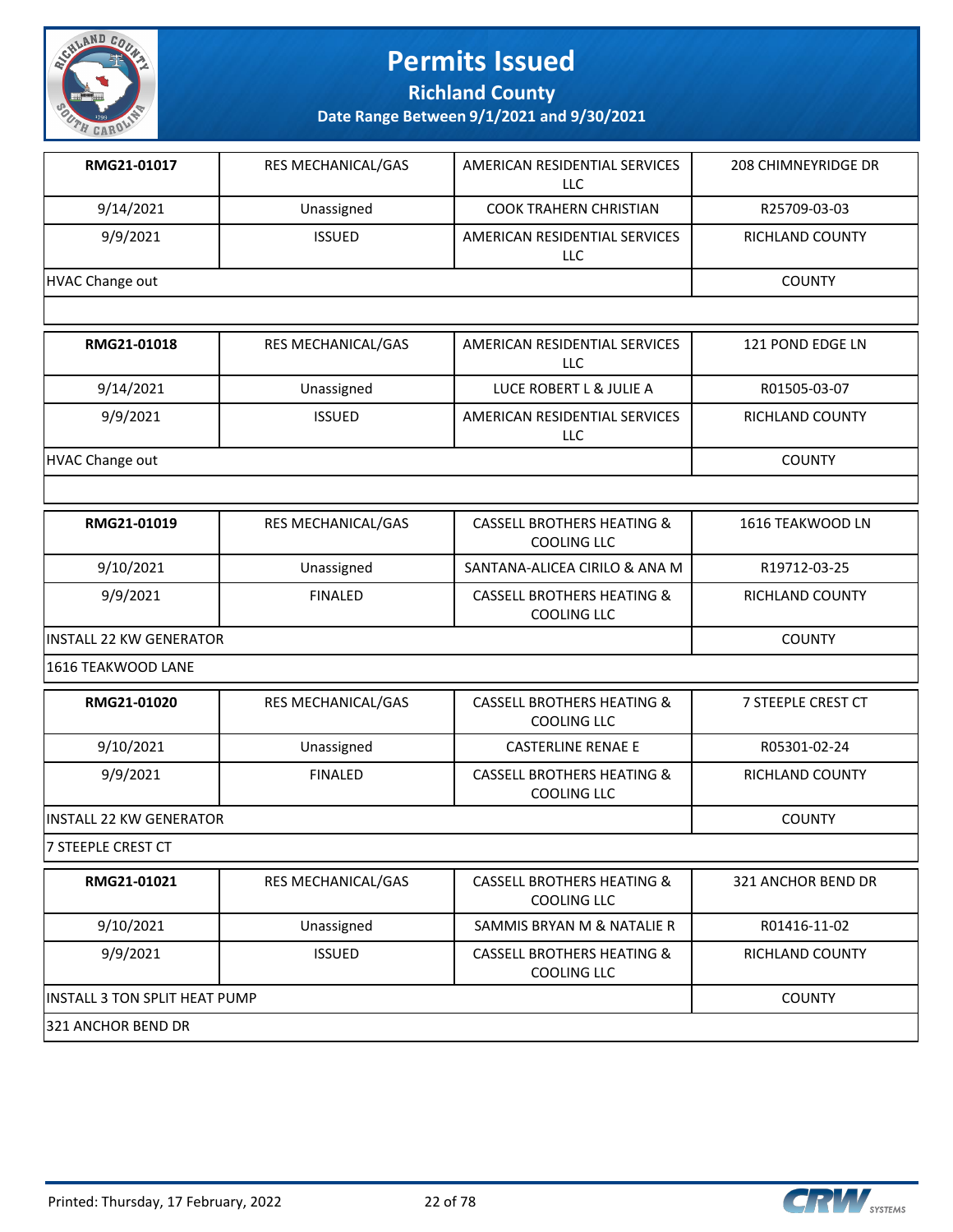

**Richland County**

| RMG21-01017                    | RES MECHANICAL/GAS                   | AMERICAN RESIDENTIAL SERVICES<br><b>LLC</b>                 | 208 CHIMNEYRIDGE DR |  |  |
|--------------------------------|--------------------------------------|-------------------------------------------------------------|---------------------|--|--|
| 9/14/2021                      | Unassigned                           | <b>COOK TRAHERN CHRISTIAN</b>                               | R25709-03-03        |  |  |
| 9/9/2021                       | <b>ISSUED</b>                        | AMERICAN RESIDENTIAL SERVICES<br><b>LLC</b>                 | RICHLAND COUNTY     |  |  |
| <b>HVAC Change out</b>         |                                      |                                                             |                     |  |  |
|                                |                                      |                                                             |                     |  |  |
| RMG21-01018                    | RES MECHANICAL/GAS                   | AMERICAN RESIDENTIAL SERVICES<br><b>LLC</b>                 | 121 POND EDGE LN    |  |  |
| 9/14/2021                      | Unassigned                           | LUCE ROBERT L & JULIE A                                     | R01505-03-07        |  |  |
| 9/9/2021                       | <b>ISSUED</b>                        | AMERICAN RESIDENTIAL SERVICES<br>LLC                        | RICHLAND COUNTY     |  |  |
| <b>HVAC Change out</b>         |                                      |                                                             | <b>COUNTY</b>       |  |  |
|                                |                                      |                                                             |                     |  |  |
| RMG21-01019                    | RES MECHANICAL/GAS                   | <b>CASSELL BROTHERS HEATING &amp;</b><br><b>COOLING LLC</b> | 1616 TEAKWOOD LN    |  |  |
| 9/10/2021                      | Unassigned                           | SANTANA-ALICEA CIRILO & ANA M                               | R19712-03-25        |  |  |
| 9/9/2021                       | <b>FINALED</b>                       | <b>CASSELL BROTHERS HEATING &amp;</b><br>COOLING LLC        | RICHLAND COUNTY     |  |  |
| <b>INSTALL 22 KW GENERATOR</b> |                                      | <b>COUNTY</b>                                               |                     |  |  |
| 1616 TEAKWOOD LANE             |                                      |                                                             |                     |  |  |
| RMG21-01020                    | RES MECHANICAL/GAS                   | <b>CASSELL BROTHERS HEATING &amp;</b><br><b>COOLING LLC</b> | 7 STEEPLE CREST CT  |  |  |
| 9/10/2021                      | Unassigned                           | <b>CASTERLINE RENAE E</b>                                   | R05301-02-24        |  |  |
| 9/9/2021                       | <b>FINALED</b>                       | <b>CASSELL BROTHERS HEATING &amp;</b><br><b>COOLING LLC</b> | RICHLAND COUNTY     |  |  |
| INSTALL 22 KW GENERATOR        |                                      |                                                             | <b>COUNTY</b>       |  |  |
| 7 STEEPLE CREST CT             |                                      |                                                             |                     |  |  |
| RMG21-01021                    | RES MECHANICAL/GAS                   | <b>CASSELL BROTHERS HEATING &amp;</b><br><b>COOLING LLC</b> | 321 ANCHOR BEND DR  |  |  |
| 9/10/2021                      | Unassigned                           | SAMMIS BRYAN M & NATALIE R                                  | R01416-11-02        |  |  |
| 9/9/2021                       | <b>ISSUED</b>                        | <b>CASSELL BROTHERS HEATING &amp;</b><br>COOLING LLC        | RICHLAND COUNTY     |  |  |
|                                | <b>INSTALL 3 TON SPLIT HEAT PUMP</b> |                                                             |                     |  |  |
| 321 ANCHOR BEND DR             |                                      |                                                             |                     |  |  |

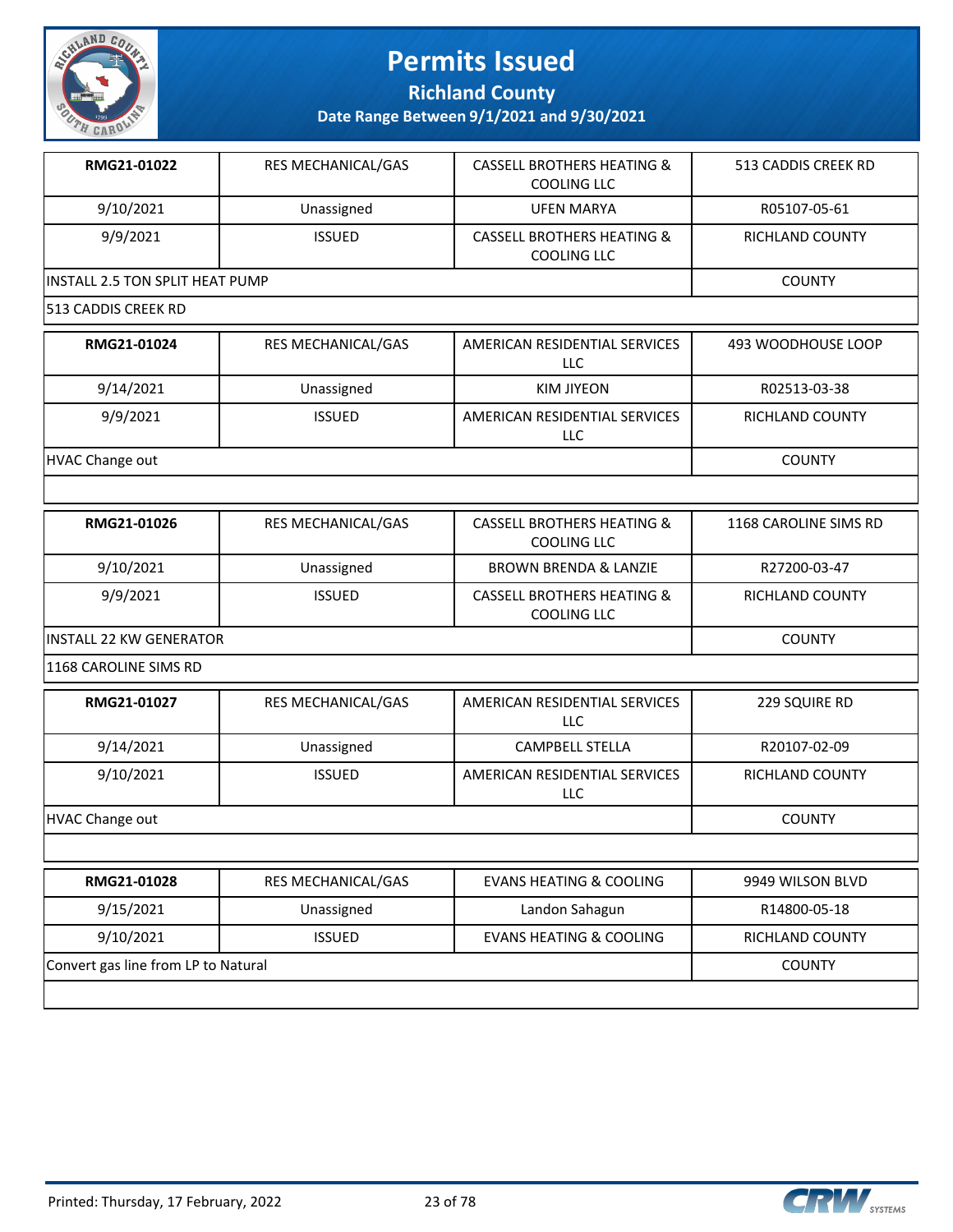

**Richland County**

**Date Range Between 9/1/2021 and 9/30/2021**

| RMG21-01022                     | <b>RES MECHANICAL/GAS</b> | <b>CASSELL BROTHERS HEATING &amp;</b><br>COOLING LLC | 513 CADDIS CREEK RD    |
|---------------------------------|---------------------------|------------------------------------------------------|------------------------|
| 9/10/2021                       | Unassigned                | <b>UFEN MARYA</b>                                    | R05107-05-61           |
| 9/9/2021                        | <b>ISSUED</b>             | <b>CASSELL BROTHERS HEATING &amp;</b><br>COOLING LLC | <b>RICHLAND COUNTY</b> |
| INSTALL 2.5 TON SPLIT HEAT PUMP | <b>COUNTY</b>             |                                                      |                        |
| 513 CADDIS CREEK RD             |                           |                                                      |                        |
| RMG21-01024                     | <b>RES MECHANICAL/GAS</b> | AMERICAN RESIDENTIAL SERVICES<br>LLC.                | 493 WOODHOUSE LOOP     |
| 9/14/2021                       | Unassigned                | <b>KIM JIYEON</b>                                    | R02513-03-38           |
| 9/9/2021                        | <b>ISSUED</b>             | AMERICAN RESIDENTIAL SERVICES<br>LLC                 | RICHLAND COUNTY        |
| HVAC Change out                 |                           |                                                      | <b>COUNTY</b>          |

| RMG21-01026              | <b>RES MECHANICAL/GAS</b> | <b>CASSELL BROTHERS HEATING &amp;</b><br>COOLING LLC | 1168 CAROLINE SIMS RD |
|--------------------------|---------------------------|------------------------------------------------------|-----------------------|
| 9/10/2021                | Unassigned                | <b>BROWN BRENDA &amp; LANZIE</b>                     | R27200-03-47          |
| 9/9/2021                 | <b>ISSUED</b>             | <b>CASSELL BROTHERS HEATING &amp;</b><br>COOLING LLC | RICHLAND COUNTY       |
| IINSTALL 22 KW GENERATOR |                           |                                                      | <b>COUNTY</b>         |

1168 CAROLINE SIMS RD

| RMG21-01027     | <b>RES MECHANICAL/GAS</b> | AMERICAN RESIDENTIAL SERVICES<br><b>LLC</b> | 229 SQUIRE RD   |
|-----------------|---------------------------|---------------------------------------------|-----------------|
| 9/14/2021       | Unassigned                | <b>CAMPBELL STELLA</b>                      | R20107-02-09    |
| 9/10/2021       | <b>ISSUED</b>             | AMERICAN RESIDENTIAL SERVICES<br><b>LLC</b> | RICHLAND COUNTY |
| HVAC Change out |                           |                                             | <b>COUNTY</b>   |
|                 |                           |                                             |                 |

| RMG21-01028                         | <b>RES MECHANICAL/GAS</b> | EVANS HEATING & COOLING | 9949 WILSON BLVD |
|-------------------------------------|---------------------------|-------------------------|------------------|
| 9/15/2021                           | Unassigned                | Landon Sahagun          | R14800-05-18     |
| 9/10/2021                           | <b>ISSUED</b>             | EVANS HEATING & COOLING | RICHLAND COUNTY  |
| Convert gas line from LP to Natural |                           |                         | <b>COUNTY</b>    |
|                                     |                           |                         |                  |

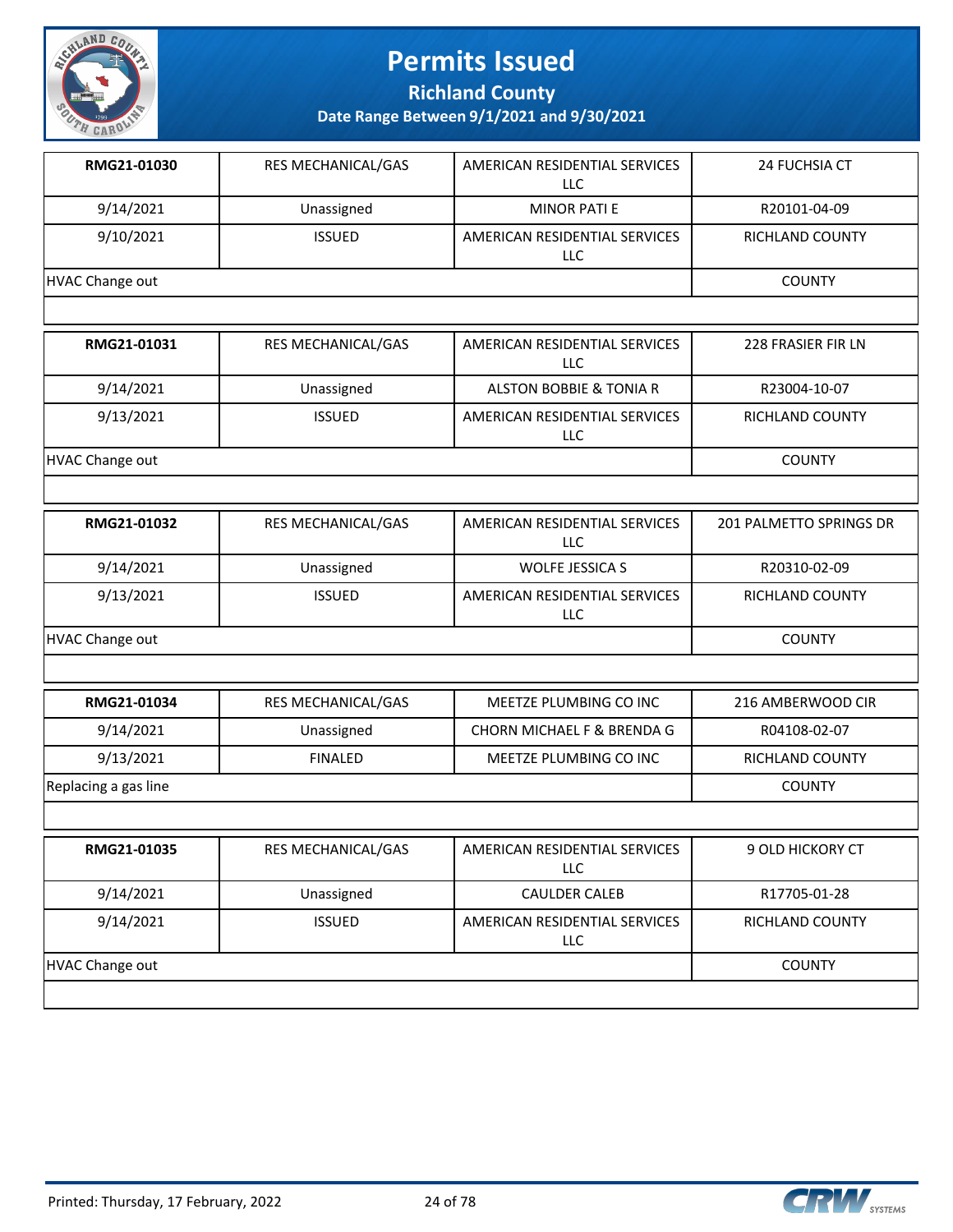

**Richland County**

| RMG21-01030            | RES MECHANICAL/GAS | AMERICAN RESIDENTIAL SERVICES<br><b>LLC</b> | 24 FUCHSIA CT           |
|------------------------|--------------------|---------------------------------------------|-------------------------|
| 9/14/2021              | Unassigned         | <b>MINOR PATI E</b>                         | R20101-04-09            |
| 9/10/2021              | <b>ISSUED</b>      | AMERICAN RESIDENTIAL SERVICES<br><b>LLC</b> | RICHLAND COUNTY         |
| <b>HVAC Change out</b> |                    |                                             | <b>COUNTY</b>           |
|                        |                    |                                             |                         |
| RMG21-01031            | RES MECHANICAL/GAS | AMERICAN RESIDENTIAL SERVICES<br><b>LLC</b> | 228 FRASIER FIR LN      |
| 9/14/2021              | Unassigned         | <b>ALSTON BOBBIE &amp; TONIA R</b>          | R23004-10-07            |
| 9/13/2021              | <b>ISSUED</b>      | AMERICAN RESIDENTIAL SERVICES<br>LLC        | RICHLAND COUNTY         |
| <b>HVAC Change out</b> |                    |                                             | <b>COUNTY</b>           |
|                        |                    |                                             |                         |
| RMG21-01032            | RES MECHANICAL/GAS | AMERICAN RESIDENTIAL SERVICES<br>LLC        | 201 PALMETTO SPRINGS DR |
| 9/14/2021              | Unassigned         | <b>WOLFE JESSICA S</b>                      | R20310-02-09            |
| 9/13/2021              | <b>ISSUED</b>      | AMERICAN RESIDENTIAL SERVICES<br><b>LLC</b> | RICHLAND COUNTY         |
| <b>HVAC Change out</b> |                    |                                             | <b>COUNTY</b>           |
|                        |                    |                                             |                         |
| RMG21-01034            | RES MECHANICAL/GAS | MEETZE PLUMBING CO INC                      | 216 AMBERWOOD CIR       |
| 9/14/2021              | Unassigned         | CHORN MICHAEL F & BRENDA G                  | R04108-02-07            |
| 9/13/2021              | <b>FINALED</b>     | MEETZE PLUMBING CO INC                      | RICHLAND COUNTY         |
| Replacing a gas line   |                    |                                             | <b>COUNTY</b>           |
|                        |                    |                                             |                         |
| RMG21-01035            | RES MECHANICAL/GAS | AMERICAN RESIDENTIAL SERVICES<br>LLC        | 9 OLD HICKORY CT        |
| 9/14/2021              | Unassigned         | <b>CAULDER CALEB</b>                        | R17705-01-28            |
| 9/14/2021              | <b>ISSUED</b>      | AMERICAN RESIDENTIAL SERVICES<br><b>LLC</b> | RICHLAND COUNTY         |
| <b>HVAC Change out</b> | <b>COUNTY</b>      |                                             |                         |
|                        |                    |                                             |                         |

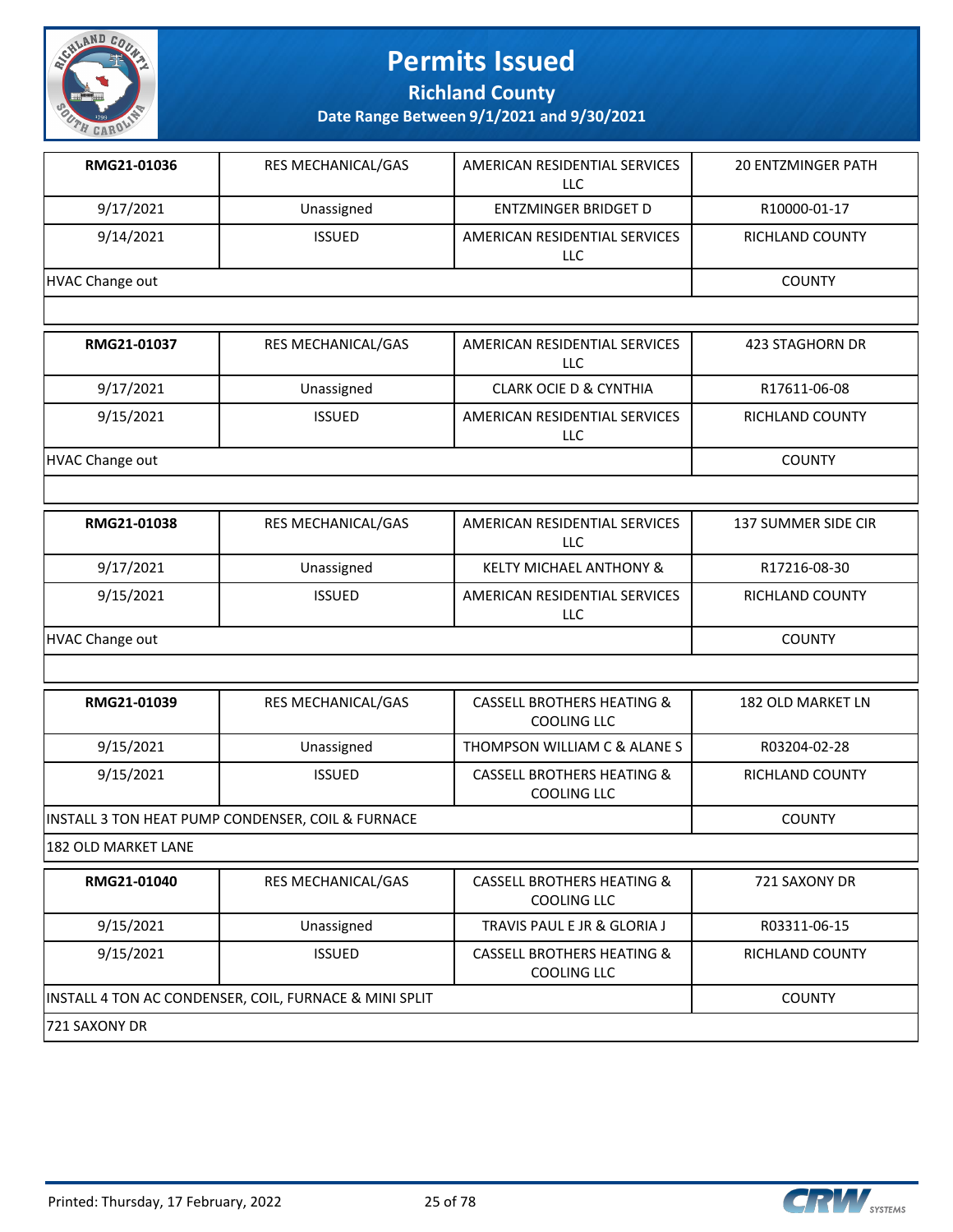

**Richland County**

| RMG21-01036            | RES MECHANICAL/GAS                                     | AMERICAN RESIDENTIAL SERVICES<br><b>LLC</b>                 | <b>20 ENTZMINGER PATH</b> |
|------------------------|--------------------------------------------------------|-------------------------------------------------------------|---------------------------|
| 9/17/2021              | Unassigned                                             | <b>ENTZMINGER BRIDGET D</b>                                 | R10000-01-17              |
| 9/14/2021              | <b>ISSUED</b>                                          | AMERICAN RESIDENTIAL SERVICES<br>LLC                        | RICHLAND COUNTY           |
| <b>HVAC Change out</b> |                                                        |                                                             | <b>COUNTY</b>             |
|                        |                                                        |                                                             |                           |
| RMG21-01037            | RES MECHANICAL/GAS                                     | AMERICAN RESIDENTIAL SERVICES<br><b>LLC</b>                 | 423 STAGHORN DR           |
| 9/17/2021              | Unassigned                                             | <b>CLARK OCIE D &amp; CYNTHIA</b>                           | R17611-06-08              |
| 9/15/2021              | <b>ISSUED</b>                                          | AMERICAN RESIDENTIAL SERVICES<br>LLC                        | RICHLAND COUNTY           |
| <b>HVAC Change out</b> |                                                        |                                                             | <b>COUNTY</b>             |
|                        |                                                        |                                                             |                           |
| RMG21-01038            | RES MECHANICAL/GAS                                     | AMERICAN RESIDENTIAL SERVICES<br><b>LLC</b>                 | 137 SUMMER SIDE CIR       |
| 9/17/2021              | Unassigned                                             | <b>KELTY MICHAEL ANTHONY &amp;</b>                          | R17216-08-30              |
| 9/15/2021              | <b>ISSUED</b>                                          | AMERICAN RESIDENTIAL SERVICES<br>LLC                        | <b>RICHLAND COUNTY</b>    |
| <b>HVAC Change out</b> |                                                        | <b>COUNTY</b>                                               |                           |
|                        |                                                        |                                                             |                           |
| RMG21-01039            | RES MECHANICAL/GAS                                     | <b>CASSELL BROTHERS HEATING &amp;</b><br><b>COOLING LLC</b> | 182 OLD MARKET LN         |
| 9/15/2021              | Unassigned                                             | THOMPSON WILLIAM C & ALANE S                                | R03204-02-28              |
| 9/15/2021              | <b>ISSUED</b>                                          | <b>CASSELL BROTHERS HEATING &amp;</b><br>COOLING LLC        | RICHLAND COUNTY           |
|                        | INSTALL 3 TON HEAT PUMP CONDENSER, COIL & FURNACE      |                                                             | <b>COUNTY</b>             |
| 182 OLD MARKET LANE    |                                                        |                                                             |                           |
| RMG21-01040            | RES MECHANICAL/GAS                                     | <b>CASSELL BROTHERS HEATING &amp;</b><br><b>COOLING LLC</b> | 721 SAXONY DR             |
| 9/15/2021              | Unassigned                                             | TRAVIS PAUL E JR & GLORIA J                                 | R03311-06-15              |
| 9/15/2021              | <b>ISSUED</b>                                          | <b>CASSELL BROTHERS HEATING &amp;</b><br><b>COOLING LLC</b> | RICHLAND COUNTY           |
|                        | INSTALL 4 TON AC CONDENSER, COIL, FURNACE & MINI SPLIT |                                                             | <b>COUNTY</b>             |
| 721 SAXONY DR          |                                                        |                                                             |                           |

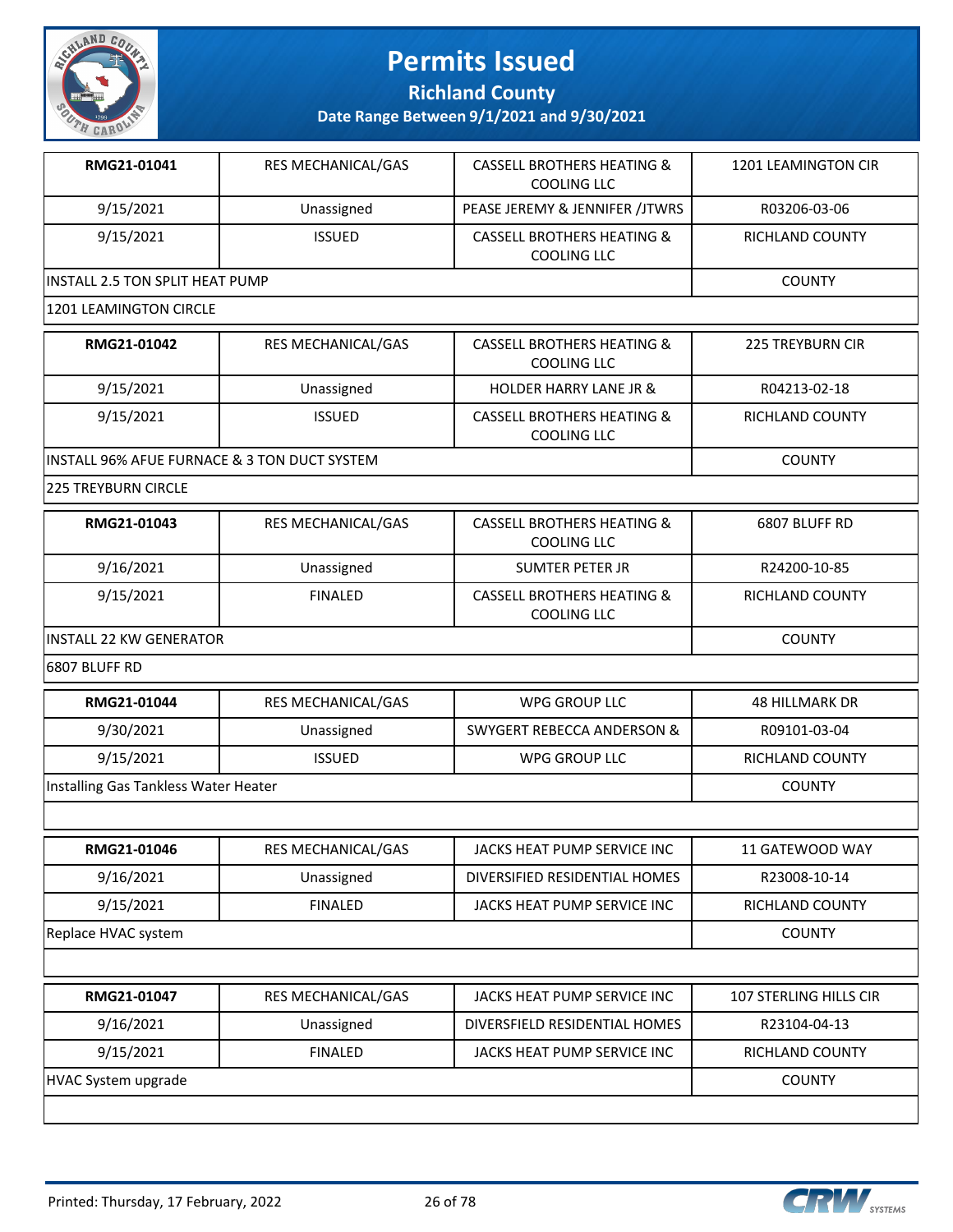

**Richland County**

**Date Range Between 9/1/2021 and 9/30/2021**

| RMG21-01041                     | <b>RES MECHANICAL/GAS</b> | <b>CASSELL BROTHERS HEATING &amp;</b><br>COOLING LLC | 1201 LEAMINGTON CIR |  |
|---------------------------------|---------------------------|------------------------------------------------------|---------------------|--|
| 9/15/2021                       | Unassigned                | PEASE JEREMY & JENNIFER /JTWRS                       | R03206-03-06        |  |
| 9/15/2021                       | <b>ISSUED</b>             | <b>CASSELL BROTHERS HEATING &amp;</b><br>COOLING LLC | RICHLAND COUNTY     |  |
| INSTALL 2.5 TON SPLIT HEAT PUMP |                           |                                                      | <b>COUNTY</b>       |  |
| 1201 LEAMINGTON CIRCLE          |                           |                                                      |                     |  |

| RMG21-01042                                   | <b>RES MECHANICAL/GAS</b> | CASSELL BROTHERS HEATING &                | <b>225 TREYBURN CIR</b> |
|-----------------------------------------------|---------------------------|-------------------------------------------|-------------------------|
|                                               |                           | COOLING LLC                               |                         |
| 9/15/2021                                     | Unassigned                | <b>HOLDER HARRY LANE JR &amp;</b>         | R04213-02-18            |
| 9/15/2021                                     | <b>ISSUED</b>             | CASSELL BROTHERS HEATING &<br>COOLING LLC | RICHLAND COUNTY         |
| IINSTALL 96% AFUE FURNACE & 3 TON DUCT SYSTEM |                           |                                           | <b>COUNTY</b>           |

225 TREYBURN CIRCLE

| RMG21-01043                     | <b>RES MECHANICAL/GAS</b> | <b>CASSELL BROTHERS HEATING &amp;</b><br>COOLING LLC | 6807 BLUFF RD   |
|---------------------------------|---------------------------|------------------------------------------------------|-----------------|
| 9/16/2021                       | Unassigned                | SUMTER PETER JR                                      | R24200-10-85    |
| 9/15/2021                       | <b>FINALED</b>            | <b>CASSELL BROTHERS HEATING &amp;</b><br>COOLING LLC | RICHLAND COUNTY |
| <b>IINSTALL 22 KW GENERATOR</b> |                           |                                                      | <b>COUNTY</b>   |

6807 BLUFF RD

| RMG21-01044                          | RES MECHANICAL/GAS        | <b>WPG GROUP LLC</b>                  | <b>48 HILLMARK DR</b>         |  |
|--------------------------------------|---------------------------|---------------------------------------|-------------------------------|--|
| 9/30/2021                            | Unassigned                | <b>SWYGERT REBECCA ANDERSON &amp;</b> | R09101-03-04                  |  |
| 9/15/2021                            | <b>ISSUED</b>             | WPG GROUP LLC                         | <b>RICHLAND COUNTY</b>        |  |
| Installing Gas Tankless Water Heater |                           |                                       | <b>COUNTY</b>                 |  |
|                                      |                           |                                       |                               |  |
| RMG21-01046                          | RES MECHANICAL/GAS        | JACKS HEAT PUMP SERVICE INC           | 11 GATEWOOD WAY               |  |
| 9/16/2021                            | Unassigned                | DIVERSIFIED RESIDENTIAL HOMES         | R23008-10-14                  |  |
| 9/15/2021                            | <b>FINALED</b>            | JACKS HEAT PUMP SERVICE INC           | <b>RICHLAND COUNTY</b>        |  |
| Replace HVAC system                  |                           |                                       |                               |  |
|                                      |                           |                                       |                               |  |
| RMG21-01047                          | <b>RES MECHANICAL/GAS</b> | JACKS HEAT PUMP SERVICE INC           | <b>107 STERLING HILLS CIR</b> |  |
| 9/16/2021                            | Unassigned                | DIVERSFIELD RESIDENTIAL HOMES         | R23104-04-13                  |  |
| 9/15/2021                            | <b>FINALED</b>            | JACKS HEAT PUMP SERVICE INC           | <b>RICHLAND COUNTY</b>        |  |
| HVAC System upgrade                  |                           |                                       | <b>COUNTY</b>                 |  |

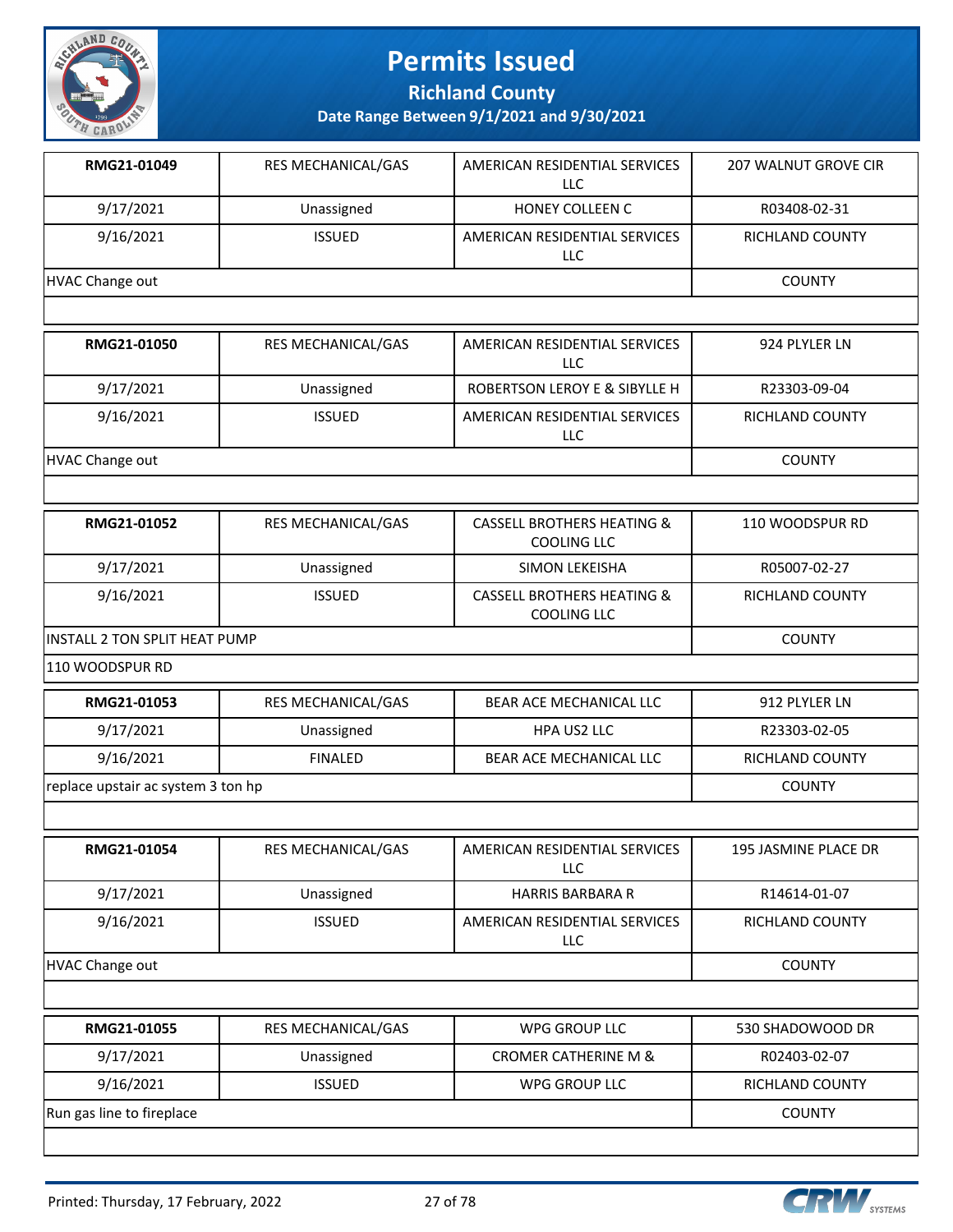

**Richland County**

| RMG21-01049                        | RES MECHANICAL/GAS | AMERICAN RESIDENTIAL SERVICES<br><b>LLC</b>                 | <b>207 WALNUT GROVE CIR</b> |
|------------------------------------|--------------------|-------------------------------------------------------------|-----------------------------|
| 9/17/2021                          | Unassigned         | HONEY COLLEEN C                                             | R03408-02-31                |
| 9/16/2021                          | <b>ISSUED</b>      | AMERICAN RESIDENTIAL SERVICES<br><b>LLC</b>                 | RICHLAND COUNTY             |
| <b>HVAC Change out</b>             |                    |                                                             | <b>COUNTY</b>               |
|                                    |                    |                                                             |                             |
| RMG21-01050                        | RES MECHANICAL/GAS | AMERICAN RESIDENTIAL SERVICES<br><b>LLC</b>                 | 924 PLYLER LN               |
| 9/17/2021                          | Unassigned         | ROBERTSON LEROY E & SIBYLLE H                               | R23303-09-04                |
| 9/16/2021                          | <b>ISSUED</b>      | AMERICAN RESIDENTIAL SERVICES<br>LLC                        | RICHLAND COUNTY             |
| <b>HVAC Change out</b>             |                    |                                                             | <b>COUNTY</b>               |
|                                    |                    |                                                             |                             |
| RMG21-01052                        | RES MECHANICAL/GAS | <b>CASSELL BROTHERS HEATING &amp;</b><br><b>COOLING LLC</b> | 110 WOODSPUR RD             |
| 9/17/2021                          | Unassigned         | SIMON LEKEISHA                                              | R05007-02-27                |
| 9/16/2021                          | <b>ISSUED</b>      | <b>CASSELL BROTHERS HEATING &amp;</b><br><b>COOLING LLC</b> | RICHLAND COUNTY             |
| INSTALL 2 TON SPLIT HEAT PUMP      | <b>COUNTY</b>      |                                                             |                             |
| 110 WOODSPUR RD                    |                    |                                                             |                             |
| RMG21-01053                        | RES MECHANICAL/GAS | BEAR ACE MECHANICAL LLC                                     | 912 PLYLER LN               |
| 9/17/2021                          | Unassigned         | HPA US2 LLC                                                 | R23303-02-05                |
| 9/16/2021                          | <b>FINALED</b>     | BEAR ACE MECHANICAL LLC                                     | RICHLAND COUNTY             |
| replace upstair ac system 3 ton hp |                    |                                                             | <b>COUNTY</b>               |
|                                    |                    |                                                             |                             |
| RMG21-01054                        | RES MECHANICAL/GAS | AMERICAN RESIDENTIAL SERVICES<br><b>LLC</b>                 | 195 JASMINE PLACE DR        |
| 9/17/2021                          | Unassigned         | <b>HARRIS BARBARA R</b>                                     | R14614-01-07                |
| 9/16/2021                          | <b>ISSUED</b>      | AMERICAN RESIDENTIAL SERVICES<br><b>LLC</b>                 | <b>RICHLAND COUNTY</b>      |
| <b>HVAC Change out</b>             |                    |                                                             | <b>COUNTY</b>               |
|                                    |                    |                                                             |                             |
| RMG21-01055                        | RES MECHANICAL/GAS | <b>WPG GROUP LLC</b>                                        | 530 SHADOWOOD DR            |
| 9/17/2021                          | Unassigned         | <b>CROMER CATHERINE M &amp;</b>                             | R02403-02-07                |
| 9/16/2021                          | <b>ISSUED</b>      | <b>WPG GROUP LLC</b>                                        | RICHLAND COUNTY             |
| Run gas line to fireplace          |                    |                                                             | <b>COUNTY</b>               |
|                                    |                    |                                                             |                             |

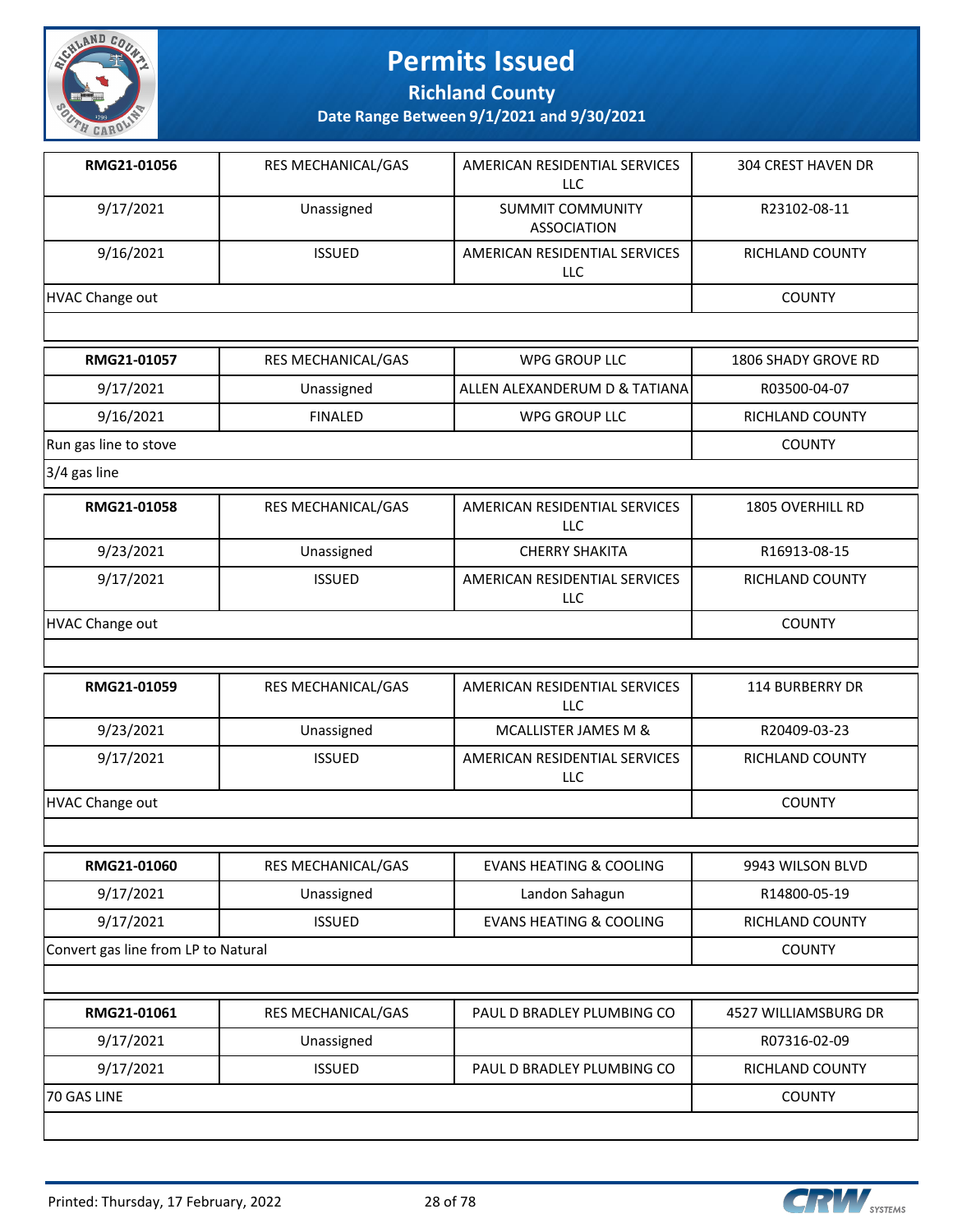

**Richland County**

| RMG21-01056                         | RES MECHANICAL/GAS | AMERICAN RESIDENTIAL SERVICES<br><b>LLC</b>   | 304 CREST HAVEN DR         |
|-------------------------------------|--------------------|-----------------------------------------------|----------------------------|
| 9/17/2021                           | Unassigned         | <b>SUMMIT COMMUNITY</b><br><b>ASSOCIATION</b> | R23102-08-11               |
| 9/16/2021                           | <b>ISSUED</b>      | AMERICAN RESIDENTIAL SERVICES<br>LLC          | RICHLAND COUNTY            |
| <b>HVAC Change out</b>              |                    |                                               | <b>COUNTY</b>              |
|                                     |                    |                                               |                            |
| RMG21-01057                         | RES MECHANICAL/GAS | <b>WPG GROUP LLC</b>                          | <b>1806 SHADY GROVE RD</b> |
| 9/17/2021                           | Unassigned         | ALLEN ALEXANDERUM D & TATIANA                 | R03500-04-07               |
| 9/16/2021                           | <b>FINALED</b>     | <b>WPG GROUP LLC</b>                          | RICHLAND COUNTY            |
| Run gas line to stove               |                    |                                               | <b>COUNTY</b>              |
| 3/4 gas line                        |                    |                                               |                            |
| RMG21-01058                         | RES MECHANICAL/GAS | AMERICAN RESIDENTIAL SERVICES<br><b>LLC</b>   | 1805 OVERHILL RD           |
| 9/23/2021                           | Unassigned         | <b>CHERRY SHAKITA</b>                         | R16913-08-15               |
| 9/17/2021                           | <b>ISSUED</b>      | AMERICAN RESIDENTIAL SERVICES<br>LLC          | RICHLAND COUNTY            |
| <b>HVAC Change out</b>              |                    | <b>COUNTY</b>                                 |                            |
|                                     |                    |                                               |                            |
| RMG21-01059                         | RES MECHANICAL/GAS | AMERICAN RESIDENTIAL SERVICES<br><b>LLC</b>   | <b>114 BURBERRY DR</b>     |
| 9/23/2021                           | Unassigned         | MCALLISTER JAMES M &                          | R20409-03-23               |
| 9/17/2021                           | <b>ISSUED</b>      | AMERICAN RESIDENTIAL SERVICES<br><b>LLC</b>   | RICHLAND COUNTY            |
| <b>HVAC Change out</b>              |                    |                                               | <b>COUNTY</b>              |
|                                     |                    |                                               |                            |
| RMG21-01060                         | RES MECHANICAL/GAS | <b>EVANS HEATING &amp; COOLING</b>            | 9943 WILSON BLVD           |
| 9/17/2021                           | Unassigned         | Landon Sahagun                                | R14800-05-19               |
| 9/17/2021                           | <b>ISSUED</b>      | <b>EVANS HEATING &amp; COOLING</b>            | RICHLAND COUNTY            |
| Convert gas line from LP to Natural |                    |                                               | <b>COUNTY</b>              |
|                                     |                    |                                               |                            |
| RMG21-01061                         | RES MECHANICAL/GAS | PAUL D BRADLEY PLUMBING CO                    | 4527 WILLIAMSBURG DR       |
| 9/17/2021                           | Unassigned         |                                               | R07316-02-09               |
| 9/17/2021                           | <b>ISSUED</b>      | PAUL D BRADLEY PLUMBING CO                    | RICHLAND COUNTY            |
| 70 GAS LINE                         |                    |                                               | <b>COUNTY</b>              |
|                                     |                    |                                               |                            |

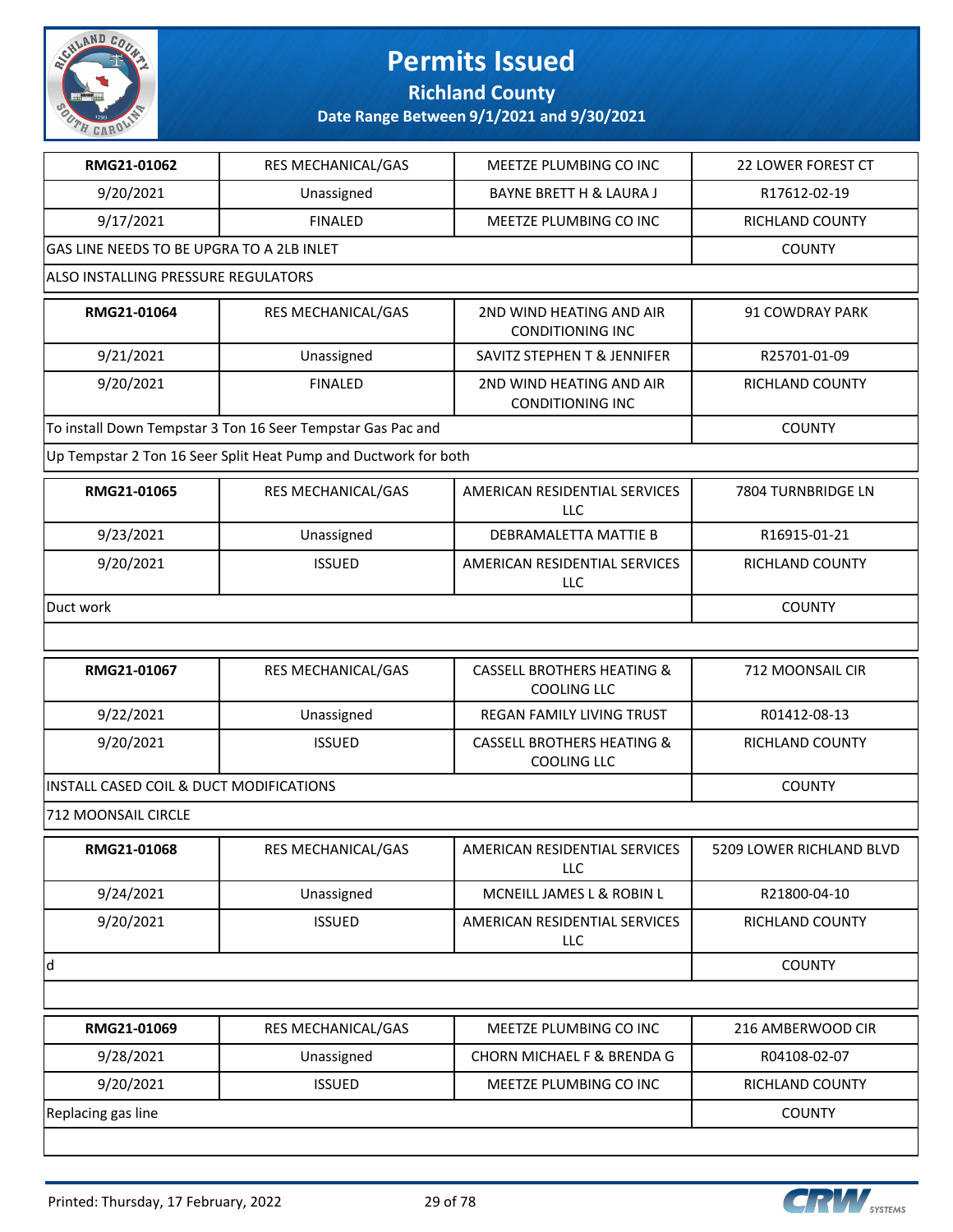

#### **Richland County**

| RMG21-01062                               | RES MECHANICAL/GAS                                              | MEETZE PLUMBING CO INC                                      | 22 LOWER FOREST CT       |
|-------------------------------------------|-----------------------------------------------------------------|-------------------------------------------------------------|--------------------------|
| 9/20/2021                                 | Unassigned                                                      | <b>BAYNE BRETT H &amp; LAURA J</b>                          | R17612-02-19             |
| 9/17/2021                                 | <b>FINALED</b>                                                  | MEETZE PLUMBING CO INC                                      | RICHLAND COUNTY          |
| GAS LINE NEEDS TO BE UPGRA TO A 2LB INLET |                                                                 |                                                             | <b>COUNTY</b>            |
| ALSO INSTALLING PRESSURE REGULATORS       |                                                                 |                                                             |                          |
| RMG21-01064                               | <b>RES MECHANICAL/GAS</b>                                       | 2ND WIND HEATING AND AIR<br><b>CONDITIONING INC</b>         | 91 COWDRAY PARK          |
| 9/21/2021                                 | Unassigned                                                      | SAVITZ STEPHEN T & JENNIFER                                 | R25701-01-09             |
| 9/20/2021                                 | <b>FINALED</b>                                                  | 2ND WIND HEATING AND AIR<br><b>CONDITIONING INC</b>         | RICHLAND COUNTY          |
|                                           | To install Down Tempstar 3 Ton 16 Seer Tempstar Gas Pac and     |                                                             | <b>COUNTY</b>            |
|                                           | Up Tempstar 2 Ton 16 Seer Split Heat Pump and Ductwork for both |                                                             |                          |
| RMG21-01065                               | RES MECHANICAL/GAS                                              | AMERICAN RESIDENTIAL SERVICES<br><b>LLC</b>                 | 7804 TURNBRIDGE LN       |
| 9/23/2021                                 | Unassigned                                                      | DEBRAMALETTA MATTIE B                                       | R16915-01-21             |
| 9/20/2021                                 | <b>ISSUED</b>                                                   | AMERICAN RESIDENTIAL SERVICES<br>LLC                        | RICHLAND COUNTY          |
| Duct work                                 |                                                                 |                                                             | <b>COUNTY</b>            |
|                                           |                                                                 |                                                             |                          |
| RMG21-01067                               | RES MECHANICAL/GAS                                              | <b>CASSELL BROTHERS HEATING &amp;</b><br><b>COOLING LLC</b> | 712 MOONSAIL CIR         |
| 9/22/2021                                 | Unassigned                                                      | REGAN FAMILY LIVING TRUST                                   | R01412-08-13             |
| 9/20/2021                                 | <b>ISSUED</b>                                                   | <b>CASSELL BROTHERS HEATING &amp;</b><br><b>COOLING LLC</b> | RICHLAND COUNTY          |
| INSTALL CASED COIL & DUCT MODIFICATIONS   | <b>COUNTY</b>                                                   |                                                             |                          |
| 712 MOONSAIL CIRCLE                       |                                                                 |                                                             |                          |
| <b>RMG21-01068</b>                        | RES MECHANICAL/GAS                                              | AMERICAN RESIDENTIAL SERVICES<br>LLC                        | 5209 LOWER RICHLAND BLVD |
| 9/24/2021                                 | Unassigned                                                      | MCNEILL JAMES L & ROBIN L                                   | R21800-04-10             |
| 9/20/2021                                 | <b>ISSUED</b>                                                   | AMERICAN RESIDENTIAL SERVICES<br>LLC                        | RICHLAND COUNTY          |
| d                                         |                                                                 |                                                             | <b>COUNTY</b>            |
|                                           |                                                                 |                                                             |                          |
| RMG21-01069                               | RES MECHANICAL/GAS                                              | MEETZE PLUMBING CO INC                                      | 216 AMBERWOOD CIR        |
| 9/28/2021                                 | Unassigned                                                      | CHORN MICHAEL F & BRENDA G                                  | R04108-02-07             |
| 9/20/2021                                 | <b>ISSUED</b>                                                   | MEETZE PLUMBING CO INC                                      | RICHLAND COUNTY          |
| Replacing gas line                        |                                                                 |                                                             | COUNTY                   |
|                                           |                                                                 |                                                             |                          |

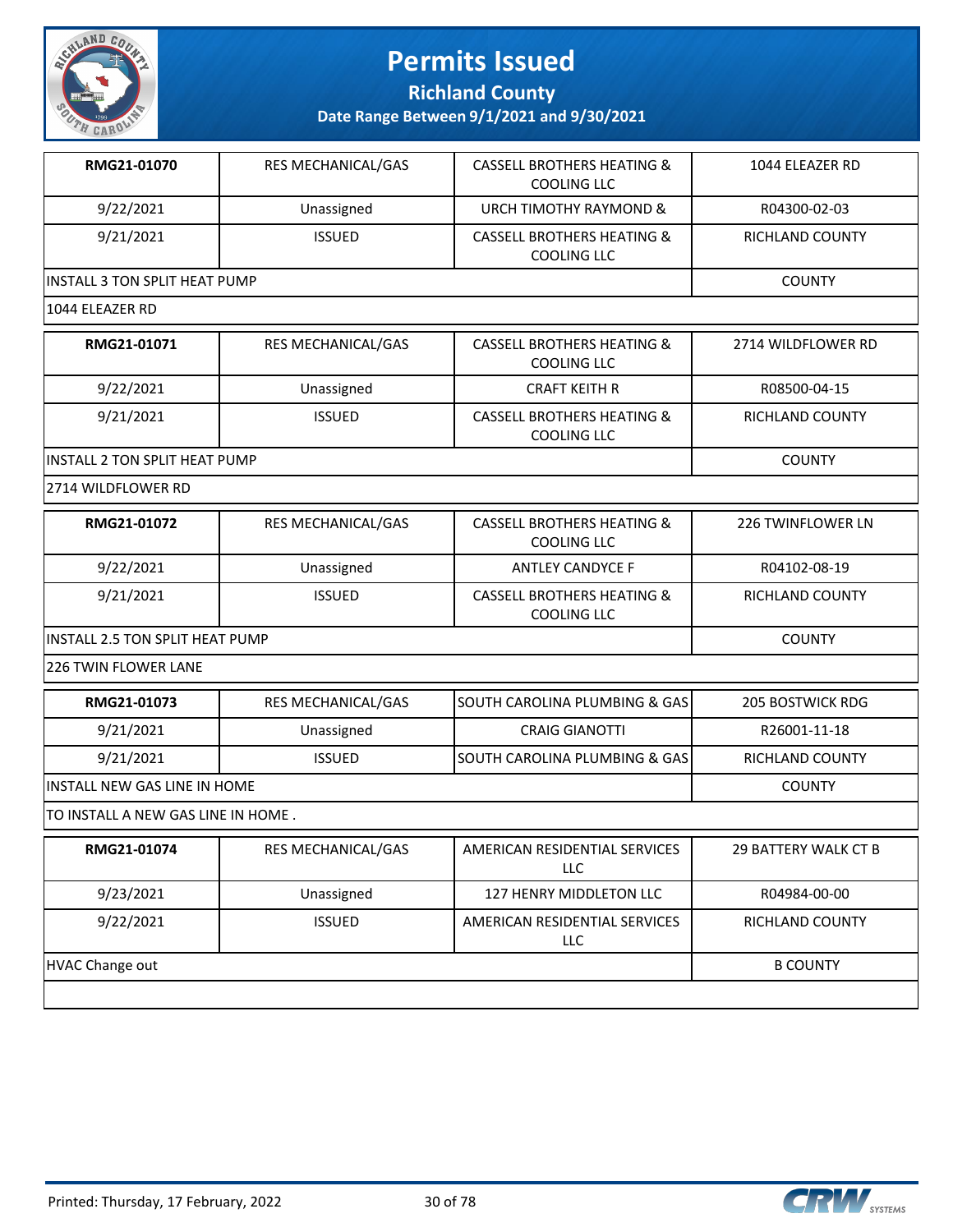

**Richland County**

| RMG21-01070                          | RES MECHANICAL/GAS | <b>CASSELL BROTHERS HEATING &amp;</b><br><b>COOLING LLC</b> | 1044 ELEAZER RD          |  |
|--------------------------------------|--------------------|-------------------------------------------------------------|--------------------------|--|
| 9/22/2021                            | Unassigned         | URCH TIMOTHY RAYMOND &                                      | R04300-02-03             |  |
| 9/21/2021                            | <b>ISSUED</b>      | <b>CASSELL BROTHERS HEATING &amp;</b><br><b>COOLING LLC</b> | RICHLAND COUNTY          |  |
| INSTALL 3 TON SPLIT HEAT PUMP        |                    |                                                             | <b>COUNTY</b>            |  |
| 1044 ELEAZER RD                      |                    |                                                             |                          |  |
| RMG21-01071                          | RES MECHANICAL/GAS | <b>CASSELL BROTHERS HEATING &amp;</b><br><b>COOLING LLC</b> | 2714 WILDFLOWER RD       |  |
| 9/22/2021                            | Unassigned         | <b>CRAFT KEITH R</b>                                        | R08500-04-15             |  |
| 9/21/2021                            | <b>ISSUED</b>      | <b>CASSELL BROTHERS HEATING &amp;</b><br>COOLING LLC        | RICHLAND COUNTY          |  |
| <b>INSTALL 2 TON SPLIT HEAT PUMP</b> |                    |                                                             | <b>COUNTY</b>            |  |
| 2714 WILDFLOWER RD                   |                    |                                                             |                          |  |
| RMG21-01072                          | RES MECHANICAL/GAS | <b>CASSELL BROTHERS HEATING &amp;</b><br>COOLING LLC        | <b>226 TWINFLOWER LN</b> |  |
| 9/22/2021                            | Unassigned         | <b>ANTLEY CANDYCE F</b>                                     | R04102-08-19             |  |
| 9/21/2021                            | <b>ISSUED</b>      | <b>CASSELL BROTHERS HEATING &amp;</b><br>COOLING LLC        | RICHLAND COUNTY          |  |
| INSTALL 2.5 TON SPLIT HEAT PUMP      | <b>COUNTY</b>      |                                                             |                          |  |
| 226 TWIN FLOWER LANE                 |                    |                                                             |                          |  |
| RMG21-01073                          | RES MECHANICAL/GAS | SOUTH CAROLINA PLUMBING & GAS                               | <b>205 BOSTWICK RDG</b>  |  |
| 9/21/2021                            | Unassigned         | <b>CRAIG GIANOTTI</b>                                       | R26001-11-18             |  |
| 9/21/2021                            | <b>ISSUED</b>      | SOUTH CAROLINA PLUMBING & GAS                               | RICHLAND COUNTY          |  |
| <b>INSTALL NEW GAS LINE IN HOME</b>  |                    |                                                             | <b>COUNTY</b>            |  |
| TO INSTALL A NEW GAS LINE IN HOME.   |                    |                                                             |                          |  |
| RMG21-01074                          | RES MECHANICAL/GAS | AMERICAN RESIDENTIAL SERVICES<br>LLC                        | 29 BATTERY WALK CT B     |  |
| 9/23/2021                            | Unassigned         | 127 HENRY MIDDLETON LLC                                     | R04984-00-00             |  |
| 9/22/2021                            | <b>ISSUED</b>      | AMERICAN RESIDENTIAL SERVICES<br><b>LLC</b>                 | RICHLAND COUNTY          |  |
| <b>HVAC Change out</b>               | <b>B COUNTY</b>    |                                                             |                          |  |

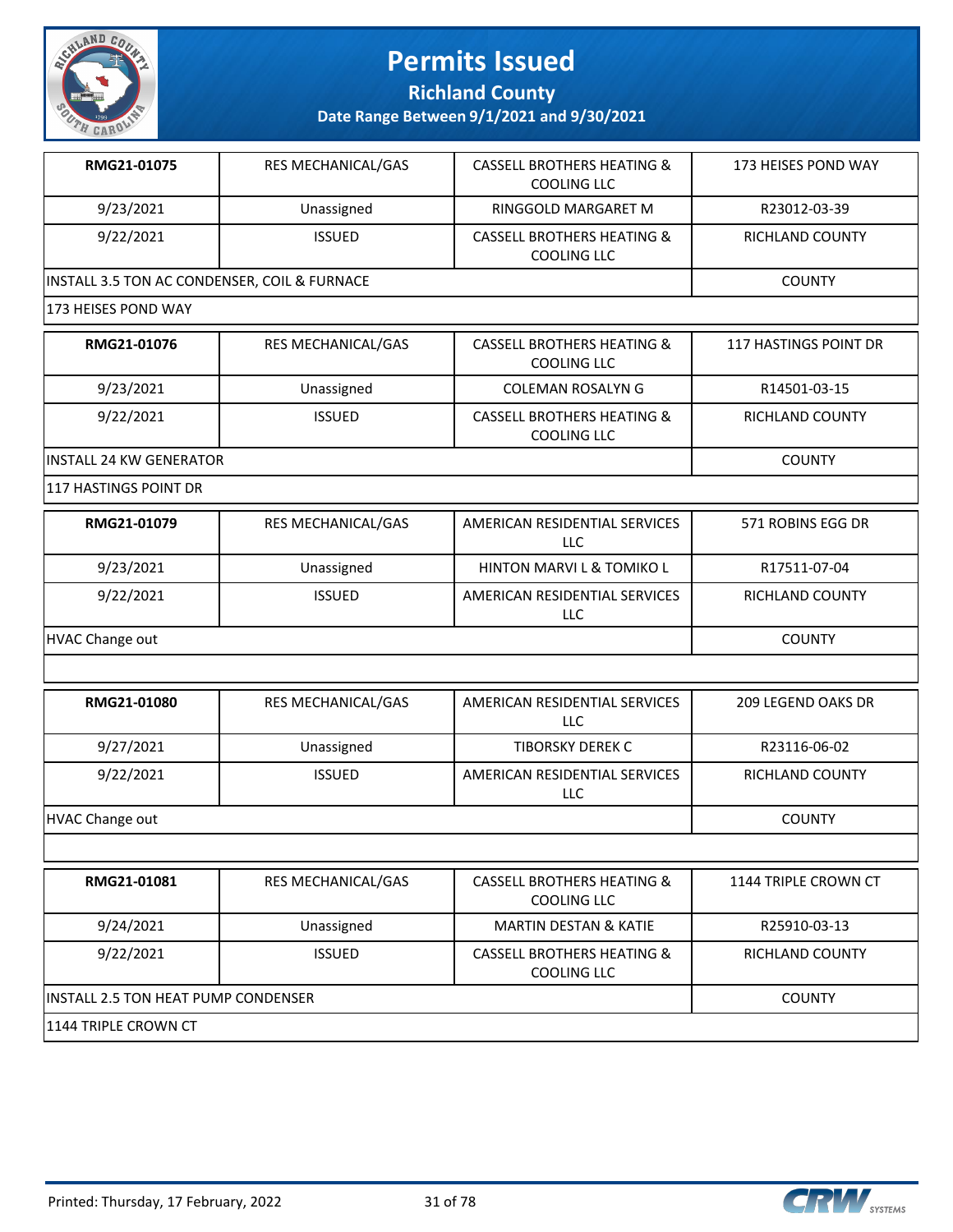

**Richland County**

**Date Range Between 9/1/2021 and 9/30/2021**

| RMG21-01075                                  | <b>RES MECHANICAL/GAS</b> | <b>CASSELL BROTHERS HEATING &amp;</b><br>COOLING LLC | 173 HEISES POND WAY          |  |
|----------------------------------------------|---------------------------|------------------------------------------------------|------------------------------|--|
| 9/23/2021                                    | Unassigned                | RINGGOLD MARGARET M                                  | R23012-03-39                 |  |
| 9/22/2021                                    | <b>ISSUED</b>             | <b>CASSELL BROTHERS HEATING &amp;</b><br>COOLING LLC | RICHLAND COUNTY              |  |
| INSTALL 3.5 TON AC CONDENSER, COIL & FURNACE | <b>COUNTY</b>             |                                                      |                              |  |
| 173 HEISES POND WAY                          |                           |                                                      |                              |  |
| <b>PMG<sub>21-01076</sub></b>                | DEC MECHANICAL GAC        | CACCELL ROOTHEDC HEATING R.                          | <b>117 HACTINGS DOINT DD</b> |  |

| RMG21-01076              | RES MECHANICAL/GAS | <b>CASSELL BROTHERS HEATING &amp;</b><br>COOLING LLC | 117 HASTINGS POINT DR |
|--------------------------|--------------------|------------------------------------------------------|-----------------------|
| 9/23/2021                | Unassigned         | COLEMAN ROSALYN G                                    | R14501-03-15          |
| 9/22/2021                | <b>ISSUED</b>      | <b>CASSELL BROTHERS HEATING &amp;</b><br>COOLING LLC | RICHLAND COUNTY       |
| lINSTALL 24 KW GENERATOR | <b>COUNTY</b>      |                                                      |                       |

117 HASTINGS POINT DR

| RMG21-01079     | <b>RES MECHANICAL/GAS</b> | AMERICAN RESIDENTIAL SERVICES<br>LLC | 571 ROBINS EGG DR      |
|-----------------|---------------------------|--------------------------------------|------------------------|
| 9/23/2021       | Unassigned                | <b>HINTON MARVI L &amp; TOMIKO L</b> | R17511-07-04           |
| 9/22/2021       | <b>ISSUED</b>             | AMERICAN RESIDENTIAL SERVICES<br>LLC | <b>RICHLAND COUNTY</b> |
| HVAC Change out |                           |                                      | <b>COUNTY</b>          |

| RMG21-01080     | <b>RES MECHANICAL/GAS</b> | AMERICAN RESIDENTIAL SERVICES<br>LLC | 209 LEGEND OAKS DR |
|-----------------|---------------------------|--------------------------------------|--------------------|
| 9/27/2021       | Unassigned                | TIBORSKY DEREK C                     | R23116-06-02       |
| 9/22/2021       | <b>ISSUED</b>             | AMERICAN RESIDENTIAL SERVICES<br>LLC | RICHLAND COUNTY    |
| HVAC Change out |                           |                                      | <b>COUNTY</b>      |

| RMG21-01081                                 | <b>RES MECHANICAL/GAS</b> | CASSELL BROTHERS HEATING &<br>COOLING LLC            | 1144 TRIPLE CROWN CT |
|---------------------------------------------|---------------------------|------------------------------------------------------|----------------------|
| 9/24/2021                                   | Unassigned                | <b>MARTIN DESTAN &amp; KATIE</b>                     | R25910-03-13         |
| 9/22/2021                                   | <b>ISSUED</b>             | <b>CASSELL BROTHERS HEATING &amp;</b><br>COOLING LLC | RICHLAND COUNTY      |
| <b>IINSTALL 2.5 TON HEAT PUMP CONDENSER</b> |                           |                                                      | <b>COUNTY</b>        |
| 1144 TRIPLE CROWN CT                        |                           |                                                      |                      |

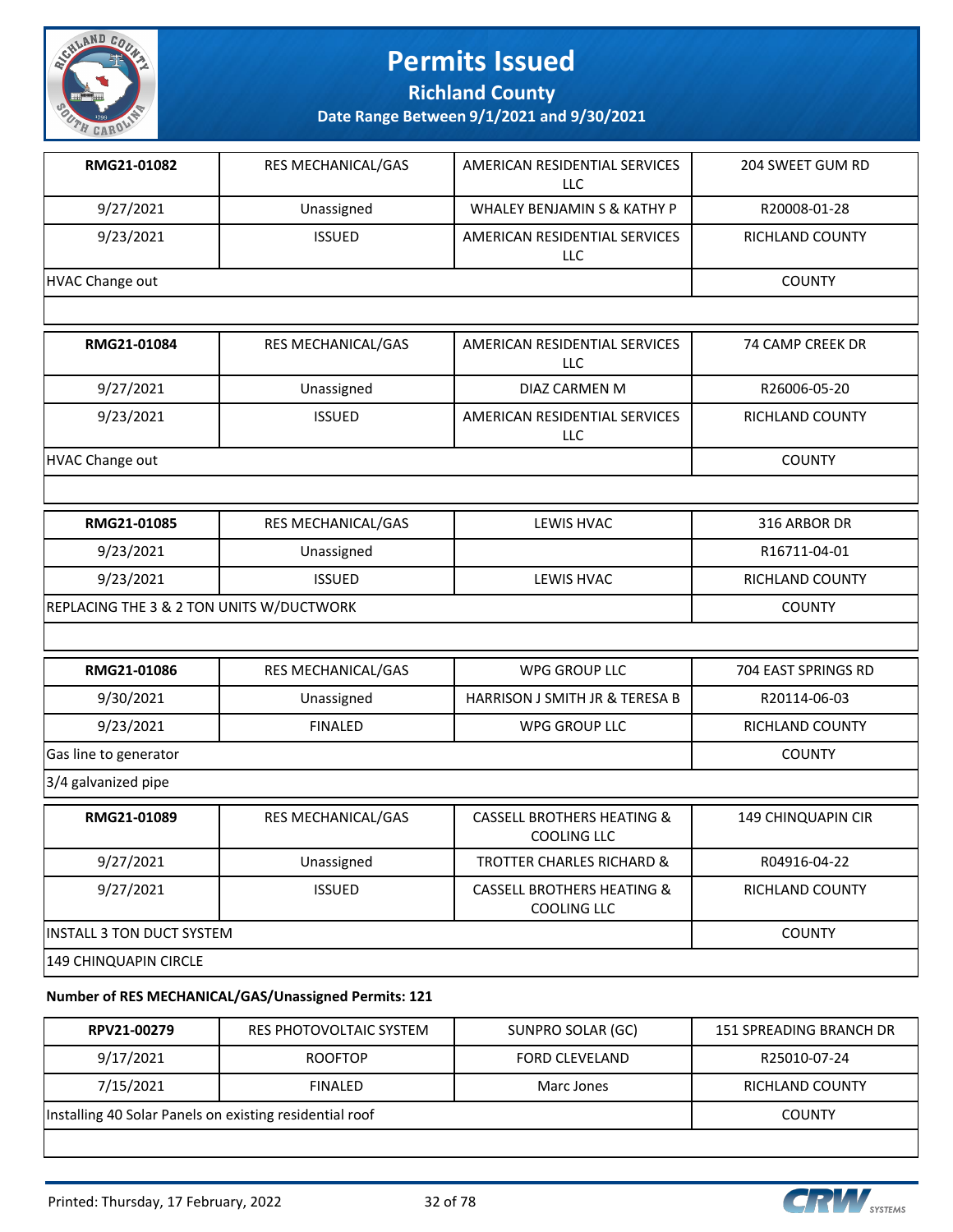

**Richland County**

**Date Range Between 9/1/2021 and 9/30/2021**

| RMG21-01082                              | RES MECHANICAL/GAS        | AMERICAN RESIDENTIAL SERVICES<br><b>LLC</b> | 204 SWEET GUM RD       |
|------------------------------------------|---------------------------|---------------------------------------------|------------------------|
| 9/27/2021                                | Unassigned                | WHALEY BENJAMIN S & KATHY P                 | R20008-01-28           |
| 9/23/2021                                | <b>ISSUED</b>             | AMERICAN RESIDENTIAL SERVICES<br>LLC        | RICHLAND COUNTY        |
| <b>HVAC Change out</b>                   |                           |                                             | <b>COUNTY</b>          |
|                                          |                           |                                             |                        |
| RMG21-01084                              | RES MECHANICAL/GAS        | AMERICAN RESIDENTIAL SERVICES<br>LLC        | 74 CAMP CREEK DR       |
| 9/27/2021                                | Unassigned                | DIAZ CARMEN M                               | R26006-05-20           |
| 9/23/2021                                | <b>ISSUED</b>             | AMERICAN RESIDENTIAL SERVICES<br><b>LLC</b> | RICHLAND COUNTY        |
| <b>HVAC Change out</b>                   |                           |                                             | <b>COUNTY</b>          |
|                                          |                           |                                             |                        |
| RMG21-01085                              | <b>RES MECHANICAL/GAS</b> | <b>LEWIS HVAC</b>                           | 316 ARBOR DR           |
| 9/23/2021                                | Unassigned                |                                             | R16711-04-01           |
| 9/23/2021                                | <b>ISSUED</b>             | LEWIS HVAC                                  | <b>RICHLAND COUNTY</b> |
| REPLACING THE 3 & 2 TON UNITS W/DUCTWORK |                           |                                             | <b>COUNTY</b>          |
|                                          |                           |                                             |                        |
| RMG21-01086                              | RES MECHANICAL/GAS        | <b>WPG GROUP LLC</b>                        | 704 EAST SPRINGS RD    |
| 9/30/2021                                | Unassigned                | <b>HARRISON J SMITH JR &amp; TERESA B</b>   | R20114-06-03           |
| 9/23/2021                                | <b>FINALED</b>            | WPG GROUP LLC                               | RICHLAND COUNTY        |
| Gas line to generator                    | <b>COUNTY</b>             |                                             |                        |
| 3/4 galvanized pipe                      |                           |                                             |                        |
| <b>RMG21-01089</b>                       | RES MECHANICAL GAS        | CASSELL BROTHERS HEATING &                  | 149 CHINOLIADIN CIR    |

| RMG21-01089                       | <b>RES MECHANICAL/GAS</b> | <b>CASSELL BROTHERS HEATING &amp;</b><br>COOLING LLC | 149 CHINQUAPIN CIR     |
|-----------------------------------|---------------------------|------------------------------------------------------|------------------------|
| 9/27/2021                         | Unassigned                | <b>TROTTER CHARLES RICHARD &amp;</b>                 | R04916-04-22           |
| 9/27/2021                         | <b>ISSUED</b>             | <b>CASSELL BROTHERS HEATING &amp;</b><br>COOLING LLC | <b>RICHLAND COUNTY</b> |
| <b>IINSTALL 3 TON DUCT SYSTEM</b> | <b>COUNTY</b>             |                                                      |                        |
| 149 CHINQUAPIN CIRCLE             |                           |                                                      |                        |

#### **Number of RES MECHANICAL/GAS/Unassigned Permits: 121**

| RPV21-00279                                             | RES PHOTOVOLTAIC SYSTEM | SUNPRO SOLAR (GC) | 151 SPREADING BRANCH DR |  |
|---------------------------------------------------------|-------------------------|-------------------|-------------------------|--|
| 9/17/2021                                               | R25010-07-24            |                   |                         |  |
| 7/15/2021                                               | RICHLAND COUNTY         |                   |                         |  |
| Installing 40 Solar Panels on existing residential roof | <b>COUNTY</b>           |                   |                         |  |
|                                                         |                         |                   |                         |  |

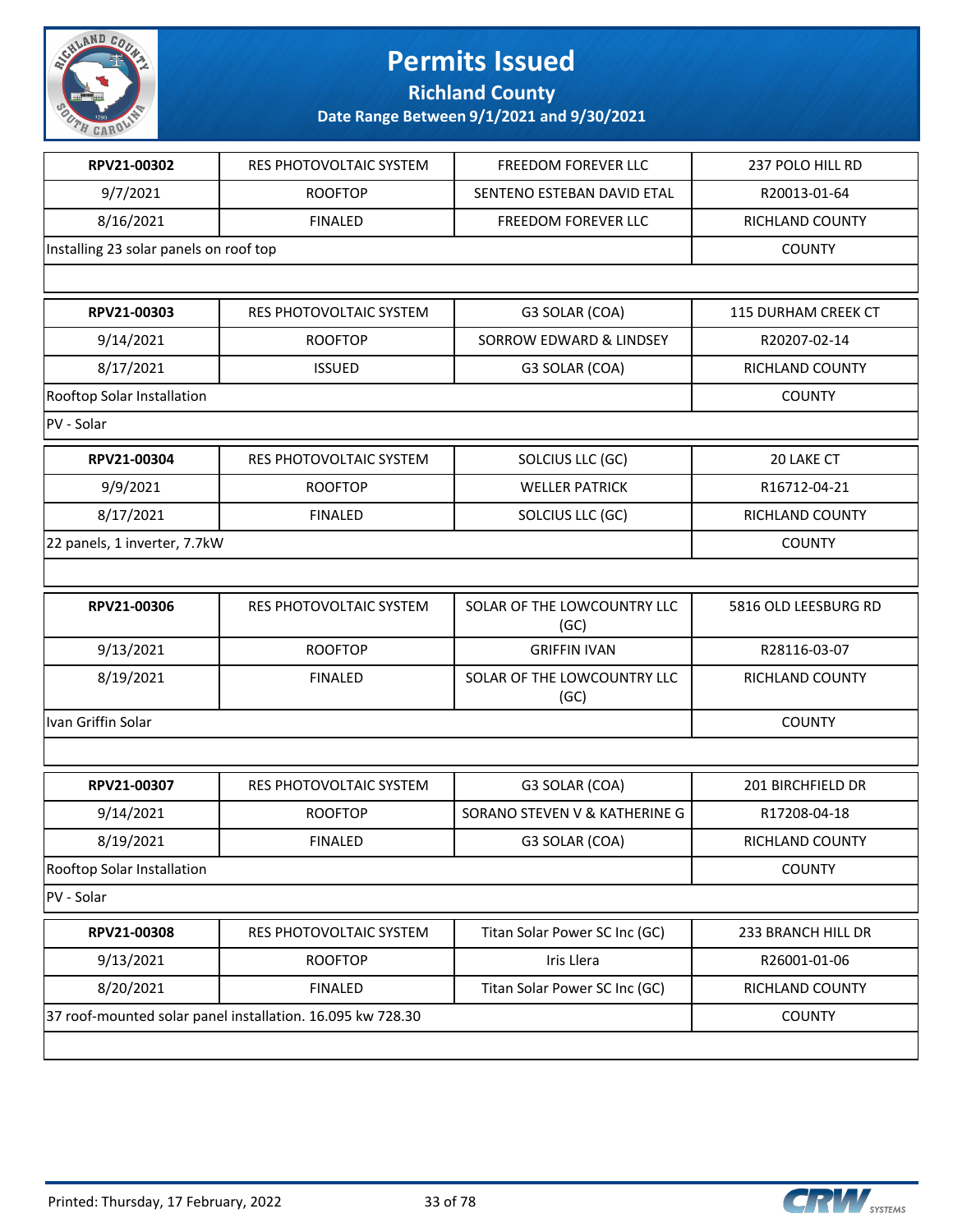

**Richland County**

| RPV21-00302<br>9/7/2021<br>8/16/2021<br>RPV21-00303 | RES PHOTOVOLTAIC SYSTEM<br><b>ROOFTOP</b><br><b>FINALED</b> | FREEDOM FOREVER LLC<br>SENTENO ESTEBAN DAVID ETAL<br>FREEDOM FOREVER LLC | 237 POLO HILL RD<br>R20013-01-64<br>RICHLAND COUNTY |
|-----------------------------------------------------|-------------------------------------------------------------|--------------------------------------------------------------------------|-----------------------------------------------------|
| Installing 23 solar panels on roof top              |                                                             |                                                                          |                                                     |
|                                                     |                                                             |                                                                          |                                                     |
|                                                     |                                                             |                                                                          |                                                     |
|                                                     |                                                             |                                                                          | <b>COUNTY</b>                                       |
|                                                     |                                                             |                                                                          |                                                     |
|                                                     | RES PHOTOVOLTAIC SYSTEM                                     | G3 SOLAR (COA)                                                           | 115 DURHAM CREEK CT                                 |
| 9/14/2021                                           | <b>ROOFTOP</b>                                              | SORROW EDWARD & LINDSEY                                                  | R20207-02-14                                        |
| 8/17/2021                                           | <b>ISSUED</b>                                               | G3 SOLAR (COA)                                                           | RICHLAND COUNTY                                     |
| Rooftop Solar Installation                          |                                                             |                                                                          | <b>COUNTY</b>                                       |
| PV - Solar                                          |                                                             |                                                                          |                                                     |
| RPV21-00304                                         | RES PHOTOVOLTAIC SYSTEM                                     | SOLCIUS LLC (GC)                                                         | 20 LAKE CT                                          |
| 9/9/2021                                            | <b>ROOFTOP</b>                                              | <b>WELLER PATRICK</b>                                                    | R16712-04-21                                        |
| 8/17/2021                                           | <b>FINALED</b>                                              | SOLCIUS LLC (GC)                                                         | RICHLAND COUNTY                                     |
| 22 panels, 1 inverter, 7.7kW                        | <b>COUNTY</b>                                               |                                                                          |                                                     |
|                                                     |                                                             |                                                                          |                                                     |
| RPV21-00306                                         | RES PHOTOVOLTAIC SYSTEM                                     | SOLAR OF THE LOWCOUNTRY LLC<br>(GC)                                      | 5816 OLD LEESBURG RD                                |
| 9/13/2021                                           | <b>ROOFTOP</b>                                              | <b>GRIFFIN IVAN</b>                                                      | R28116-03-07                                        |
| 8/19/2021                                           | <b>FINALED</b>                                              | SOLAR OF THE LOWCOUNTRY LLC<br>(GC)                                      | RICHLAND COUNTY                                     |
| Ivan Griffin Solar                                  |                                                             |                                                                          | <b>COUNTY</b>                                       |
|                                                     |                                                             |                                                                          |                                                     |
| RPV21-00307                                         | RES PHOTOVOLTAIC SYSTEM                                     | G3 SOLAR (COA)                                                           | 201 BIRCHFIELD DR                                   |
| 9/14/2021                                           | <b>ROOFTOP</b>                                              | SORANO STEVEN V & KATHERINE G                                            | R17208-04-18                                        |
| 8/19/2021                                           | <b>FINALED</b>                                              | G3 SOLAR (COA)                                                           | RICHLAND COUNTY                                     |
| Rooftop Solar Installation                          | <b>COUNTY</b>                                               |                                                                          |                                                     |
| PV - Solar                                          |                                                             |                                                                          |                                                     |
| RPV21-00308                                         | RES PHOTOVOLTAIC SYSTEM                                     | Titan Solar Power SC Inc (GC)                                            | 233 BRANCH HILL DR                                  |
| 9/13/2021                                           | <b>ROOFTOP</b>                                              | Iris Llera                                                               | R26001-01-06                                        |
| 8/20/2021                                           | <b>FINALED</b>                                              | Titan Solar Power SC Inc (GC)                                            | RICHLAND COUNTY                                     |
|                                                     | 37 roof-mounted solar panel installation. 16.095 kw 728.30  |                                                                          | <b>COUNTY</b>                                       |

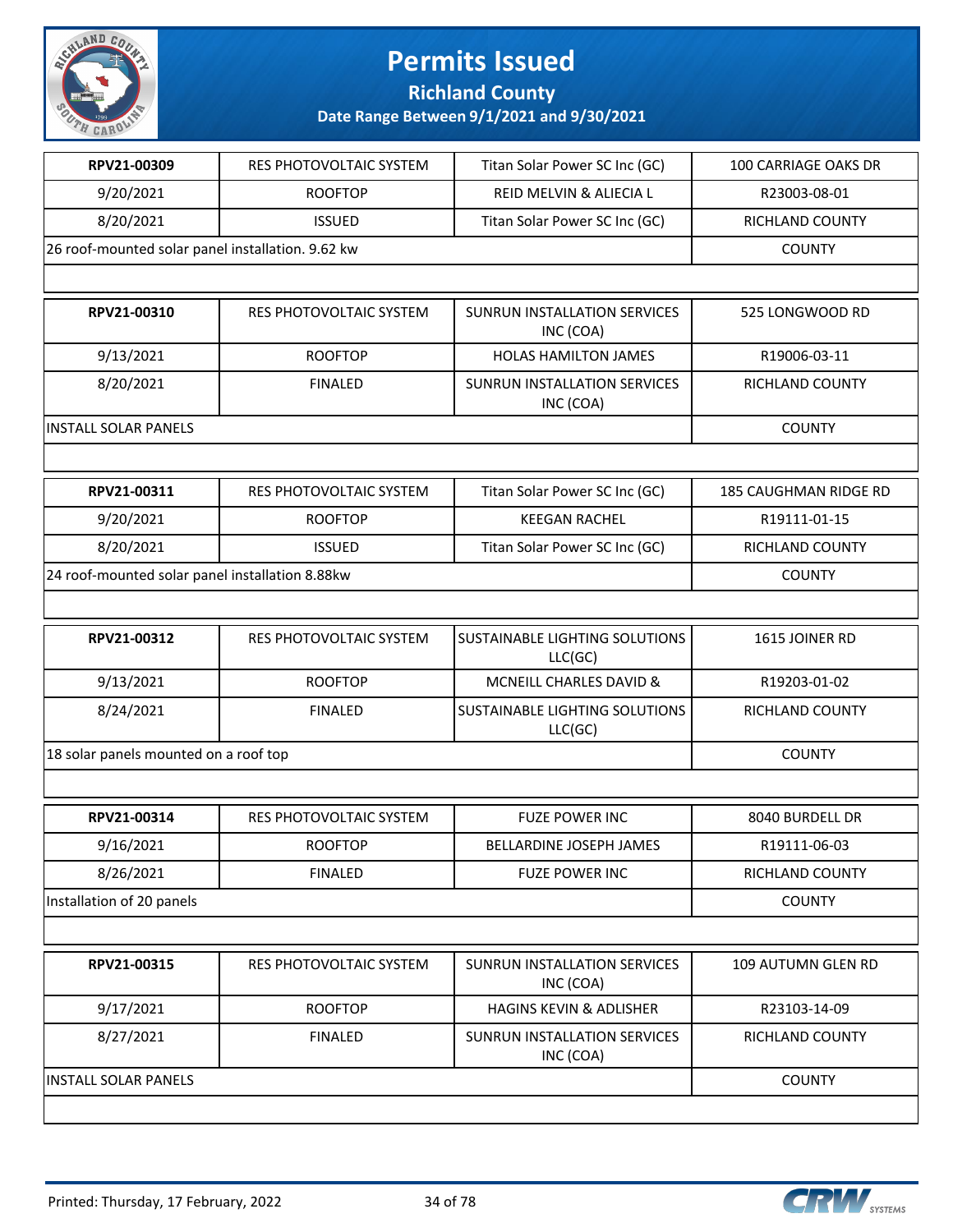

**Richland County**

| RPV21-00309                                       | RES PHOTOVOLTAIC SYSTEM        | Titan Solar Power SC Inc (GC)                    | 100 CARRIAGE OAKS DR  |
|---------------------------------------------------|--------------------------------|--------------------------------------------------|-----------------------|
| 9/20/2021                                         | <b>ROOFTOP</b>                 | REID MELVIN & ALIECIA L                          | R23003-08-01          |
| 8/20/2021                                         | <b>ISSUED</b>                  | Titan Solar Power SC Inc (GC)                    | RICHLAND COUNTY       |
| 26 roof-mounted solar panel installation. 9.62 kw | <b>COUNTY</b>                  |                                                  |                       |
|                                                   |                                |                                                  |                       |
| RPV21-00310                                       | <b>RES PHOTOVOLTAIC SYSTEM</b> | <b>SUNRUN INSTALLATION SERVICES</b><br>INC (COA) | 525 LONGWOOD RD       |
| 9/13/2021                                         | <b>ROOFTOP</b>                 | <b>HOLAS HAMILTON JAMES</b>                      | R19006-03-11          |
| 8/20/2021                                         | <b>FINALED</b>                 | SUNRUN INSTALLATION SERVICES<br>INC (COA)        | RICHLAND COUNTY       |
| <b>INSTALL SOLAR PANELS</b>                       |                                |                                                  | <b>COUNTY</b>         |
|                                                   |                                |                                                  |                       |
| RPV21-00311                                       | RES PHOTOVOLTAIC SYSTEM        | Titan Solar Power SC Inc (GC)                    | 185 CAUGHMAN RIDGE RD |
| 9/20/2021                                         | <b>ROOFTOP</b>                 | <b>KEEGAN RACHEL</b>                             | R19111-01-15          |
| 8/20/2021                                         | <b>ISSUED</b>                  | Titan Solar Power SC Inc (GC)                    | RICHLAND COUNTY       |
| 24 roof-mounted solar panel installation 8.88kw   | <b>COUNTY</b>                  |                                                  |                       |
|                                                   |                                |                                                  |                       |
| RPV21-00312                                       | <b>RES PHOTOVOLTAIC SYSTEM</b> | SUSTAINABLE LIGHTING SOLUTIONS<br>LLC(GC)        | 1615 JOINER RD        |
| 9/13/2021                                         | <b>ROOFTOP</b>                 | MCNEILL CHARLES DAVID &                          | R19203-01-02          |
| 8/24/2021                                         | <b>FINALED</b>                 | SUSTAINABLE LIGHTING SOLUTIONS<br>LLC(GC)        | RICHLAND COUNTY       |
| 18 solar panels mounted on a roof top             |                                |                                                  | <b>COUNTY</b>         |
|                                                   |                                |                                                  |                       |
| RPV21-00314                                       | RES PHOTOVOLTAIC SYSTEM        | <b>FUZE POWER INC</b>                            | 8040 BURDELL DR       |
| 9/16/2021                                         | <b>ROOFTOP</b>                 | BELLARDINE JOSEPH JAMES                          | R19111-06-03          |
| 8/26/2021                                         | <b>FINALED</b>                 | <b>FUZE POWER INC</b>                            | RICHLAND COUNTY       |
| Installation of 20 panels                         | <b>COUNTY</b>                  |                                                  |                       |
|                                                   |                                |                                                  |                       |
| RPV21-00315                                       | RES PHOTOVOLTAIC SYSTEM        | <b>SUNRUN INSTALLATION SERVICES</b><br>INC (COA) | 109 AUTUMN GLEN RD    |
| 9/17/2021                                         | <b>ROOFTOP</b>                 | HAGINS KEVIN & ADLISHER                          | R23103-14-09          |
| 8/27/2021                                         | <b>FINALED</b>                 | SUNRUN INSTALLATION SERVICES<br>INC (COA)        | RICHLAND COUNTY       |
| <b>INSTALL SOLAR PANELS</b>                       | <b>COUNTY</b>                  |                                                  |                       |
|                                                   |                                |                                                  |                       |

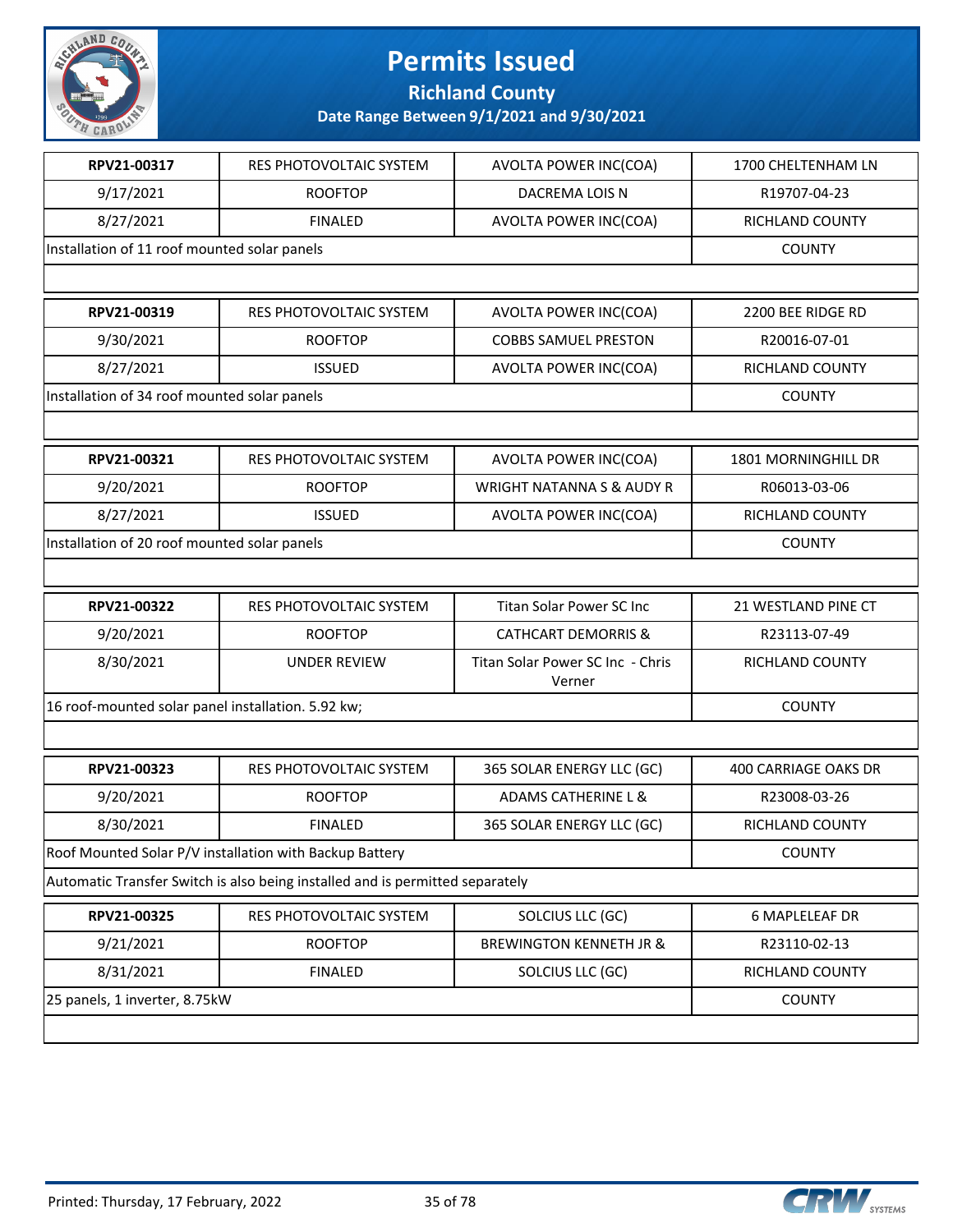

**Richland County**

| RES PHOTOVOLTAIC SYSTEM<br><b>ROOFTOP</b><br><b>FINALED</b> | AVOLTA POWER INC(COA)<br>DACREMA LOIS N    | 1700 CHELTENHAM LN<br>R19707-04-23                                            |  |  |
|-------------------------------------------------------------|--------------------------------------------|-------------------------------------------------------------------------------|--|--|
|                                                             |                                            |                                                                               |  |  |
|                                                             |                                            |                                                                               |  |  |
|                                                             | AVOLTA POWER INC(COA)                      | RICHLAND COUNTY                                                               |  |  |
| Installation of 11 roof mounted solar panels                |                                            | <b>COUNTY</b>                                                                 |  |  |
|                                                             |                                            |                                                                               |  |  |
| RES PHOTOVOLTAIC SYSTEM                                     | <b>AVOLTA POWER INC(COA)</b>               | 2200 BEE RIDGE RD                                                             |  |  |
| <b>ROOFTOP</b>                                              | <b>COBBS SAMUEL PRESTON</b>                | R20016-07-01                                                                  |  |  |
| <b>ISSUED</b>                                               | AVOLTA POWER INC(COA)                      | RICHLAND COUNTY                                                               |  |  |
| Installation of 34 roof mounted solar panels                |                                            | <b>COUNTY</b>                                                                 |  |  |
|                                                             |                                            |                                                                               |  |  |
| RES PHOTOVOLTAIC SYSTEM                                     | AVOLTA POWER INC(COA)                      | 1801 MORNINGHILL DR                                                           |  |  |
| <b>ROOFTOP</b>                                              | <b>WRIGHT NATANNA S &amp; AUDY R</b>       | R06013-03-06                                                                  |  |  |
| <b>ISSUED</b>                                               | AVOLTA POWER INC(COA)                      | RICHLAND COUNTY                                                               |  |  |
| Installation of 20 roof mounted solar panels                |                                            |                                                                               |  |  |
|                                                             |                                            |                                                                               |  |  |
| RES PHOTOVOLTAIC SYSTEM                                     | Titan Solar Power SC Inc                   | 21 WESTLAND PINE CT                                                           |  |  |
| <b>ROOFTOP</b>                                              | <b>CATHCART DEMORRIS &amp;</b>             | R23113-07-49                                                                  |  |  |
| <b>UNDER REVIEW</b>                                         | Titan Solar Power SC Inc - Chris<br>Verner | RICHLAND COUNTY                                                               |  |  |
| 16 roof-mounted solar panel installation. 5.92 kw;          |                                            |                                                                               |  |  |
|                                                             |                                            |                                                                               |  |  |
| RES PHOTOVOLTAIC SYSTEM                                     | 365 SOLAR ENERGY LLC (GC)                  | 400 CARRIAGE OAKS DR                                                          |  |  |
| <b>ROOFTOP</b>                                              | <b>ADAMS CATHERINE L &amp;</b>             | R23008-03-26                                                                  |  |  |
| <b>FINALED</b>                                              | 365 SOLAR ENERGY LLC (GC)                  | RICHLAND COUNTY                                                               |  |  |
| Roof Mounted Solar P/V installation with Backup Battery     |                                            |                                                                               |  |  |
|                                                             |                                            |                                                                               |  |  |
| RES PHOTOVOLTAIC SYSTEM                                     | SOLCIUS LLC (GC)                           | <b>6 MAPLELEAF DR</b>                                                         |  |  |
| <b>ROOFTOP</b>                                              | <b>BREWINGTON KENNETH JR &amp;</b>         | R23110-02-13                                                                  |  |  |
| <b>FINALED</b>                                              | SOLCIUS LLC (GC)                           | RICHLAND COUNTY                                                               |  |  |
| 25 panels, 1 inverter, 8.75kW                               |                                            |                                                                               |  |  |
|                                                             |                                            | Automatic Transfer Switch is also being installed and is permitted separately |  |  |

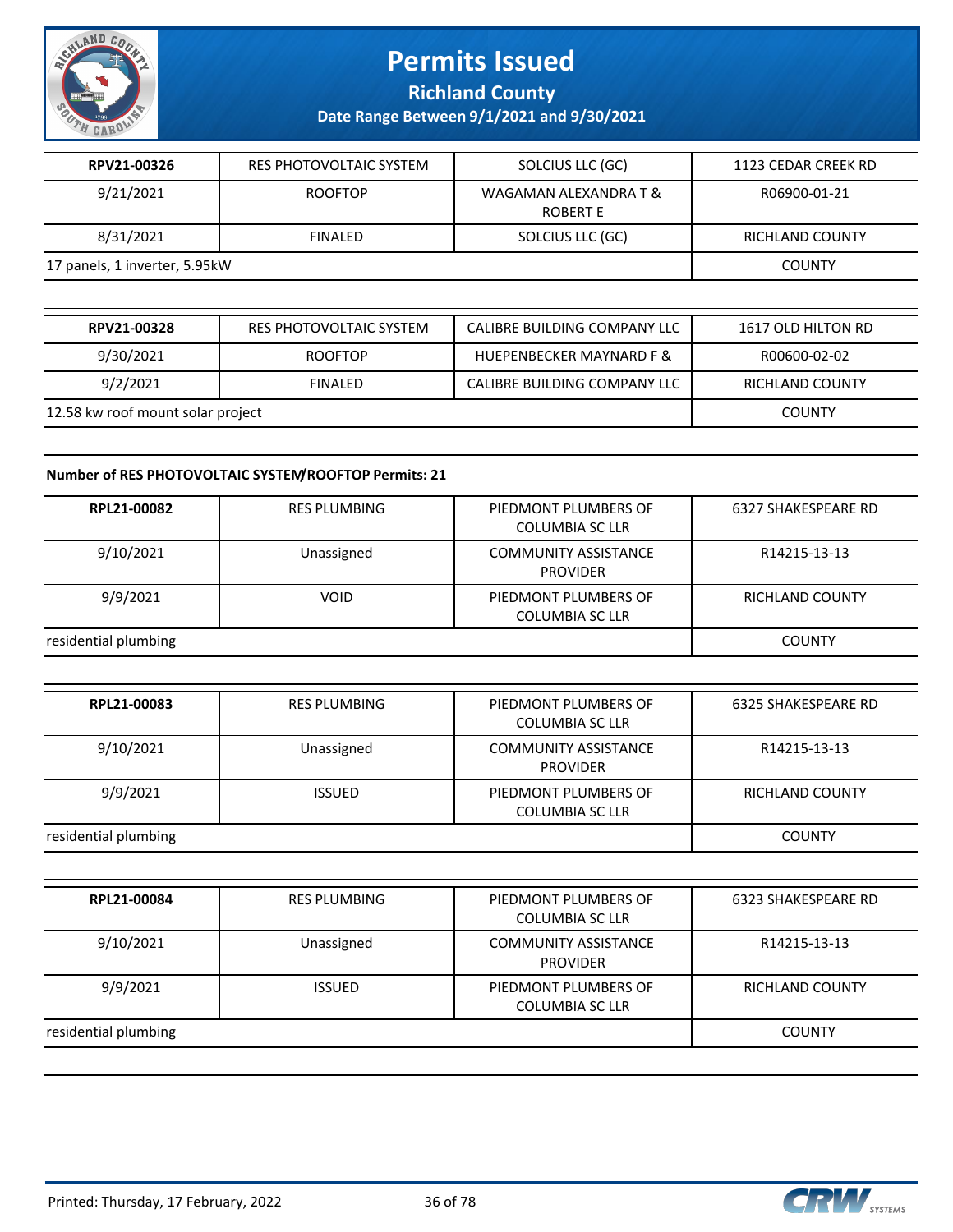

**Richland County**

**Date Range Between 9/1/2021 and 9/30/2021**

| RES PHOTOVOLTAIC SYSTEM       | SOLCIUS LLC (GC)                  | 1123 CEDAR CREEK RD    |  |
|-------------------------------|-----------------------------------|------------------------|--|
| <b>ROOFTOP</b>                | WAGAMAN ALEXANDRA T &<br>ROBERT E | R06900-01-21           |  |
| <b>FINALED</b>                | SOLCIUS LLC (GC)                  | <b>RICHLAND COUNTY</b> |  |
| 17 panels, 1 inverter, 5.95kW |                                   |                        |  |
|                               |                                   |                        |  |

| 9/30/2021<br><b>HUEPENBECKER MAYNARD F &amp;</b><br><b>ROOFTOP</b><br>R00600-02-02<br>9/2/2021<br>CALIBRE BUILDING COMPANY LLC<br>RICHLAND COUNTY<br><b>FINALED</b> | RPV21-00328                       | RES PHOTOVOLTAIC SYSTEM | CALIBRE BUILDING COMPANY LLC | 1617 OLD HILTON RD |
|---------------------------------------------------------------------------------------------------------------------------------------------------------------------|-----------------------------------|-------------------------|------------------------------|--------------------|
|                                                                                                                                                                     |                                   |                         |                              |                    |
|                                                                                                                                                                     |                                   |                         |                              |                    |
| <b>COUNTY</b>                                                                                                                                                       | 12.58 kw roof mount solar project |                         |                              |                    |

#### **Number of RES PHOTOVOLTAIC SYSTEM/ROOFTOP Permits: 21**

| RPL21-00082          | <b>RES PLUMBING</b> | PIEDMONT PLUMBERS OF<br>COLUMBIA SC LLR        | 6327 SHAKESPEARE RD |  |
|----------------------|---------------------|------------------------------------------------|---------------------|--|
| 9/10/2021            | Unassigned          | <b>COMMUNITY ASSISTANCE</b><br><b>PROVIDER</b> | R14215-13-13        |  |
| 9/9/2021             | <b>VOID</b>         | PIEDMONT PLUMBERS OF<br>COLUMBIA SC LLR        | RICHLAND COUNTY     |  |
| residential plumbing |                     |                                                | <b>COUNTY</b>       |  |
|                      |                     |                                                |                     |  |

| RPL21-00083          | <b>RES PLUMBING</b> | PIEDMONT PLUMBERS OF<br>COLUMBIA SC LLR        | 6325 SHAKESPEARE RD |
|----------------------|---------------------|------------------------------------------------|---------------------|
| 9/10/2021            | Unassigned          | <b>COMMUNITY ASSISTANCE</b><br><b>PROVIDER</b> | R14215-13-13        |
| 9/9/2021             | <b>ISSUED</b>       | PIEDMONT PLUMBERS OF<br><b>COLUMBIA SC LLR</b> | RICHLAND COUNTY     |
| residential plumbing |                     |                                                | <b>COUNTY</b>       |

| RPL21-00084          | <b>RES PLUMBING</b> | PIEDMONT PLUMBERS OF<br>COLUMBIA SC LLR        | 6323 SHAKESPEARE RD    |
|----------------------|---------------------|------------------------------------------------|------------------------|
| 9/10/2021            | Unassigned          | <b>COMMUNITY ASSISTANCE</b><br><b>PROVIDER</b> | R14215-13-13           |
| 9/9/2021             | <b>ISSUED</b>       | PIEDMONT PLUMBERS OF<br>COLUMBIA SC LLR        | <b>RICHLAND COUNTY</b> |
| residential plumbing |                     |                                                | <b>COUNTY</b>          |
|                      |                     |                                                |                        |

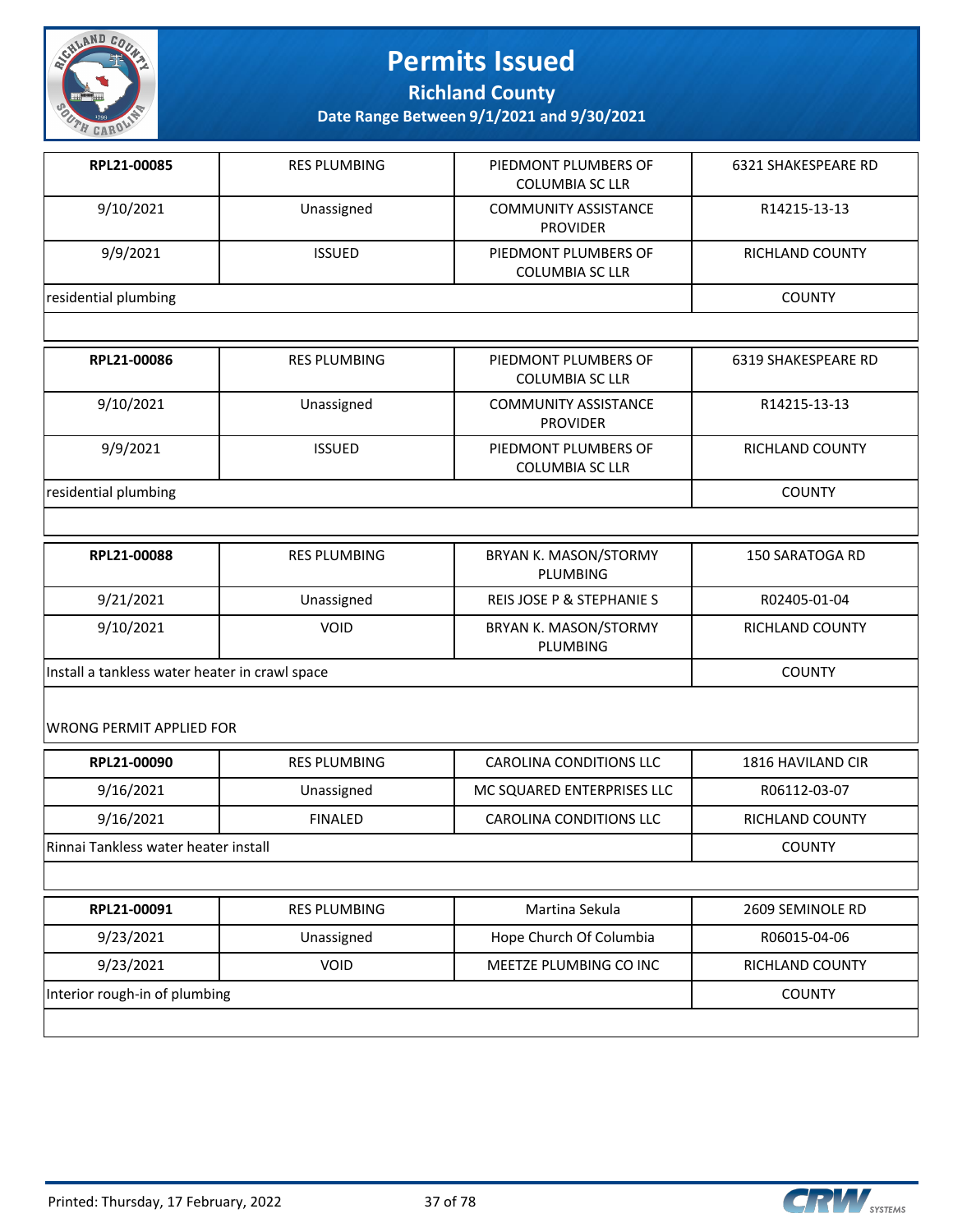

**Richland County**

**Date Range Between 9/1/2021 and 9/30/2021**

| RPL21-00085          | <b>RES PLUMBING</b> | PIEDMONT PLUMBERS OF<br><b>COLUMBIA SC LLR</b> | <b>6321 SHAKESPEARE RD</b> |
|----------------------|---------------------|------------------------------------------------|----------------------------|
| 9/10/2021            | Unassigned          | <b>COMMUNITY ASSISTANCE</b><br><b>PROVIDER</b> | R14215-13-13               |
| 9/9/2021             | <b>ISSUED</b>       | PIEDMONT PLUMBERS OF<br><b>COLUMBIA SC LLR</b> | <b>RICHLAND COUNTY</b>     |
| residential plumbing | <b>COUNTY</b>       |                                                |                            |
|                      |                     |                                                |                            |
| RPL21-00086          | <b>RES PLUMBING</b> | PIEDMONT PLUMBERS OF<br><b>COLUMBIA SC LLR</b> | 6319 SHAKESPEARE RD        |
| 9/10/2021            | Unassigned          | <b>COMMUNITY ASSISTANCE</b><br><b>PROVIDER</b> | R14215-13-13               |

residential plumbing COUNTY

| RPL21-00088                                    | <b>RES PLUMBING</b> | <b>BRYAN K. MASON/STORMY</b><br>PLUMBING | 150 SARATOGA RD        |
|------------------------------------------------|---------------------|------------------------------------------|------------------------|
| 9/21/2021                                      | Unassigned          | REIS JOSE P & STEPHANIE S                | R02405-01-04           |
| 9/10/2021                                      | <b>VOID</b>         | BRYAN K. MASON/STORMY<br>PLUMBING        | <b>RICHLAND COUNTY</b> |
| Install a tankless water heater in crawl space |                     |                                          | <b>COUNTY</b>          |

COLUMBIA SC LLR

9/9/2021 | ISSUED | PIEDMONT PLUMBERS OF

WRONG PERMIT APPLIED FOR

| RPL21-00090                          | <b>RES PLUMBING</b> | CAROLINA CONDITIONS LLC    | 1816 HAVILAND CIR |
|--------------------------------------|---------------------|----------------------------|-------------------|
| 9/16/2021                            | Unassigned          | MC SQUARED ENTERPRISES LLC | R06112-03-07      |
| 9/16/2021                            | <b>FINALED</b>      | CAROLINA CONDITIONS LLC    | RICHLAND COUNTY   |
| Rinnai Tankless water heater install |                     |                            | <b>COUNTY</b>     |
|                                      |                     |                            |                   |

| RPL21-00091                   | <b>RES PLUMBING</b> | Martina Sekula          | 2609 SEMINOLE RD |
|-------------------------------|---------------------|-------------------------|------------------|
| 9/23/2021                     | Unassigned          | Hope Church Of Columbia | R06015-04-06     |
| 9/23/2021                     | VOID                | MEETZE PLUMBING CO INC  | RICHLAND COUNTY  |
| Interior rough-in of plumbing |                     |                         | <b>COUNTY</b>    |
|                               |                     |                         |                  |



RICHLAND COUNTY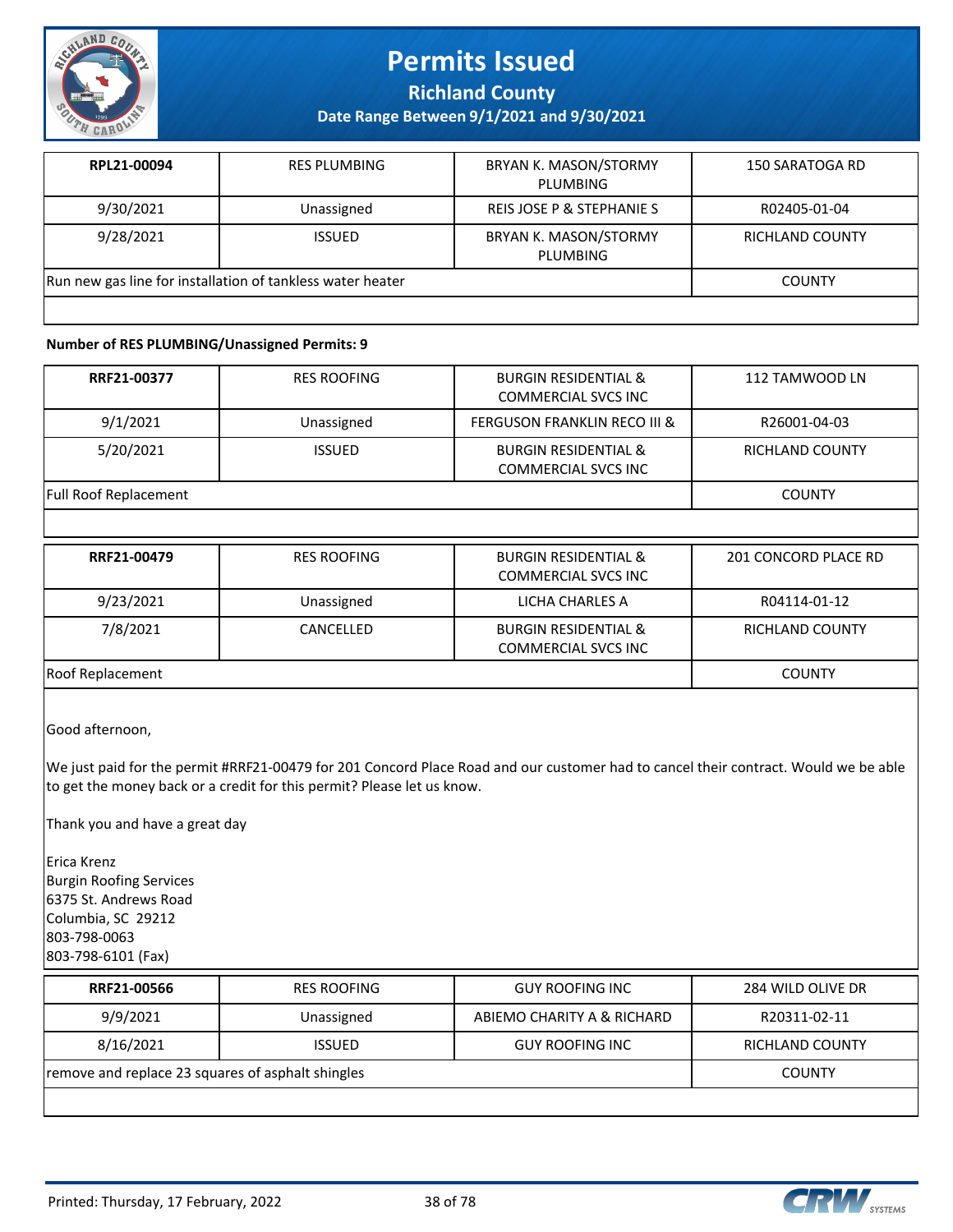

**Richland County**

**Date Range Between 9/1/2021 and 9/30/2021**

| RPL21-00094                                                | <b>RES PLUMBING</b> | <b>BRYAN K. MASON/STORMY</b><br>PLUMBING | 150 SARATOGA RD |
|------------------------------------------------------------|---------------------|------------------------------------------|-----------------|
| 9/30/2021                                                  | Unassigned          | REIS JOSE P & STEPHANIE S                | R02405-01-04    |
| 9/28/2021                                                  | <b>ISSUED</b>       | <b>BRYAN K. MASON/STORMY</b><br>PLUMBING | RICHLAND COUNTY |
| Run new gas line for installation of tankless water heater |                     |                                          | <b>COUNTY</b>   |
|                                                            |                     |                                          |                 |

#### **Number of RES PLUMBING/Unassigned Permits: 9**

| RRF21-00377                  | <b>RES ROOFING</b> | <b>BURGIN RESIDENTIAL &amp;</b><br><b>COMMERCIAL SVCS INC</b> | 112 TAMWOOD LN  |
|------------------------------|--------------------|---------------------------------------------------------------|-----------------|
| 9/1/2021                     | Unassigned         | <b>FERGUSON FRANKLIN RECO III &amp;</b>                       | R26001-04-03    |
| 5/20/2021                    | <b>ISSUED</b>      | <b>BURGIN RESIDENTIAL &amp;</b><br>COMMERCIAL SVCS INC        | RICHLAND COUNTY |
| <b>Full Roof Replacement</b> | <b>COUNTY</b>      |                                                               |                 |

| RRF21-00479      | <b>RES ROOFING</b> | <b>BURGIN RESIDENTIAL &amp;</b><br>COMMERCIAL SVCS INC        | 201 CONCORD PLACE RD   |
|------------------|--------------------|---------------------------------------------------------------|------------------------|
| 9/23/2021        | Unassigned         | LICHA CHARLES A                                               | R04114-01-12           |
| 7/8/2021         | CANCELLED          | <b>BURGIN RESIDENTIAL &amp;</b><br><b>COMMERCIAL SVCS INC</b> | <b>RICHLAND COUNTY</b> |
| Roof Replacement |                    |                                                               | COUNTY                 |

Good afternoon,

We just paid for the permit #RRF21-00479 for 201 Concord Place Road and our customer had to cancel their contract. Would we be able to get the money back or a credit for this permit? Please let us know.

Thank you and have a great day

Erica Krenz Burgin Roofing Services 6375 St. Andrews Road Columbia, SC 29212 803-798-0063 803-798-6101 (Fax)

| RRF21-00566                                       | <b>RES ROOFING</b> | <b>GUY ROOFING INC</b>     | 284 WILD OLIVE DR |
|---------------------------------------------------|--------------------|----------------------------|-------------------|
| 9/9/2021                                          | Unassigned         | ABIEMO CHARITY A & RICHARD | R20311-02-11      |
| 8/16/2021                                         | <b>ISSUED</b>      | <b>GUY ROOFING INC</b>     | RICHLAND COUNTY   |
| remove and replace 23 squares of asphalt shingles | <b>COUNTY</b>      |                            |                   |
|                                                   |                    |                            |                   |

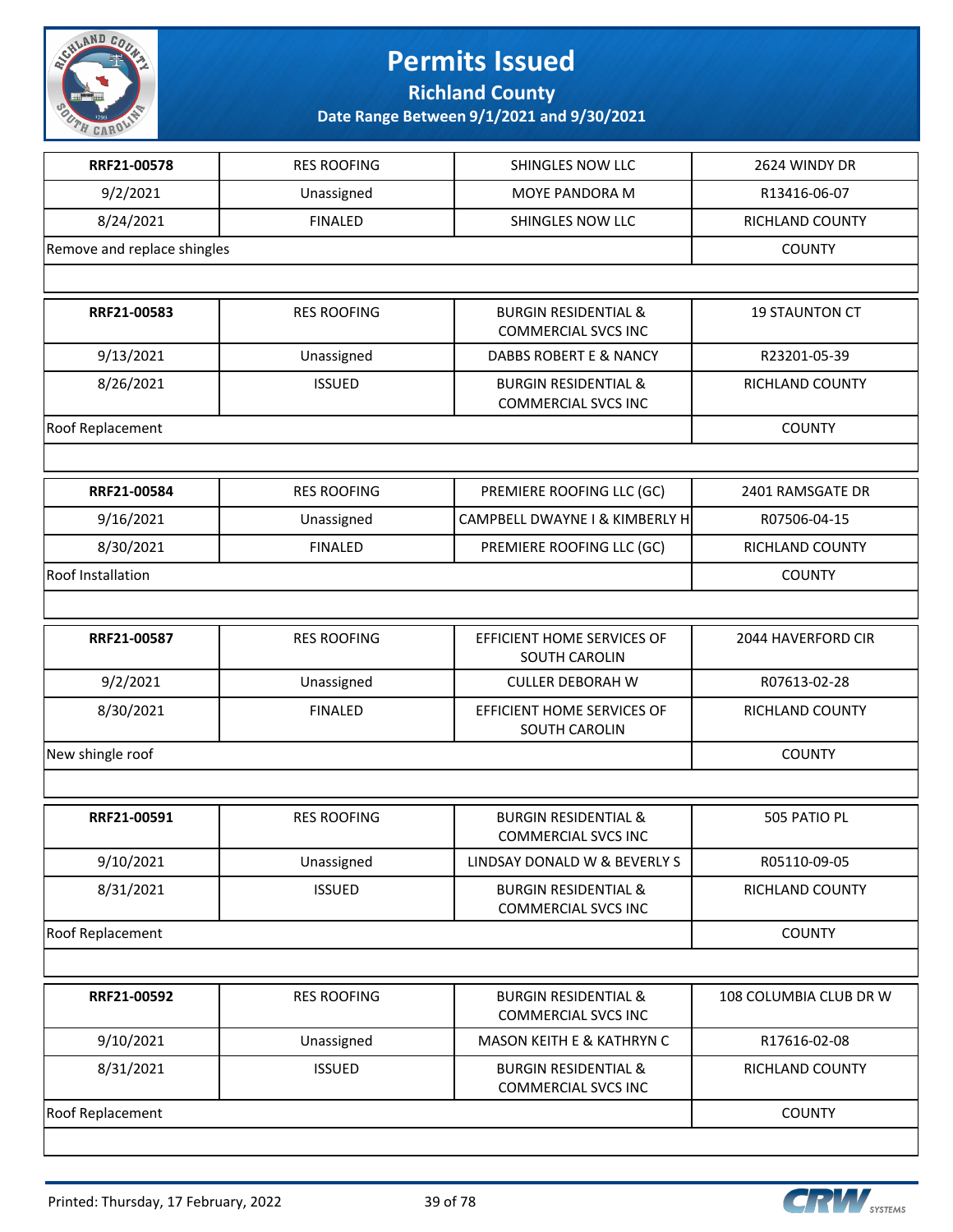

**Richland County**

| RRF21-00578                 | <b>RES ROOFING</b> | SHINGLES NOW LLC                                              | 2624 WINDY DR          |
|-----------------------------|--------------------|---------------------------------------------------------------|------------------------|
| 9/2/2021                    | Unassigned         | <b>MOYE PANDORA M</b>                                         | R13416-06-07           |
| 8/24/2021                   | <b>FINALED</b>     | SHINGLES NOW LLC                                              | RICHLAND COUNTY        |
| Remove and replace shingles | <b>COUNTY</b>      |                                                               |                        |
|                             |                    |                                                               |                        |
| RRF21-00583                 | <b>RES ROOFING</b> | <b>BURGIN RESIDENTIAL &amp;</b><br><b>COMMERCIAL SVCS INC</b> | <b>19 STAUNTON CT</b>  |
| 9/13/2021                   | Unassigned         | DABBS ROBERT E & NANCY                                        | R23201-05-39           |
| 8/26/2021                   | <b>ISSUED</b>      | <b>BURGIN RESIDENTIAL &amp;</b><br><b>COMMERCIAL SVCS INC</b> | RICHLAND COUNTY        |
| Roof Replacement            |                    |                                                               | <b>COUNTY</b>          |
|                             |                    |                                                               |                        |
| RRF21-00584                 | <b>RES ROOFING</b> | PREMIERE ROOFING LLC (GC)                                     | 2401 RAMSGATE DR       |
| 9/16/2021                   | Unassigned         | CAMPBELL DWAYNE I & KIMBERLY H                                | R07506-04-15           |
| 8/30/2021                   | <b>FINALED</b>     | PREMIERE ROOFING LLC (GC)                                     | RICHLAND COUNTY        |
| Roof Installation           |                    |                                                               | <b>COUNTY</b>          |
|                             |                    |                                                               |                        |
| RRF21-00587                 | <b>RES ROOFING</b> | EFFICIENT HOME SERVICES OF<br><b>SOUTH CAROLIN</b>            | 2044 HAVERFORD CIR     |
| 9/2/2021                    | Unassigned         | <b>CULLER DEBORAH W</b>                                       | R07613-02-28           |
| 8/30/2021                   | <b>FINALED</b>     | EFFICIENT HOME SERVICES OF<br>SOUTH CAROLIN                   | RICHLAND COUNTY        |
| New shingle roof            | <b>COUNTY</b>      |                                                               |                        |
|                             |                    |                                                               |                        |
| RRF21-00591                 | <b>RES ROOFING</b> | <b>BURGIN RESIDENTIAL &amp;</b><br><b>COMMERCIAL SVCS INC</b> | 505 PATIO PL           |
| 9/10/2021                   | Unassigned         | LINDSAY DONALD W & BEVERLY S                                  | R05110-09-05           |
| 8/31/2021                   | <b>ISSUED</b>      | <b>BURGIN RESIDENTIAL &amp;</b><br><b>COMMERCIAL SVCS INC</b> | RICHLAND COUNTY        |
| Roof Replacement            |                    |                                                               | <b>COUNTY</b>          |
|                             |                    |                                                               |                        |
| RRF21-00592                 | <b>RES ROOFING</b> | <b>BURGIN RESIDENTIAL &amp;</b><br><b>COMMERCIAL SVCS INC</b> | 108 COLUMBIA CLUB DR W |
| 9/10/2021                   | Unassigned         | <b>MASON KEITH E &amp; KATHRYN C</b>                          | R17616-02-08           |
| 8/31/2021                   | <b>ISSUED</b>      | <b>BURGIN RESIDENTIAL &amp;</b><br><b>COMMERCIAL SVCS INC</b> | RICHLAND COUNTY        |
| Roof Replacement            |                    |                                                               | <b>COUNTY</b>          |
|                             |                    |                                                               |                        |

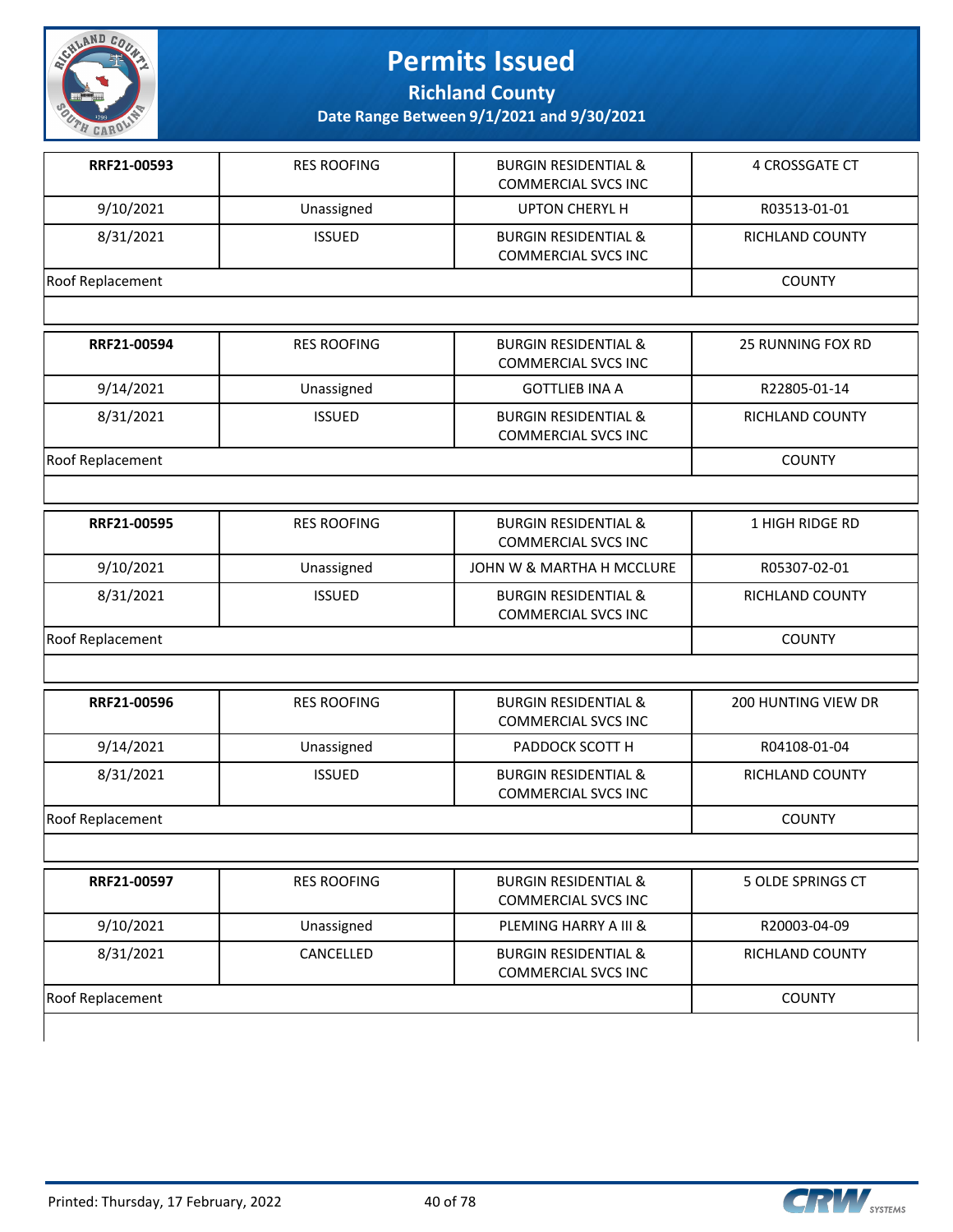

**Richland County**

| RRF21-00593      | <b>RES ROOFING</b> | <b>BURGIN RESIDENTIAL &amp;</b><br><b>COMMERCIAL SVCS INC</b> | 4 CROSSGATE CT           |
|------------------|--------------------|---------------------------------------------------------------|--------------------------|
| 9/10/2021        | Unassigned         | <b>UPTON CHERYL H</b>                                         | R03513-01-01             |
| 8/31/2021        | <b>ISSUED</b>      | <b>BURGIN RESIDENTIAL &amp;</b><br><b>COMMERCIAL SVCS INC</b> | RICHLAND COUNTY          |
| Roof Replacement |                    |                                                               | <b>COUNTY</b>            |
|                  |                    |                                                               |                          |
| RRF21-00594      | <b>RES ROOFING</b> | <b>BURGIN RESIDENTIAL &amp;</b><br><b>COMMERCIAL SVCS INC</b> | <b>25 RUNNING FOX RD</b> |
| 9/14/2021        | Unassigned         | <b>GOTTLIEB INA A</b>                                         | R22805-01-14             |
| 8/31/2021        | <b>ISSUED</b>      | <b>BURGIN RESIDENTIAL &amp;</b><br><b>COMMERCIAL SVCS INC</b> | RICHLAND COUNTY          |
| Roof Replacement |                    |                                                               | <b>COUNTY</b>            |
|                  |                    |                                                               |                          |
| RRF21-00595      | <b>RES ROOFING</b> | <b>BURGIN RESIDENTIAL &amp;</b><br><b>COMMERCIAL SVCS INC</b> | 1 HIGH RIDGE RD          |
| 9/10/2021        | Unassigned         | JOHN W & MARTHA H MCCLURE                                     | R05307-02-01             |
| 8/31/2021        | <b>ISSUED</b>      | <b>BURGIN RESIDENTIAL &amp;</b><br><b>COMMERCIAL SVCS INC</b> | RICHLAND COUNTY          |
| Roof Replacement |                    |                                                               | <b>COUNTY</b>            |
|                  |                    |                                                               |                          |
| RRF21-00596      | <b>RES ROOFING</b> | <b>BURGIN RESIDENTIAL &amp;</b><br><b>COMMERCIAL SVCS INC</b> | 200 HUNTING VIEW DR      |
| 9/14/2021        | Unassigned         | PADDOCK SCOTT H                                               | R04108-01-04             |
| 8/31/2021        | <b>ISSUED</b>      | <b>BURGIN RESIDENTIAL &amp;</b><br><b>COMMERCIAL SVCS INC</b> | RICHLAND COUNTY          |
| Roof Replacement |                    |                                                               | <b>COUNTY</b>            |
|                  |                    |                                                               |                          |
| RRF21-00597      | <b>RES ROOFING</b> | <b>BURGIN RESIDENTIAL &amp;</b><br><b>COMMERCIAL SVCS INC</b> | 5 OLDE SPRINGS CT        |
| 9/10/2021        | Unassigned         | PLEMING HARRY A III &                                         | R20003-04-09             |
| 8/31/2021        | CANCELLED          | <b>BURGIN RESIDENTIAL &amp;</b><br><b>COMMERCIAL SVCS INC</b> | RICHLAND COUNTY          |
| Roof Replacement |                    |                                                               | <b>COUNTY</b>            |

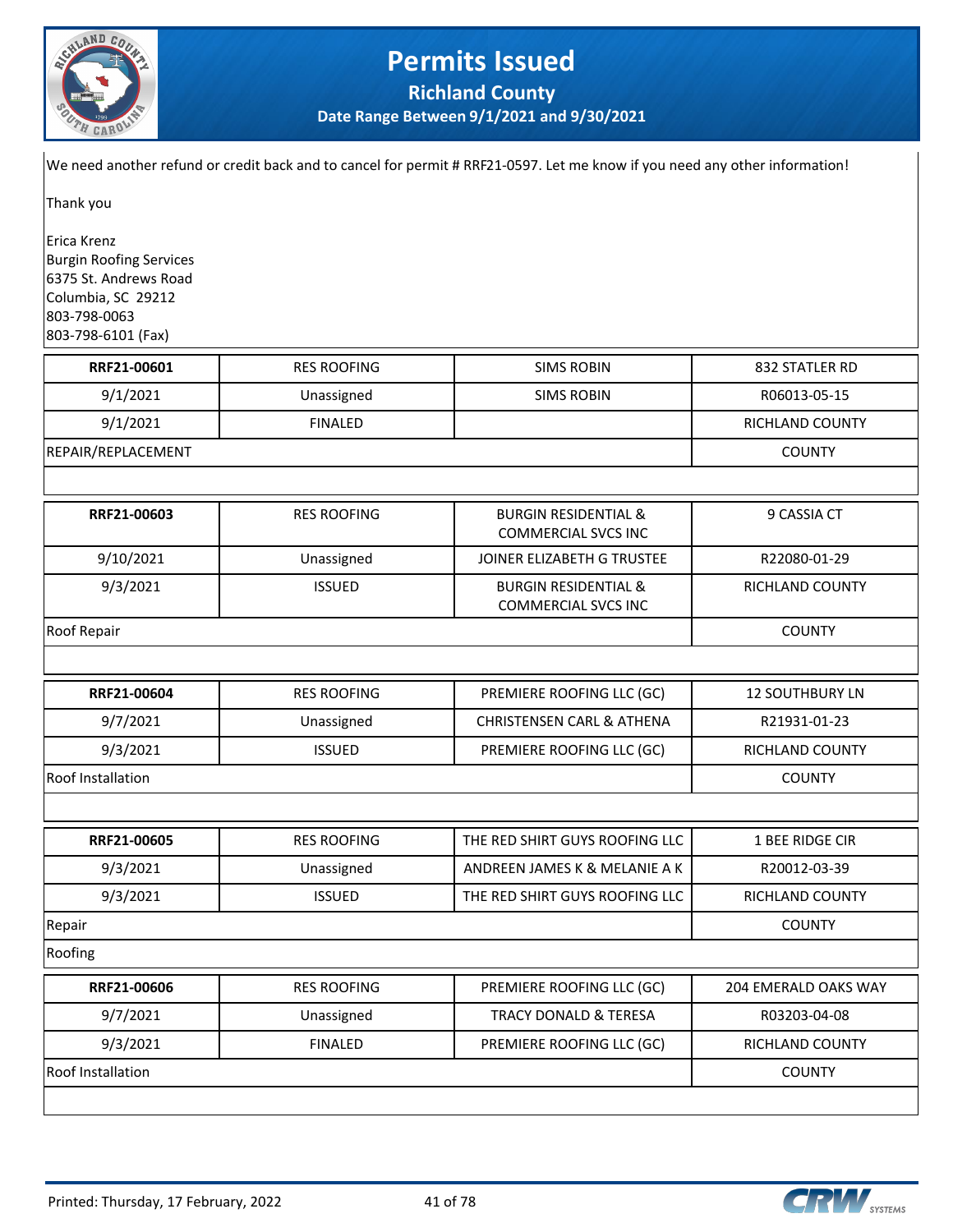

**Richland County**

**Date Range Between 9/1/2021 and 9/30/2021**

We need another refund or credit back and to cancel for permit # RRF21-0597. Let me know if you need any other information!

Thank you

Erica Krenz Burgin Roofing Services 6375 St. Andrews Road Columbia, SC 29212 803-798-0063 803-798-6101 (Fax)

| RRF21-00601              | <b>RES ROOFING</b> | <b>SIMS ROBIN</b>                                             | 832 STATLER RD              |
|--------------------------|--------------------|---------------------------------------------------------------|-----------------------------|
| 9/1/2021                 | Unassigned         | <b>SIMS ROBIN</b>                                             | R06013-05-15                |
| 9/1/2021                 | <b>FINALED</b>     |                                                               | RICHLAND COUNTY             |
| REPAIR/REPLACEMENT       |                    |                                                               | <b>COUNTY</b>               |
|                          |                    |                                                               |                             |
| RRF21-00603              | <b>RES ROOFING</b> | <b>BURGIN RESIDENTIAL &amp;</b><br><b>COMMERCIAL SVCS INC</b> | 9 CASSIA CT                 |
| 9/10/2021                | Unassigned         | JOINER ELIZABETH G TRUSTEE                                    | R22080-01-29                |
| 9/3/2021                 | <b>ISSUED</b>      | <b>BURGIN RESIDENTIAL &amp;</b><br><b>COMMERCIAL SVCS INC</b> | RICHLAND COUNTY             |
| Roof Repair              |                    |                                                               | <b>COUNTY</b>               |
|                          |                    |                                                               |                             |
| RRF21-00604              | <b>RES ROOFING</b> | PREMIERE ROOFING LLC (GC)                                     | <b>12 SOUTHBURY LN</b>      |
| 9/7/2021                 | Unassigned         | <b>CHRISTENSEN CARL &amp; ATHENA</b>                          | R21931-01-23                |
| 9/3/2021                 | <b>ISSUED</b>      | PREMIERE ROOFING LLC (GC)                                     | RICHLAND COUNTY             |
| <b>Roof Installation</b> |                    |                                                               | <b>COUNTY</b>               |
|                          |                    |                                                               |                             |
| RRF21-00605              | <b>RES ROOFING</b> | THE RED SHIRT GUYS ROOFING LLC                                | 1 BEE RIDGE CIR             |
| 9/3/2021                 | Unassigned         | ANDREEN JAMES K & MELANIE A K                                 | R20012-03-39                |
| 9/3/2021                 | <b>ISSUED</b>      | THE RED SHIRT GUYS ROOFING LLC                                | RICHLAND COUNTY             |
| Repair                   |                    |                                                               | <b>COUNTY</b>               |
| Roofing                  |                    |                                                               |                             |
| RRF21-00606              | <b>RES ROOFING</b> | PREMIERE ROOFING LLC (GC)                                     | <b>204 EMERALD OAKS WAY</b> |
| 9/7/2021                 | Unassigned         | <b>TRACY DONALD &amp; TERESA</b>                              | R03203-04-08                |
| 9/3/2021                 | <b>FINALED</b>     | PREMIERE ROOFING LLC (GC)                                     | RICHLAND COUNTY             |
| <b>Roof Installation</b> |                    |                                                               | <b>COUNTY</b>               |
|                          |                    |                                                               |                             |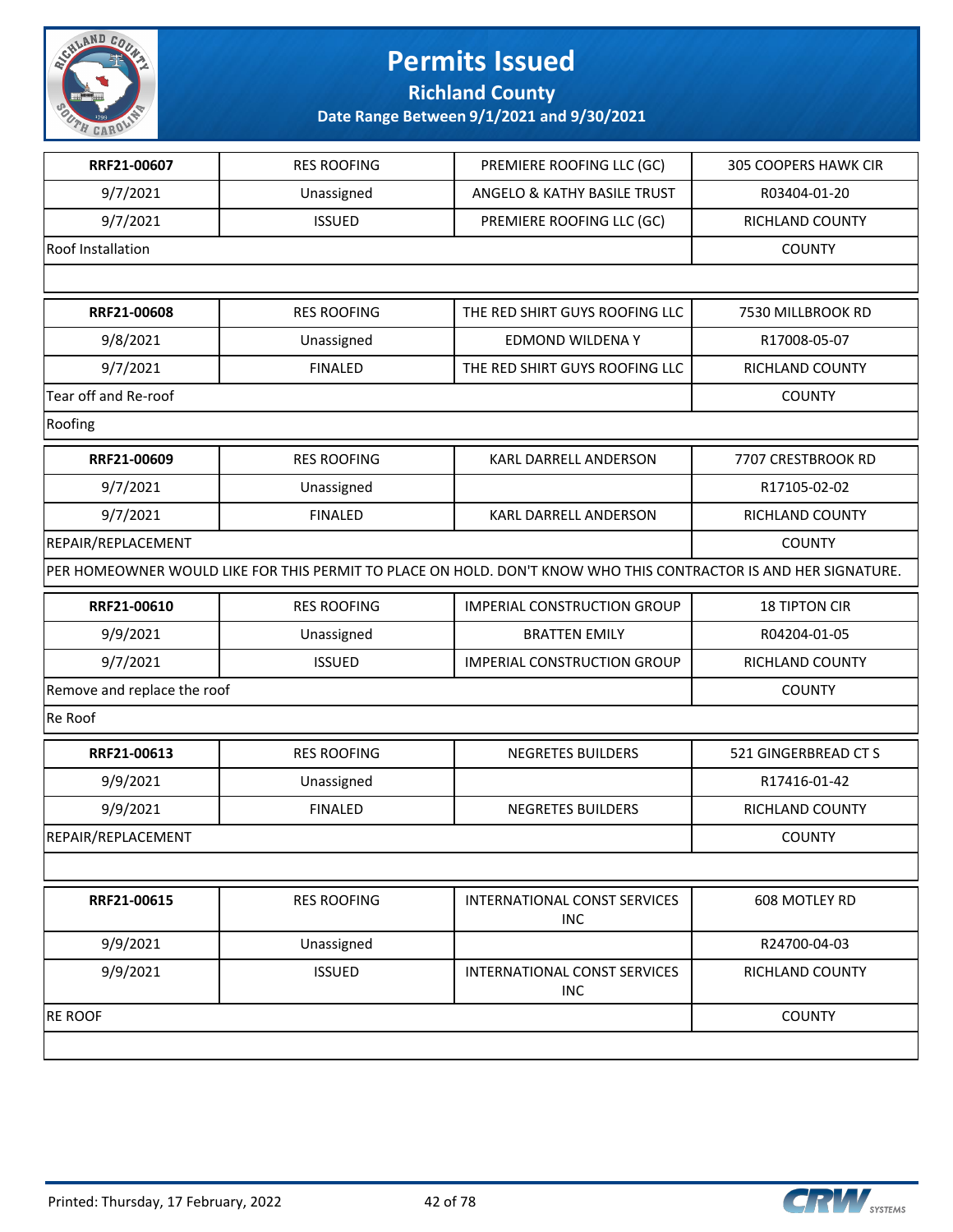

**Richland County**

| RRF21-00607<br><b>RES ROOFING</b><br>PREMIERE ROOFING LLC (GC)<br>9/7/2021<br>ANGELO & KATHY BASILE TRUST<br>Unassigned<br>9/7/2021<br><b>ISSUED</b><br>PREMIERE ROOFING LLC (GC)<br>Roof Installation<br>RRF21-00608<br><b>RES ROOFING</b><br>THE RED SHIRT GUYS ROOFING LLC<br>9/8/2021<br>EDMOND WILDENAY<br>Unassigned<br>9/7/2021<br><b>FINALED</b><br>THE RED SHIRT GUYS ROOFING LLC<br>Tear off and Re-roof<br>Roofing<br>RRF21-00609<br><b>RES ROOFING</b><br>KARL DARRELL ANDERSON<br>9/7/2021<br>Unassigned<br>9/7/2021<br><b>FINALED</b><br>KARL DARRELL ANDERSON<br>REPAIR/REPLACEMENT<br>PER HOMEOWNER WOULD LIKE FOR THIS PERMIT TO PLACE ON HOLD. DON'T KNOW WHO THIS CONTRACTOR IS AND HER SIGNATURE.<br>RRF21-00610<br><b>RES ROOFING</b><br><b>IMPERIAL CONSTRUCTION GROUP</b><br>9/9/2021<br><b>BRATTEN EMILY</b><br>Unassigned<br>9/7/2021<br><b>ISSUED</b><br><b>IMPERIAL CONSTRUCTION GROUP</b><br>Remove and replace the roof<br>Re Roof<br>RRF21-00613<br><b>RES ROOFING</b><br>NEGRETES BUILDERS<br>9/9/2021<br>Unassigned<br>9/9/2021<br><b>FINALED</b><br><b>NEGRETES BUILDERS</b><br>RRF21-00615<br><b>RES ROOFING</b><br><b>INTERNATIONAL CONST SERVICES</b><br><b>INC</b> |  |                             |
|---------------------------------------------------------------------------------------------------------------------------------------------------------------------------------------------------------------------------------------------------------------------------------------------------------------------------------------------------------------------------------------------------------------------------------------------------------------------------------------------------------------------------------------------------------------------------------------------------------------------------------------------------------------------------------------------------------------------------------------------------------------------------------------------------------------------------------------------------------------------------------------------------------------------------------------------------------------------------------------------------------------------------------------------------------------------------------------------------------------------------------------------------------------------------------------------------------|--|-----------------------------|
| REPAIR/REPLACEMENT                                                                                                                                                                                                                                                                                                                                                                                                                                                                                                                                                                                                                                                                                                                                                                                                                                                                                                                                                                                                                                                                                                                                                                                      |  | <b>305 COOPERS HAWK CIR</b> |
|                                                                                                                                                                                                                                                                                                                                                                                                                                                                                                                                                                                                                                                                                                                                                                                                                                                                                                                                                                                                                                                                                                                                                                                                         |  | R03404-01-20                |
|                                                                                                                                                                                                                                                                                                                                                                                                                                                                                                                                                                                                                                                                                                                                                                                                                                                                                                                                                                                                                                                                                                                                                                                                         |  | RICHLAND COUNTY             |
|                                                                                                                                                                                                                                                                                                                                                                                                                                                                                                                                                                                                                                                                                                                                                                                                                                                                                                                                                                                                                                                                                                                                                                                                         |  | <b>COUNTY</b>               |
|                                                                                                                                                                                                                                                                                                                                                                                                                                                                                                                                                                                                                                                                                                                                                                                                                                                                                                                                                                                                                                                                                                                                                                                                         |  |                             |
|                                                                                                                                                                                                                                                                                                                                                                                                                                                                                                                                                                                                                                                                                                                                                                                                                                                                                                                                                                                                                                                                                                                                                                                                         |  | 7530 MILLBROOK RD           |
|                                                                                                                                                                                                                                                                                                                                                                                                                                                                                                                                                                                                                                                                                                                                                                                                                                                                                                                                                                                                                                                                                                                                                                                                         |  | R17008-05-07                |
|                                                                                                                                                                                                                                                                                                                                                                                                                                                                                                                                                                                                                                                                                                                                                                                                                                                                                                                                                                                                                                                                                                                                                                                                         |  | RICHLAND COUNTY             |
|                                                                                                                                                                                                                                                                                                                                                                                                                                                                                                                                                                                                                                                                                                                                                                                                                                                                                                                                                                                                                                                                                                                                                                                                         |  | <b>COUNTY</b>               |
|                                                                                                                                                                                                                                                                                                                                                                                                                                                                                                                                                                                                                                                                                                                                                                                                                                                                                                                                                                                                                                                                                                                                                                                                         |  |                             |
|                                                                                                                                                                                                                                                                                                                                                                                                                                                                                                                                                                                                                                                                                                                                                                                                                                                                                                                                                                                                                                                                                                                                                                                                         |  | 7707 CRESTBROOK RD          |
|                                                                                                                                                                                                                                                                                                                                                                                                                                                                                                                                                                                                                                                                                                                                                                                                                                                                                                                                                                                                                                                                                                                                                                                                         |  | R17105-02-02                |
|                                                                                                                                                                                                                                                                                                                                                                                                                                                                                                                                                                                                                                                                                                                                                                                                                                                                                                                                                                                                                                                                                                                                                                                                         |  | RICHLAND COUNTY             |
|                                                                                                                                                                                                                                                                                                                                                                                                                                                                                                                                                                                                                                                                                                                                                                                                                                                                                                                                                                                                                                                                                                                                                                                                         |  | <b>COUNTY</b>               |
|                                                                                                                                                                                                                                                                                                                                                                                                                                                                                                                                                                                                                                                                                                                                                                                                                                                                                                                                                                                                                                                                                                                                                                                                         |  |                             |
|                                                                                                                                                                                                                                                                                                                                                                                                                                                                                                                                                                                                                                                                                                                                                                                                                                                                                                                                                                                                                                                                                                                                                                                                         |  | <b>18 TIPTON CIR</b>        |
|                                                                                                                                                                                                                                                                                                                                                                                                                                                                                                                                                                                                                                                                                                                                                                                                                                                                                                                                                                                                                                                                                                                                                                                                         |  | R04204-01-05                |
|                                                                                                                                                                                                                                                                                                                                                                                                                                                                                                                                                                                                                                                                                                                                                                                                                                                                                                                                                                                                                                                                                                                                                                                                         |  | RICHLAND COUNTY             |
|                                                                                                                                                                                                                                                                                                                                                                                                                                                                                                                                                                                                                                                                                                                                                                                                                                                                                                                                                                                                                                                                                                                                                                                                         |  | <b>COUNTY</b>               |
|                                                                                                                                                                                                                                                                                                                                                                                                                                                                                                                                                                                                                                                                                                                                                                                                                                                                                                                                                                                                                                                                                                                                                                                                         |  |                             |
|                                                                                                                                                                                                                                                                                                                                                                                                                                                                                                                                                                                                                                                                                                                                                                                                                                                                                                                                                                                                                                                                                                                                                                                                         |  | 521 GINGERBREAD CT S        |
|                                                                                                                                                                                                                                                                                                                                                                                                                                                                                                                                                                                                                                                                                                                                                                                                                                                                                                                                                                                                                                                                                                                                                                                                         |  | R17416-01-42                |
|                                                                                                                                                                                                                                                                                                                                                                                                                                                                                                                                                                                                                                                                                                                                                                                                                                                                                                                                                                                                                                                                                                                                                                                                         |  | RICHLAND COUNTY             |
|                                                                                                                                                                                                                                                                                                                                                                                                                                                                                                                                                                                                                                                                                                                                                                                                                                                                                                                                                                                                                                                                                                                                                                                                         |  | <b>COUNTY</b>               |
|                                                                                                                                                                                                                                                                                                                                                                                                                                                                                                                                                                                                                                                                                                                                                                                                                                                                                                                                                                                                                                                                                                                                                                                                         |  |                             |
|                                                                                                                                                                                                                                                                                                                                                                                                                                                                                                                                                                                                                                                                                                                                                                                                                                                                                                                                                                                                                                                                                                                                                                                                         |  | 608 MOTLEY RD               |
| 9/9/2021<br>Unassigned                                                                                                                                                                                                                                                                                                                                                                                                                                                                                                                                                                                                                                                                                                                                                                                                                                                                                                                                                                                                                                                                                                                                                                                  |  | R24700-04-03                |
| 9/9/2021<br><b>ISSUED</b><br>INTERNATIONAL CONST SERVICES<br><b>INC</b>                                                                                                                                                                                                                                                                                                                                                                                                                                                                                                                                                                                                                                                                                                                                                                                                                                                                                                                                                                                                                                                                                                                                 |  | RICHLAND COUNTY             |
| <b>RE ROOF</b>                                                                                                                                                                                                                                                                                                                                                                                                                                                                                                                                                                                                                                                                                                                                                                                                                                                                                                                                                                                                                                                                                                                                                                                          |  | <b>COUNTY</b>               |

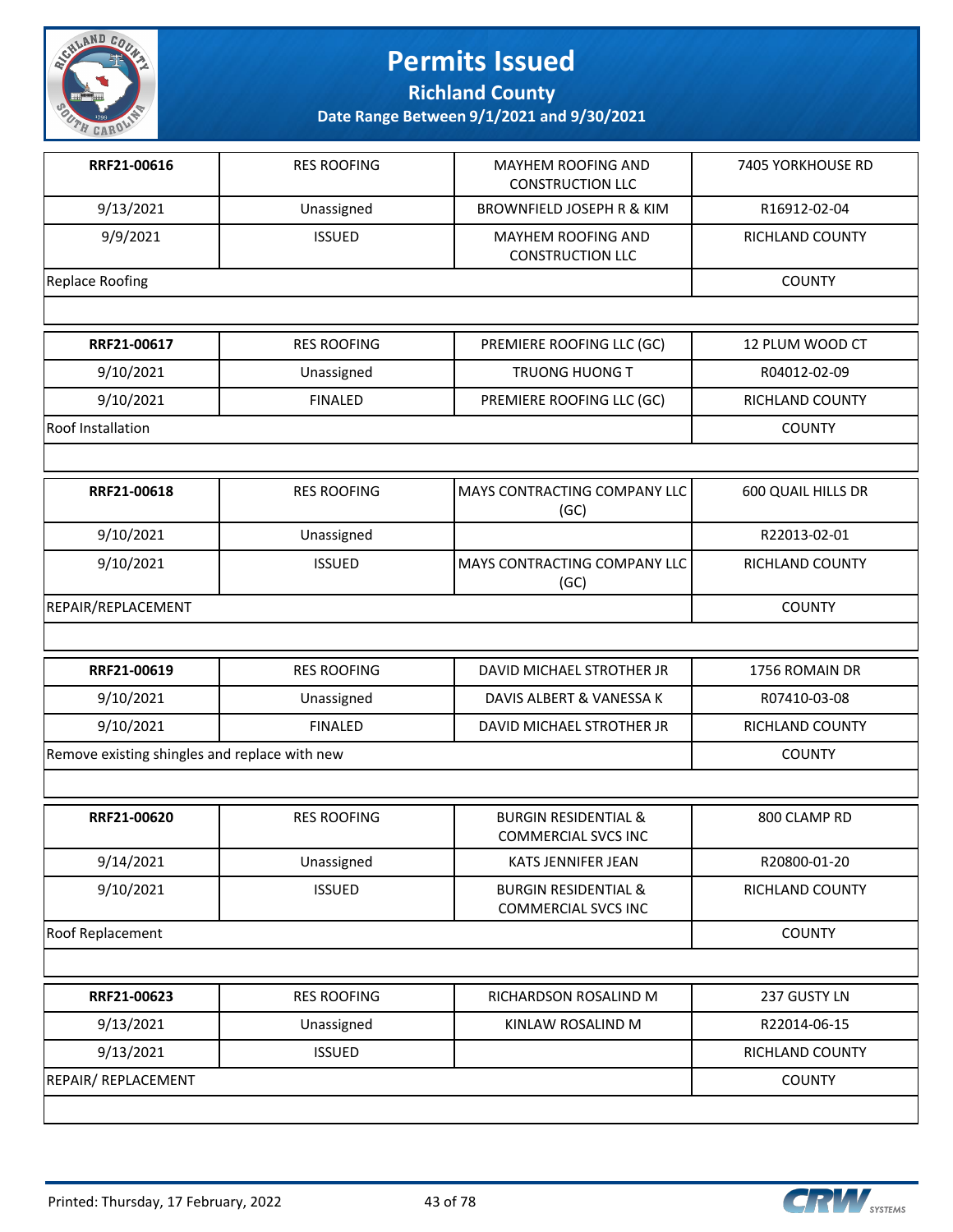

**Richland County**

| RRF21-00616                                   | <b>RES ROOFING</b> | MAYHEM ROOFING AND<br><b>CONSTRUCTION LLC</b>                 | <b>7405 YORKHOUSE RD</b> |
|-----------------------------------------------|--------------------|---------------------------------------------------------------|--------------------------|
| 9/13/2021                                     | Unassigned         | <b>BROWNFIELD JOSEPH R &amp; KIM</b>                          | R16912-02-04             |
| 9/9/2021                                      | <b>ISSUED</b>      | MAYHEM ROOFING AND<br><b>CONSTRUCTION LLC</b>                 | RICHLAND COUNTY          |
| <b>Replace Roofing</b>                        |                    |                                                               | <b>COUNTY</b>            |
|                                               |                    |                                                               |                          |
| RRF21-00617                                   | <b>RES ROOFING</b> | PREMIERE ROOFING LLC (GC)                                     | 12 PLUM WOOD CT          |
| 9/10/2021                                     | Unassigned         | TRUONG HUONG T                                                | R04012-02-09             |
| 9/10/2021                                     | <b>FINALED</b>     | PREMIERE ROOFING LLC (GC)                                     | RICHLAND COUNTY          |
| Roof Installation                             |                    |                                                               | <b>COUNTY</b>            |
|                                               |                    |                                                               |                          |
| RRF21-00618                                   | <b>RES ROOFING</b> | MAYS CONTRACTING COMPANY LLC<br>(GC)                          | 600 QUAIL HILLS DR       |
| 9/10/2021                                     | Unassigned         |                                                               | R22013-02-01             |
| 9/10/2021                                     | <b>ISSUED</b>      | MAYS CONTRACTING COMPANY LLC<br>(GC)                          | RICHLAND COUNTY          |
| REPAIR/REPLACEMENT                            |                    |                                                               | <b>COUNTY</b>            |
|                                               |                    |                                                               |                          |
| RRF21-00619                                   | <b>RES ROOFING</b> | DAVID MICHAEL STROTHER JR                                     | 1756 ROMAIN DR           |
| 9/10/2021                                     | Unassigned         | DAVIS ALBERT & VANESSA K                                      | R07410-03-08             |
| 9/10/2021                                     | <b>FINALED</b>     | DAVID MICHAEL STROTHER JR                                     | RICHLAND COUNTY          |
| Remove existing shingles and replace with new |                    |                                                               | <b>COUNTY</b>            |
|                                               |                    |                                                               |                          |
| RRF21-00620                                   | <b>RES ROOFING</b> | <b>BURGIN RESIDENTIAL &amp;</b><br><b>COMMERCIAL SVCS INC</b> | 800 CLAMP RD             |
| 9/14/2021                                     | Unassigned         | KATS JENNIFER JEAN                                            | R20800-01-20             |
| 9/10/2021                                     | <b>ISSUED</b>      | <b>BURGIN RESIDENTIAL &amp;</b><br>COMMERCIAL SVCS INC        | RICHLAND COUNTY          |
| <b>Roof Replacement</b>                       |                    |                                                               | <b>COUNTY</b>            |
|                                               |                    |                                                               |                          |
| RRF21-00623                                   | <b>RES ROOFING</b> | RICHARDSON ROSALIND M                                         | 237 GUSTY LN             |
| 9/13/2021                                     | Unassigned         | KINLAW ROSALIND M                                             | R22014-06-15             |
| 9/13/2021                                     | <b>ISSUED</b>      |                                                               | RICHLAND COUNTY          |
| REPAIR/ REPLACEMENT                           |                    |                                                               | <b>COUNTY</b>            |
|                                               |                    |                                                               |                          |

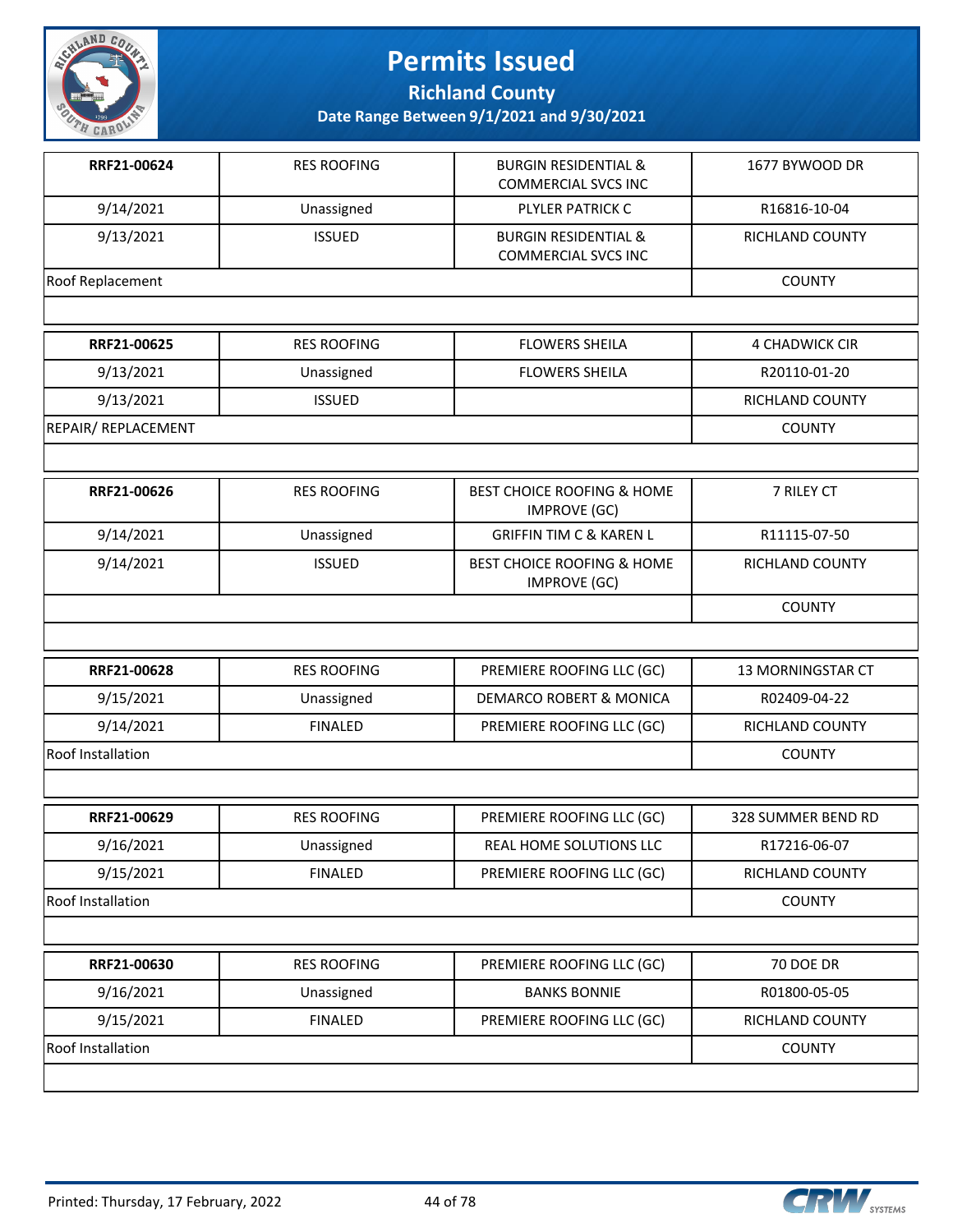

**Richland County**

| RRF21-00624                | <b>RES ROOFING</b> | <b>BURGIN RESIDENTIAL &amp;</b><br><b>COMMERCIAL SVCS INC</b> | 1677 BYWOOD DR        |
|----------------------------|--------------------|---------------------------------------------------------------|-----------------------|
| 9/14/2021                  | Unassigned         | PLYLER PATRICK C                                              | R16816-10-04          |
| 9/13/2021                  | <b>ISSUED</b>      | <b>BURGIN RESIDENTIAL &amp;</b><br><b>COMMERCIAL SVCS INC</b> | RICHLAND COUNTY       |
| <b>Roof Replacement</b>    |                    |                                                               | <b>COUNTY</b>         |
|                            |                    |                                                               |                       |
| RRF21-00625                | <b>RES ROOFING</b> | <b>FLOWERS SHEILA</b>                                         | <b>4 CHADWICK CIR</b> |
| 9/13/2021                  | Unassigned         | <b>FLOWERS SHEILA</b>                                         | R20110-01-20          |
| 9/13/2021                  | <b>ISSUED</b>      |                                                               | RICHLAND COUNTY       |
| <b>REPAIR/ REPLACEMENT</b> |                    |                                                               | <b>COUNTY</b>         |
|                            |                    |                                                               |                       |
| RRF21-00626                | <b>RES ROOFING</b> | <b>BEST CHOICE ROOFING &amp; HOME</b><br><b>IMPROVE (GC)</b>  | 7 RILEY CT            |
| 9/14/2021                  | Unassigned         | <b>GRIFFIN TIM C &amp; KAREN L</b>                            | R11115-07-50          |
| 9/14/2021                  | <b>ISSUED</b>      | BEST CHOICE ROOFING & HOME<br><b>IMPROVE (GC)</b>             | RICHLAND COUNTY       |
|                            |                    |                                                               | <b>COUNTY</b>         |
|                            |                    |                                                               |                       |
| RRF21-00628                | <b>RES ROOFING</b> | PREMIERE ROOFING LLC (GC)                                     | 13 MORNINGSTAR CT     |
| 9/15/2021                  | Unassigned         | DEMARCO ROBERT & MONICA                                       | R02409-04-22          |
| 9/14/2021                  | <b>FINALED</b>     | PREMIERE ROOFING LLC (GC)                                     | RICHLAND COUNTY       |
| <b>Roof Installation</b>   |                    |                                                               | <b>COUNTY</b>         |
|                            |                    |                                                               |                       |
| RRF21-00629                | <b>RES ROOFING</b> | PREMIERE ROOFING LLC (GC)                                     | 328 SUMMER BEND RD    |
| 9/16/2021                  | Unassigned         | REAL HOME SOLUTIONS LLC                                       | R17216-06-07          |
| 9/15/2021                  | <b>FINALED</b>     | PREMIERE ROOFING LLC (GC)                                     | RICHLAND COUNTY       |
| Roof Installation          |                    |                                                               | <b>COUNTY</b>         |
|                            |                    |                                                               |                       |
| RRF21-00630                | <b>RES ROOFING</b> | PREMIERE ROOFING LLC (GC)                                     | 70 DOE DR             |
| 9/16/2021                  | Unassigned         | <b>BANKS BONNIE</b>                                           | R01800-05-05          |
| 9/15/2021                  | <b>FINALED</b>     | PREMIERE ROOFING LLC (GC)                                     | RICHLAND COUNTY       |
| Roof Installation          |                    |                                                               | <b>COUNTY</b>         |
|                            |                    |                                                               |                       |

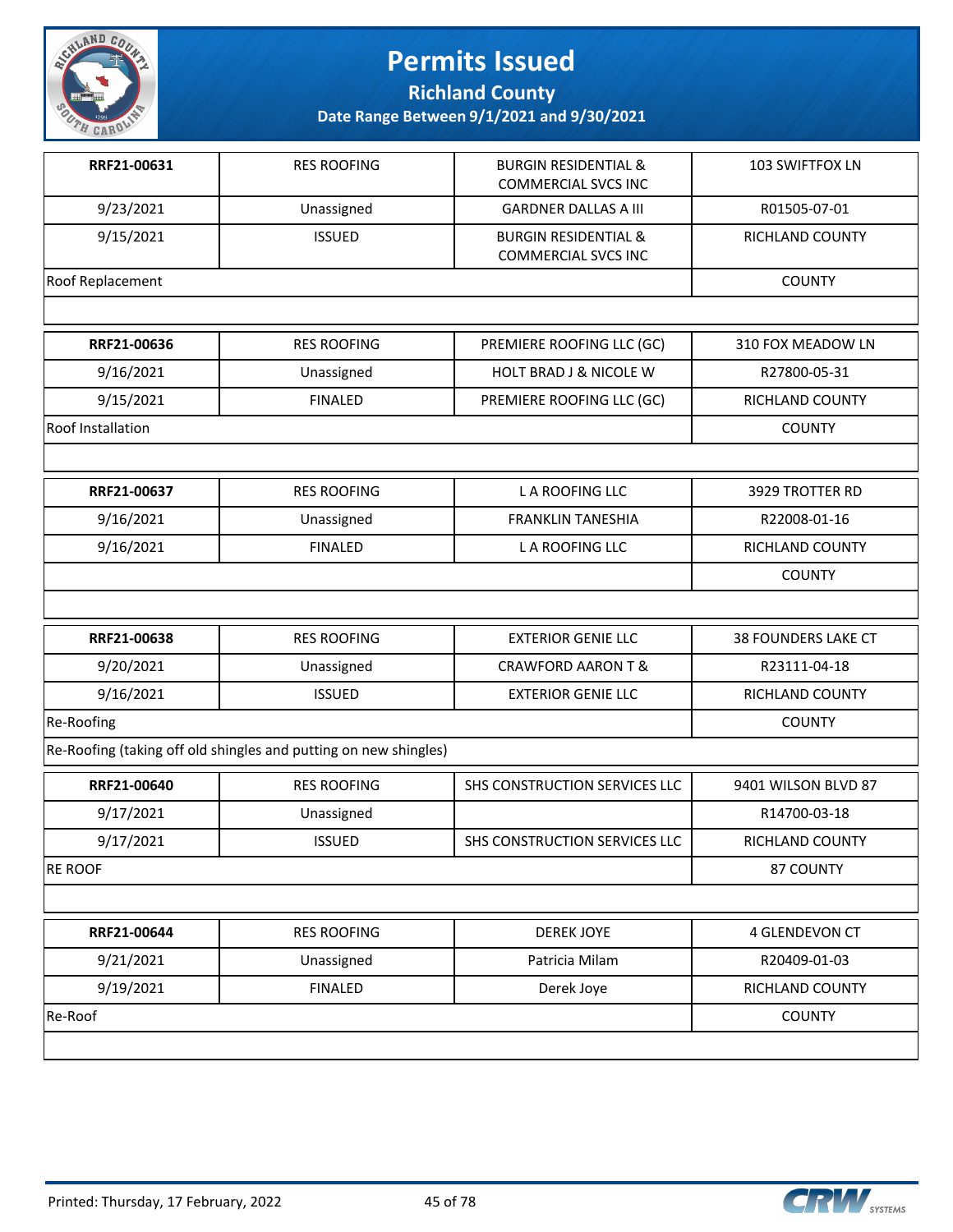

**Richland County**

| RRF21-00631       | <b>RES ROOFING</b>                                               | <b>BURGIN RESIDENTIAL &amp;</b><br><b>COMMERCIAL SVCS INC</b> | 103 SWIFTFOX LN        |
|-------------------|------------------------------------------------------------------|---------------------------------------------------------------|------------------------|
| 9/23/2021         | Unassigned                                                       | <b>GARDNER DALLAS A III</b>                                   | R01505-07-01           |
| 9/15/2021         | <b>ISSUED</b>                                                    | <b>BURGIN RESIDENTIAL &amp;</b><br><b>COMMERCIAL SVCS INC</b> | RICHLAND COUNTY        |
| Roof Replacement  |                                                                  |                                                               | <b>COUNTY</b>          |
|                   |                                                                  |                                                               |                        |
| RRF21-00636       | <b>RES ROOFING</b>                                               | PREMIERE ROOFING LLC (GC)                                     | 310 FOX MEADOW LN      |
| 9/16/2021         | Unassigned                                                       | <b>HOLT BRAD J &amp; NICOLE W</b>                             | R27800-05-31           |
| 9/15/2021         | <b>FINALED</b>                                                   | PREMIERE ROOFING LLC (GC)                                     | RICHLAND COUNTY        |
| Roof Installation |                                                                  |                                                               | <b>COUNTY</b>          |
|                   |                                                                  |                                                               |                        |
| RRF21-00637       | <b>RES ROOFING</b>                                               | <b>LA ROOFING LLC</b>                                         | 3929 TROTTER RD        |
| 9/16/2021         | Unassigned                                                       | <b>FRANKLIN TANESHIA</b>                                      | R22008-01-16           |
| 9/16/2021         | <b>FINALED</b>                                                   | L A ROOFING LLC                                               | <b>RICHLAND COUNTY</b> |
|                   |                                                                  |                                                               | <b>COUNTY</b>          |
|                   |                                                                  |                                                               |                        |
| RRF21-00638       | <b>RES ROOFING</b>                                               | <b>EXTERIOR GENIE LLC</b>                                     | 38 FOUNDERS LAKE CT    |
| 9/20/2021         | Unassigned                                                       | <b>CRAWFORD AARON T &amp;</b>                                 | R23111-04-18           |
| 9/16/2021         | <b>ISSUED</b>                                                    | <b>EXTERIOR GENIE LLC</b>                                     | RICHLAND COUNTY        |
| Re-Roofing        |                                                                  |                                                               | <b>COUNTY</b>          |
|                   | Re-Roofing (taking off old shingles and putting on new shingles) |                                                               |                        |
| RRF21-00640       | <b>RES ROOFING</b>                                               | SHS CONSTRUCTION SERVICES LLC                                 | 9401 WILSON BLVD 87    |
| 9/17/2021         | Unassigned                                                       |                                                               | R14700-03-18           |
| 9/17/2021         | <b>ISSUED</b>                                                    | SHS CONSTRUCTION SERVICES LLC                                 | RICHLAND COUNTY        |
| <b>RE ROOF</b>    |                                                                  |                                                               | 87 COUNTY              |
|                   |                                                                  |                                                               |                        |
| RRF21-00644       | <b>RES ROOFING</b>                                               | <b>DEREK JOYE</b>                                             | 4 GLENDEVON CT         |
| 9/21/2021         | Unassigned                                                       | Patricia Milam                                                | R20409-01-03           |
| 9/19/2021         | <b>FINALED</b>                                                   | Derek Joye                                                    | RICHLAND COUNTY        |
| Re-Roof           |                                                                  |                                                               | <b>COUNTY</b>          |
|                   |                                                                  |                                                               |                        |

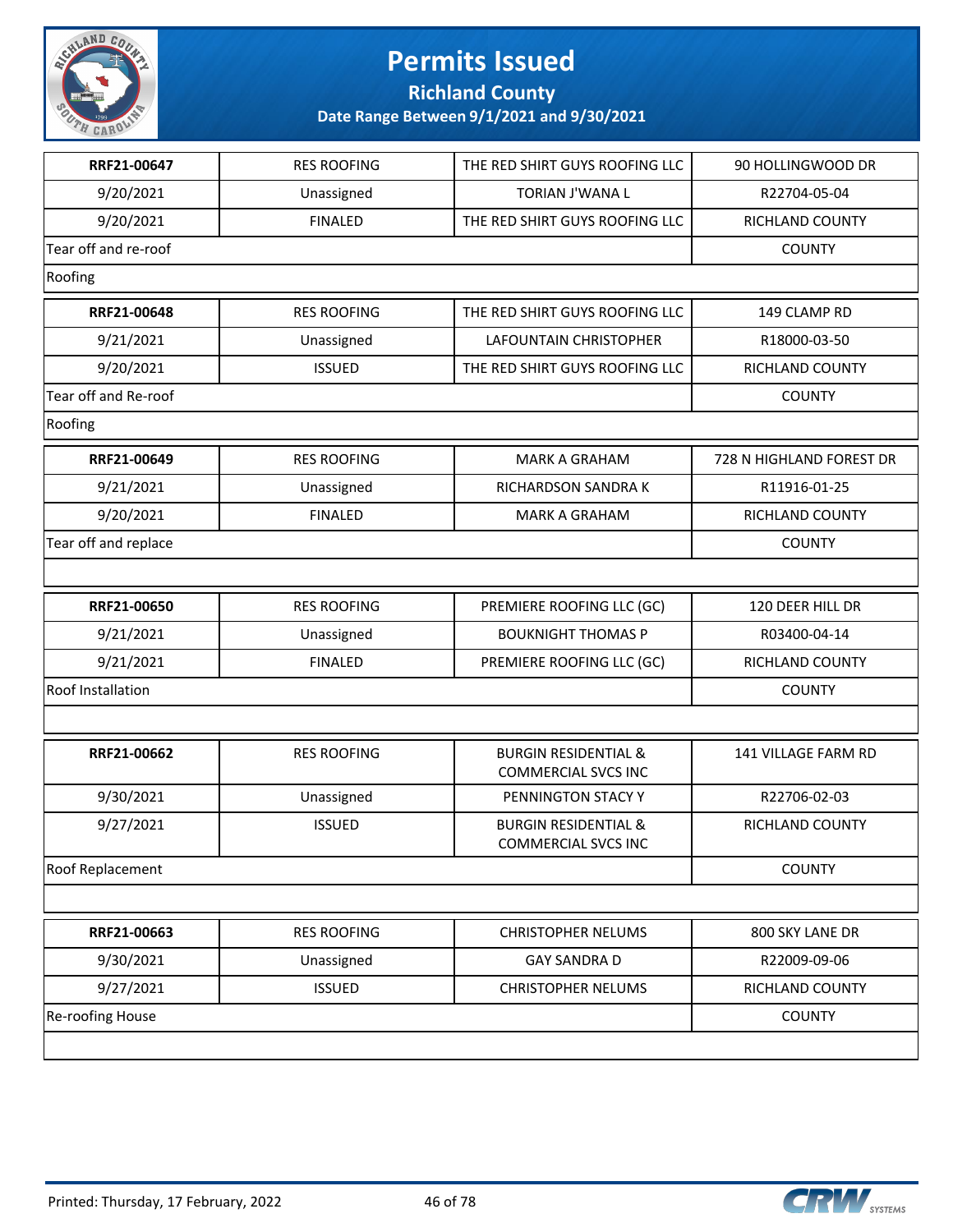

**Richland County**

| RRF21-00647             | <b>RES ROOFING</b> | THE RED SHIRT GUYS ROOFING LLC                                | 90 HOLLINGWOOD DR          |
|-------------------------|--------------------|---------------------------------------------------------------|----------------------------|
| 9/20/2021               | Unassigned         | TORIAN J'WANA L                                               | R22704-05-04               |
| 9/20/2021               | <b>FINALED</b>     | THE RED SHIRT GUYS ROOFING LLC                                | RICHLAND COUNTY            |
| Tear off and re-roof    |                    |                                                               | <b>COUNTY</b>              |
| Roofing                 |                    |                                                               |                            |
| RRF21-00648             | <b>RES ROOFING</b> | THE RED SHIRT GUYS ROOFING LLC                                | 149 CLAMP RD               |
| 9/21/2021               | Unassigned         | <b>LAFOUNTAIN CHRISTOPHER</b>                                 | R18000-03-50               |
| 9/20/2021               | <b>ISSUED</b>      | THE RED SHIRT GUYS ROOFING LLC                                | RICHLAND COUNTY            |
| Tear off and Re-roof    |                    |                                                               | <b>COUNTY</b>              |
| Roofing                 |                    |                                                               |                            |
| RRF21-00649             | <b>RES ROOFING</b> | <b>MARK A GRAHAM</b>                                          | 728 N HIGHLAND FOREST DR   |
| 9/21/2021               | Unassigned         | <b>RICHARDSON SANDRAK</b>                                     | R11916-01-25               |
| 9/20/2021               | <b>FINALED</b>     | <b>MARK A GRAHAM</b>                                          | RICHLAND COUNTY            |
| Tear off and replace    |                    |                                                               | <b>COUNTY</b>              |
|                         |                    |                                                               |                            |
| RRF21-00650             | <b>RES ROOFING</b> | PREMIERE ROOFING LLC (GC)                                     | 120 DEER HILL DR           |
| 9/21/2021               | Unassigned         | <b>BOUKNIGHT THOMAS P</b>                                     | R03400-04-14               |
| 9/21/2021               | <b>FINALED</b>     | PREMIERE ROOFING LLC (GC)                                     | RICHLAND COUNTY            |
| Roof Installation       |                    |                                                               | <b>COUNTY</b>              |
|                         |                    |                                                               |                            |
| RRF21-00662             | <b>RES ROOFING</b> | <b>BURGIN RESIDENTIAL &amp;</b><br><b>COMMERCIAL SVCS INC</b> | <b>141 VILLAGE FARM RD</b> |
| 9/30/2021               | Unassigned         | PENNINGTON STACY Y                                            | R22706-02-03               |
| 9/27/2021               | <b>ISSUED</b>      | <b>BURGIN RESIDENTIAL &amp;</b><br>COMMERCIAL SVCS INC        | RICHLAND COUNTY            |
| Roof Replacement        |                    |                                                               | <b>COUNTY</b>              |
|                         |                    |                                                               |                            |
| RRF21-00663             | <b>RES ROOFING</b> | <b>CHRISTOPHER NELUMS</b>                                     | 800 SKY LANE DR            |
| 9/30/2021               | Unassigned         | <b>GAY SANDRA D</b>                                           | R22009-09-06               |
| 9/27/2021               | <b>ISSUED</b>      | <b>CHRISTOPHER NELUMS</b>                                     | RICHLAND COUNTY            |
| <b>Re-roofing House</b> |                    |                                                               | <b>COUNTY</b>              |
|                         |                    |                                                               |                            |

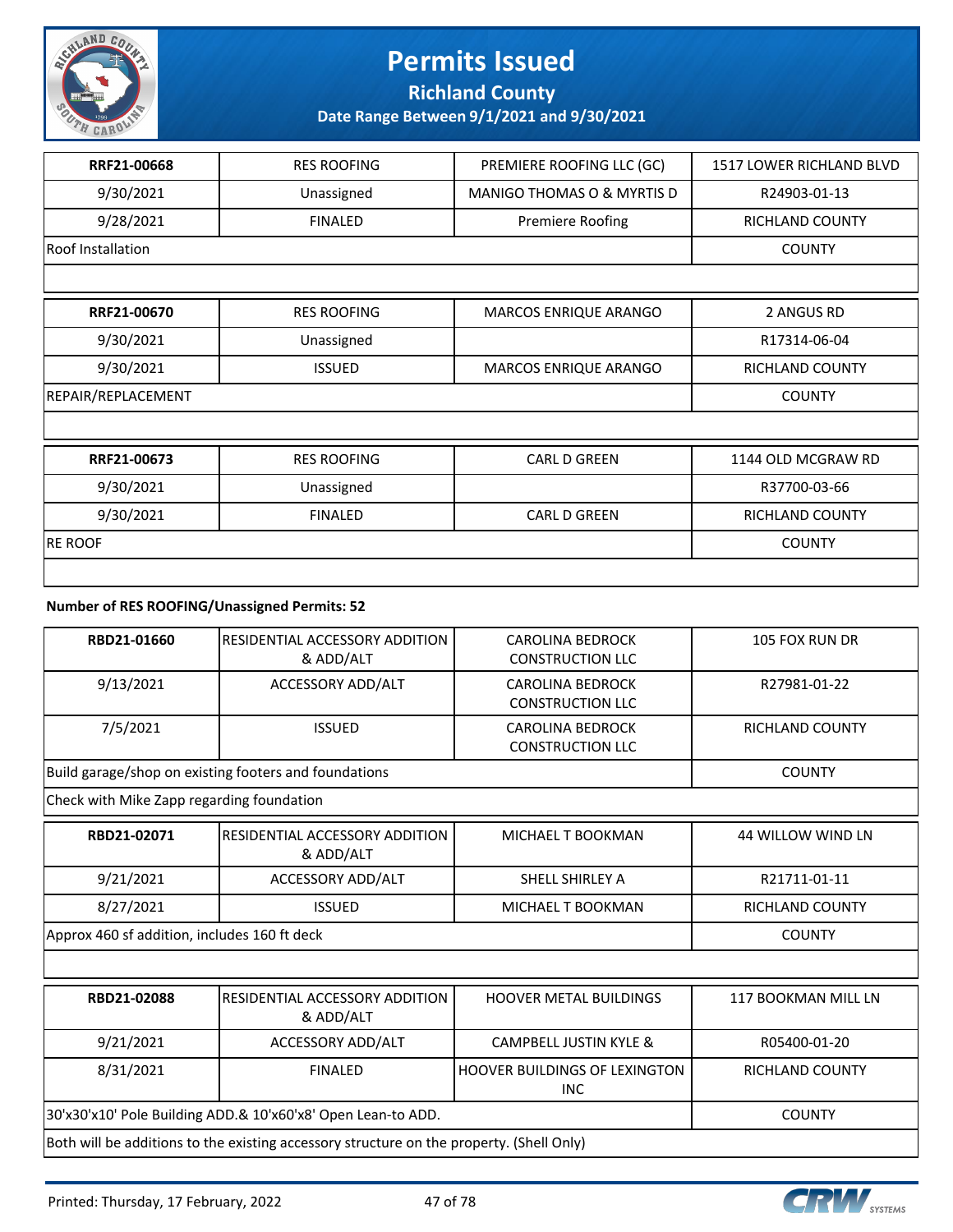

### **Richland County**

**Date Range Between 9/1/2021 and 9/30/2021**

| RRF21-00668        | <b>RES ROOFING</b> | PREMIERE ROOFING LLC (GC)             | 1517 LOWER RICHLAND BLVD |
|--------------------|--------------------|---------------------------------------|--------------------------|
| 9/30/2021          | Unassigned         | <b>MANIGO THOMAS O &amp; MYRTIS D</b> | R24903-01-13             |
| 9/28/2021          | <b>FINALED</b>     | Premiere Roofing                      | RICHLAND COUNTY          |
| Roof Installation  |                    |                                       | <b>COUNTY</b>            |
|                    |                    |                                       |                          |
| RRF21-00670        | <b>RES ROOFING</b> | MARCOS ENRIQUE ARANGO                 | 2 ANGUS RD               |
| 9/30/2021          | Unassigned         |                                       | R17314-06-04             |
| 9/30/2021          | <b>ISSUED</b>      | MARCOS ENRIQUE ARANGO                 | <b>RICHLAND COUNTY</b>   |
| REPAIR/REPLACEMENT | <b>COUNTY</b>      |                                       |                          |
|                    |                    |                                       |                          |
| RRF21-00673        | <b>RES ROOFING</b> | <b>CARL D GREEN</b>                   | 1144 OLD MCGRAW RD       |
| 9/30/2021          | Unassigned         |                                       | R37700-03-66             |
| 9/30/2021          | <b>FINALED</b>     | <b>CARL D GREEN</b>                   | <b>RICHLAND COUNTY</b>   |
| <b>RE ROOF</b>     |                    |                                       | <b>COUNTY</b>            |
|                    |                    |                                       |                          |

#### **Number of RES ROOFING/Unassigned Permits: 52**

| RBD21-01660                                  | RESIDENTIAL ACCESSORY ADDITION<br>& ADD/ALT                                              | <b>CAROLINA BEDROCK</b><br><b>CONSTRUCTION LLC</b> | 105 FOX RUN DR           |  |
|----------------------------------------------|------------------------------------------------------------------------------------------|----------------------------------------------------|--------------------------|--|
| 9/13/2021                                    | ACCESSORY ADD/ALT                                                                        | <b>CAROLINA BEDROCK</b><br><b>CONSTRUCTION LLC</b> | R27981-01-22             |  |
| 7/5/2021                                     | <b>ISSUED</b>                                                                            | <b>CAROLINA BEDROCK</b><br><b>CONSTRUCTION LLC</b> | <b>RICHLAND COUNTY</b>   |  |
|                                              | Build garage/shop on existing footers and foundations                                    |                                                    | <b>COUNTY</b>            |  |
| Check with Mike Zapp regarding foundation    |                                                                                          |                                                    |                          |  |
| RBD21-02071                                  | RESIDENTIAL ACCESSORY ADDITION<br>& ADD/ALT                                              | MICHAEL T BOOKMAN                                  | <b>44 WILLOW WIND LN</b> |  |
| 9/21/2021                                    | ACCESSORY ADD/ALT                                                                        | SHELL SHIRLEY A                                    | R21711-01-11             |  |
| 8/27/2021                                    | <b>ISSUED</b>                                                                            | MICHAEL T BOOKMAN                                  | <b>RICHLAND COUNTY</b>   |  |
| Approx 460 sf addition, includes 160 ft deck | <b>COUNTY</b>                                                                            |                                                    |                          |  |
|                                              |                                                                                          |                                                    |                          |  |
| RBD21-02088                                  | RESIDENTIAL ACCESSORY ADDITION<br>& ADD/ALT                                              | <b>HOOVER METAL BUILDINGS</b>                      | 117 BOOKMAN MILL LN      |  |
| 9/21/2021                                    | ACCESSORY ADD/ALT                                                                        | <b>CAMPBELL JUSTIN KYLE &amp;</b>                  | R05400-01-20             |  |
| 8/31/2021                                    | <b>FINALED</b>                                                                           | <b>HOOVER BUILDINGS OF LEXINGTON</b><br><b>INC</b> | <b>RICHLAND COUNTY</b>   |  |
|                                              | 30'x30'x10' Pole Building ADD.& 10'x60'x8' Open Lean-to ADD.                             |                                                    |                          |  |
|                                              | Both will be additions to the existing accessory structure on the property. (Shell Only) |                                                    |                          |  |

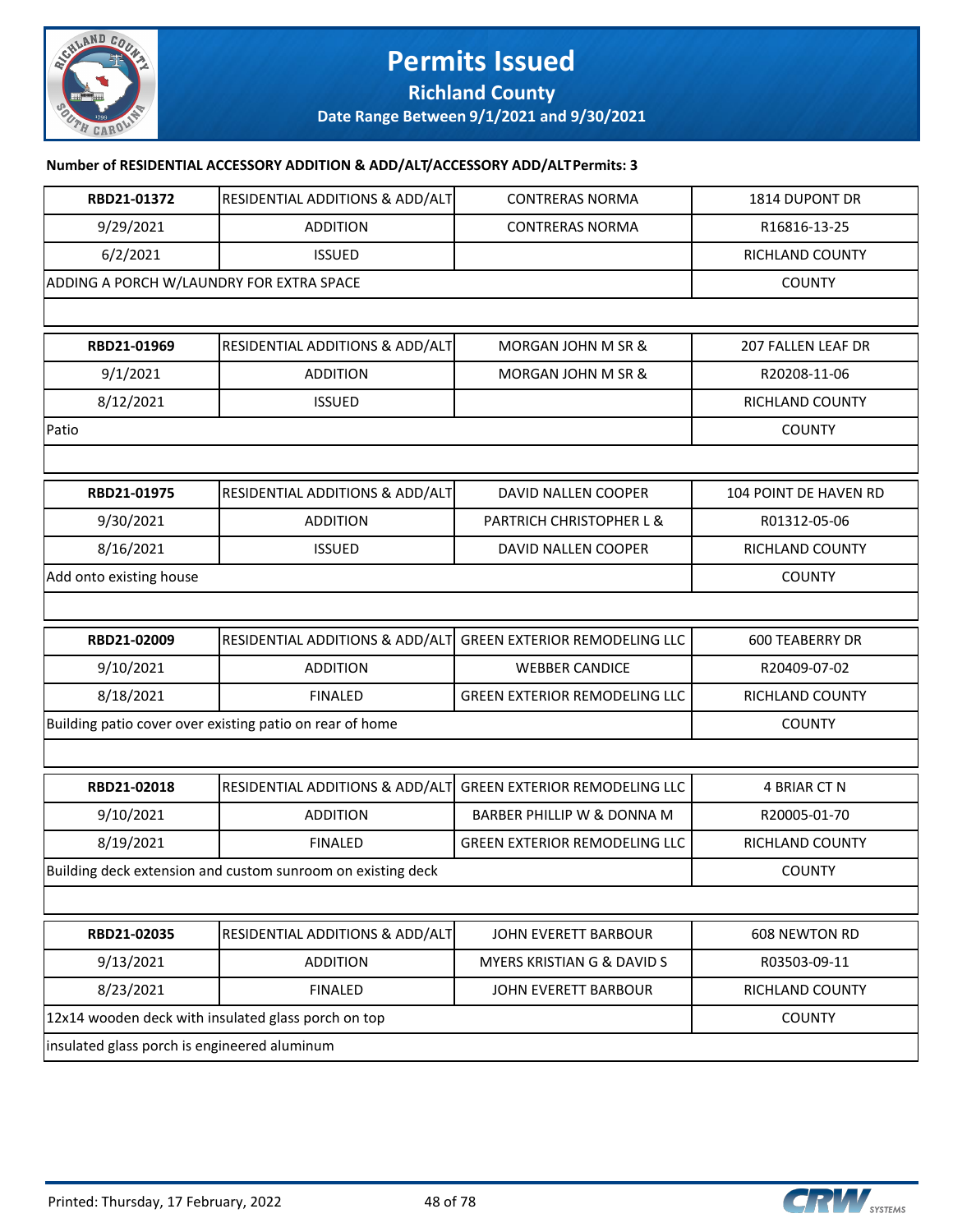

### **Permits Issued Richland County**

**Date Range Between 9/1/2021 and 9/30/2021**

#### **Number of RESIDENTIAL ACCESSORY ADDITION & ADD/ALT/ACCESSORY ADD/ALT Permits: 3**

| RBD21-01372                                              | RESIDENTIAL ADDITIONS & ADD/ALT                             | <b>CONTRERAS NORMA</b>               | 1814 DUPONT DR               |
|----------------------------------------------------------|-------------------------------------------------------------|--------------------------------------|------------------------------|
| 9/29/2021                                                | <b>ADDITION</b>                                             | <b>CONTRERAS NORMA</b>               | R16816-13-25                 |
| 6/2/2021                                                 | <b>ISSUED</b>                                               |                                      | RICHLAND COUNTY              |
| ADDING A PORCH W/LAUNDRY FOR EXTRA SPACE                 |                                                             |                                      | <b>COUNTY</b>                |
|                                                          |                                                             |                                      |                              |
| RBD21-01969                                              | RESIDENTIAL ADDITIONS & ADD/ALT                             | MORGAN JOHN M SR &                   | 207 FALLEN LEAF DR           |
| 9/1/2021                                                 | <b>ADDITION</b>                                             | MORGAN JOHN M SR &                   | R20208-11-06                 |
| 8/12/2021                                                | <b>ISSUED</b>                                               |                                      | RICHLAND COUNTY              |
| Patio                                                    |                                                             |                                      | <b>COUNTY</b>                |
|                                                          |                                                             |                                      |                              |
| RBD21-01975                                              | RESIDENTIAL ADDITIONS & ADD/ALT                             | DAVID NALLEN COOPER                  | <b>104 POINT DE HAVEN RD</b> |
| 9/30/2021                                                | <b>ADDITION</b>                                             | PARTRICH CHRISTOPHER L &             | R01312-05-06                 |
| 8/16/2021                                                | <b>ISSUED</b>                                               | DAVID NALLEN COOPER                  | RICHLAND COUNTY              |
| Add onto existing house                                  |                                                             |                                      | <b>COUNTY</b>                |
|                                                          |                                                             |                                      |                              |
| RBD21-02009                                              | RESIDENTIAL ADDITIONS & ADD/ALT                             | <b>GREEN EXTERIOR REMODELING LLC</b> | <b>600 TEABERRY DR</b>       |
| 9/10/2021                                                | <b>ADDITION</b>                                             | <b>WEBBER CANDICE</b>                | R20409-07-02                 |
| 8/18/2021                                                | <b>FINALED</b>                                              | <b>GREEN EXTERIOR REMODELING LLC</b> | RICHLAND COUNTY              |
| Building patio cover over existing patio on rear of home |                                                             | <b>COUNTY</b>                        |                              |
|                                                          |                                                             |                                      |                              |
| RBD21-02018                                              | RESIDENTIAL ADDITIONS & ADD/ALT                             | <b>GREEN EXTERIOR REMODELING LLC</b> | 4 BRIAR CT N                 |
| 9/10/2021                                                | <b>ADDITION</b>                                             | BARBER PHILLIP W & DONNA M           | R20005-01-70                 |
| 8/19/2021                                                | <b>FINALED</b>                                              | <b>GREEN EXTERIOR REMODELING LLC</b> | RICHLAND COUNTY              |
|                                                          | Building deck extension and custom sunroom on existing deck |                                      | <b>COUNTY</b>                |
|                                                          |                                                             |                                      |                              |
| RBD21-02035                                              | RESIDENTIAL ADDITIONS & ADD/ALT                             | JOHN EVERETT BARBOUR                 | 608 NEWTON RD                |
| 9/13/2021                                                | <b>ADDITION</b>                                             | MYERS KRISTIAN G & DAVID S           | R03503-09-11                 |
| 8/23/2021                                                | <b>FINALED</b>                                              | JOHN EVERETT BARBOUR                 | RICHLAND COUNTY              |
|                                                          | 12x14 wooden deck with insulated glass porch on top         |                                      | <b>COUNTY</b>                |
| insulated glass porch is engineered aluminum             |                                                             |                                      |                              |

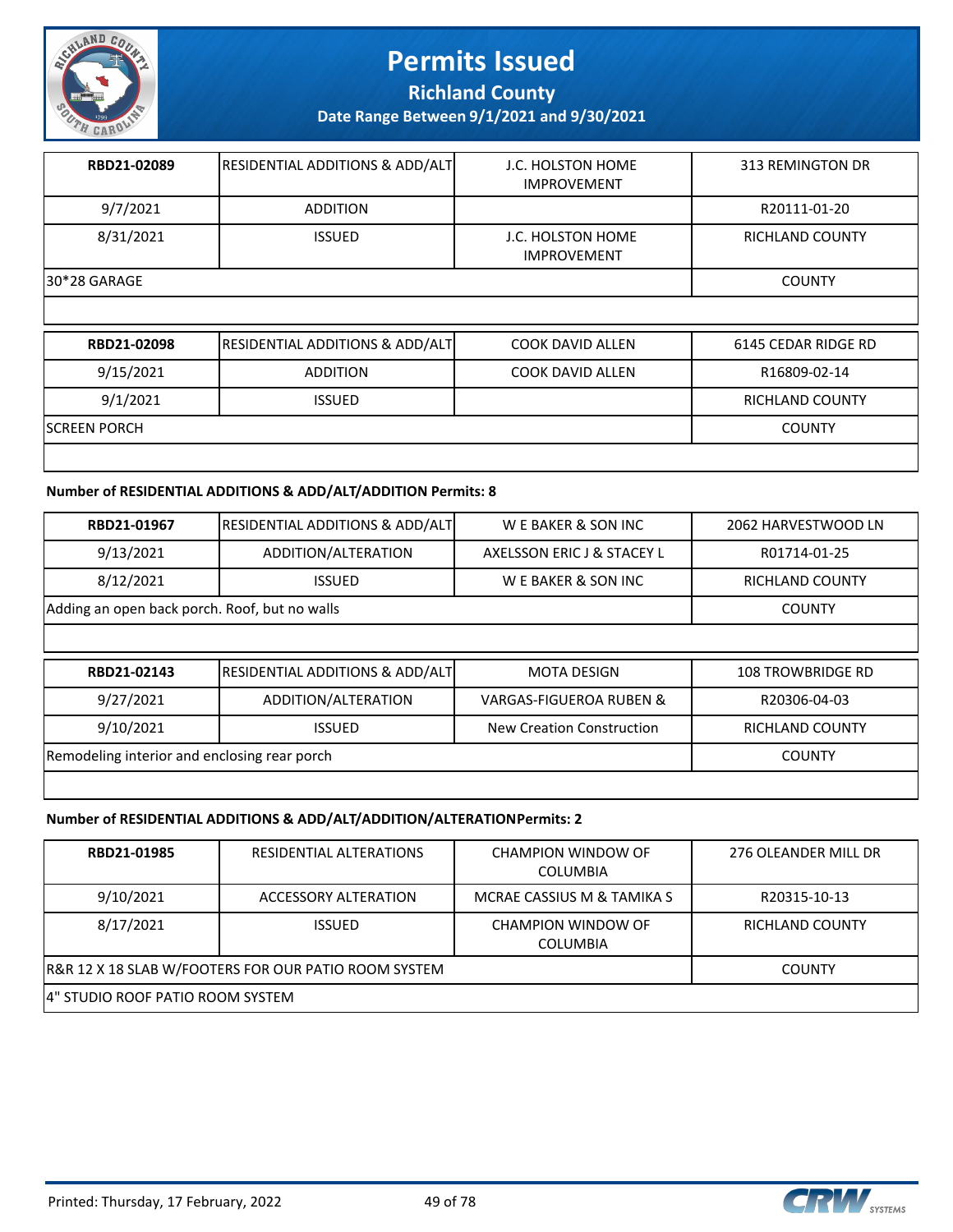

**Richland County**

**Date Range Between 9/1/2021 and 9/30/2021**

| RBD21-02089  | <b>RESIDENTIAL ADDITIONS &amp; ADD/ALT</b> | J.C. HOLSTON HOME<br><b>IMPROVEMENT</b> | 313 REMINGTON DR |
|--------------|--------------------------------------------|-----------------------------------------|------------------|
| 9/7/2021     | <b>ADDITION</b>                            |                                         | R20111-01-20     |
| 8/31/2021    | <b>ISSUED</b>                              | J.C. HOLSTON HOME<br><b>IMPROVEMENT</b> | RICHLAND COUNTY  |
| 30*28 GARAGE |                                            |                                         | <b>COUNTY</b>    |

| RBD21-02098          | <b>RESIDENTIAL ADDITIONS &amp; ADD/ALT</b> | <b>COOK DAVID ALLEN</b> | 6145 CEDAR RIDGE RD |
|----------------------|--------------------------------------------|-------------------------|---------------------|
| 9/15/2021            | <b>ADDITION</b>                            | COOK DAVID ALLEN        | R16809-02-14        |
| 9/1/2021             | <b>ISSUED</b>                              |                         | RICHLAND COUNTY     |
| <b>ISCREEN PORCH</b> |                                            |                         | <b>COUNTY</b>       |
|                      |                                            |                         |                     |

#### **Number of RESIDENTIAL ADDITIONS & ADD/ALT/ADDITION Permits: 8**

| RBD21-01967                                   | <b>RESIDENTIAL ADDITIONS &amp; ADD/ALT</b> | W E BAKER & SON INC                | 2062 HARVESTWOOD LN      |
|-----------------------------------------------|--------------------------------------------|------------------------------------|--------------------------|
| 9/13/2021                                     | ADDITION/ALTERATION                        | AXELSSON ERIC J & STACEY L         | R01714-01-25             |
| 8/12/2021                                     | <b>ISSUED</b>                              | W E BAKER & SON INC                | <b>RICHLAND COUNTY</b>   |
| Adding an open back porch. Roof, but no walls |                                            |                                    | <b>COUNTY</b>            |
|                                               |                                            |                                    |                          |
|                                               |                                            |                                    |                          |
| RBD21-02143                                   | <b>RESIDENTIAL ADDITIONS &amp; ADD/ALT</b> | <b>MOTA DESIGN</b>                 | <b>108 TROWBRIDGE RD</b> |
| 9/27/2021                                     | ADDITION/ALTERATION                        | <b>VARGAS-FIGUEROA RUBEN &amp;</b> | R20306-04-03             |
| 9/10/2021                                     | <b>ISSUED</b>                              | New Creation Construction          | <b>RICHLAND COUNTY</b>   |
| Remodeling interior and enclosing rear porch  |                                            |                                    | <b>COUNTY</b>            |

#### **Number of RESIDENTIAL ADDITIONS & ADD/ALT/ADDITION/ALTERATION Permits: 2**

| RBD21-01985                                          | RESIDENTIAL ALTERATIONS | CHAMPION WINDOW OF<br><b>COLUMBIA</b> | 276 OLEANDER MILL DR |  |
|------------------------------------------------------|-------------------------|---------------------------------------|----------------------|--|
| 9/10/2021                                            | ACCESSORY ALTERATION    | MCRAE CASSIUS M & TAMIKA S            | R20315-10-13         |  |
| 8/17/2021                                            | <b>ISSUED</b>           | CHAMPION WINDOW OF<br><b>COLUMBIA</b> | RICHLAND COUNTY      |  |
| R&R 12 X 18 SLAB W/FOOTERS FOR OUR PATIO ROOM SYSTEM | <b>COUNTY</b>           |                                       |                      |  |
| 4" STUDIO ROOF PATIO ROOM SYSTEM                     |                         |                                       |                      |  |



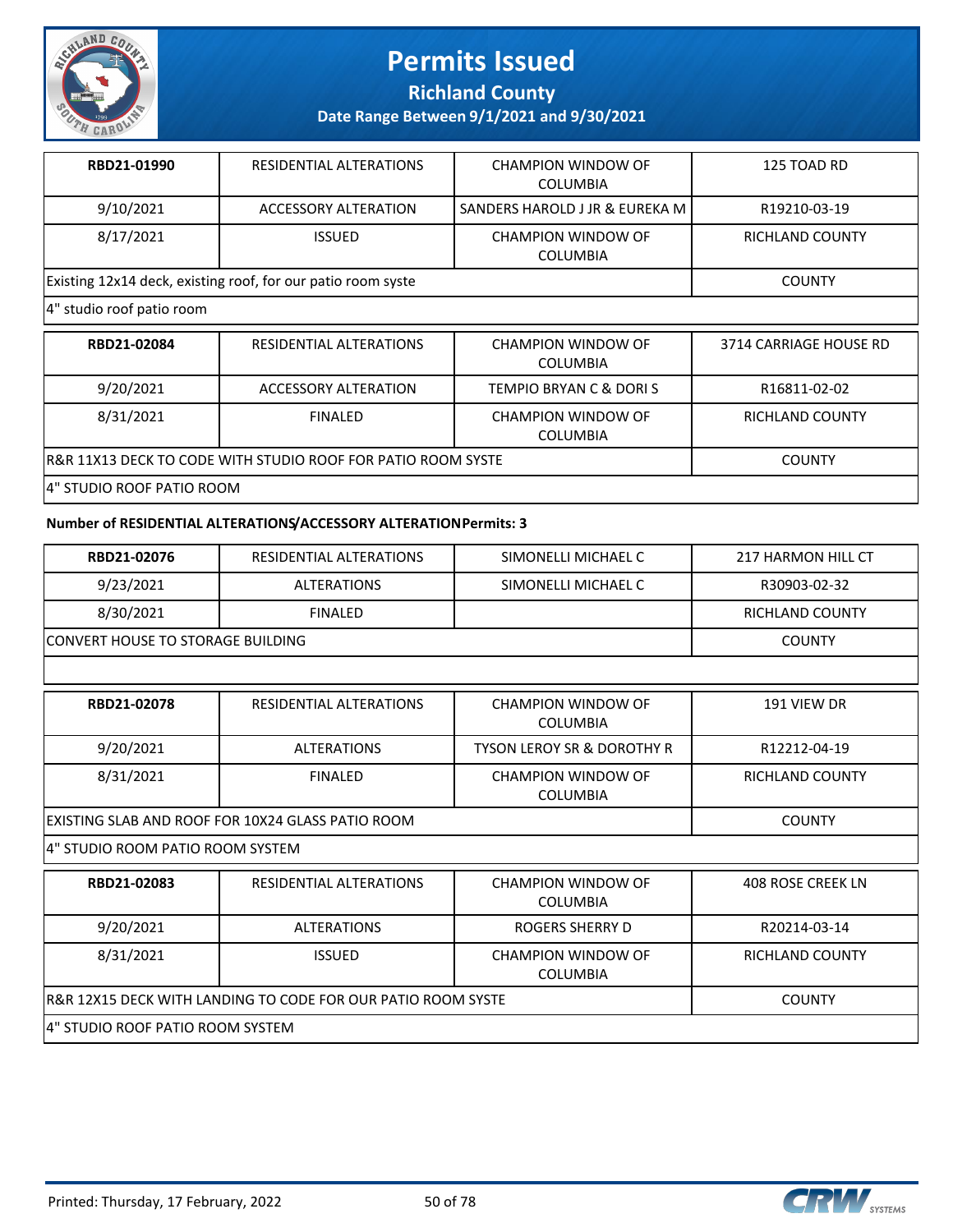

**Richland County**

**Date Range Between 9/1/2021 and 9/30/2021**

| RBD21-01990 | RESIDENTIAL ALTERATIONS                                      | CHAMPION WINDOW OF<br>COLUMBIA | 125 TOAD RD     |
|-------------|--------------------------------------------------------------|--------------------------------|-----------------|
| 9/10/2021   | ACCESSORY ALTERATION                                         | SANDERS HAROLD J JR & EUREKA M | R19210-03-19    |
| 8/17/2021   | <b>ISSUED</b>                                                | CHAMPION WINDOW OF<br>COLUMBIA | RICHLAND COUNTY |
|             | Existing 12x14 deck, existing roof, for our patio room syste |                                | <b>COUNTY</b>   |

#### 4" studio roof patio room

| RBD21-02084                                                   | RESIDENTIAL ALTERATIONS | CHAMPION WINDOW OF<br><b>COLUMBIA</b> | 3714 CARRIAGE HOUSE RD |
|---------------------------------------------------------------|-------------------------|---------------------------------------|------------------------|
| 9/20/2021                                                     | ACCESSORY ALTERATION    | TEMPIO BRYAN C & DORIS                | R16811-02-02           |
| 8/31/2021                                                     | FINAL FD                | CHAMPION WINDOW OF<br><b>COLUMBIA</b> | <b>RICHLAND COUNTY</b> |
| IR&R 11X13 DECK TO CODE WITH STUDIO ROOF FOR PATIO ROOM SYSTE |                         |                                       | <b>COUNTY</b>          |
| <u>IA" STHOIO ROOF BATIO ROOM</u>                             |                         |                                       |                        |

#### 4" STUDIO ROOF PATIO ROOM

#### **Number of RESIDENTIAL ALTERATIONS/ACCESSORY ALTERATION Permits: 3**

| RBD21-02076                                                  | RESIDENTIAL ALTERATIONS                  | SIMONELLI MICHAEL C                   | 217 HARMON HILL CT       |  |  |
|--------------------------------------------------------------|------------------------------------------|---------------------------------------|--------------------------|--|--|
| 9/23/2021                                                    | <b>ALTERATIONS</b>                       | SIMONELLI MICHAEL C                   | R30903-02-32             |  |  |
| 8/30/2021                                                    | <b>FINALED</b>                           |                                       | <b>RICHLAND COUNTY</b>   |  |  |
|                                                              | <b>CONVERT HOUSE TO STORAGE BUILDING</b> |                                       |                          |  |  |
|                                                              |                                          |                                       |                          |  |  |
| RBD21-02078                                                  | RESIDENTIAL ALTERATIONS                  | CHAMPION WINDOW OF<br><b>COLUMBIA</b> | 191 VIEW DR              |  |  |
| 9/20/2021                                                    | <b>ALTERATIONS</b>                       | <b>TYSON LEROY SR &amp; DOROTHY R</b> | R12212-04-19             |  |  |
| 8/31/2021                                                    | <b>FINALED</b>                           | CHAMPION WINDOW OF<br><b>COLUMBIA</b> | <b>RICHLAND COUNTY</b>   |  |  |
| EXISTING SLAB AND ROOF FOR 10X24 GLASS PATIO ROOM            | <b>COUNTY</b>                            |                                       |                          |  |  |
| 4" STUDIO ROOM PATIO ROOM SYSTEM                             |                                          |                                       |                          |  |  |
| RBD21-02083                                                  | RESIDENTIAL ALTERATIONS                  | CHAMPION WINDOW OF<br><b>COLUMBIA</b> | <b>408 ROSE CREEK LN</b> |  |  |
| 9/20/2021                                                    | <b>ALTERATIONS</b>                       | ROGERS SHERRY D                       | R20214-03-14             |  |  |
| 8/31/2021                                                    | <b>ISSUED</b>                            | CHAMPION WINDOW OF<br><b>COLUMBIA</b> | <b>RICHLAND COUNTY</b>   |  |  |
| R&R 12X15 DECK WITH LANDING TO CODE FOR OUR PATIO ROOM SYSTE | <b>COUNTY</b>                            |                                       |                          |  |  |
| 4" STUDIO ROOF PATIO ROOM SYSTEM                             |                                          |                                       |                          |  |  |

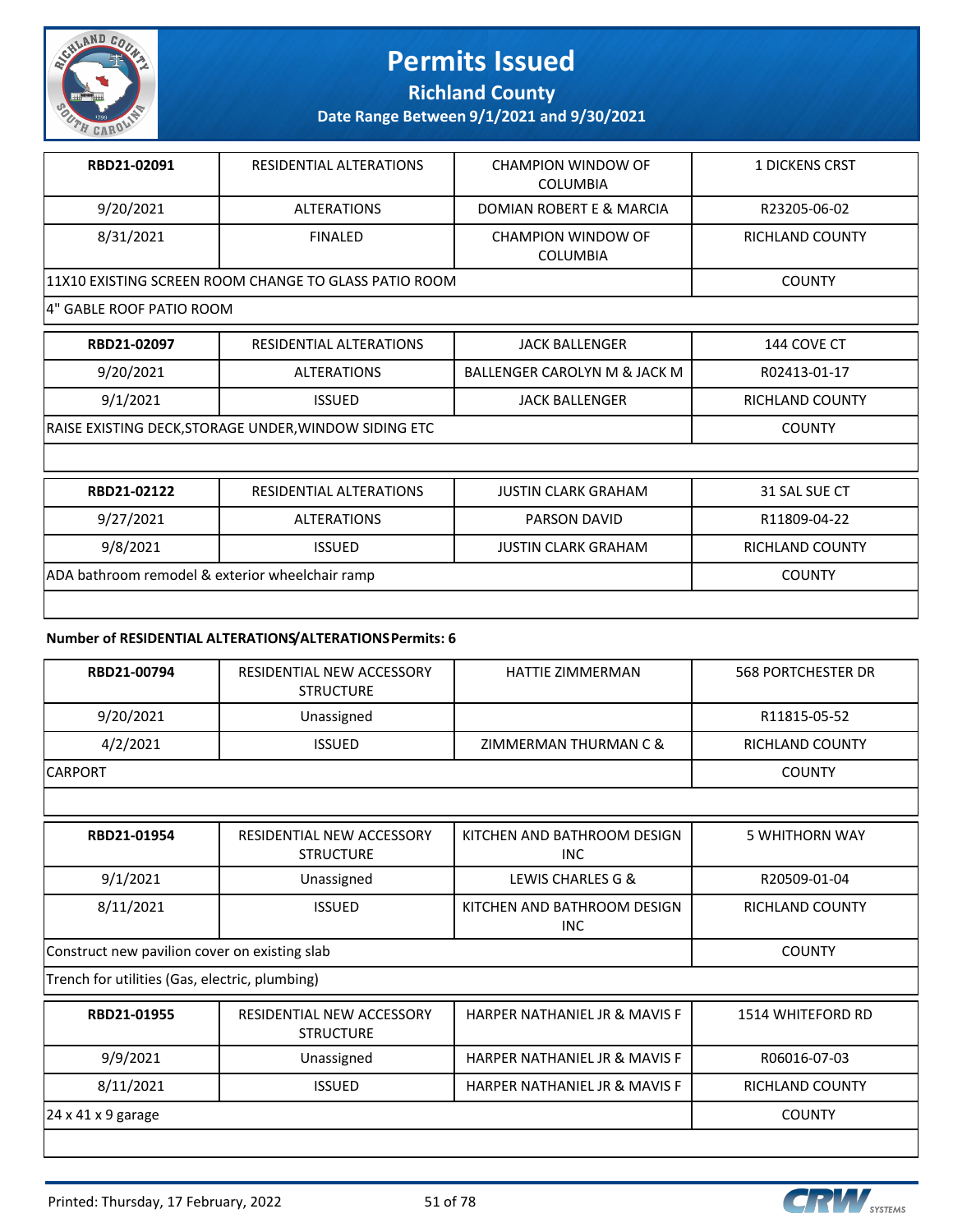

**Richland County**

**Date Range Between 9/1/2021 and 9/30/2021**

| RBD21-02091                                           | RESIDENTIAL ALTERATIONS | CHAMPION WINDOW OF<br><b>COLUMBIA</b>        | <b>1 DICKENS CRST</b> |
|-------------------------------------------------------|-------------------------|----------------------------------------------|-----------------------|
| 9/20/2021                                             | <b>ALTERATIONS</b>      | DOMIAN ROBERT E & MARCIA                     | R23205-06-02          |
| 8/31/2021                                             | <b>FINALED</b>          | <b>CHAMPION WINDOW OF</b><br><b>COLUMBIA</b> | RICHLAND COUNTY       |
| 11X10 EXISTING SCREEN ROOM CHANGE TO GLASS PATIO ROOM |                         |                                              | <b>COUNTY</b>         |

#### 4" GABLE ROOF PATIO ROOM

| RBD21-02097                                                  | RESIDENTIAL ALTERATIONS | <b>JACK BALLENGER</b>        | 144 COVE CT     |
|--------------------------------------------------------------|-------------------------|------------------------------|-----------------|
| 9/20/2021                                                    | <b>ALTERATIONS</b>      | BALLENGER CAROLYN M & JACK M | R02413-01-17    |
| 9/1/2021                                                     | <b>ISSUED</b>           | <b>JACK BALLENGER</b>        | RICHLAND COUNTY |
| <b>RAISE EXISTING DECK, STORAGE UNDER, WINDOW SIDING ETC</b> |                         |                              | <b>COUNTY</b>   |
|                                                              |                         |                              |                 |
| RRD21-02122                                                  | RESIDENTIAL ALTERATIONS | <b>ILISTIN CLARK GRAHAM</b>  | 31 SAL SLIE CT  |

| RBD21-02122                                     | RESIDENTIAL ALTERATIONS | <b>JUSTIN CLARK GRAHAM</b> | 31 SAL SUE CT   |
|-------------------------------------------------|-------------------------|----------------------------|-----------------|
| 9/27/2021                                       | ALTERATIONS             | PARSON DAVID               | R11809-04-22    |
| 9/8/2021                                        | <b>ISSUED</b>           | <b>JUSTIN CLARK GRAHAM</b> | RICHLAND COUNTY |
| ADA bathroom remodel & exterior wheelchair ramp |                         |                            | <b>COUNTY</b>   |
|                                                 |                         |                            |                 |

#### **Number of RESIDENTIAL ALTERATIONS/ALTERATIONS Permits: 6**

| RBD21-00794     | RESIDENTIAL NEW ACCESSORY<br><b>STRUCTURE</b> | HATTIE ZIMMERMAN      | 568 PORTCHESTER DR |
|-----------------|-----------------------------------------------|-----------------------|--------------------|
| 9/20/2021       | Unassigned                                    |                       | R11815-05-52       |
| 4/2/2021        | <b>ISSUED</b>                                 | ZIMMERMAN THURMAN C & | RICHLAND COUNTY    |
| <b>ICARPORT</b> |                                               |                       | <b>COUNTY</b>      |

**RBD21-01954** RESIDENTIAL NEW ACCESSORY **STRUCTURE** KITCHEN AND BATHROOM DESIGN INC 5 WHITHORN WAY 9/1/2021 Unassigned LEWIS CHARLES G & R20509-01-04 8/11/2021 ISSUED KITCHEN AND BATHROOM DESIGN INC RICHLAND COUNTY Construct new pavilion cover on existing slab COUNTY

Trench for utilities (Gas, electric, plumbing)

|                                 | RESIDENTIAL NEW ACCESSORY<br><b>STRUCTURE</b> | HARPER NATHANIEL JR & MAVIS F | 1514 WHITEFORD RD |
|---------------------------------|-----------------------------------------------|-------------------------------|-------------------|
| 9/9/2021                        | Unassigned                                    | HARPER NATHANIEL JR & MAVIS F | R06016-07-03      |
| 8/11/2021                       | <b>ISSUED</b>                                 | HARPER NATHANIEL JR & MAVIS F | RICHLAND COUNTY   |
| $ 24 \times 41 \times 9$ garage |                                               |                               | <b>COUNTY</b>     |

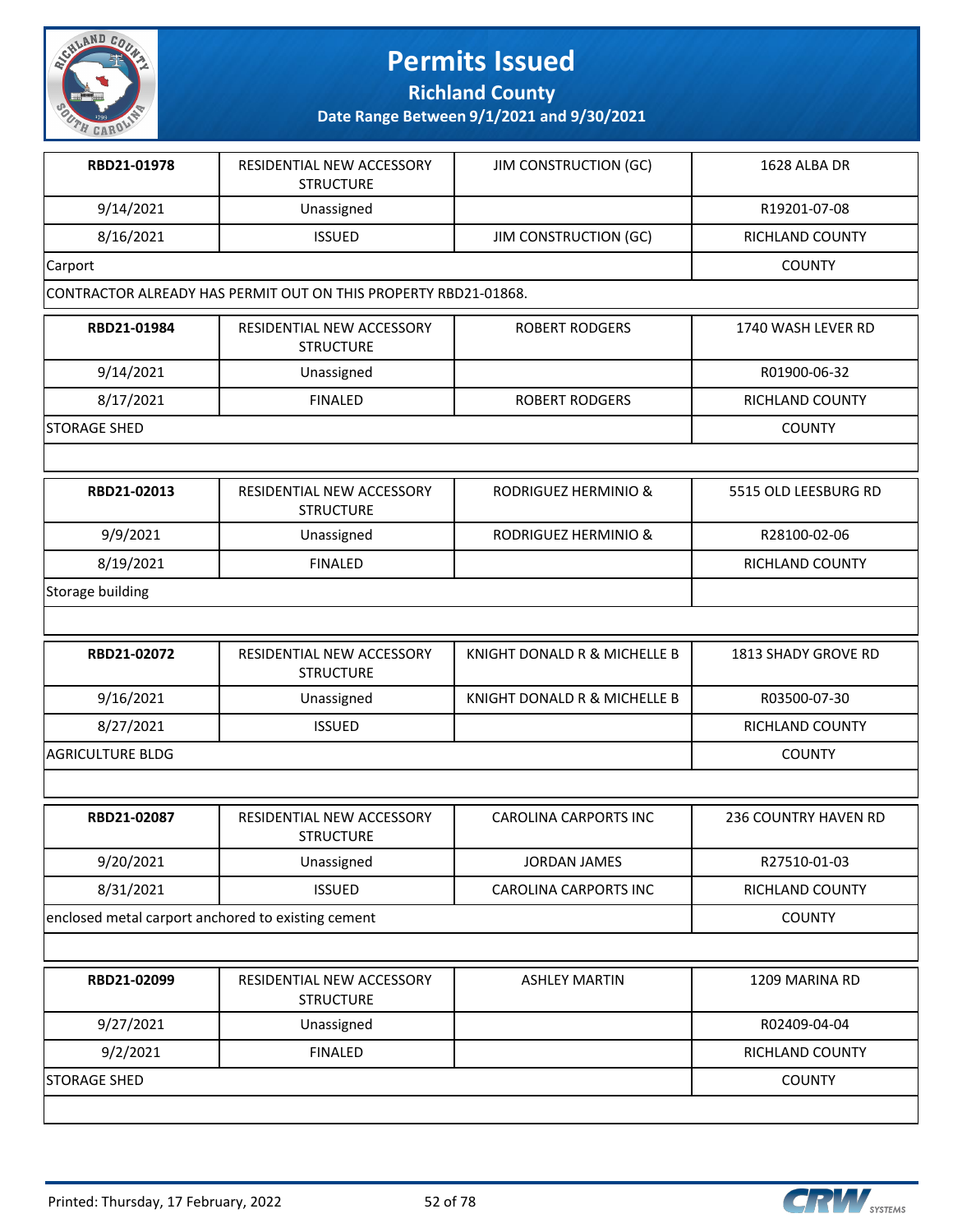

**Richland County**

| RBD21-01978                                        | RESIDENTIAL NEW ACCESSORY<br><b>STRUCTURE</b>                   | <b>JIM CONSTRUCTION (GC)</b> | 1628 ALBA DR                |
|----------------------------------------------------|-----------------------------------------------------------------|------------------------------|-----------------------------|
| 9/14/2021                                          | Unassigned                                                      |                              | R19201-07-08                |
| 8/16/2021                                          | <b>ISSUED</b>                                                   | <b>JIM CONSTRUCTION (GC)</b> | RICHLAND COUNTY             |
| Carport                                            |                                                                 |                              | <b>COUNTY</b>               |
|                                                    | CONTRACTOR ALREADY HAS PERMIT OUT ON THIS PROPERTY RBD21-01868. |                              |                             |
| RBD21-01984                                        | RESIDENTIAL NEW ACCESSORY<br><b>STRUCTURE</b>                   | <b>ROBERT RODGERS</b>        | 1740 WASH LEVER RD          |
| 9/14/2021                                          | Unassigned                                                      |                              | R01900-06-32                |
| 8/17/2021                                          | <b>FINALED</b>                                                  | <b>ROBERT RODGERS</b>        | RICHLAND COUNTY             |
| <b>STORAGE SHED</b>                                |                                                                 |                              | <b>COUNTY</b>               |
|                                                    |                                                                 |                              |                             |
| RBD21-02013                                        | RESIDENTIAL NEW ACCESSORY<br><b>STRUCTURE</b>                   | RODRIGUEZ HERMINIO &         | 5515 OLD LEESBURG RD        |
| 9/9/2021                                           | Unassigned                                                      | RODRIGUEZ HERMINIO &         | R28100-02-06                |
| 8/19/2021                                          | <b>FINALED</b>                                                  |                              | RICHLAND COUNTY             |
| Storage building                                   |                                                                 |                              |                             |
|                                                    |                                                                 |                              |                             |
| RBD21-02072                                        | RESIDENTIAL NEW ACCESSORY<br><b>STRUCTURE</b>                   | KNIGHT DONALD R & MICHELLE B | 1813 SHADY GROVE RD         |
| 9/16/2021                                          | Unassigned                                                      | KNIGHT DONALD R & MICHELLE B | R03500-07-30                |
| 8/27/2021                                          | <b>ISSUED</b>                                                   |                              | RICHLAND COUNTY             |
| <b>AGRICULTURE BLDG</b>                            |                                                                 |                              | <b>COUNTY</b>               |
|                                                    |                                                                 |                              |                             |
| RBD21-02087                                        | RESIDENTIAL NEW ACCESSORY<br><b>STRUCTURE</b>                   | <b>CAROLINA CARPORTS INC</b> | <b>236 COUNTRY HAVEN RD</b> |
| 9/20/2021                                          | Unassigned                                                      | <b>JORDAN JAMES</b>          | R27510-01-03                |
| 8/31/2021                                          | <b>ISSUED</b>                                                   | <b>CAROLINA CARPORTS INC</b> | RICHLAND COUNTY             |
| enclosed metal carport anchored to existing cement |                                                                 |                              | <b>COUNTY</b>               |
|                                                    |                                                                 |                              |                             |
| RBD21-02099                                        | RESIDENTIAL NEW ACCESSORY<br><b>STRUCTURE</b>                   | <b>ASHLEY MARTIN</b>         | 1209 MARINA RD              |
| 9/27/2021                                          | Unassigned                                                      |                              | R02409-04-04                |
| 9/2/2021                                           | <b>FINALED</b>                                                  |                              | RICHLAND COUNTY             |
| <b>STORAGE SHED</b>                                |                                                                 |                              | <b>COUNTY</b>               |
|                                                    |                                                                 |                              |                             |

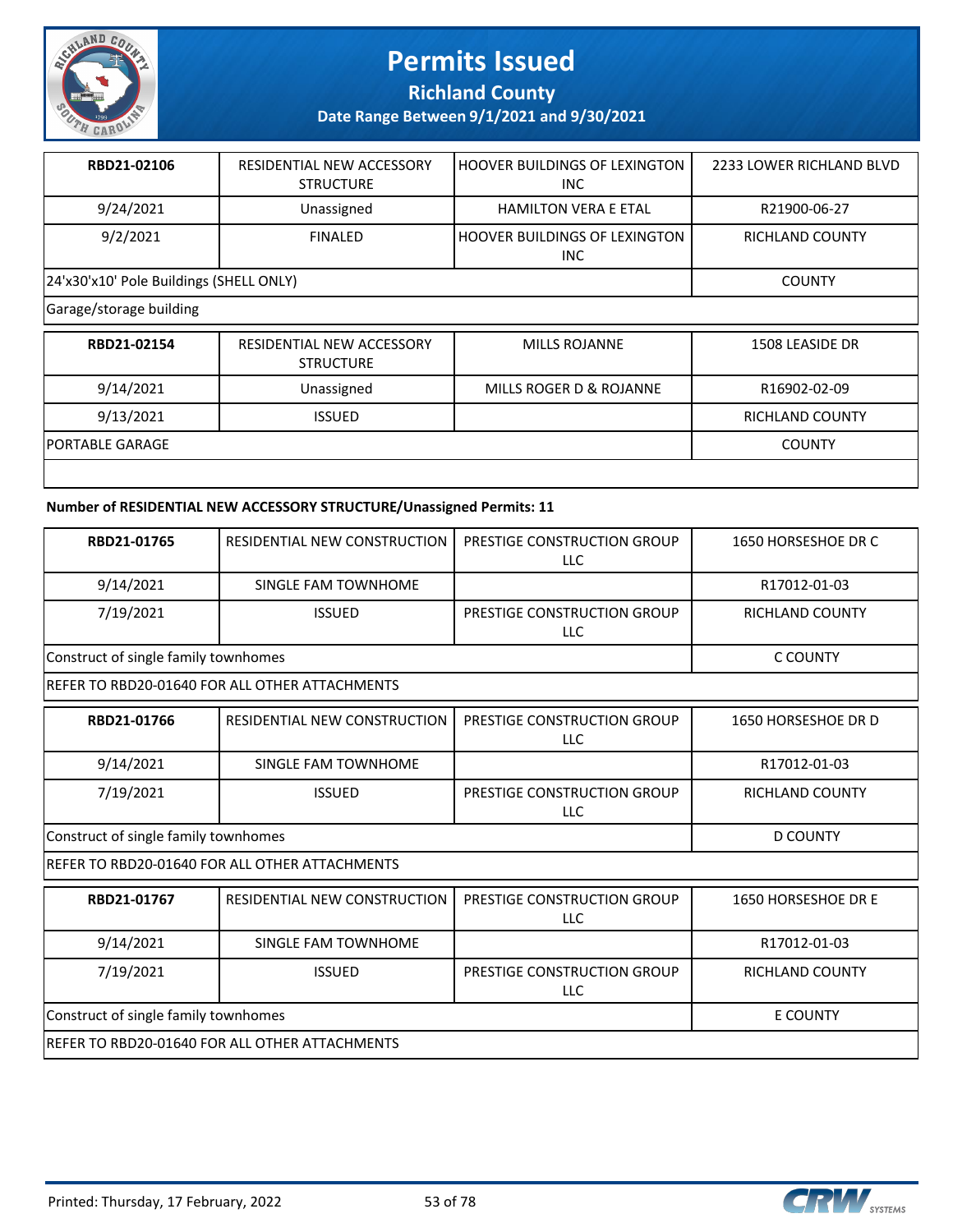

**Richland County**

**Date Range Between 9/1/2021 and 9/30/2021**

| RBD21-02106                             | RESIDENTIAL NEW ACCESSORY<br><b>STRUCTURE</b> | l HOOVER BUILDINGS OF LEXINGTON<br><b>INC</b>      | 2233 LOWER RICHLAND BLVD |  |
|-----------------------------------------|-----------------------------------------------|----------------------------------------------------|--------------------------|--|
| 9/24/2021                               | Unassigned                                    | <b>HAMILTON VERA E ETAL</b>                        | R21900-06-27             |  |
| 9/2/2021                                | <b>FINALED</b>                                | <b>HOOVER BUILDINGS OF LEXINGTON</b><br><b>INC</b> | RICHLAND COUNTY          |  |
| 24'x30'x10' Pole Buildings (SHELL ONLY) |                                               |                                                    | <b>COUNTY</b>            |  |
| Garage/storage building                 |                                               |                                                    |                          |  |
| RBD21-02154                             | RESIDENTIAL NEW ACCESSORY                     | <b>MILLS ROJANNE</b>                               | 1508 LEASIDE DR          |  |

| KBDZI-UZI54            | KESIDENTIAL NEW ALLESSURY<br><b>STRUCTURE</b> | <b>IVIILLS RUJANNE</b>  | 1508 LEASIDE DR        |
|------------------------|-----------------------------------------------|-------------------------|------------------------|
| 9/14/2021              | Unassigned                                    | MILLS ROGER D & ROJANNE | R16902-02-09           |
| 9/13/2021              | <b>ISSUED</b>                                 |                         | <b>RICHLAND COUNTY</b> |
| <b>PORTABLE GARAGE</b> |                                               |                         | <b>COUNTY</b>          |
|                        |                                               |                         |                        |

#### **Number of RESIDENTIAL NEW ACCESSORY STRUCTURE/Unassigned Permits: 11**

| RBD21-01765                                    | RESIDENTIAL NEW CONSTRUCTION                   | PRESTIGE CONSTRUCTION GROUP<br><b>LLC</b> | 1650 HORSESHOE DR C    |
|------------------------------------------------|------------------------------------------------|-------------------------------------------|------------------------|
| 9/14/2021                                      | SINGLE FAM TOWNHOME                            |                                           | R17012-01-03           |
| 7/19/2021                                      | <b>ISSUED</b>                                  | PRESTIGE CONSTRUCTION GROUP<br>LLC        | <b>RICHLAND COUNTY</b> |
| Construct of single family townhomes           |                                                |                                           | C COUNTY               |
|                                                | REFER TO RBD20-01640 FOR ALL OTHER ATTACHMENTS |                                           |                        |
| RBD21-01766                                    | RESIDENTIAL NEW CONSTRUCTION                   | PRESTIGE CONSTRUCTION GROUP<br>LLC        | 1650 HORSESHOE DR D    |
| 9/14/2021                                      | SINGLE FAM TOWNHOME                            |                                           | R17012-01-03           |
| 7/19/2021                                      | <b>ISSUED</b>                                  | PRESTIGE CONSTRUCTION GROUP<br><b>LLC</b> | <b>RICHLAND COUNTY</b> |
| Construct of single family townhomes           |                                                |                                           | <b>D COUNTY</b>        |
|                                                | REFER TO RBD20-01640 FOR ALL OTHER ATTACHMENTS |                                           |                        |
| RBD21-01767                                    | RESIDENTIAL NEW CONSTRUCTION                   | PRESTIGE CONSTRUCTION GROUP<br>LLC        | 1650 HORSESHOE DR E    |
| 9/14/2021                                      | SINGLE FAM TOWNHOME                            |                                           | R17012-01-03           |
| 7/19/2021                                      | <b>ISSUED</b>                                  | PRESTIGE CONSTRUCTION GROUP<br><b>LLC</b> | <b>RICHLAND COUNTY</b> |
| Construct of single family townhomes           |                                                |                                           | E COUNTY               |
| REFER TO RBD20-01640 FOR ALL OTHER ATTACHMENTS |                                                |                                           |                        |

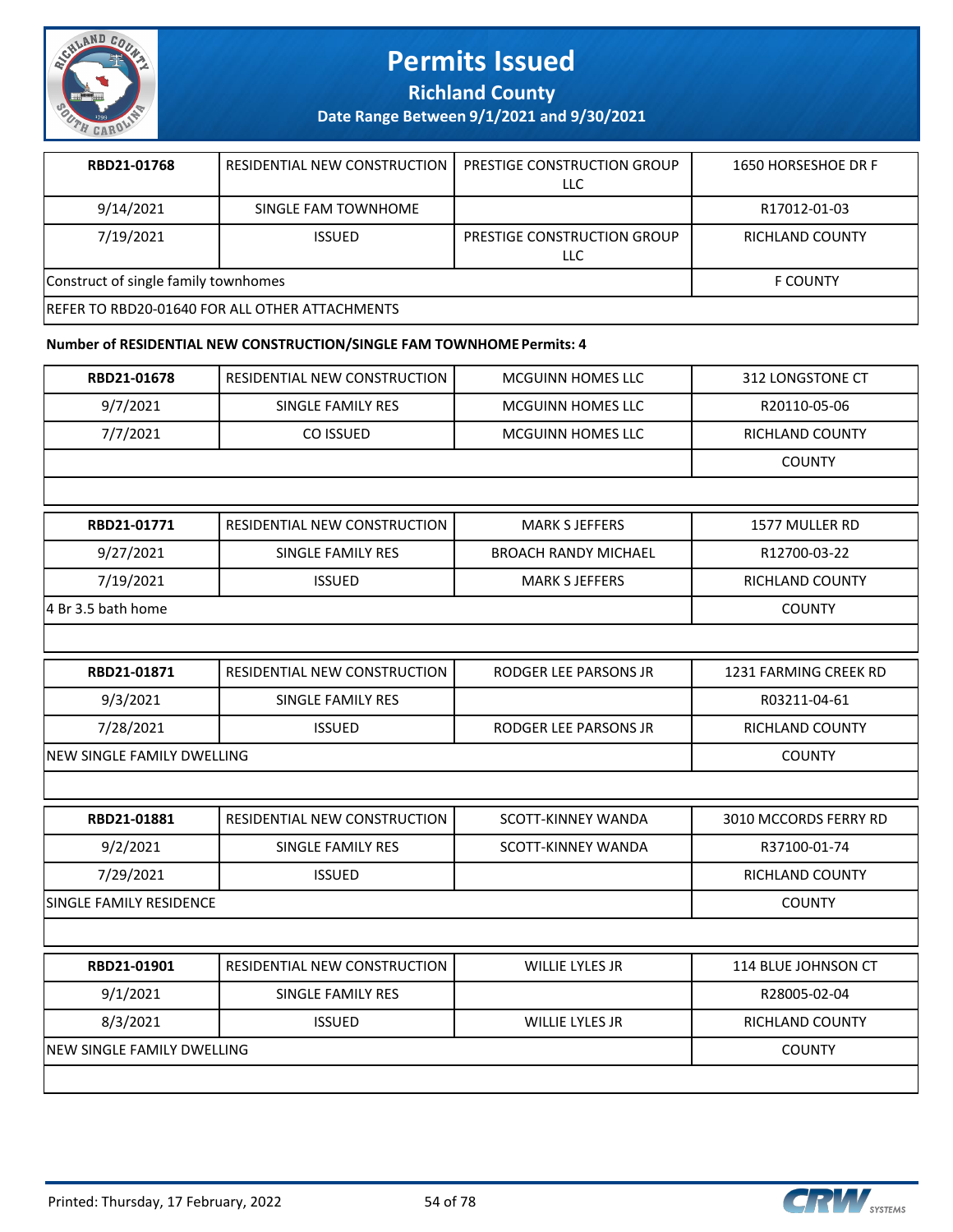

**Richland County**

**Date Range Between 9/1/2021 and 9/30/2021**

| RBD21-01768                                            | RESIDENTIAL NEW CONSTRUCTION | PRESTIGE CONSTRUCTION GROUP<br>LLC | 1650 HORSESHOE DR F |
|--------------------------------------------------------|------------------------------|------------------------------------|---------------------|
| 9/14/2021                                              | SINGLE FAM TOWNHOME          |                                    | R17012-01-03        |
| 7/19/2021                                              | <b>ISSUED</b>                | PRESTIGE CONSTRUCTION GROUP<br>LLC | RICHLAND COUNTY     |
| Construct of single family townhomes                   | <b>F COUNTY</b>              |                                    |                     |
| <b>IREFER TO RBD20-01640 FOR ALL OTHER ATTACHMENTS</b> |                              |                                    |                     |

#### **Number of RESIDENTIAL NEW CONSTRUCTION/SINGLE FAM TOWNHOME Permits: 4**

| RBD21-01678                | RESIDENTIAL NEW CONSTRUCTION        | <b>MCGUINN HOMES LLC</b>    | 312 LONGSTONE CT       |
|----------------------------|-------------------------------------|-----------------------------|------------------------|
| 9/7/2021                   | SINGLE FAMILY RES                   | <b>MCGUINN HOMES LLC</b>    | R20110-05-06           |
| 7/7/2021                   | CO ISSUED                           | MCGUINN HOMES LLC           | RICHLAND COUNTY        |
|                            |                                     |                             | <b>COUNTY</b>          |
|                            |                                     |                             |                        |
| RBD21-01771                | RESIDENTIAL NEW CONSTRUCTION        | <b>MARK S JEFFERS</b>       | 1577 MULLER RD         |
| 9/27/2021                  | SINGLE FAMILY RES                   | <b>BROACH RANDY MICHAEL</b> | R12700-03-22           |
| 7/19/2021                  | <b>ISSUED</b>                       | <b>MARK S JEFFERS</b>       | <b>RICHLAND COUNTY</b> |
| 4 Br 3.5 bath home         |                                     |                             | <b>COUNTY</b>          |
|                            |                                     |                             |                        |
| RBD21-01871                | <b>RESIDENTIAL NEW CONSTRUCTION</b> | RODGER LEE PARSONS JR       | 1231 FARMING CREEK RD  |
| 9/3/2021                   | SINGLE FAMILY RES                   |                             | R03211-04-61           |
| 7/28/2021                  | <b>ISSUED</b>                       | RODGER LEE PARSONS JR       | RICHLAND COUNTY        |
|                            | <b>NEW SINGLE FAMILY DWELLING</b>   |                             |                        |
|                            |                                     |                             |                        |
| RBD21-01881                | RESIDENTIAL NEW CONSTRUCTION        | SCOTT-KINNEY WANDA          | 3010 MCCORDS FERRY RD  |
| 9/2/2021                   | <b>SINGLE FAMILY RES</b>            | SCOTT-KINNEY WANDA          | R37100-01-74           |
| 7/29/2021                  | <b>ISSUED</b>                       |                             | RICHLAND COUNTY        |
| SINGLE FAMILY RESIDENCE    |                                     |                             | <b>COUNTY</b>          |
|                            |                                     |                             |                        |
| RBD21-01901                | RESIDENTIAL NEW CONSTRUCTION        | WILLIE LYLES JR             | 114 BLUE JOHNSON CT    |
| 9/1/2021                   | SINGLE FAMILY RES                   |                             | R28005-02-04           |
| 8/3/2021                   | <b>ISSUED</b>                       | <b>WILLIE LYLES JR</b>      | <b>RICHLAND COUNTY</b> |
| NEW SINGLE FAMILY DWELLING |                                     |                             | <b>COUNTY</b>          |
|                            |                                     |                             |                        |

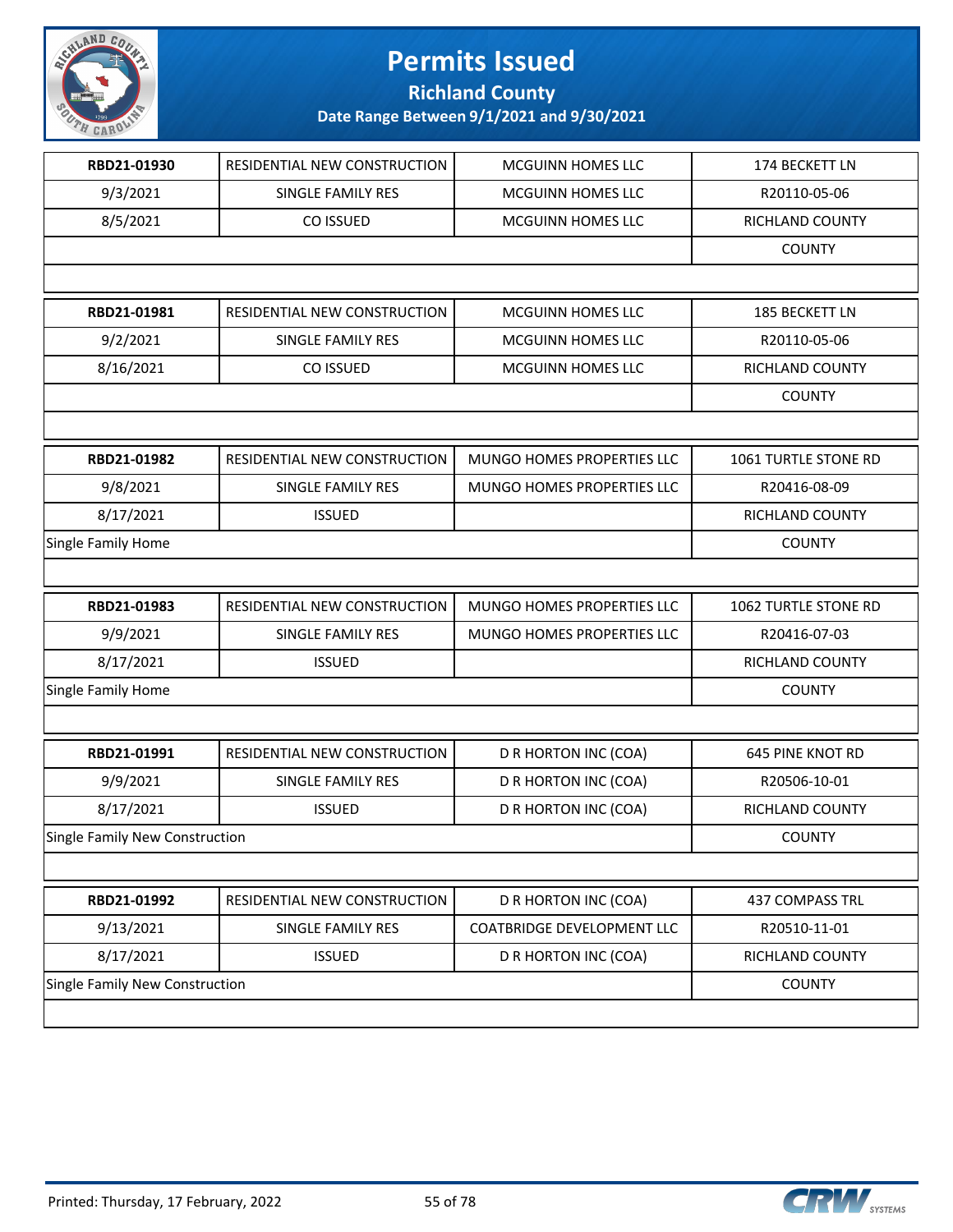

**Richland County**

| RBD21-01930                    | RESIDENTIAL NEW CONSTRUCTION | MCGUINN HOMES LLC                 | 174 BECKETT LN          |
|--------------------------------|------------------------------|-----------------------------------|-------------------------|
| 9/3/2021                       | <b>SINGLE FAMILY RES</b>     | <b>MCGUINN HOMES LLC</b>          | R20110-05-06            |
| 8/5/2021                       | CO ISSUED                    | MCGUINN HOMES LLC                 | RICHLAND COUNTY         |
|                                |                              |                                   | <b>COUNTY</b>           |
|                                |                              |                                   |                         |
| RBD21-01981                    | RESIDENTIAL NEW CONSTRUCTION | MCGUINN HOMES LLC                 | 185 BECKETT LN          |
| 9/2/2021                       | SINGLE FAMILY RES            | <b>MCGUINN HOMES LLC</b>          | R20110-05-06            |
| 8/16/2021                      | CO ISSUED                    | MCGUINN HOMES LLC                 | <b>RICHLAND COUNTY</b>  |
|                                |                              |                                   | <b>COUNTY</b>           |
|                                |                              |                                   |                         |
| RBD21-01982                    | RESIDENTIAL NEW CONSTRUCTION | MUNGO HOMES PROPERTIES LLC        | 1061 TURTLE STONE RD    |
| 9/8/2021                       | SINGLE FAMILY RES            | <b>MUNGO HOMES PROPERTIES LLC</b> | R20416-08-09            |
| 8/17/2021                      | <b>ISSUED</b>                |                                   | RICHLAND COUNTY         |
| Single Family Home             |                              |                                   | <b>COUNTY</b>           |
|                                |                              |                                   |                         |
| RBD21-01983                    | RESIDENTIAL NEW CONSTRUCTION | MUNGO HOMES PROPERTIES LLC        | 1062 TURTLE STONE RD    |
| 9/9/2021                       | SINGLE FAMILY RES            | MUNGO HOMES PROPERTIES LLC        | R20416-07-03            |
| 8/17/2021                      | <b>ISSUED</b>                |                                   | RICHLAND COUNTY         |
| Single Family Home             |                              |                                   | <b>COUNTY</b>           |
|                                |                              |                                   |                         |
| RBD21-01991                    | RESIDENTIAL NEW CONSTRUCTION | D R HORTON INC (COA)              | <b>645 PINE KNOT RD</b> |
| 9/9/2021                       | SINGLE FAMILY RES            | D R HORTON INC (COA)              | R20506-10-01            |
| 8/17/2021                      | <b>ISSUED</b>                | D R HORTON INC (COA)              | RICHLAND COUNTY         |
| Single Family New Construction |                              |                                   | <b>COUNTY</b>           |
|                                |                              |                                   |                         |
| RBD21-01992                    | RESIDENTIAL NEW CONSTRUCTION | D R HORTON INC (COA)              | 437 COMPASS TRL         |
| 9/13/2021                      | SINGLE FAMILY RES            | <b>COATBRIDGE DEVELOPMENT LLC</b> | R20510-11-01            |
|                                |                              |                                   |                         |
| 8/17/2021                      | <b>ISSUED</b>                | D R HORTON INC (COA)              | RICHLAND COUNTY         |
| Single Family New Construction |                              |                                   | <b>COUNTY</b>           |

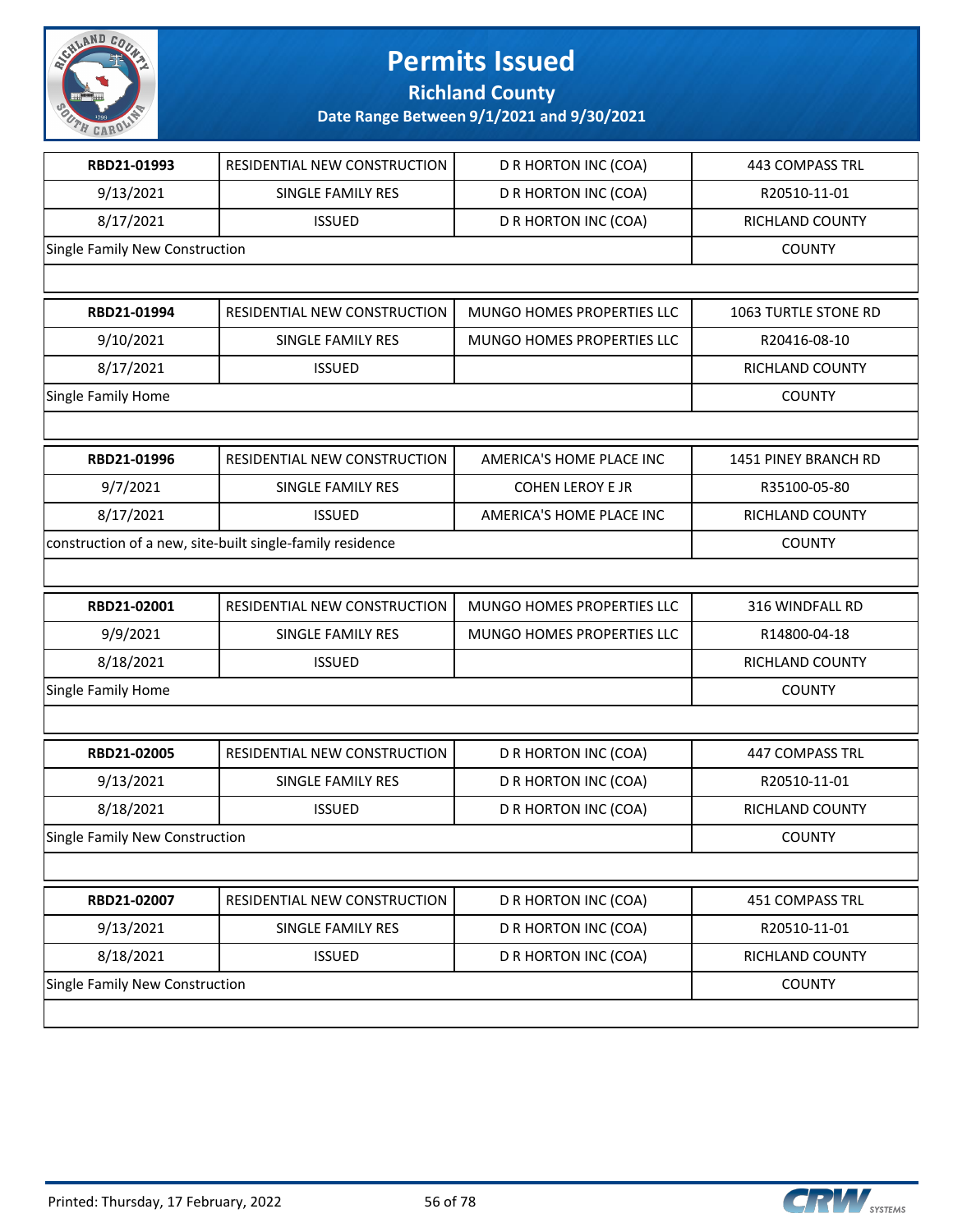

**Richland County**

| RBD21-01993                    | RESIDENTIAL NEW CONSTRUCTION                              | D R HORTON INC (COA)       | <b>443 COMPASS TRL</b> |
|--------------------------------|-----------------------------------------------------------|----------------------------|------------------------|
| 9/13/2021                      | SINGLE FAMILY RES                                         | D R HORTON INC (COA)       | R20510-11-01           |
| 8/17/2021                      | <b>ISSUED</b>                                             | D R HORTON INC (COA)       | RICHLAND COUNTY        |
| Single Family New Construction |                                                           |                            | <b>COUNTY</b>          |
|                                |                                                           |                            |                        |
| RBD21-01994                    | RESIDENTIAL NEW CONSTRUCTION                              | MUNGO HOMES PROPERTIES LLC | 1063 TURTLE STONE RD   |
| 9/10/2021                      | SINGLE FAMILY RES                                         | MUNGO HOMES PROPERTIES LLC | R20416-08-10           |
| 8/17/2021                      | <b>ISSUED</b>                                             |                            | RICHLAND COUNTY        |
| Single Family Home             |                                                           |                            | <b>COUNTY</b>          |
|                                |                                                           |                            |                        |
| RBD21-01996                    | RESIDENTIAL NEW CONSTRUCTION                              | AMERICA'S HOME PLACE INC   | 1451 PINEY BRANCH RD   |
| 9/7/2021                       | SINGLE FAMILY RES                                         | <b>COHEN LEROY E JR</b>    | R35100-05-80           |
| 8/17/2021                      | <b>ISSUED</b>                                             | AMERICA'S HOME PLACE INC   | RICHLAND COUNTY        |
|                                | construction of a new, site-built single-family residence |                            | <b>COUNTY</b>          |
|                                |                                                           |                            |                        |
| RBD21-02001                    | RESIDENTIAL NEW CONSTRUCTION                              | MUNGO HOMES PROPERTIES LLC | 316 WINDFALL RD        |
| 9/9/2021                       | SINGLE FAMILY RES                                         | MUNGO HOMES PROPERTIES LLC | R14800-04-18           |
| 8/18/2021                      | <b>ISSUED</b>                                             |                            | RICHLAND COUNTY        |
| Single Family Home             |                                                           |                            | <b>COUNTY</b>          |
|                                |                                                           |                            |                        |
| RBD21-02005                    | RESIDENTIAL NEW CONSTRUCTION                              | D R HORTON INC (COA)       | <b>447 COMPASS TRL</b> |
| 9/13/2021                      | SINGLE FAMILY RES                                         | D R HORTON INC (COA)       | R20510-11-01           |
| 8/18/2021                      | <b>ISSUED</b>                                             | D R HORTON INC (COA)       | RICHLAND COUNTY        |
| Single Family New Construction |                                                           |                            | <b>COUNTY</b>          |
|                                |                                                           |                            |                        |
| RBD21-02007                    | RESIDENTIAL NEW CONSTRUCTION                              | D R HORTON INC (COA)       | 451 COMPASS TRL        |
| 9/13/2021                      | SINGLE FAMILY RES                                         | D R HORTON INC (COA)       | R20510-11-01           |
| 8/18/2021                      | <b>ISSUED</b>                                             | D R HORTON INC (COA)       | RICHLAND COUNTY        |
| Single Family New Construction |                                                           |                            | <b>COUNTY</b>          |
|                                |                                                           |                            |                        |

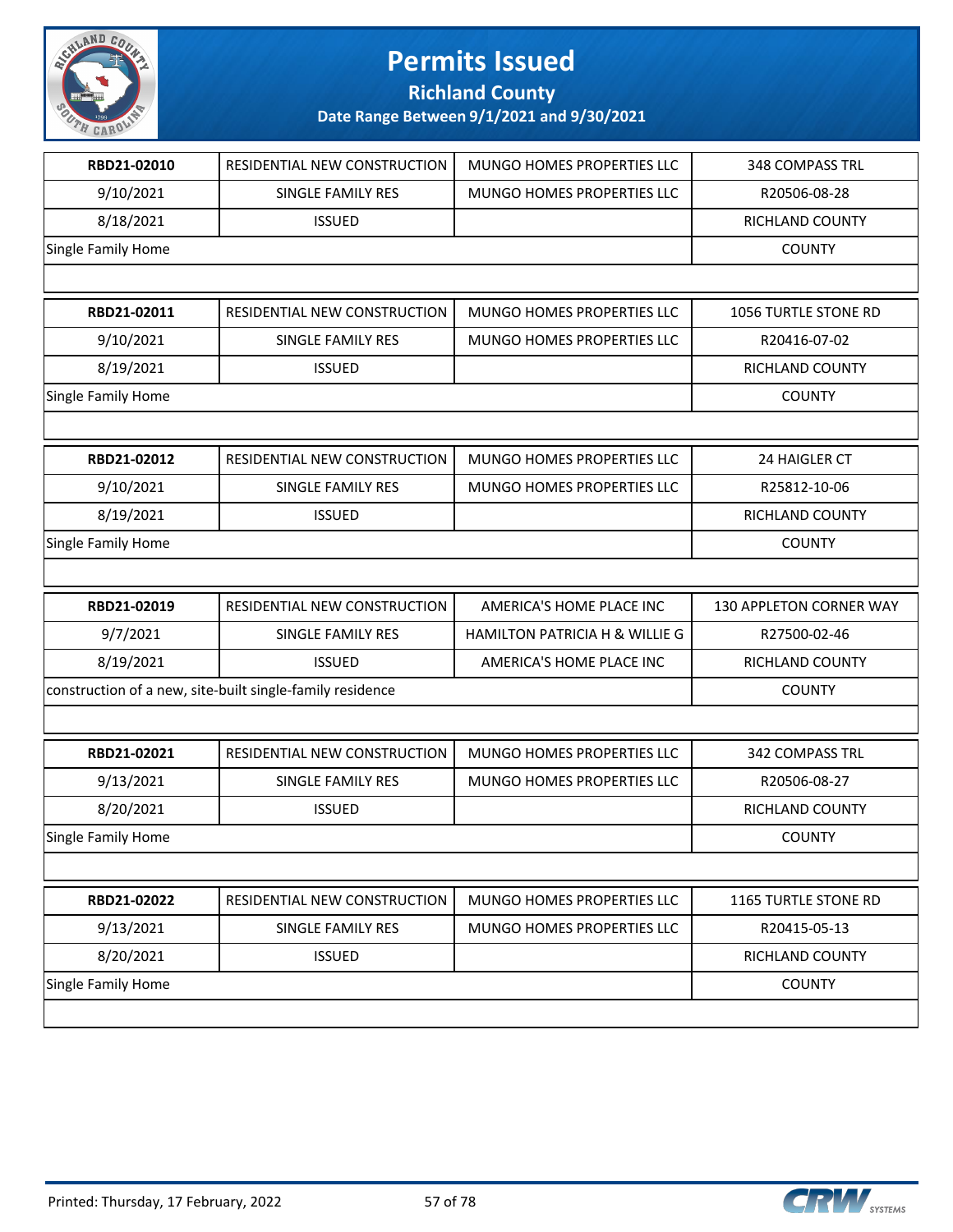

**Richland County**

| RBD21-02010               | RESIDENTIAL NEW CONSTRUCTION                              | MUNGO HOMES PROPERTIES LLC     | 348 COMPASS TRL         |
|---------------------------|-----------------------------------------------------------|--------------------------------|-------------------------|
| 9/10/2021                 | SINGLE FAMILY RES                                         | MUNGO HOMES PROPERTIES LLC     | R20506-08-28            |
| 8/18/2021                 | <b>ISSUED</b>                                             |                                | RICHLAND COUNTY         |
| Single Family Home        |                                                           |                                | <b>COUNTY</b>           |
|                           |                                                           |                                |                         |
| RBD21-02011               | RESIDENTIAL NEW CONSTRUCTION                              | MUNGO HOMES PROPERTIES LLC     | 1056 TURTLE STONE RD    |
| 9/10/2021                 | SINGLE FAMILY RES                                         | MUNGO HOMES PROPERTIES LLC     | R20416-07-02            |
| 8/19/2021                 | <b>ISSUED</b>                                             |                                | RICHLAND COUNTY         |
| Single Family Home        |                                                           |                                | <b>COUNTY</b>           |
|                           |                                                           |                                |                         |
| RBD21-02012               | RESIDENTIAL NEW CONSTRUCTION                              | MUNGO HOMES PROPERTIES LLC     | 24 HAIGLER CT           |
| 9/10/2021                 | <b>SINGLE FAMILY RES</b>                                  | MUNGO HOMES PROPERTIES LLC     | R25812-10-06            |
| 8/19/2021                 | <b>ISSUED</b>                                             |                                | RICHLAND COUNTY         |
| Single Family Home        |                                                           |                                | <b>COUNTY</b>           |
|                           |                                                           |                                |                         |
|                           |                                                           |                                |                         |
| RBD21-02019               | RESIDENTIAL NEW CONSTRUCTION                              | AMERICA'S HOME PLACE INC       | 130 APPLETON CORNER WAY |
| 9/7/2021                  | SINGLE FAMILY RES                                         | HAMILTON PATRICIA H & WILLIE G | R27500-02-46            |
| 8/19/2021                 | <b>ISSUED</b>                                             | AMERICA'S HOME PLACE INC       | RICHLAND COUNTY         |
|                           | construction of a new, site-built single-family residence |                                | <b>COUNTY</b>           |
|                           |                                                           |                                |                         |
| RBD21-02021               | RESIDENTIAL NEW CONSTRUCTION                              | MUNGO HOMES PROPERTIES LLC     | 342 COMPASS TRL         |
| 9/13/2021                 | SINGLE FAMILY RES                                         | MUNGO HOMES PROPERTIES LLC     | R20506-08-27            |
| 8/20/2021                 | <b>ISSUED</b>                                             |                                | RICHLAND COUNTY         |
| <b>Single Family Home</b> |                                                           |                                | <b>COUNTY</b>           |
|                           |                                                           |                                |                         |
| RBD21-02022               | RESIDENTIAL NEW CONSTRUCTION                              | MUNGO HOMES PROPERTIES LLC     | 1165 TURTLE STONE RD    |
| 9/13/2021                 | SINGLE FAMILY RES                                         | MUNGO HOMES PROPERTIES LLC     | R20415-05-13            |
| 8/20/2021                 | <b>ISSUED</b>                                             |                                | RICHLAND COUNTY         |
| Single Family Home        |                                                           |                                | <b>COUNTY</b>           |

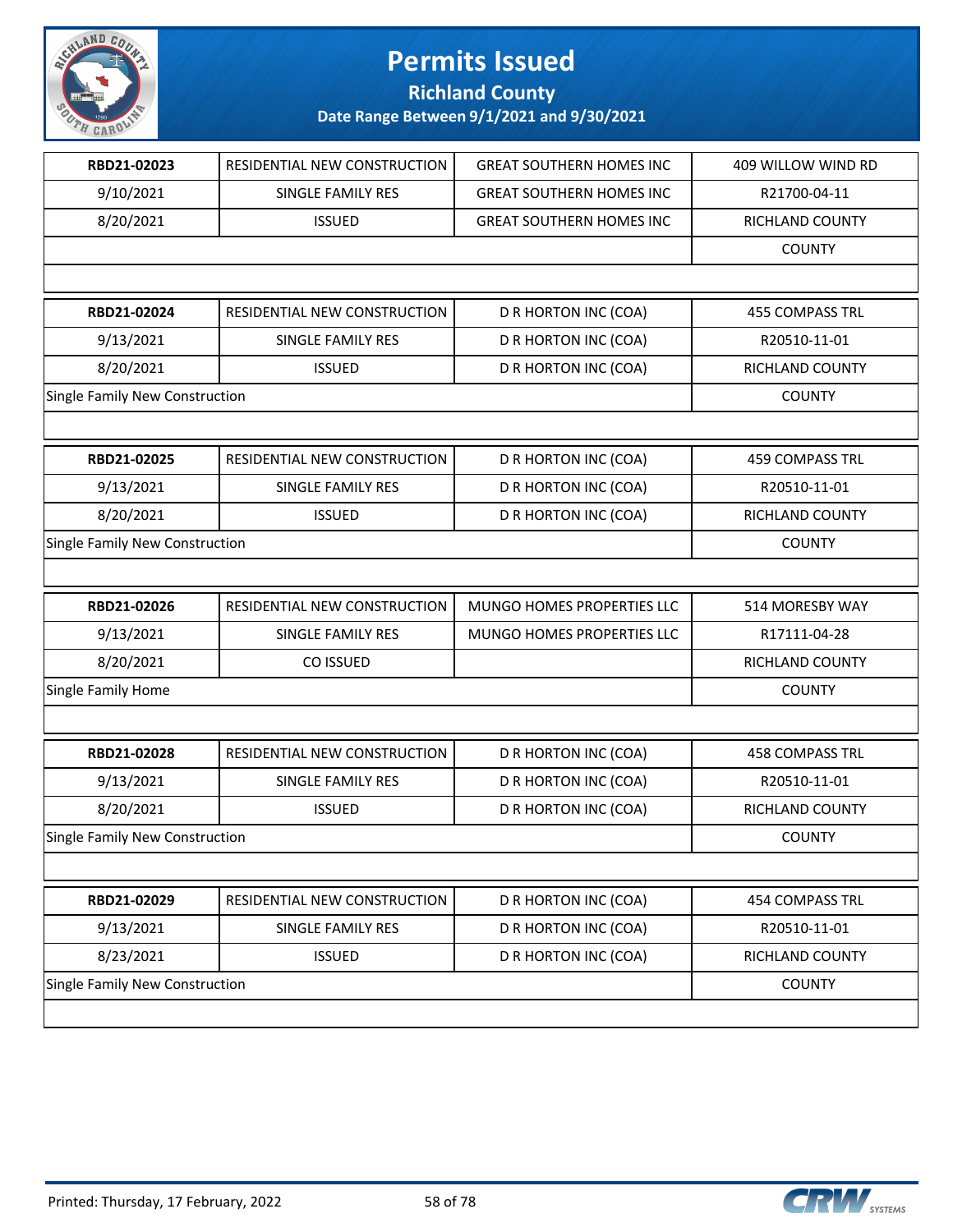

### **Richland County**

| RBD21-02023                    | RESIDENTIAL NEW CONSTRUCTION | <b>GREAT SOUTHERN HOMES INC</b> | 409 WILLOW WIND RD     |
|--------------------------------|------------------------------|---------------------------------|------------------------|
| 9/10/2021                      | SINGLE FAMILY RES            | <b>GREAT SOUTHERN HOMES INC</b> | R21700-04-11           |
| 8/20/2021                      | <b>ISSUED</b>                | <b>GREAT SOUTHERN HOMES INC</b> | RICHLAND COUNTY        |
|                                |                              |                                 | <b>COUNTY</b>          |
|                                |                              |                                 |                        |
| RBD21-02024                    | RESIDENTIAL NEW CONSTRUCTION | D R HORTON INC (COA)            | <b>455 COMPASS TRL</b> |
| 9/13/2021                      | SINGLE FAMILY RES            | D R HORTON INC (COA)            | R20510-11-01           |
| 8/20/2021                      | <b>ISSUED</b>                | D R HORTON INC (COA)            | RICHLAND COUNTY        |
| Single Family New Construction |                              |                                 | <b>COUNTY</b>          |
|                                |                              |                                 |                        |
| RBD21-02025                    | RESIDENTIAL NEW CONSTRUCTION | D R HORTON INC (COA)            | <b>459 COMPASS TRL</b> |
| 9/13/2021                      | SINGLE FAMILY RES            | D R HORTON INC (COA)            | R20510-11-01           |
| 8/20/2021                      | <b>ISSUED</b>                | D R HORTON INC (COA)            | RICHLAND COUNTY        |
| Single Family New Construction |                              |                                 | <b>COUNTY</b>          |
|                                |                              |                                 |                        |
| RBD21-02026                    | RESIDENTIAL NEW CONSTRUCTION | MUNGO HOMES PROPERTIES LLC      | 514 MORESBY WAY        |
| 9/13/2021                      | SINGLE FAMILY RES            | MUNGO HOMES PROPERTIES LLC      | R17111-04-28           |
| 8/20/2021                      | CO ISSUED                    |                                 | RICHLAND COUNTY        |
| Single Family Home             |                              |                                 | <b>COUNTY</b>          |
|                                |                              |                                 |                        |
|                                |                              |                                 |                        |
| RBD21-02028                    | RESIDENTIAL NEW CONSTRUCTION | D R HORTON INC (COA)            | <b>458 COMPASS TRL</b> |
| 9/13/2021                      | SINGLE FAMILY RES            | D R HORTON INC (COA)            | R20510-11-01           |
| 8/20/2021                      | <b>ISSUED</b>                | D R HORTON INC (COA)            | RICHLAND COUNTY        |
| Single Family New Construction |                              |                                 | <b>COUNTY</b>          |
|                                |                              |                                 |                        |
| RBD21-02029                    | RESIDENTIAL NEW CONSTRUCTION | D R HORTON INC (COA)            | 454 COMPASS TRL        |
| 9/13/2021                      | SINGLE FAMILY RES            | D R HORTON INC (COA)            | R20510-11-01           |
| 8/23/2021                      | <b>ISSUED</b>                | D R HORTON INC (COA)            | RICHLAND COUNTY        |
| Single Family New Construction |                              |                                 | <b>COUNTY</b>          |

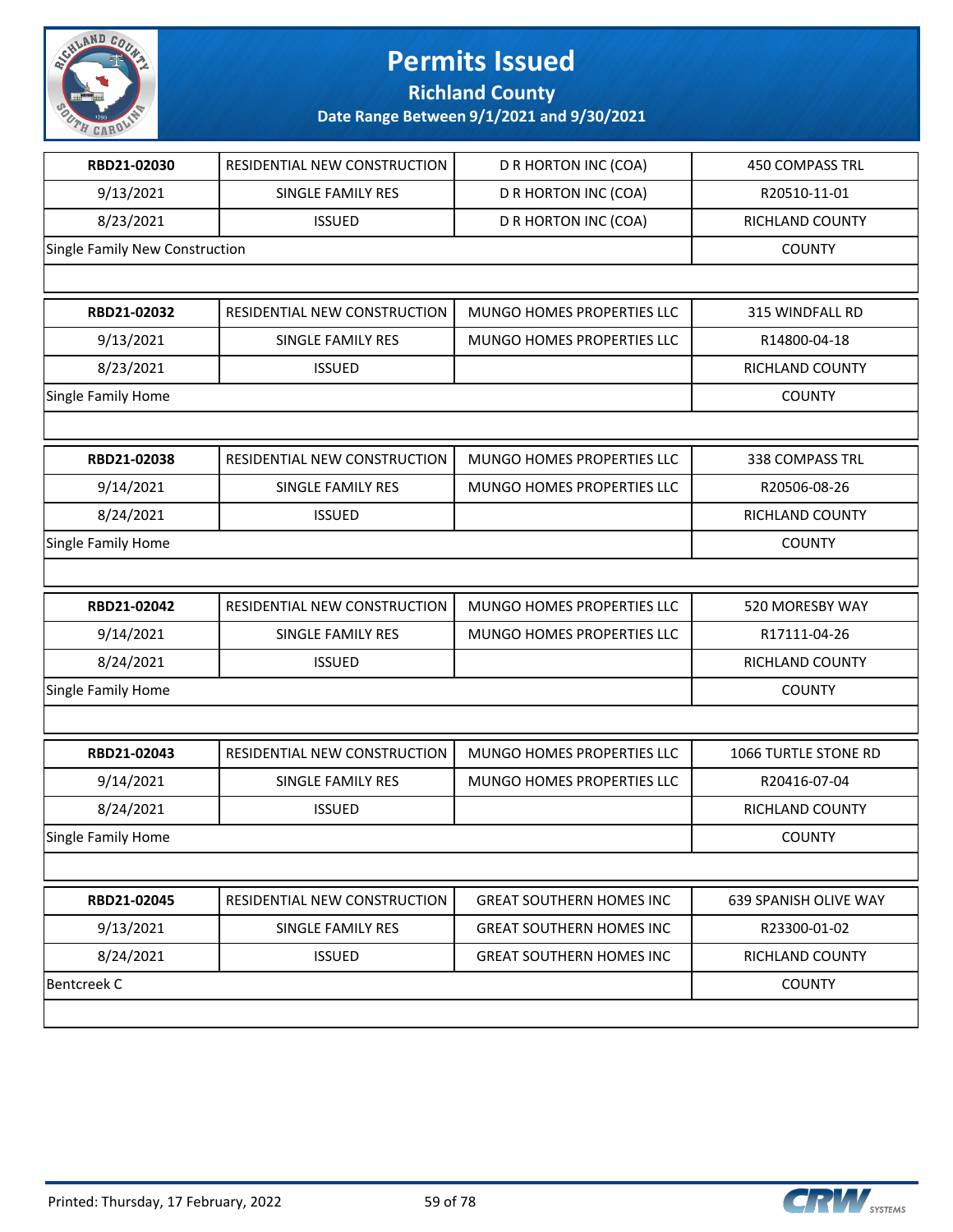

**Richland County**

| RBD21-02030                    | RESIDENTIAL NEW CONSTRUCTION | <b>D R HORTON INC (COA)</b>     | <b>450 COMPASS TRL</b> |
|--------------------------------|------------------------------|---------------------------------|------------------------|
| 9/13/2021                      | SINGLE FAMILY RES            | D R HORTON INC (COA)            | R20510-11-01           |
| 8/23/2021                      | <b>ISSUED</b>                | D R HORTON INC (COA)            | RICHLAND COUNTY        |
| Single Family New Construction |                              |                                 | <b>COUNTY</b>          |
|                                |                              |                                 |                        |
| RBD21-02032                    | RESIDENTIAL NEW CONSTRUCTION | MUNGO HOMES PROPERTIES LLC      | 315 WINDFALL RD        |
| 9/13/2021                      | SINGLE FAMILY RES            | MUNGO HOMES PROPERTIES LLC      | R14800-04-18           |
| 8/23/2021                      | <b>ISSUED</b>                |                                 | RICHLAND COUNTY        |
| Single Family Home             |                              |                                 | <b>COUNTY</b>          |
|                                |                              |                                 |                        |
| RBD21-02038                    | RESIDENTIAL NEW CONSTRUCTION | MUNGO HOMES PROPERTIES LLC      | 338 COMPASS TRL        |
| 9/14/2021                      | <b>SINGLE FAMILY RES</b>     | MUNGO HOMES PROPERTIES LLC      | R20506-08-26           |
| 8/24/2021                      | <b>ISSUED</b>                |                                 | RICHLAND COUNTY        |
| Single Family Home             |                              |                                 | <b>COUNTY</b>          |
|                                |                              |                                 |                        |
| RBD21-02042                    | RESIDENTIAL NEW CONSTRUCTION | MUNGO HOMES PROPERTIES LLC      | 520 MORESBY WAY        |
| 9/14/2021                      | SINGLE FAMILY RES            | MUNGO HOMES PROPERTIES LLC      | R17111-04-26           |
| 8/24/2021                      | <b>ISSUED</b>                |                                 | RICHLAND COUNTY        |
| Single Family Home             |                              |                                 | <b>COUNTY</b>          |
|                                |                              |                                 |                        |
| RBD21-02043                    | RESIDENTIAL NEW CONSTRUCTION | MUNGO HOMES PROPERTIES LLC      | 1066 TURTLE STONE RD   |
| 9/14/2021                      | SINGLE FAMILY RES            | MUNGO HOMES PROPERTIES LLC      | R20416-07-04           |
| 8/24/2021                      | <b>ISSUED</b>                |                                 | RICHLAND COUNTY        |
| Single Family Home             |                              |                                 | <b>COUNTY</b>          |
|                                |                              |                                 |                        |
| RBD21-02045                    | RESIDENTIAL NEW CONSTRUCTION | <b>GREAT SOUTHERN HOMES INC</b> | 639 SPANISH OLIVE WAY  |
| 9/13/2021                      | SINGLE FAMILY RES            | <b>GREAT SOUTHERN HOMES INC</b> | R23300-01-02           |
| 8/24/2021                      | <b>ISSUED</b>                | <b>GREAT SOUTHERN HOMES INC</b> | RICHLAND COUNTY        |
| <b>Bentcreek C</b>             |                              |                                 | <b>COUNTY</b>          |
|                                |                              |                                 |                        |
|                                |                              |                                 |                        |

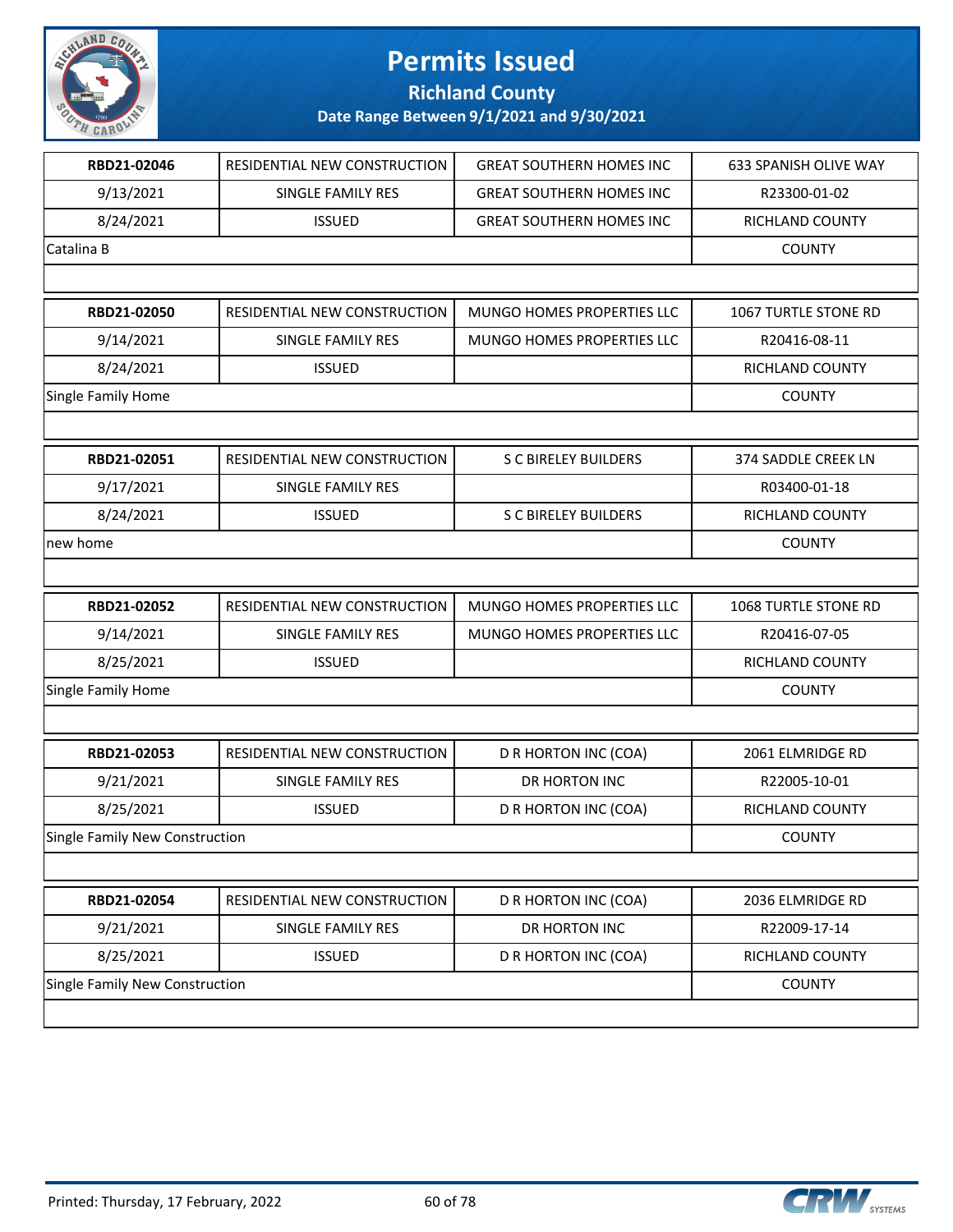

### **Richland County**

| RBD21-02046                           | RESIDENTIAL NEW CONSTRUCTION | <b>GREAT SOUTHERN HOMES INC</b> | <b>633 SPANISH OLIVE WAY</b> |
|---------------------------------------|------------------------------|---------------------------------|------------------------------|
| 9/13/2021                             | SINGLE FAMILY RES            | <b>GREAT SOUTHERN HOMES INC</b> | R23300-01-02                 |
| 8/24/2021                             | <b>ISSUED</b>                | <b>GREAT SOUTHERN HOMES INC</b> | RICHLAND COUNTY              |
|                                       |                              |                                 |                              |
| Catalina B                            |                              |                                 | <b>COUNTY</b>                |
|                                       |                              |                                 |                              |
| RBD21-02050                           | RESIDENTIAL NEW CONSTRUCTION | MUNGO HOMES PROPERTIES LLC      | 1067 TURTLE STONE RD         |
| 9/14/2021                             | SINGLE FAMILY RES            | MUNGO HOMES PROPERTIES LLC      | R20416-08-11                 |
| 8/24/2021                             | <b>ISSUED</b>                |                                 | RICHLAND COUNTY              |
| Single Family Home                    |                              |                                 | <b>COUNTY</b>                |
|                                       |                              |                                 |                              |
| RBD21-02051                           | RESIDENTIAL NEW CONSTRUCTION | <b>S C BIRELEY BUILDERS</b>     | 374 SADDLE CREEK LN          |
| 9/17/2021                             | SINGLE FAMILY RES            |                                 | R03400-01-18                 |
| 8/24/2021                             | <b>ISSUED</b>                | <b>S C BIRELEY BUILDERS</b>     | RICHLAND COUNTY              |
| new home                              |                              |                                 | <b>COUNTY</b>                |
|                                       |                              |                                 |                              |
| RBD21-02052                           | RESIDENTIAL NEW CONSTRUCTION | MUNGO HOMES PROPERTIES LLC      | 1068 TURTLE STONE RD         |
| 9/14/2021                             | SINGLE FAMILY RES            | MUNGO HOMES PROPERTIES LLC      | R20416-07-05                 |
| 8/25/2021                             | <b>ISSUED</b>                |                                 | RICHLAND COUNTY              |
| Single Family Home                    |                              |                                 | <b>COUNTY</b>                |
|                                       |                              |                                 |                              |
| RBD21-02053                           | RESIDENTIAL NEW CONSTRUCTION | D R HORTON INC (COA)            | 2061 ELMRIDGE RD             |
| 9/21/2021                             | <b>SINGLE FAMILY RES</b>     | DR HORTON INC                   | R22005-10-01                 |
| 8/25/2021                             | <b>ISSUED</b>                | D R HORTON INC (COA)            | RICHLAND COUNTY              |
| <b>Single Family New Construction</b> |                              |                                 | <b>COUNTY</b>                |
|                                       |                              |                                 |                              |
| RBD21-02054                           | RESIDENTIAL NEW CONSTRUCTION | D R HORTON INC (COA)            | 2036 ELMRIDGE RD             |
| 9/21/2021                             | SINGLE FAMILY RES            | DR HORTON INC                   | R22009-17-14                 |
| 8/25/2021                             | <b>ISSUED</b>                | D R HORTON INC (COA)            | RICHLAND COUNTY              |
| Single Family New Construction        |                              |                                 | <b>COUNTY</b>                |
|                                       |                              |                                 |                              |

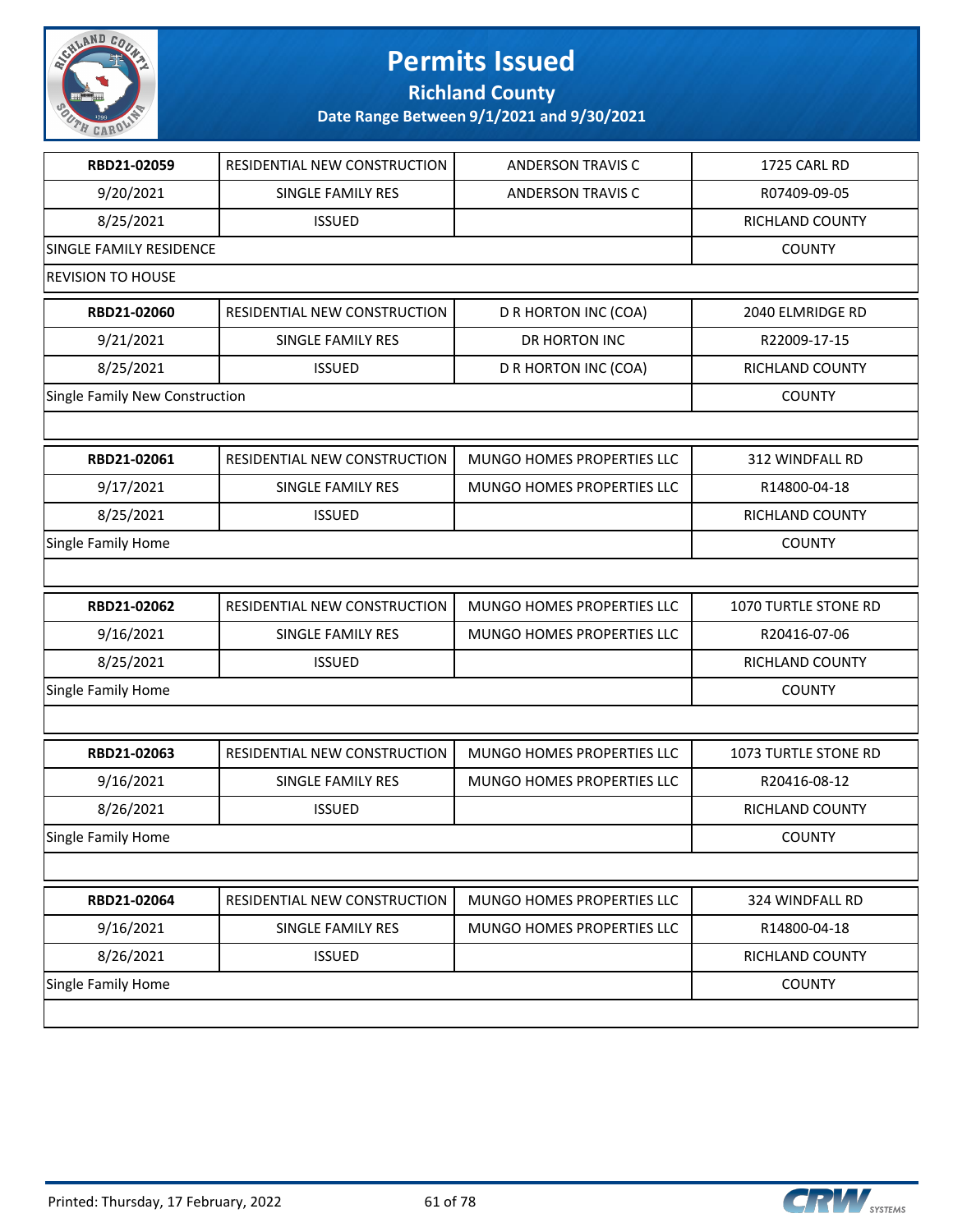

**Richland County**

| RBD21-02059                    | RESIDENTIAL NEW CONSTRUCTION | <b>ANDERSON TRAVIS C</b>   | 1725 CARL RD         |
|--------------------------------|------------------------------|----------------------------|----------------------|
| 9/20/2021                      | <b>SINGLE FAMILY RES</b>     | <b>ANDERSON TRAVIS C</b>   | R07409-09-05         |
| 8/25/2021                      | <b>ISSUED</b>                |                            | RICHLAND COUNTY      |
| SINGLE FAMILY RESIDENCE        |                              |                            | <b>COUNTY</b>        |
| <b>REVISION TO HOUSE</b>       |                              |                            |                      |
| RBD21-02060                    | RESIDENTIAL NEW CONSTRUCTION | D R HORTON INC (COA)       | 2040 ELMRIDGE RD     |
| 9/21/2021                      | SINGLE FAMILY RES            | <b>DR HORTON INC</b>       | R22009-17-15         |
| 8/25/2021                      | <b>ISSUED</b>                | D R HORTON INC (COA)       | RICHLAND COUNTY      |
| Single Family New Construction |                              |                            | <b>COUNTY</b>        |
|                                |                              |                            |                      |
| RBD21-02061                    | RESIDENTIAL NEW CONSTRUCTION | MUNGO HOMES PROPERTIES LLC | 312 WINDFALL RD      |
| 9/17/2021                      | SINGLE FAMILY RES            | MUNGO HOMES PROPERTIES LLC | R14800-04-18         |
| 8/25/2021                      | <b>ISSUED</b>                |                            | RICHLAND COUNTY      |
| Single Family Home             |                              |                            | <b>COUNTY</b>        |
|                                |                              |                            |                      |
| RBD21-02062                    | RESIDENTIAL NEW CONSTRUCTION | MUNGO HOMES PROPERTIES LLC | 1070 TURTLE STONE RD |
| 9/16/2021                      | SINGLE FAMILY RES            | MUNGO HOMES PROPERTIES LLC | R20416-07-06         |
| 8/25/2021                      | <b>ISSUED</b>                |                            | RICHLAND COUNTY      |
| Single Family Home             |                              |                            | <b>COUNTY</b>        |
|                                |                              |                            |                      |
| RBD21-02063                    | RESIDENTIAL NEW CONSTRUCTION | MUNGO HOMES PROPERTIES LLC | 1073 TURTLE STONE RD |
| 9/16/2021                      | SINGLE FAMILY RES            | MUNGO HOMES PROPERTIES LLC | R20416-08-12         |
| 8/26/2021                      | <b>ISSUED</b>                |                            | RICHLAND COUNTY      |
| Single Family Home             |                              |                            | <b>COUNTY</b>        |
|                                |                              |                            |                      |
| RBD21-02064                    | RESIDENTIAL NEW CONSTRUCTION | MUNGO HOMES PROPERTIES LLC | 324 WINDFALL RD      |
| 9/16/2021                      | SINGLE FAMILY RES            | MUNGO HOMES PROPERTIES LLC | R14800-04-18         |
| 8/26/2021                      | <b>ISSUED</b>                |                            | RICHLAND COUNTY      |
| Single Family Home             |                              |                            | <b>COUNTY</b>        |
|                                |                              |                            |                      |

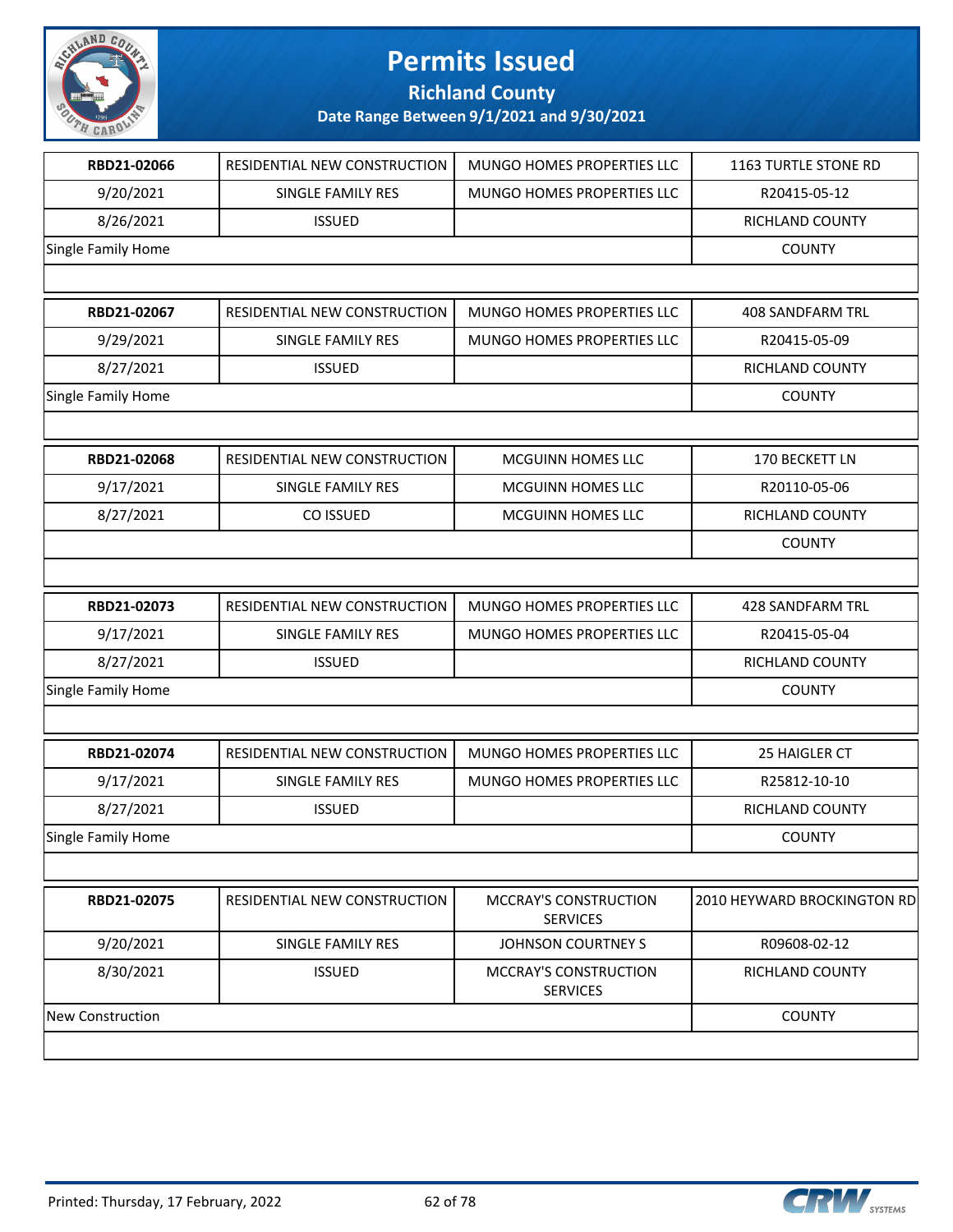

**Richland County**

| RBD21-02066               | RESIDENTIAL NEW CONSTRUCTION | MUNGO HOMES PROPERTIES LLC                      | 1163 TURTLE STONE RD        |
|---------------------------|------------------------------|-------------------------------------------------|-----------------------------|
| 9/20/2021                 | SINGLE FAMILY RES            | MUNGO HOMES PROPERTIES LLC                      | R20415-05-12                |
| 8/26/2021                 | <b>ISSUED</b>                |                                                 | RICHLAND COUNTY             |
| Single Family Home        |                              |                                                 | <b>COUNTY</b>               |
|                           |                              |                                                 |                             |
| RBD21-02067               | RESIDENTIAL NEW CONSTRUCTION | MUNGO HOMES PROPERTIES LLC                      | <b>408 SANDFARM TRL</b>     |
| 9/29/2021                 | SINGLE FAMILY RES            | MUNGO HOMES PROPERTIES LLC                      | R20415-05-09                |
| 8/27/2021                 | <b>ISSUED</b>                |                                                 | RICHLAND COUNTY             |
| Single Family Home        |                              |                                                 | <b>COUNTY</b>               |
|                           |                              |                                                 |                             |
| RBD21-02068               | RESIDENTIAL NEW CONSTRUCTION | <b>MCGUINN HOMES LLC</b>                        | 170 BECKETT LN              |
| 9/17/2021                 | SINGLE FAMILY RES            | MCGUINN HOMES LLC                               | R20110-05-06                |
| 8/27/2021                 | CO ISSUED                    | MCGUINN HOMES LLC                               | RICHLAND COUNTY             |
|                           |                              |                                                 | <b>COUNTY</b>               |
|                           |                              |                                                 |                             |
| RBD21-02073               | RESIDENTIAL NEW CONSTRUCTION | MUNGO HOMES PROPERTIES LLC                      | 428 SANDFARM TRL            |
| 9/17/2021                 | SINGLE FAMILY RES            | MUNGO HOMES PROPERTIES LLC                      | R20415-05-04                |
| 8/27/2021                 | <b>ISSUED</b>                |                                                 | RICHLAND COUNTY             |
| Single Family Home        |                              |                                                 | <b>COUNTY</b>               |
|                           |                              |                                                 |                             |
| RBD21-02074               | RESIDENTIAL NEW CONSTRUCTION | MUNGO HOMES PROPERTIES LLC                      | 25 HAIGLER CT               |
| 9/17/2021                 | SINGLE FAMILY RES            | MUNGO HOMES PROPERTIES LLC                      | R25812-10-10                |
| 8/27/2021                 | <b>ISSUED</b>                |                                                 | RICHLAND COUNTY             |
| <b>Single Family Home</b> |                              |                                                 | <b>COUNTY</b>               |
|                           |                              |                                                 |                             |
| RBD21-02075               | RESIDENTIAL NEW CONSTRUCTION | <b>MCCRAY'S CONSTRUCTION</b><br><b>SERVICES</b> | 2010 HEYWARD BROCKINGTON RD |
| 9/20/2021                 | SINGLE FAMILY RES            | JOHNSON COURTNEY S                              | R09608-02-12                |
| 8/30/2021                 | <b>ISSUED</b>                | <b>MCCRAY'S CONSTRUCTION</b><br><b>SERVICES</b> | RICHLAND COUNTY             |
| New Construction          |                              |                                                 | <b>COUNTY</b>               |
|                           |                              |                                                 |                             |

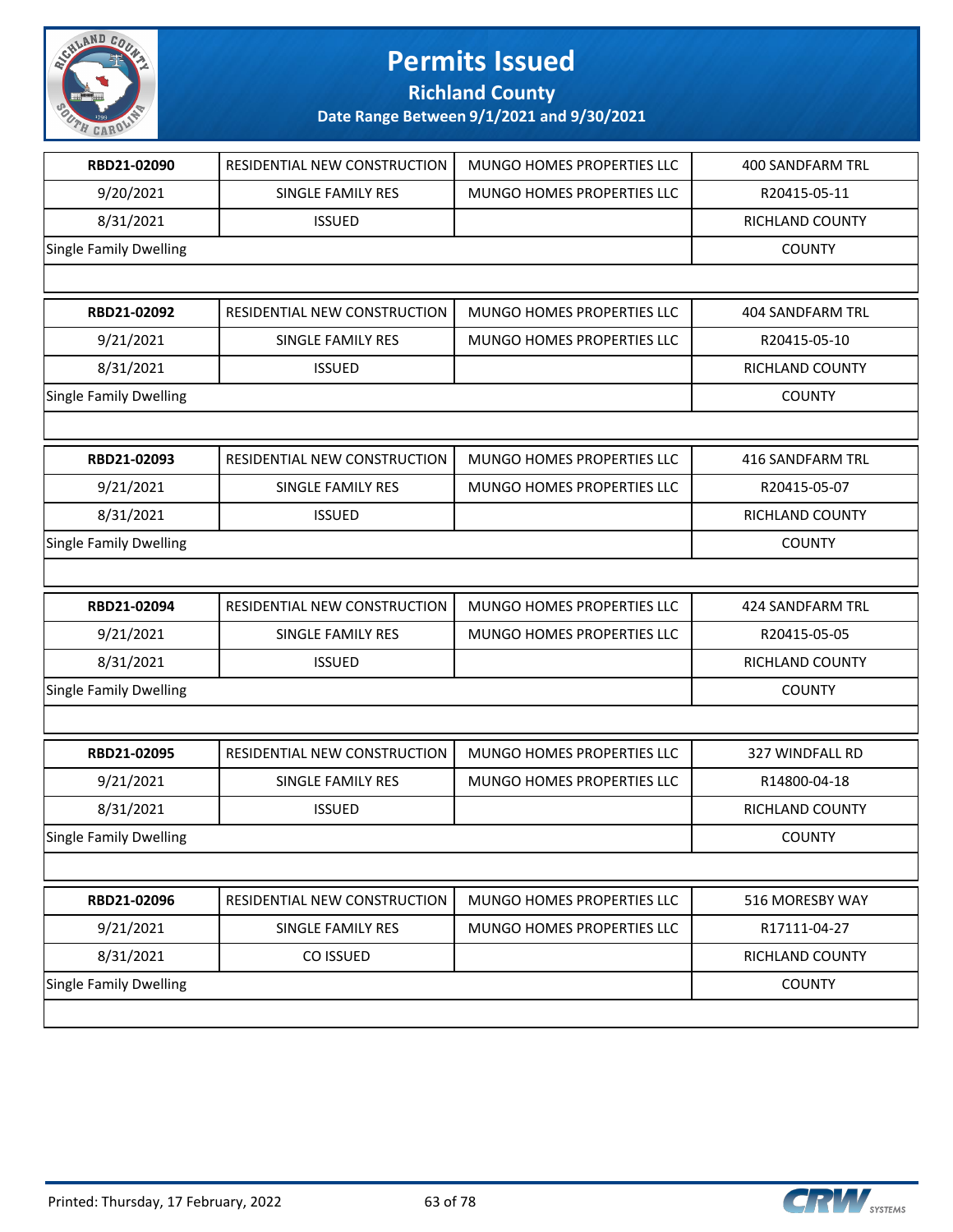

**Richland County**

| RBD21-02090                   | RESIDENTIAL NEW CONSTRUCTION | MUNGO HOMES PROPERTIES LLC | <b>400 SANDFARM TRL</b> |
|-------------------------------|------------------------------|----------------------------|-------------------------|
| 9/20/2021                     | SINGLE FAMILY RES            | MUNGO HOMES PROPERTIES LLC | R20415-05-11            |
| 8/31/2021                     | <b>ISSUED</b>                |                            | RICHLAND COUNTY         |
| <b>Single Family Dwelling</b> |                              |                            | <b>COUNTY</b>           |
|                               |                              |                            |                         |
| RBD21-02092                   | RESIDENTIAL NEW CONSTRUCTION | MUNGO HOMES PROPERTIES LLC | <b>404 SANDFARM TRL</b> |
| 9/21/2021                     | SINGLE FAMILY RES            | MUNGO HOMES PROPERTIES LLC | R20415-05-10            |
| 8/31/2021                     | <b>ISSUED</b>                |                            | RICHLAND COUNTY         |
| <b>Single Family Dwelling</b> |                              |                            | <b>COUNTY</b>           |
|                               |                              |                            |                         |
| RBD21-02093                   | RESIDENTIAL NEW CONSTRUCTION | MUNGO HOMES PROPERTIES LLC | 416 SANDFARM TRL        |
| 9/21/2021                     | SINGLE FAMILY RES            | MUNGO HOMES PROPERTIES LLC | R20415-05-07            |
| 8/31/2021                     | <b>ISSUED</b>                |                            | RICHLAND COUNTY         |
| <b>Single Family Dwelling</b> |                              |                            | <b>COUNTY</b>           |
|                               |                              |                            |                         |
| RBD21-02094                   | RESIDENTIAL NEW CONSTRUCTION | MUNGO HOMES PROPERTIES LLC | 424 SANDFARM TRL        |
| 9/21/2021                     | SINGLE FAMILY RES            | MUNGO HOMES PROPERTIES LLC | R20415-05-05            |
| 8/31/2021                     | <b>ISSUED</b>                |                            | RICHLAND COUNTY         |
| <b>Single Family Dwelling</b> |                              |                            | <b>COUNTY</b>           |
|                               |                              |                            |                         |
| RBD21-02095                   | RESIDENTIAL NEW CONSTRUCTION | MUNGO HOMES PROPERTIES LLC | 327 WINDFALL RD         |
| 9/21/2021                     | SINGLE FAMILY RES            | MUNGO HOMES PROPERTIES LLC | R14800-04-18            |
| 8/31/2021                     | <b>ISSUED</b>                |                            | RICHLAND COUNTY         |
| <b>Single Family Dwelling</b> |                              |                            | <b>COUNTY</b>           |
|                               |                              |                            |                         |
| RBD21-02096                   | RESIDENTIAL NEW CONSTRUCTION | MUNGO HOMES PROPERTIES LLC | 516 MORESBY WAY         |
| 9/21/2021                     | SINGLE FAMILY RES            | MUNGO HOMES PROPERTIES LLC | R17111-04-27            |
| 8/31/2021                     | CO ISSUED                    |                            | RICHLAND COUNTY         |
| <b>Single Family Dwelling</b> |                              |                            | <b>COUNTY</b>           |
|                               |                              |                            |                         |
|                               |                              |                            |                         |

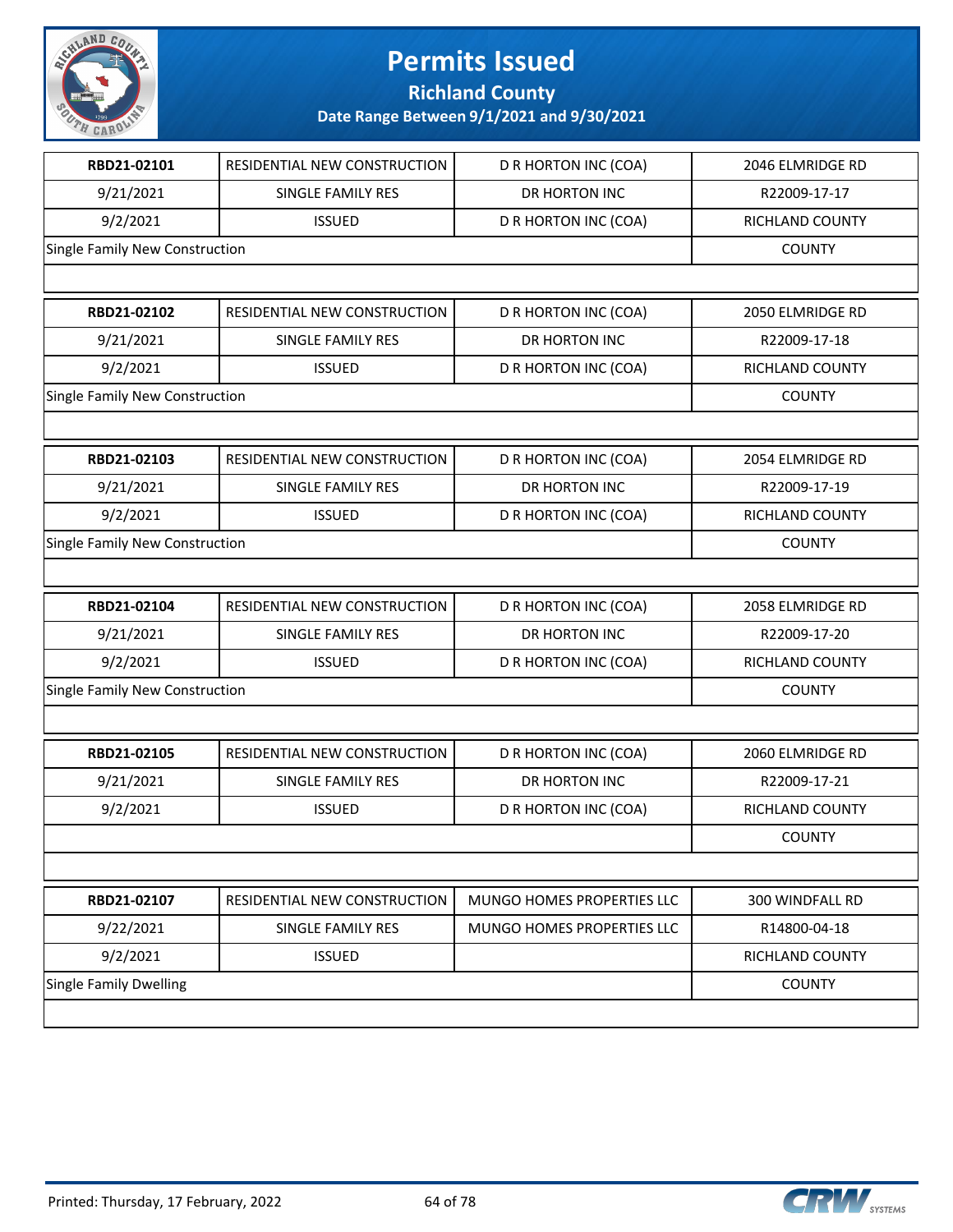

**Richland County**

| RBD21-02101                    | RESIDENTIAL NEW CONSTRUCTION | D R HORTON INC (COA)       | 2046 ELMRIDGE RD |
|--------------------------------|------------------------------|----------------------------|------------------|
| 9/21/2021                      | SINGLE FAMILY RES            | DR HORTON INC              | R22009-17-17     |
| 9/2/2021                       | <b>ISSUED</b>                | D R HORTON INC (COA)       | RICHLAND COUNTY  |
| Single Family New Construction |                              |                            | <b>COUNTY</b>    |
|                                |                              |                            |                  |
| RBD21-02102                    | RESIDENTIAL NEW CONSTRUCTION | D R HORTON INC (COA)       | 2050 ELMRIDGE RD |
| 9/21/2021                      | SINGLE FAMILY RES            | <b>DR HORTON INC</b>       | R22009-17-18     |
| 9/2/2021                       | <b>ISSUED</b>                | D R HORTON INC (COA)       | RICHLAND COUNTY  |
| Single Family New Construction |                              |                            | <b>COUNTY</b>    |
|                                |                              |                            |                  |
| RBD21-02103                    | RESIDENTIAL NEW CONSTRUCTION | D R HORTON INC (COA)       | 2054 ELMRIDGE RD |
| 9/21/2021                      | SINGLE FAMILY RES            | <b>DR HORTON INC</b>       | R22009-17-19     |
| 9/2/2021                       | <b>ISSUED</b>                | D R HORTON INC (COA)       | RICHLAND COUNTY  |
| Single Family New Construction |                              |                            | <b>COUNTY</b>    |
|                                |                              |                            |                  |
| RBD21-02104                    | RESIDENTIAL NEW CONSTRUCTION | D R HORTON INC (COA)       | 2058 ELMRIDGE RD |
| 9/21/2021                      | SINGLE FAMILY RES            | DR HORTON INC              | R22009-17-20     |
| 9/2/2021                       | <b>ISSUED</b>                | D R HORTON INC (COA)       | RICHLAND COUNTY  |
| Single Family New Construction |                              |                            | <b>COUNTY</b>    |
|                                |                              |                            |                  |
| RBD21-02105                    | RESIDENTIAL NEW CONSTRUCTION | D R HORTON INC (COA)       | 2060 ELMRIDGE RD |
| 9/21/2021                      | SINGLE FAMILY RES            | DR HORTON INC              | R22009-17-21     |
| 9/2/2021                       | <b>ISSUED</b>                | D R HORTON INC (COA)       | RICHLAND COUNTY  |
|                                |                              |                            | <b>COUNTY</b>    |
|                                |                              |                            |                  |
| RBD21-02107                    | RESIDENTIAL NEW CONSTRUCTION | MUNGO HOMES PROPERTIES LLC | 300 WINDFALL RD  |
| 9/22/2021                      | SINGLE FAMILY RES            | MUNGO HOMES PROPERTIES LLC | R14800-04-18     |
| 9/2/2021                       | <b>ISSUED</b>                |                            | RICHLAND COUNTY  |
| <b>Single Family Dwelling</b>  |                              |                            | <b>COUNTY</b>    |
|                                |                              |                            |                  |

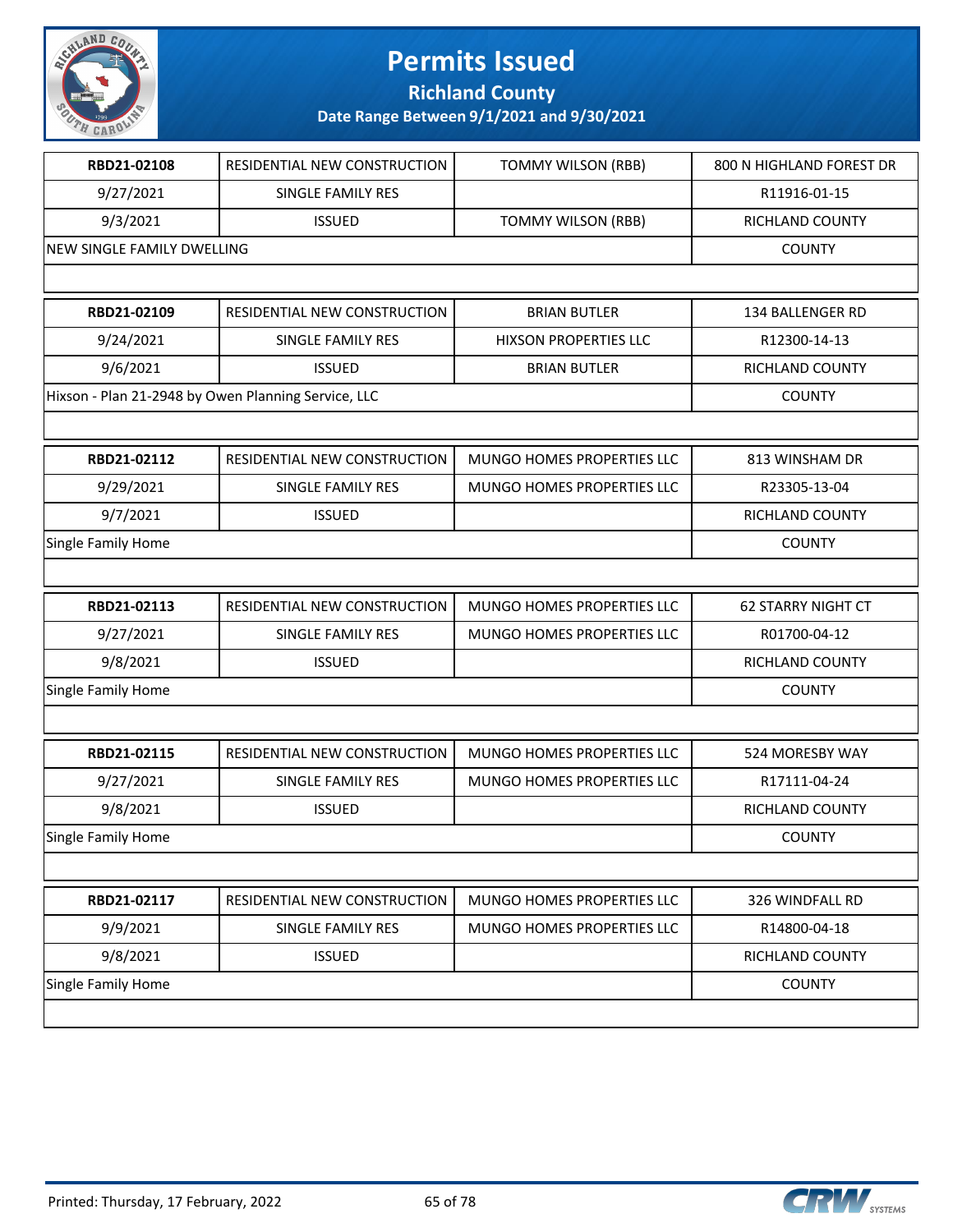

**Richland County**

| RBD21-02108                                         | RESIDENTIAL NEW CONSTRUCTION | <b>TOMMY WILSON (RBB)</b>         | 800 N HIGHLAND FOREST DR  |
|-----------------------------------------------------|------------------------------|-----------------------------------|---------------------------|
| 9/27/2021                                           | SINGLE FAMILY RES            |                                   | R11916-01-15              |
| 9/3/2021                                            | <b>ISSUED</b>                | TOMMY WILSON (RBB)                | RICHLAND COUNTY           |
| NEW SINGLE FAMILY DWELLING                          |                              |                                   | <b>COUNTY</b>             |
|                                                     |                              |                                   |                           |
| RBD21-02109                                         | RESIDENTIAL NEW CONSTRUCTION | <b>BRIAN BUTLER</b>               | 134 BALLENGER RD          |
| 9/24/2021                                           | SINGLE FAMILY RES            | <b>HIXSON PROPERTIES LLC</b>      | R12300-14-13              |
| 9/6/2021                                            | <b>ISSUED</b>                | <b>BRIAN BUTLER</b>               | RICHLAND COUNTY           |
| Hixson - Plan 21-2948 by Owen Planning Service, LLC |                              |                                   | <b>COUNTY</b>             |
|                                                     |                              |                                   |                           |
| RBD21-02112                                         | RESIDENTIAL NEW CONSTRUCTION | MUNGO HOMES PROPERTIES LLC        | 813 WINSHAM DR            |
| 9/29/2021                                           | SINGLE FAMILY RES            | <b>MUNGO HOMES PROPERTIES LLC</b> | R23305-13-04              |
| 9/7/2021                                            | <b>ISSUED</b>                |                                   | RICHLAND COUNTY           |
| Single Family Home                                  |                              |                                   | <b>COUNTY</b>             |
|                                                     |                              |                                   |                           |
| RBD21-02113                                         | RESIDENTIAL NEW CONSTRUCTION | MUNGO HOMES PROPERTIES LLC        | <b>62 STARRY NIGHT CT</b> |
| 9/27/2021                                           | SINGLE FAMILY RES            | MUNGO HOMES PROPERTIES LLC        | R01700-04-12              |
| 9/8/2021                                            | <b>ISSUED</b>                |                                   | RICHLAND COUNTY           |
| Single Family Home                                  |                              |                                   | <b>COUNTY</b>             |
|                                                     |                              |                                   |                           |
| RBD21-02115                                         | RESIDENTIAL NEW CONSTRUCTION | MUNGO HOMES PROPERTIES LLC        | 524 MORESBY WAY           |
| 9/27/2021                                           | SINGLE FAMILY RES            | MUNGO HOMES PROPERTIES LLC        | R17111-04-24              |
| 9/8/2021                                            | <b>ISSUED</b>                |                                   | RICHLAND COUNTY           |
| Single Family Home                                  |                              |                                   | <b>COUNTY</b>             |
|                                                     |                              |                                   |                           |
| RBD21-02117                                         | RESIDENTIAL NEW CONSTRUCTION | MUNGO HOMES PROPERTIES LLC        | 326 WINDFALL RD           |
| 9/9/2021                                            | SINGLE FAMILY RES            | MUNGO HOMES PROPERTIES LLC        | R14800-04-18              |
| 9/8/2021                                            | <b>ISSUED</b>                |                                   | RICHLAND COUNTY           |
| Single Family Home                                  |                              |                                   | <b>COUNTY</b>             |
|                                                     |                              |                                   |                           |
|                                                     |                              |                                   |                           |

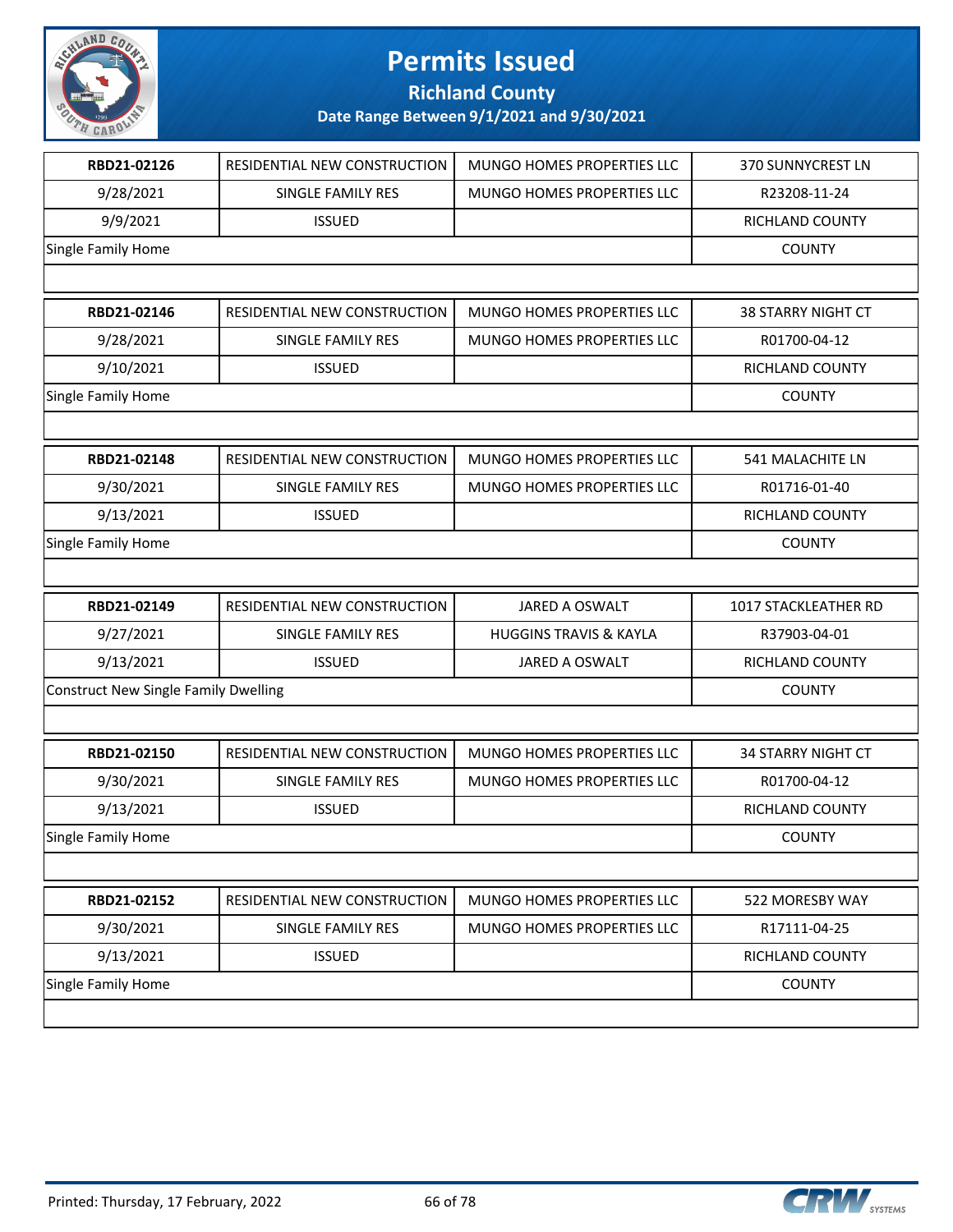

**Richland County**

| RBD21-02126                                 | RESIDENTIAL NEW CONSTRUCTION | MUNGO HOMES PROPERTIES LLC        | 370 SUNNYCREST LN         |
|---------------------------------------------|------------------------------|-----------------------------------|---------------------------|
| 9/28/2021                                   | SINGLE FAMILY RES            | MUNGO HOMES PROPERTIES LLC        | R23208-11-24              |
| 9/9/2021                                    | <b>ISSUED</b>                |                                   | RICHLAND COUNTY           |
| Single Family Home                          |                              |                                   | <b>COUNTY</b>             |
|                                             |                              |                                   |                           |
| RBD21-02146                                 | RESIDENTIAL NEW CONSTRUCTION | MUNGO HOMES PROPERTIES LLC        | <b>38 STARRY NIGHT CT</b> |
| 9/28/2021                                   | SINGLE FAMILY RES            | MUNGO HOMES PROPERTIES LLC        | R01700-04-12              |
| 9/10/2021                                   | <b>ISSUED</b>                |                                   | RICHLAND COUNTY           |
| Single Family Home                          |                              |                                   | <b>COUNTY</b>             |
|                                             |                              |                                   |                           |
| RBD21-02148                                 | RESIDENTIAL NEW CONSTRUCTION | MUNGO HOMES PROPERTIES LLC        | <b>541 MALACHITE LN</b>   |
| 9/30/2021                                   | SINGLE FAMILY RES            | MUNGO HOMES PROPERTIES LLC        | R01716-01-40              |
| 9/13/2021                                   | <b>ISSUED</b>                |                                   | RICHLAND COUNTY           |
| Single Family Home                          |                              |                                   | <b>COUNTY</b>             |
|                                             |                              |                                   |                           |
|                                             |                              |                                   |                           |
| RBD21-02149                                 | RESIDENTIAL NEW CONSTRUCTION | JARED A OSWALT                    | 1017 STACKLEATHER RD      |
| 9/27/2021                                   | SINGLE FAMILY RES            | <b>HUGGINS TRAVIS &amp; KAYLA</b> | R37903-04-01              |
| 9/13/2021                                   | <b>ISSUED</b>                | JARED A OSWALT                    | RICHLAND COUNTY           |
| <b>Construct New Single Family Dwelling</b> |                              |                                   | <b>COUNTY</b>             |
|                                             |                              |                                   |                           |
| RBD21-02150                                 | RESIDENTIAL NEW CONSTRUCTION | MUNGO HOMES PROPERTIES LLC        | <b>34 STARRY NIGHT CT</b> |
| 9/30/2021                                   | <b>SINGLE FAMILY RES</b>     | MUNGO HOMES PROPERTIES LLC        | R01700-04-12              |
| 9/13/2021                                   | <b>ISSUED</b>                |                                   | RICHLAND COUNTY           |
| <b>Single Family Home</b>                   |                              |                                   | <b>COUNTY</b>             |
|                                             |                              |                                   |                           |
| RBD21-02152                                 | RESIDENTIAL NEW CONSTRUCTION | MUNGO HOMES PROPERTIES LLC        | 522 MORESBY WAY           |
| 9/30/2021                                   | SINGLE FAMILY RES            | MUNGO HOMES PROPERTIES LLC        | R17111-04-25              |
| 9/13/2021                                   | <b>ISSUED</b>                |                                   | RICHLAND COUNTY           |
| Single Family Home                          |                              |                                   | <b>COUNTY</b>             |

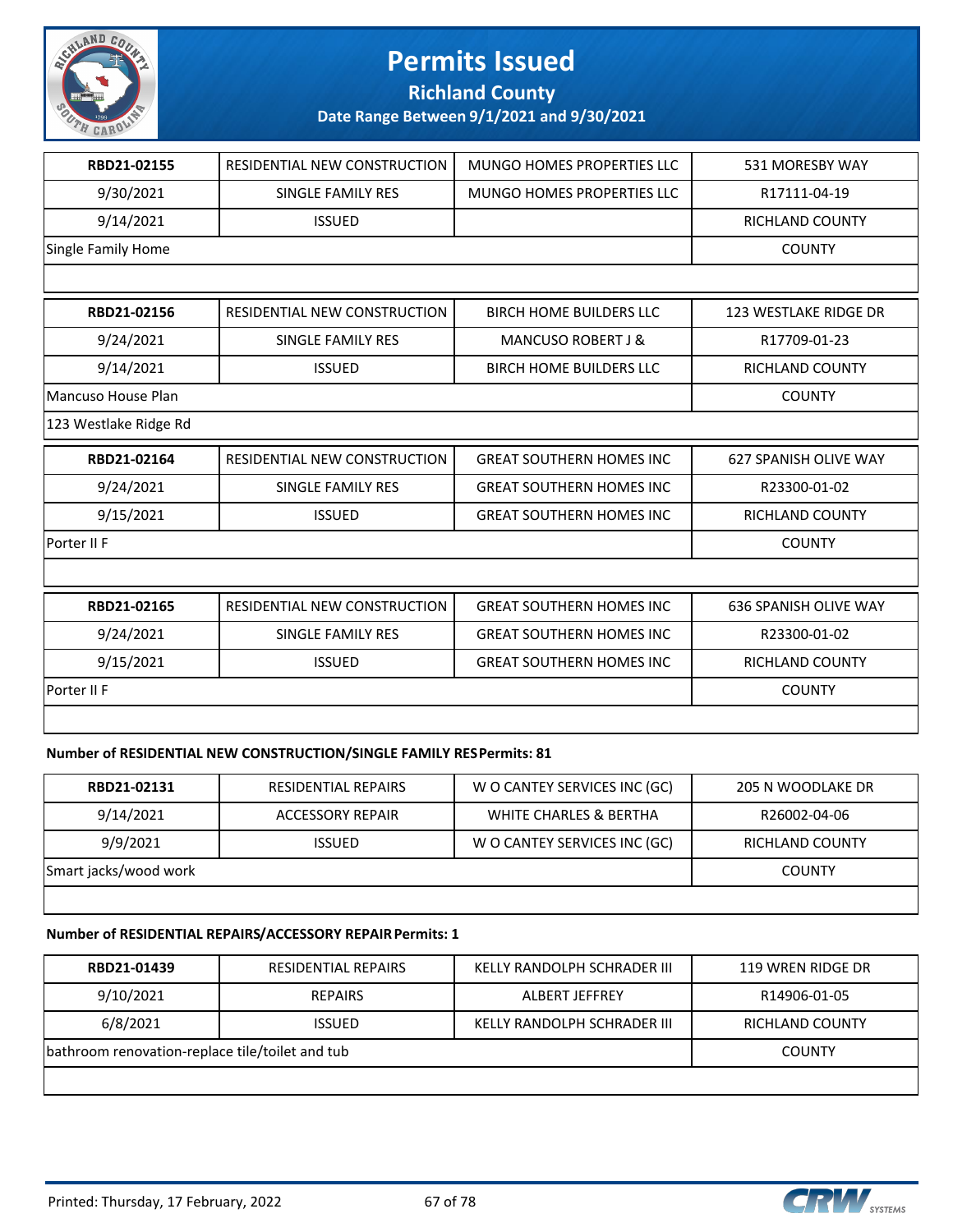

**Richland County**

**Date Range Between 9/1/2021 and 9/30/2021**

| RBD21-02155               | <b>RESIDENTIAL NEW CONSTRUCTION</b> | MUNGO HOMES PROPERTIES LLC        | 531 MORESBY WAY              |
|---------------------------|-------------------------------------|-----------------------------------|------------------------------|
| 9/30/2021                 | SINGLE FAMILY RES                   | <b>MUNGO HOMES PROPERTIES LLC</b> | R17111-04-19                 |
| 9/14/2021                 | <b>ISSUED</b>                       |                                   | <b>RICHLAND COUNTY</b>       |
| <b>Single Family Home</b> |                                     |                                   | <b>COUNTY</b>                |
|                           |                                     |                                   |                              |
| RBD21-02156               | <b>RESIDENTIAL NEW CONSTRUCTION</b> | <b>BIRCH HOME BUILDERS LLC</b>    | <b>123 WESTLAKE RIDGE DR</b> |
| 9/24/2021                 | <b>SINGLE FAMILY RES</b>            | <b>MANCUSO ROBERT J &amp;</b>     | R17709-01-23                 |
| 9/14/2021                 | <b>ISSUED</b>                       | <b>BIRCH HOME BUILDERS LLC</b>    | <b>RICHLAND COUNTY</b>       |
| Mancuso House Plan        |                                     |                                   | <b>COUNTY</b>                |
| 123 Westlake Ridge Rd     |                                     |                                   |                              |
| RBD21-02164               | RESIDENTIAL NEW CONSTRUCTION        | <b>GREAT SOUTHERN HOMES INC</b>   | <b>627 SPANISH OLIVE WAY</b> |
| 9/24/2021                 | <b>SINGLE FAMILY RES</b>            | <b>GREAT SOUTHERN HOMES INC</b>   | R23300-01-02                 |
| 9/15/2021                 | <b>ISSUED</b>                       | <b>GREAT SOUTHERN HOMES INC</b>   | RICHLAND COUNTY              |
| Porter II F               |                                     |                                   | <b>COUNTY</b>                |
|                           |                                     |                                   |                              |
| RBD21-02165               | RESIDENTIAL NEW CONSTRUCTION        | <b>GREAT SOUTHERN HOMES INC</b>   | <b>636 SPANISH OLIVE WAY</b> |
| 9/24/2021                 | <b>SINGLE FAMILY RES</b>            | <b>GREAT SOUTHERN HOMES INC</b>   | R23300-01-02                 |
| 9/15/2021                 | <b>ISSUED</b>                       | <b>GREAT SOUTHERN HOMES INC</b>   | <b>RICHLAND COUNTY</b>       |
| Porter II F               |                                     |                                   | <b>COUNTY</b>                |
|                           |                                     |                                   |                              |

#### **Number of RESIDENTIAL NEW CONSTRUCTION/SINGLE FAMILY RES Permits: 81**

| RBD21-02131           | <b>RESIDENTIAL REPAIRS</b> | W O CANTEY SERVICES INC (GC) | 205 N WOODLAKE DR      |
|-----------------------|----------------------------|------------------------------|------------------------|
| 9/14/2021             | ACCESSORY REPAIR           | WHITE CHARLES & BERTHA       | R26002-04-06           |
| 9/9/2021              | <b>ISSUED</b>              | W O CANTEY SERVICES INC (GC) | <b>RICHLAND COUNTY</b> |
| Smart jacks/wood work |                            |                              | <b>COUNTY</b>          |
|                       |                            |                              |                        |

#### **Number of RESIDENTIAL REPAIRS/ACCESSORY REPAIR Permits: 1**

| RBD21-01439                                     | <b>RESIDENTIAL REPAIRS</b> | KELLY RANDOLPH SCHRADER III | 119 WREN RIDGE DR |
|-------------------------------------------------|----------------------------|-----------------------------|-------------------|
| 9/10/2021                                       | <b>REPAIRS</b>             | ALBERT JEFFREY              | R14906-01-05      |
| 6/8/2021                                        | <b>ISSUED</b>              | KELLY RANDOLPH SCHRADER III | RICHLAND COUNTY   |
| bathroom renovation-replace tile/toilet and tub |                            |                             | <b>COUNTY</b>     |
|                                                 |                            |                             |                   |

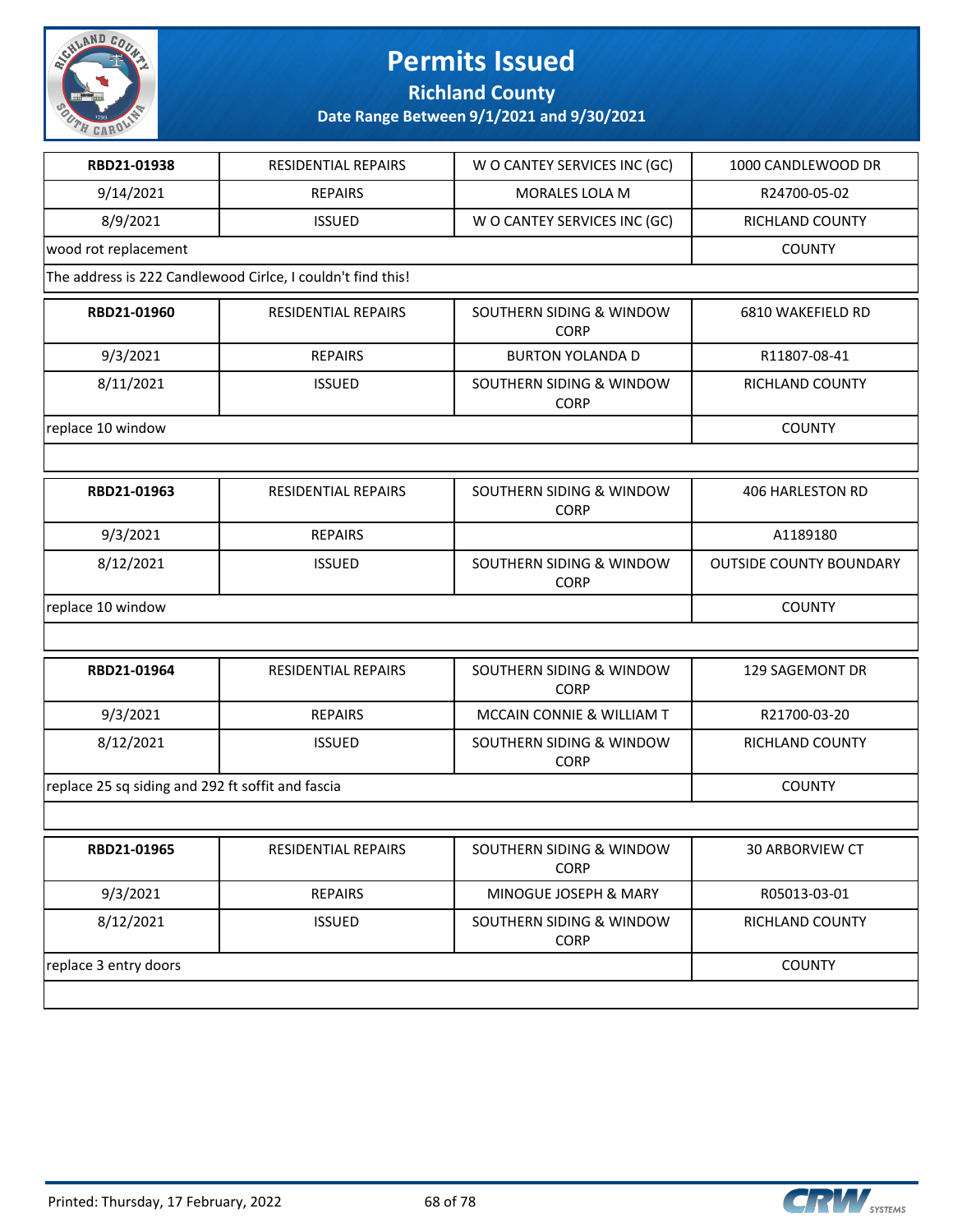

### **Richland County**

| RBD21-01938                                       | <b>RESIDENTIAL REPAIRS</b>                                  | W O CANTEY SERVICES INC (GC)            | 1000 CANDLEWOOD DR             |
|---------------------------------------------------|-------------------------------------------------------------|-----------------------------------------|--------------------------------|
| 9/14/2021                                         | <b>REPAIRS</b>                                              | <b>MORALES LOLA M</b>                   | R24700-05-02                   |
| 8/9/2021                                          | <b>ISSUED</b>                                               | W O CANTEY SERVICES INC (GC)            | RICHLAND COUNTY                |
| wood rot replacement                              |                                                             |                                         | <b>COUNTY</b>                  |
|                                                   | The address is 222 Candlewood Cirlce, I couldn't find this! |                                         |                                |
| RBD21-01960                                       | RESIDENTIAL REPAIRS                                         | SOUTHERN SIDING & WINDOW<br><b>CORP</b> | 6810 WAKEFIELD RD              |
| 9/3/2021                                          | <b>REPAIRS</b>                                              | <b>BURTON YOLANDA D</b>                 | R11807-08-41                   |
| 8/11/2021                                         | <b>ISSUED</b>                                               | SOUTHERN SIDING & WINDOW<br><b>CORP</b> | RICHLAND COUNTY                |
| replace 10 window                                 |                                                             |                                         | <b>COUNTY</b>                  |
|                                                   |                                                             |                                         |                                |
| RBD21-01963                                       | RESIDENTIAL REPAIRS                                         | SOUTHERN SIDING & WINDOW<br><b>CORP</b> | <b>406 HARLESTON RD</b>        |
| 9/3/2021                                          | <b>REPAIRS</b>                                              |                                         | A1189180                       |
| 8/12/2021                                         | <b>ISSUED</b>                                               | SOUTHERN SIDING & WINDOW<br><b>CORP</b> | <b>OUTSIDE COUNTY BOUNDARY</b> |
| replace 10 window                                 |                                                             |                                         | <b>COUNTY</b>                  |
|                                                   |                                                             |                                         |                                |
| RBD21-01964                                       | <b>RESIDENTIAL REPAIRS</b>                                  | SOUTHERN SIDING & WINDOW<br><b>CORP</b> | 129 SAGEMONT DR                |
| 9/3/2021                                          | <b>REPAIRS</b>                                              | MCCAIN CONNIE & WILLIAM T               | R21700-03-20                   |
| 8/12/2021                                         | <b>ISSUED</b>                                               | SOUTHERN SIDING & WINDOW<br><b>CORP</b> | RICHLAND COUNTY                |
| replace 25 sq siding and 292 ft soffit and fascia |                                                             |                                         | <b>COUNTY</b>                  |
|                                                   |                                                             |                                         |                                |
| RBD21-01965                                       | <b>RESIDENTIAL REPAIRS</b>                                  | SOUTHERN SIDING & WINDOW<br><b>CORP</b> | 30 ARBORVIEW CT                |
| 9/3/2021                                          | <b>REPAIRS</b>                                              | MINOGUE JOSEPH & MARY                   | R05013-03-01                   |
| 8/12/2021                                         | <b>ISSUED</b>                                               | SOUTHERN SIDING & WINDOW<br><b>CORP</b> | RICHLAND COUNTY                |
| replace 3 entry doors                             | <b>COUNTY</b>                                               |                                         |                                |
|                                                   |                                                             |                                         |                                |

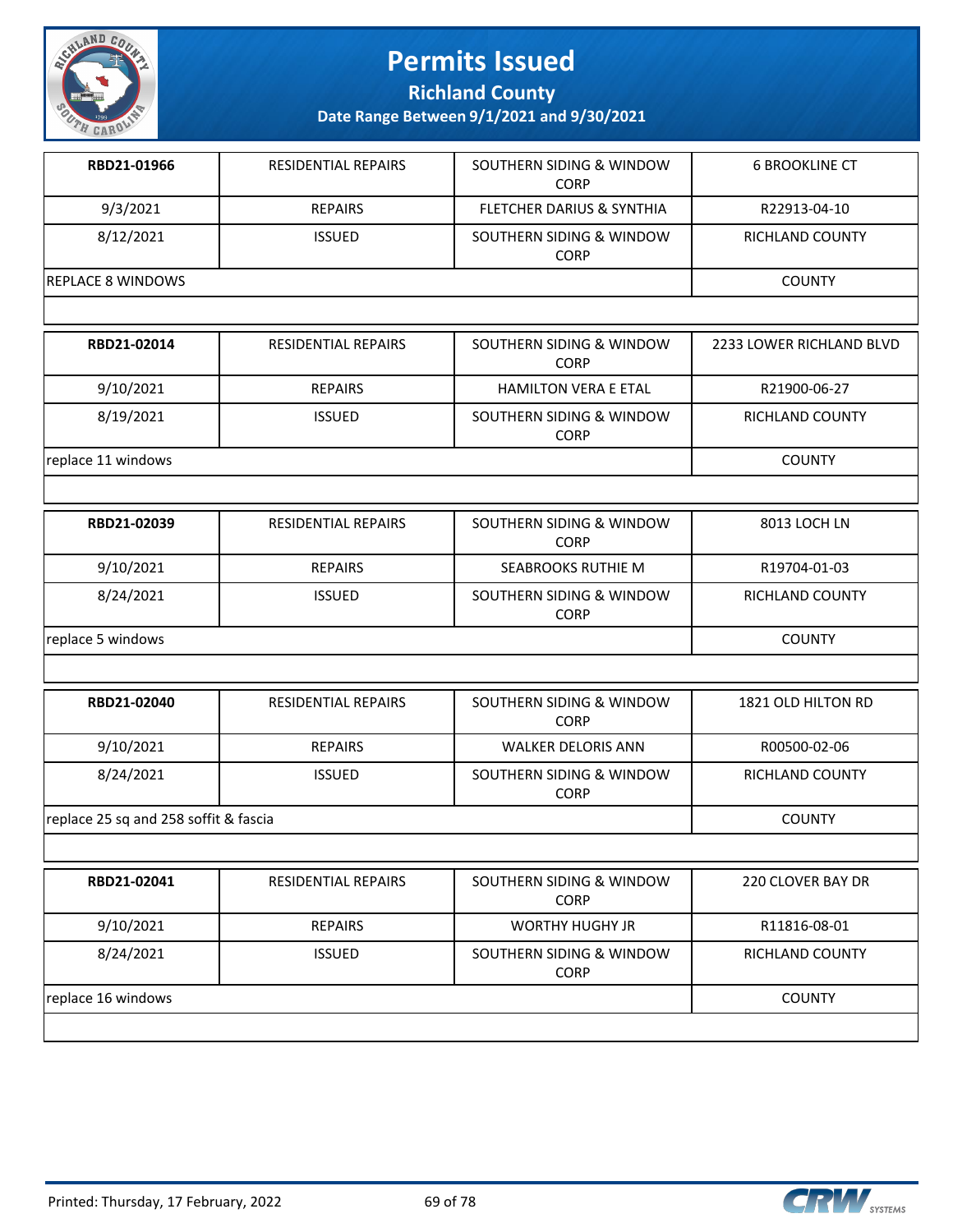

**Richland County**

| RBD21-01966                           | RESIDENTIAL REPAIRS        | SOUTHERN SIDING & WINDOW<br><b>CORP</b> | <b>6 BROOKLINE CT</b>    |
|---------------------------------------|----------------------------|-----------------------------------------|--------------------------|
| 9/3/2021                              | <b>REPAIRS</b>             | <b>FLETCHER DARIUS &amp; SYNTHIA</b>    | R22913-04-10             |
| 8/12/2021                             | <b>ISSUED</b>              | SOUTHERN SIDING & WINDOW<br>CORP        | <b>RICHLAND COUNTY</b>   |
| <b>REPLACE 8 WINDOWS</b>              |                            |                                         | <b>COUNTY</b>            |
|                                       |                            |                                         |                          |
| RBD21-02014                           | RESIDENTIAL REPAIRS        | SOUTHERN SIDING & WINDOW<br><b>CORP</b> | 2233 LOWER RICHLAND BLVD |
| 9/10/2021                             | <b>REPAIRS</b>             | <b>HAMILTON VERA E ETAL</b>             | R21900-06-27             |
| 8/19/2021                             | <b>ISSUED</b>              | SOUTHERN SIDING & WINDOW<br><b>CORP</b> | RICHLAND COUNTY          |
| replace 11 windows                    |                            |                                         | <b>COUNTY</b>            |
|                                       |                            |                                         |                          |
| RBD21-02039                           | RESIDENTIAL REPAIRS        | SOUTHERN SIDING & WINDOW<br><b>CORP</b> | 8013 LOCH LN             |
| 9/10/2021                             | <b>REPAIRS</b>             | <b>SEABROOKS RUTHIE M</b>               | R19704-01-03             |
| 8/24/2021                             | <b>ISSUED</b>              | SOUTHERN SIDING & WINDOW<br><b>CORP</b> | RICHLAND COUNTY          |
| replace 5 windows                     | <b>COUNTY</b>              |                                         |                          |
|                                       |                            |                                         |                          |
| RBD21-02040                           | RESIDENTIAL REPAIRS        | SOUTHERN SIDING & WINDOW<br><b>CORP</b> | 1821 OLD HILTON RD       |
| 9/10/2021                             | <b>REPAIRS</b>             | <b>WALKER DELORIS ANN</b>               | R00500-02-06             |
| 8/24/2021                             | <b>ISSUED</b>              | SOUTHERN SIDING & WINDOW<br><b>CORP</b> | RICHLAND COUNTY          |
| replace 25 sq and 258 soffit & fascia |                            |                                         | <b>COUNTY</b>            |
|                                       |                            |                                         |                          |
| RBD21-02041                           | <b>RESIDENTIAL REPAIRS</b> | SOUTHERN SIDING & WINDOW<br><b>CORP</b> | 220 CLOVER BAY DR        |
| 9/10/2021                             | <b>REPAIRS</b>             | <b>WORTHY HUGHY JR</b>                  | R11816-08-01             |
| 8/24/2021                             | <b>ISSUED</b>              | SOUTHERN SIDING & WINDOW<br><b>CORP</b> | RICHLAND COUNTY          |
| replace 16 windows                    |                            |                                         | <b>COUNTY</b>            |
|                                       |                            |                                         |                          |

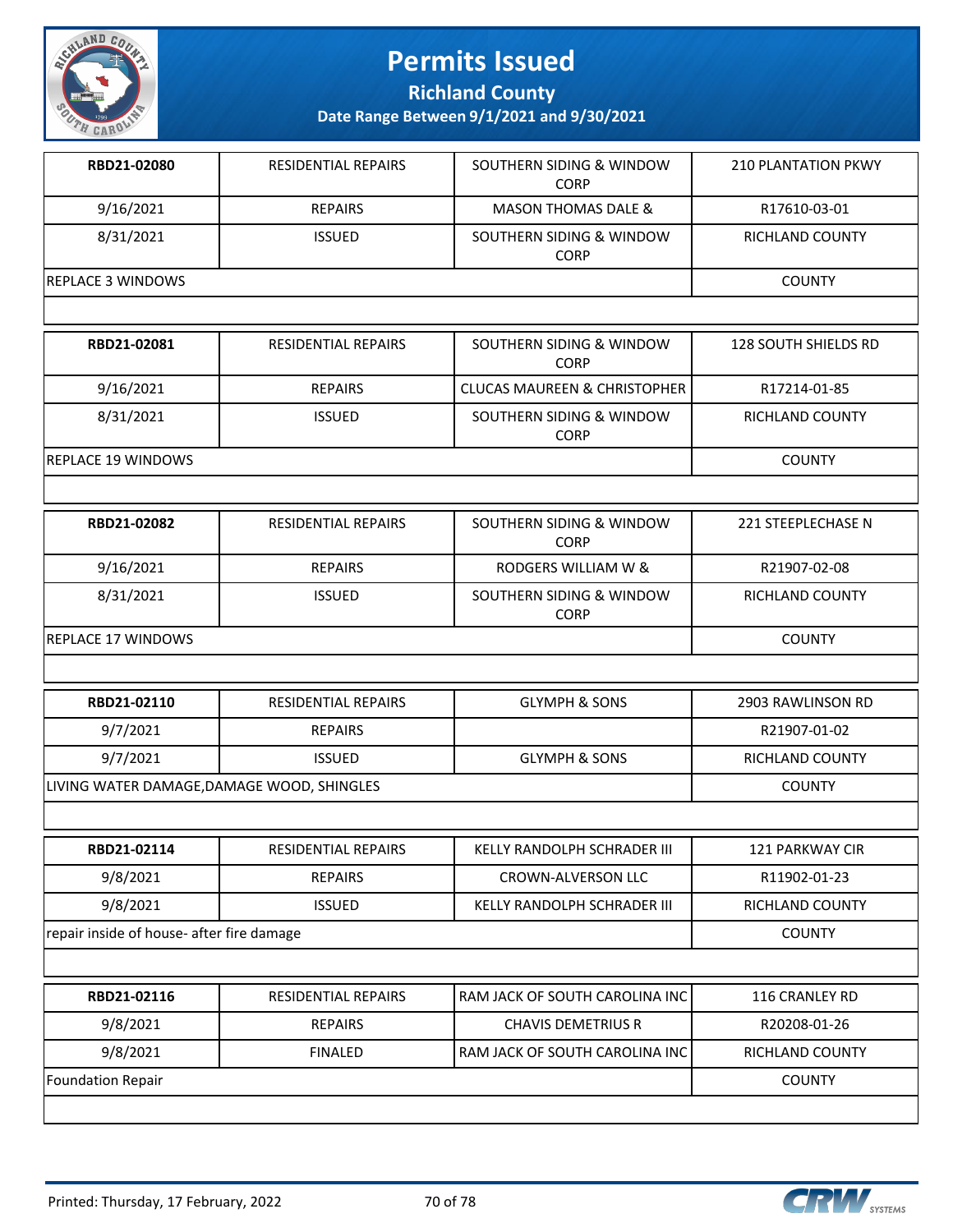

**Richland County**

| RBD21-02080                                | <b>RESIDENTIAL REPAIRS</b> | SOUTHERN SIDING & WINDOW<br><b>CORP</b> | <b>210 PLANTATION PKWY</b> |
|--------------------------------------------|----------------------------|-----------------------------------------|----------------------------|
| 9/16/2021                                  | <b>REPAIRS</b>             | <b>MASON THOMAS DALE &amp;</b>          | R17610-03-01               |
| 8/31/2021                                  | <b>ISSUED</b>              | SOUTHERN SIDING & WINDOW<br><b>CORP</b> | RICHLAND COUNTY            |
| <b>REPLACE 3 WINDOWS</b>                   |                            |                                         | <b>COUNTY</b>              |
|                                            |                            |                                         |                            |
| RBD21-02081                                | RESIDENTIAL REPAIRS        | SOUTHERN SIDING & WINDOW<br><b>CORP</b> | 128 SOUTH SHIELDS RD       |
| 9/16/2021                                  | <b>REPAIRS</b>             | <b>CLUCAS MAUREEN &amp; CHRISTOPHER</b> | R17214-01-85               |
| 8/31/2021                                  | <b>ISSUED</b>              | SOUTHERN SIDING & WINDOW<br><b>CORP</b> | RICHLAND COUNTY            |
| <b>REPLACE 19 WINDOWS</b>                  |                            |                                         | <b>COUNTY</b>              |
|                                            |                            |                                         |                            |
| RBD21-02082                                | RESIDENTIAL REPAIRS        | SOUTHERN SIDING & WINDOW<br><b>CORP</b> | 221 STEEPLECHASE N         |
| 9/16/2021                                  | <b>REPAIRS</b>             | RODGERS WILLIAM W &                     | R21907-02-08               |
| 8/31/2021                                  | <b>ISSUED</b>              | SOUTHERN SIDING & WINDOW<br><b>CORP</b> | <b>RICHLAND COUNTY</b>     |
| <b>REPLACE 17 WINDOWS</b>                  |                            | <b>COUNTY</b>                           |                            |
|                                            |                            |                                         |                            |
| RBD21-02110                                | <b>RESIDENTIAL REPAIRS</b> | <b>GLYMPH &amp; SONS</b>                | 2903 RAWLINSON RD          |
| 9/7/2021                                   | <b>REPAIRS</b>             |                                         | R21907-01-02               |
| 9/7/2021                                   | <b>ISSUED</b>              | <b>GLYMPH &amp; SONS</b>                | RICHLAND COUNTY            |
| LIVING WATER DAMAGE, DAMAGE WOOD, SHINGLES |                            |                                         | <b>COUNTY</b>              |
|                                            |                            |                                         |                            |
| RBD21-02114                                | RESIDENTIAL REPAIRS        | KELLY RANDOLPH SCHRADER III             | 121 PARKWAY CIR            |
| 9/8/2021                                   | <b>REPAIRS</b>             | <b>CROWN-ALVERSON LLC</b>               | R11902-01-23               |
| 9/8/2021                                   | <b>ISSUED</b>              | KELLY RANDOLPH SCHRADER III             | RICHLAND COUNTY            |
| repair inside of house- after fire damage  |                            |                                         | <b>COUNTY</b>              |
|                                            |                            |                                         |                            |
| RBD21-02116                                | RESIDENTIAL REPAIRS        | RAM JACK OF SOUTH CAROLINA INC          | 116 CRANLEY RD             |
| 9/8/2021                                   | <b>REPAIRS</b>             | <b>CHAVIS DEMETRIUS R</b>               | R20208-01-26               |
| 9/8/2021                                   | <b>FINALED</b>             | RAM JACK OF SOUTH CAROLINA INC          | RICHLAND COUNTY            |
| Foundation Repair                          |                            |                                         | <b>COUNTY</b>              |
|                                            |                            |                                         |                            |

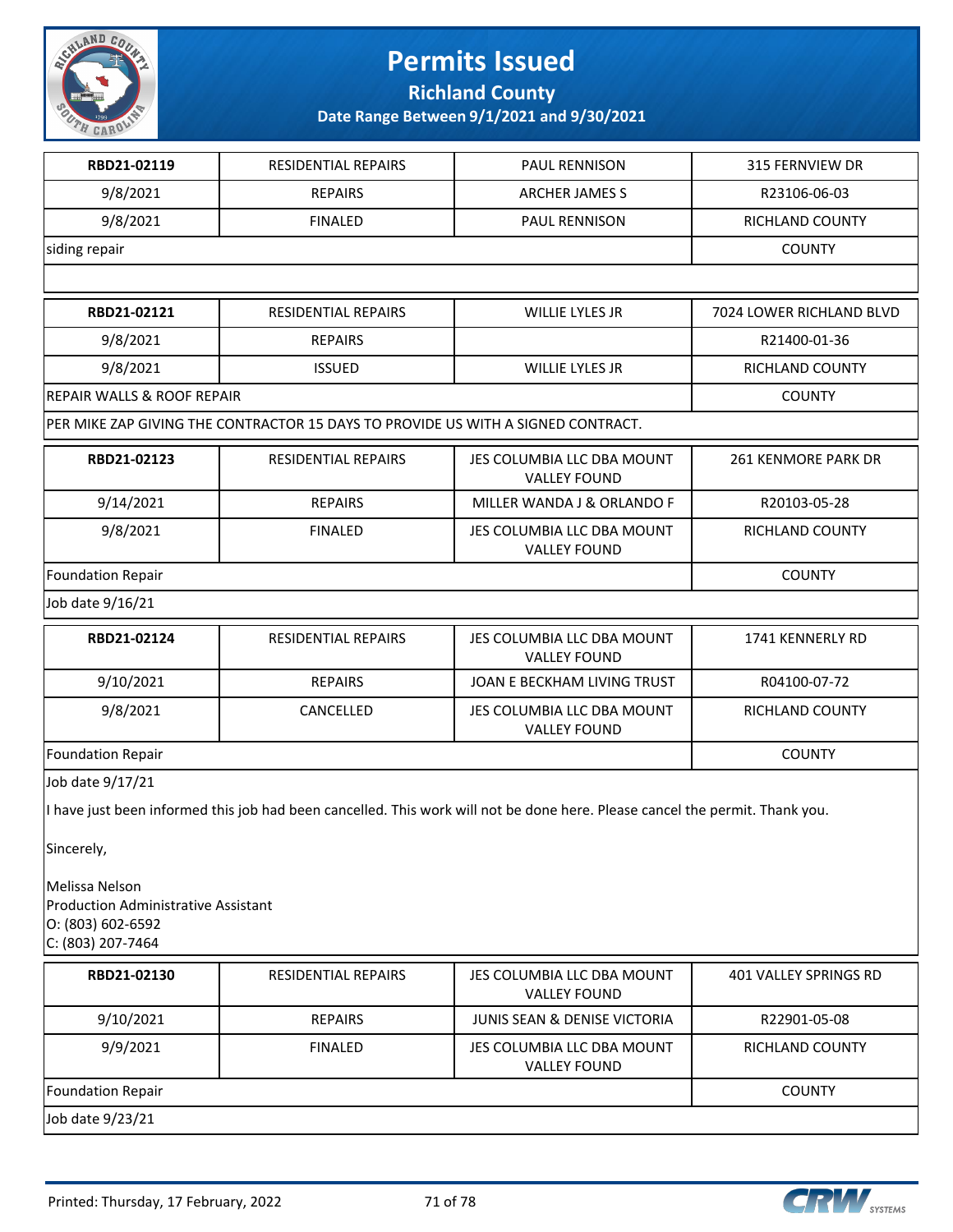

**Richland County**

| 9/8/2021<br><b>REPAIRS</b><br>ARCHER JAMES S<br>R23106-06-03<br>9/8/2021<br><b>FINALED</b><br>PAUL RENNISON<br>RICHLAND COUNTY<br><b>COUNTY</b><br>RBD21-02121<br><b>RESIDENTIAL REPAIRS</b><br>WILLIE LYLES JR<br>7024 LOWER RICHLAND BLVD<br>9/8/2021<br><b>REPAIRS</b><br>R21400-01-36<br>9/8/2021<br><b>ISSUED</b><br>WILLIE LYLES JR<br>RICHLAND COUNTY<br>REPAIR WALLS & ROOF REPAIR<br><b>COUNTY</b><br>PER MIKE ZAP GIVING THE CONTRACTOR 15 DAYS TO PROVIDE US WITH A SIGNED CONTRACT.<br>RBD21-02123<br>RESIDENTIAL REPAIRS<br>JES COLUMBIA LLC DBA MOUNT<br>261 KENMORE PARK DR<br><b>VALLEY FOUND</b><br>9/14/2021<br><b>REPAIRS</b><br>MILLER WANDA J & ORLANDO F<br>R20103-05-28<br>9/8/2021<br><b>FINALED</b><br>JES COLUMBIA LLC DBA MOUNT<br>RICHLAND COUNTY<br><b>VALLEY FOUND</b><br><b>COUNTY</b><br>RBD21-02124<br>RESIDENTIAL REPAIRS<br>JES COLUMBIA LLC DBA MOUNT<br>1741 KENNERLY RD<br><b>VALLEY FOUND</b><br>9/10/2021<br><b>REPAIRS</b><br>JOAN E BECKHAM LIVING TRUST<br>R04100-07-72<br>9/8/2021<br>CANCELLED<br>JES COLUMBIA LLC DBA MOUNT<br>RICHLAND COUNTY<br><b>VALLEY FOUND</b><br><b>COUNTY</b><br>I have just been informed this job had been cancelled. This work will not be done here. Please cancel the permit. Thank you.<br><b>Production Administrative Assistant</b><br>RBD21-02130<br><b>RESIDENTIAL REPAIRS</b><br>JES COLUMBIA LLC DBA MOUNT<br>401 VALLEY SPRINGS RD<br><b>VALLEY FOUND</b><br>9/10/2021<br><b>REPAIRS</b><br>JUNIS SEAN & DENISE VICTORIA<br>R22901-05-08<br>9/9/2021<br><b>FINALED</b><br>JES COLUMBIA LLC DBA MOUNT<br>RICHLAND COUNTY<br><b>VALLEY FOUND</b><br><b>COUNTY</b> | RBD21-02119                                              | RESIDENTIAL REPAIRS | PAUL RENNISON | 315 FERNVIEW DR |
|-----------------------------------------------------------------------------------------------------------------------------------------------------------------------------------------------------------------------------------------------------------------------------------------------------------------------------------------------------------------------------------------------------------------------------------------------------------------------------------------------------------------------------------------------------------------------------------------------------------------------------------------------------------------------------------------------------------------------------------------------------------------------------------------------------------------------------------------------------------------------------------------------------------------------------------------------------------------------------------------------------------------------------------------------------------------------------------------------------------------------------------------------------------------------------------------------------------------------------------------------------------------------------------------------------------------------------------------------------------------------------------------------------------------------------------------------------------------------------------------------------------------------------------------------------------------------------------------------------------------------------------------------------|----------------------------------------------------------|---------------------|---------------|-----------------|
|                                                                                                                                                                                                                                                                                                                                                                                                                                                                                                                                                                                                                                                                                                                                                                                                                                                                                                                                                                                                                                                                                                                                                                                                                                                                                                                                                                                                                                                                                                                                                                                                                                                     |                                                          |                     |               |                 |
|                                                                                                                                                                                                                                                                                                                                                                                                                                                                                                                                                                                                                                                                                                                                                                                                                                                                                                                                                                                                                                                                                                                                                                                                                                                                                                                                                                                                                                                                                                                                                                                                                                                     |                                                          |                     |               |                 |
|                                                                                                                                                                                                                                                                                                                                                                                                                                                                                                                                                                                                                                                                                                                                                                                                                                                                                                                                                                                                                                                                                                                                                                                                                                                                                                                                                                                                                                                                                                                                                                                                                                                     | siding repair                                            |                     |               |                 |
|                                                                                                                                                                                                                                                                                                                                                                                                                                                                                                                                                                                                                                                                                                                                                                                                                                                                                                                                                                                                                                                                                                                                                                                                                                                                                                                                                                                                                                                                                                                                                                                                                                                     |                                                          |                     |               |                 |
|                                                                                                                                                                                                                                                                                                                                                                                                                                                                                                                                                                                                                                                                                                                                                                                                                                                                                                                                                                                                                                                                                                                                                                                                                                                                                                                                                                                                                                                                                                                                                                                                                                                     |                                                          |                     |               |                 |
|                                                                                                                                                                                                                                                                                                                                                                                                                                                                                                                                                                                                                                                                                                                                                                                                                                                                                                                                                                                                                                                                                                                                                                                                                                                                                                                                                                                                                                                                                                                                                                                                                                                     |                                                          |                     |               |                 |
|                                                                                                                                                                                                                                                                                                                                                                                                                                                                                                                                                                                                                                                                                                                                                                                                                                                                                                                                                                                                                                                                                                                                                                                                                                                                                                                                                                                                                                                                                                                                                                                                                                                     |                                                          |                     |               |                 |
|                                                                                                                                                                                                                                                                                                                                                                                                                                                                                                                                                                                                                                                                                                                                                                                                                                                                                                                                                                                                                                                                                                                                                                                                                                                                                                                                                                                                                                                                                                                                                                                                                                                     |                                                          |                     |               |                 |
|                                                                                                                                                                                                                                                                                                                                                                                                                                                                                                                                                                                                                                                                                                                                                                                                                                                                                                                                                                                                                                                                                                                                                                                                                                                                                                                                                                                                                                                                                                                                                                                                                                                     |                                                          |                     |               |                 |
|                                                                                                                                                                                                                                                                                                                                                                                                                                                                                                                                                                                                                                                                                                                                                                                                                                                                                                                                                                                                                                                                                                                                                                                                                                                                                                                                                                                                                                                                                                                                                                                                                                                     |                                                          |                     |               |                 |
|                                                                                                                                                                                                                                                                                                                                                                                                                                                                                                                                                                                                                                                                                                                                                                                                                                                                                                                                                                                                                                                                                                                                                                                                                                                                                                                                                                                                                                                                                                                                                                                                                                                     |                                                          |                     |               |                 |
|                                                                                                                                                                                                                                                                                                                                                                                                                                                                                                                                                                                                                                                                                                                                                                                                                                                                                                                                                                                                                                                                                                                                                                                                                                                                                                                                                                                                                                                                                                                                                                                                                                                     |                                                          |                     |               |                 |
|                                                                                                                                                                                                                                                                                                                                                                                                                                                                                                                                                                                                                                                                                                                                                                                                                                                                                                                                                                                                                                                                                                                                                                                                                                                                                                                                                                                                                                                                                                                                                                                                                                                     | Foundation Repair                                        |                     |               |                 |
|                                                                                                                                                                                                                                                                                                                                                                                                                                                                                                                                                                                                                                                                                                                                                                                                                                                                                                                                                                                                                                                                                                                                                                                                                                                                                                                                                                                                                                                                                                                                                                                                                                                     | Job date 9/16/21                                         |                     |               |                 |
|                                                                                                                                                                                                                                                                                                                                                                                                                                                                                                                                                                                                                                                                                                                                                                                                                                                                                                                                                                                                                                                                                                                                                                                                                                                                                                                                                                                                                                                                                                                                                                                                                                                     |                                                          |                     |               |                 |
|                                                                                                                                                                                                                                                                                                                                                                                                                                                                                                                                                                                                                                                                                                                                                                                                                                                                                                                                                                                                                                                                                                                                                                                                                                                                                                                                                                                                                                                                                                                                                                                                                                                     |                                                          |                     |               |                 |
|                                                                                                                                                                                                                                                                                                                                                                                                                                                                                                                                                                                                                                                                                                                                                                                                                                                                                                                                                                                                                                                                                                                                                                                                                                                                                                                                                                                                                                                                                                                                                                                                                                                     |                                                          |                     |               |                 |
|                                                                                                                                                                                                                                                                                                                                                                                                                                                                                                                                                                                                                                                                                                                                                                                                                                                                                                                                                                                                                                                                                                                                                                                                                                                                                                                                                                                                                                                                                                                                                                                                                                                     | <b>Foundation Repair</b>                                 |                     |               |                 |
|                                                                                                                                                                                                                                                                                                                                                                                                                                                                                                                                                                                                                                                                                                                                                                                                                                                                                                                                                                                                                                                                                                                                                                                                                                                                                                                                                                                                                                                                                                                                                                                                                                                     | Job date 9/17/21                                         |                     |               |                 |
|                                                                                                                                                                                                                                                                                                                                                                                                                                                                                                                                                                                                                                                                                                                                                                                                                                                                                                                                                                                                                                                                                                                                                                                                                                                                                                                                                                                                                                                                                                                                                                                                                                                     |                                                          |                     |               |                 |
|                                                                                                                                                                                                                                                                                                                                                                                                                                                                                                                                                                                                                                                                                                                                                                                                                                                                                                                                                                                                                                                                                                                                                                                                                                                                                                                                                                                                                                                                                                                                                                                                                                                     | Sincerely,                                               |                     |               |                 |
|                                                                                                                                                                                                                                                                                                                                                                                                                                                                                                                                                                                                                                                                                                                                                                                                                                                                                                                                                                                                                                                                                                                                                                                                                                                                                                                                                                                                                                                                                                                                                                                                                                                     | Melissa Nelson<br>O: (803) 602-6592<br>C: (803) 207-7464 |                     |               |                 |
|                                                                                                                                                                                                                                                                                                                                                                                                                                                                                                                                                                                                                                                                                                                                                                                                                                                                                                                                                                                                                                                                                                                                                                                                                                                                                                                                                                                                                                                                                                                                                                                                                                                     |                                                          |                     |               |                 |
|                                                                                                                                                                                                                                                                                                                                                                                                                                                                                                                                                                                                                                                                                                                                                                                                                                                                                                                                                                                                                                                                                                                                                                                                                                                                                                                                                                                                                                                                                                                                                                                                                                                     |                                                          |                     |               |                 |
|                                                                                                                                                                                                                                                                                                                                                                                                                                                                                                                                                                                                                                                                                                                                                                                                                                                                                                                                                                                                                                                                                                                                                                                                                                                                                                                                                                                                                                                                                                                                                                                                                                                     |                                                          |                     |               |                 |
|                                                                                                                                                                                                                                                                                                                                                                                                                                                                                                                                                                                                                                                                                                                                                                                                                                                                                                                                                                                                                                                                                                                                                                                                                                                                                                                                                                                                                                                                                                                                                                                                                                                     | <b>Foundation Repair</b>                                 |                     |               |                 |
|                                                                                                                                                                                                                                                                                                                                                                                                                                                                                                                                                                                                                                                                                                                                                                                                                                                                                                                                                                                                                                                                                                                                                                                                                                                                                                                                                                                                                                                                                                                                                                                                                                                     | Job date 9/23/21                                         |                     |               |                 |

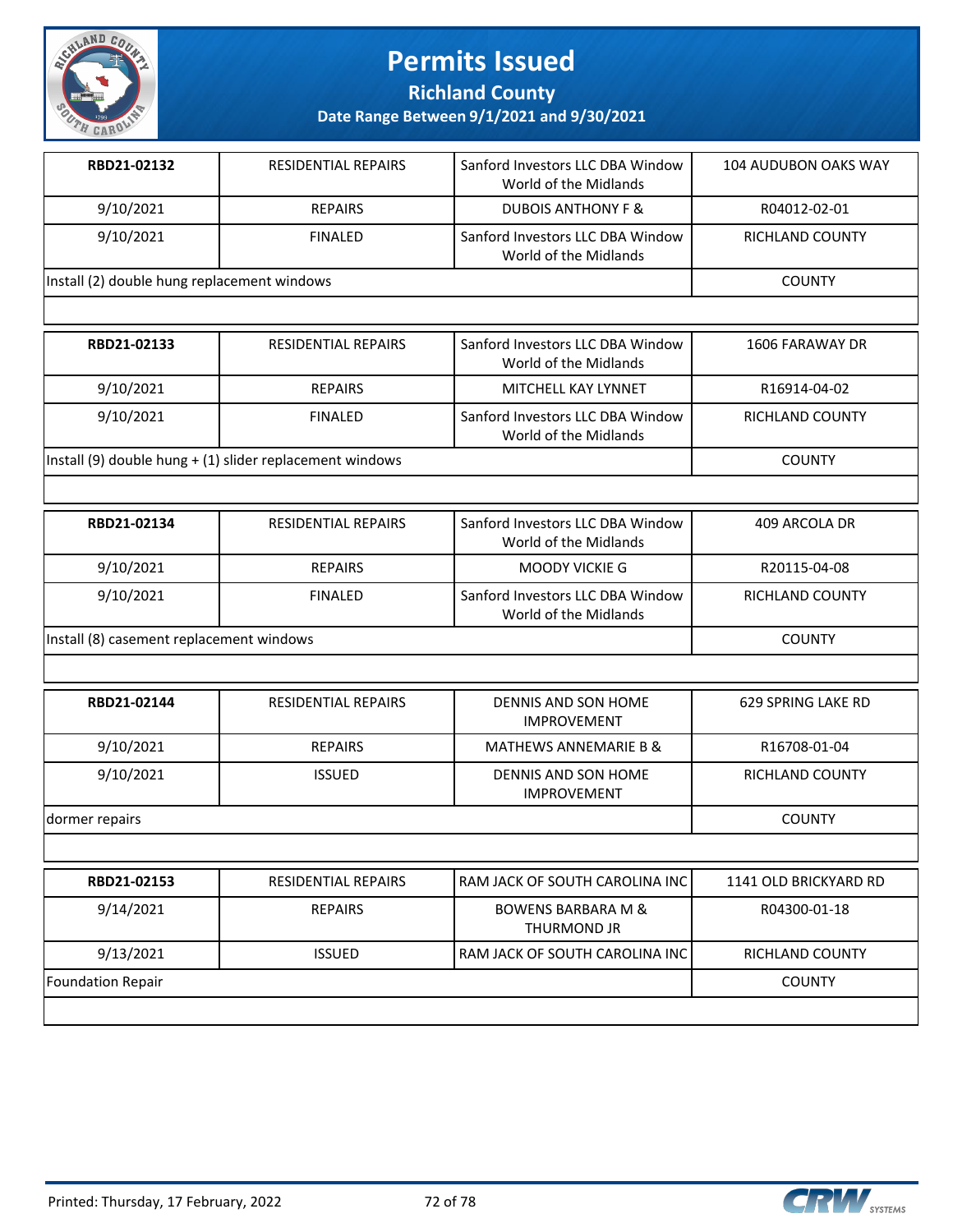

**Richland County**

| RBD21-02132                                 | <b>RESIDENTIAL REPAIRS</b> | Sanford Investors LLC DBA Window<br>World of the Midlands | <b>104 AUDUBON OAKS WAY</b> |
|---------------------------------------------|----------------------------|-----------------------------------------------------------|-----------------------------|
| 9/10/2021                                   | <b>REPAIRS</b>             | <b>DUBOIS ANTHONY F &amp;</b>                             | R04012-02-01                |
| 9/10/2021                                   | <b>FINALED</b>             | Sanford Investors LLC DBA Window<br>World of the Midlands | RICHLAND COUNTY             |
| Install (2) double hung replacement windows |                            |                                                           | <b>COUNTY</b>               |
|                                             |                            |                                                           |                             |
| RBD21-02133                                 | <b>RESIDENTIAL REPAIRS</b> | Sanford Investors LLC DBA Window<br>World of the Midlands | 1606 FARAWAY DR             |

|                                                          |                | World of the Midlands                                     |                 |
|----------------------------------------------------------|----------------|-----------------------------------------------------------|-----------------|
| 9/10/2021                                                | <b>REPAIRS</b> | MITCHELL KAY LYNNET                                       | R16914-04-02    |
| 9/10/2021                                                | FINAL FD       | Sanford Investors LLC DBA Window<br>World of the Midlands | RICHLAND COUNTY |
| Install (9) double hung + (1) slider replacement windows |                |                                                           | <b>COUNTY</b>   |

| RBD21-02134                              | <b>RESIDENTIAL REPAIRS</b> | Sanford Investors LLC DBA Window<br>World of the Midlands | 409 ARCOLA DR   |
|------------------------------------------|----------------------------|-----------------------------------------------------------|-----------------|
| 9/10/2021                                | <b>REPAIRS</b>             | MOODY VICKIE G                                            | R20115-04-08    |
| 9/10/2021                                | <b>FINALED</b>             | Sanford Investors LLC DBA Window<br>World of the Midlands | RICHLAND COUNTY |
| Install (8) casement replacement windows |                            |                                                           | <b>COUNTY</b>   |

| RBD21-02144    | <b>RESIDENTIAL REPAIRS</b> | DENNIS AND SON HOME<br><b>IMPROVEMENT</b> | 629 SPRING LAKE RD |
|----------------|----------------------------|-------------------------------------------|--------------------|
| 9/10/2021      | <b>REPAIRS</b>             | <b>MATHEWS ANNEMARIE B &amp;</b>          | R16708-01-04       |
| 9/10/2021      | <b>ISSUED</b>              | DENNIS AND SON HOME<br><b>IMPROVEMENT</b> | RICHLAND COUNTY    |
| dormer repairs |                            |                                           | <b>COUNTY</b>      |

| RBD21-02153       | <b>RESIDENTIAL REPAIRS</b> | l RAM JACK OF SOUTH CAROLINA INC l           | 1141 OLD BRICKYARD RD  |
|-------------------|----------------------------|----------------------------------------------|------------------------|
| 9/14/2021         | <b>REPAIRS</b>             | <b>BOWENS BARBARA M &amp;</b><br>THURMOND JR | R04300-01-18           |
| 9/13/2021         | <b>ISSUED</b>              | l RAM JACK OF SOUTH CAROLINA INC l           | <b>RICHLAND COUNTY</b> |
| Foundation Repair |                            |                                              | <b>COUNTY</b>          |
|                   |                            |                                              |                        |

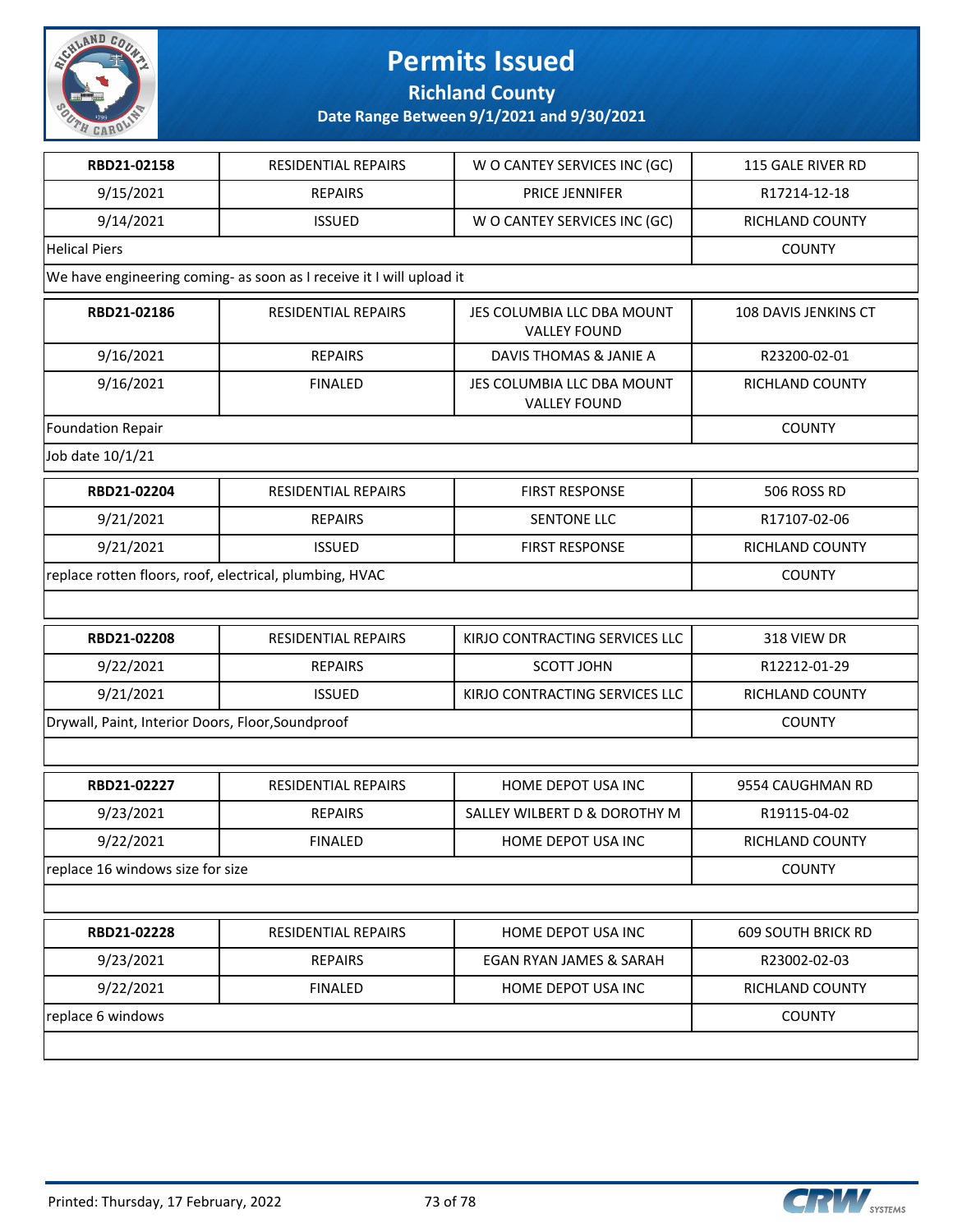

#### **Richland County**

| RBD21-02158                                             | RESIDENTIAL REPAIRS                                                  | W O CANTEY SERVICES INC (GC)                      | <b>115 GALE RIVER RD</b>  |
|---------------------------------------------------------|----------------------------------------------------------------------|---------------------------------------------------|---------------------------|
| 9/15/2021                                               | <b>REPAIRS</b>                                                       | <b>PRICE JENNIFER</b>                             | R17214-12-18              |
| 9/14/2021                                               | <b>ISSUED</b>                                                        | W O CANTEY SERVICES INC (GC)                      | RICHLAND COUNTY           |
| <b>Helical Piers</b>                                    |                                                                      |                                                   | <b>COUNTY</b>             |
|                                                         | We have engineering coming- as soon as I receive it I will upload it |                                                   |                           |
| RBD21-02186                                             | RESIDENTIAL REPAIRS                                                  | JES COLUMBIA LLC DBA MOUNT<br><b>VALLEY FOUND</b> | 108 DAVIS JENKINS CT      |
| 9/16/2021                                               | <b>REPAIRS</b>                                                       | DAVIS THOMAS & JANIE A                            | R23200-02-01              |
| 9/16/2021                                               | <b>FINALED</b>                                                       | JES COLUMBIA LLC DBA MOUNT<br><b>VALLEY FOUND</b> | <b>RICHLAND COUNTY</b>    |
| <b>Foundation Repair</b>                                |                                                                      |                                                   | <b>COUNTY</b>             |
| Job date 10/1/21                                        |                                                                      |                                                   |                           |
| RBD21-02204                                             | <b>RESIDENTIAL REPAIRS</b>                                           | <b>FIRST RESPONSE</b>                             | 506 ROSS RD               |
| 9/21/2021                                               | <b>REPAIRS</b>                                                       | SENTONE LLC                                       | R17107-02-06              |
| 9/21/2021                                               | <b>ISSUED</b>                                                        | <b>FIRST RESPONSE</b>                             | RICHLAND COUNTY           |
| replace rotten floors, roof, electrical, plumbing, HVAC |                                                                      |                                                   | <b>COUNTY</b>             |
|                                                         |                                                                      |                                                   |                           |
| RBD21-02208                                             | <b>RESIDENTIAL REPAIRS</b>                                           | KIRJO CONTRACTING SERVICES LLC                    | 318 VIEW DR               |
| 9/22/2021                                               | <b>REPAIRS</b>                                                       | <b>SCOTT JOHN</b>                                 | R12212-01-29              |
| 9/21/2021                                               | <b>ISSUED</b>                                                        | KIRJO CONTRACTING SERVICES LLC                    | RICHLAND COUNTY           |
| Drywall, Paint, Interior Doors, Floor, Soundproof       |                                                                      |                                                   | <b>COUNTY</b>             |
|                                                         |                                                                      |                                                   |                           |
| RBD21-02227                                             | <b>RESIDENTIAL REPAIRS</b>                                           | HOME DEPOT USA INC                                | 9554 CAUGHMAN RD          |
| 9/23/2021                                               | <b>REPAIRS</b>                                                       | SALLEY WILBERT D & DOROTHY M                      | R19115-04-02              |
| 9/22/2021                                               | <b>FINALED</b>                                                       | HOME DEPOT USA INC                                | <b>RICHLAND COUNTY</b>    |
| replace 16 windows size for size                        |                                                                      |                                                   | <b>COUNTY</b>             |
|                                                         |                                                                      |                                                   |                           |
| RBD21-02228                                             | RESIDENTIAL REPAIRS                                                  | HOME DEPOT USA INC                                | <b>609 SOUTH BRICK RD</b> |
| 9/23/2021                                               | <b>REPAIRS</b>                                                       | <b>EGAN RYAN JAMES &amp; SARAH</b>                | R23002-02-03              |
| 9/22/2021                                               | <b>FINALED</b>                                                       | HOME DEPOT USA INC                                | RICHLAND COUNTY           |
| replace 6 windows                                       |                                                                      |                                                   | <b>COUNTY</b>             |
|                                                         |                                                                      |                                                   |                           |

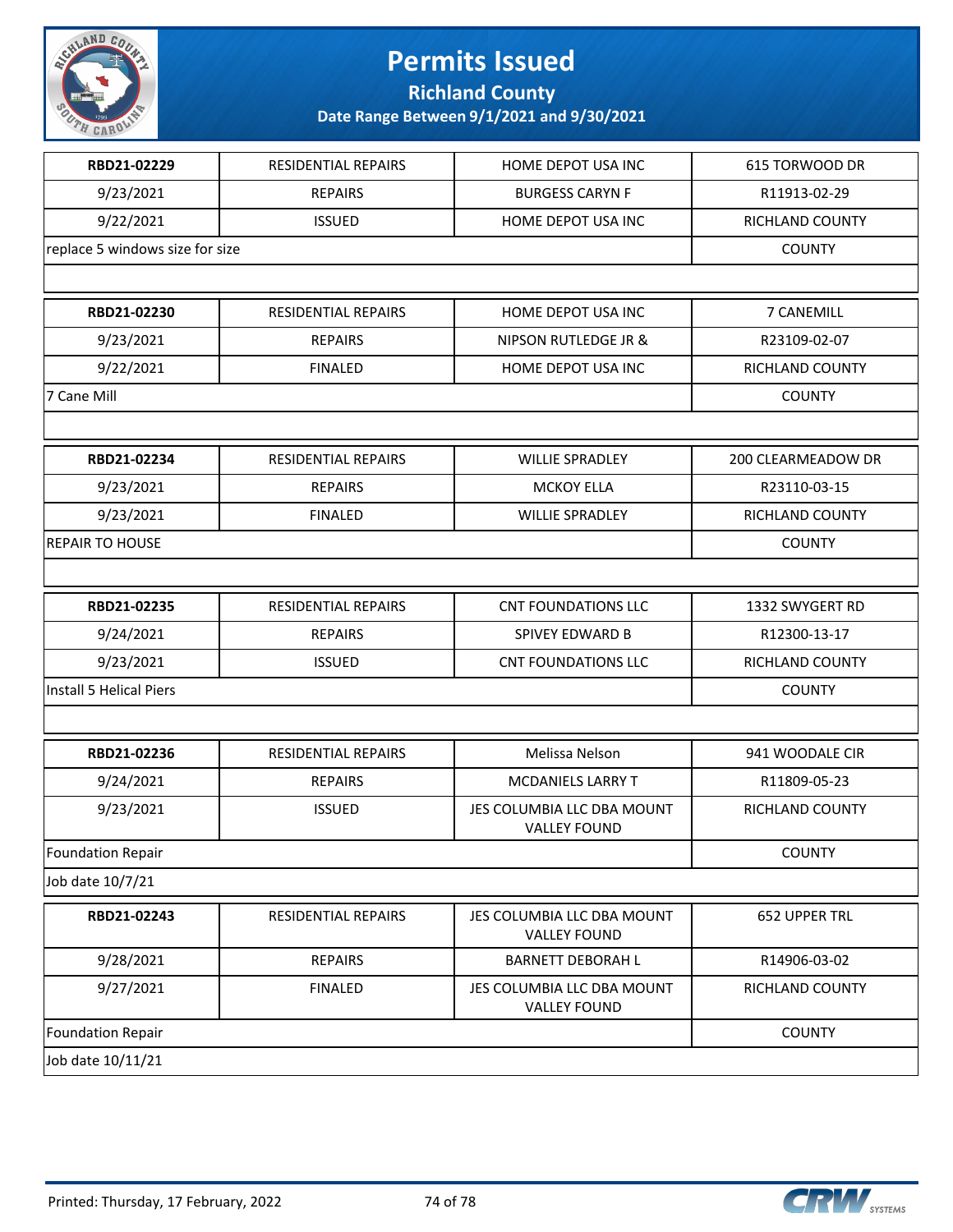

**Richland County**

| RBD21-02229                     | RESIDENTIAL REPAIRS        | HOME DEPOT USA INC                                | 615 TORWOOD DR         |
|---------------------------------|----------------------------|---------------------------------------------------|------------------------|
| 9/23/2021                       | <b>REPAIRS</b>             | <b>BURGESS CARYN F</b>                            | R11913-02-29           |
| 9/22/2021                       | <b>ISSUED</b>              | HOME DEPOT USA INC                                | RICHLAND COUNTY        |
| replace 5 windows size for size |                            |                                                   | <b>COUNTY</b>          |
|                                 |                            |                                                   |                        |
| RBD21-02230                     | <b>RESIDENTIAL REPAIRS</b> | HOME DEPOT USA INC                                | 7 CANEMILL             |
| 9/23/2021                       | <b>REPAIRS</b>             | NIPSON RUTLEDGE JR &                              | R23109-02-07           |
| 9/22/2021                       | <b>FINALED</b>             | HOME DEPOT USA INC                                | RICHLAND COUNTY        |
| 7 Cane Mill                     |                            |                                                   | <b>COUNTY</b>          |
|                                 |                            |                                                   |                        |
| RBD21-02234                     | <b>RESIDENTIAL REPAIRS</b> | <b>WILLIE SPRADLEY</b>                            | 200 CLEARMEADOW DR     |
| 9/23/2021                       | <b>REPAIRS</b>             | <b>MCKOY ELLA</b>                                 | R23110-03-15           |
| 9/23/2021                       | <b>FINALED</b>             | <b>WILLIE SPRADLEY</b>                            | RICHLAND COUNTY        |
| <b>REPAIR TO HOUSE</b>          |                            |                                                   | <b>COUNTY</b>          |
|                                 |                            |                                                   |                        |
| RBD21-02235                     | RESIDENTIAL REPAIRS        | <b>CNT FOUNDATIONS LLC</b>                        | 1332 SWYGERT RD        |
| 9/24/2021                       | <b>REPAIRS</b>             | SPIVEY EDWARD B                                   | R12300-13-17           |
| 9/23/2021                       | <b>ISSUED</b>              | <b>CNT FOUNDATIONS LLC</b>                        | RICHLAND COUNTY        |
| Install 5 Helical Piers         | <b>COUNTY</b>              |                                                   |                        |
|                                 |                            |                                                   |                        |
| RBD21-02236                     | <b>RESIDENTIAL REPAIRS</b> | Melissa Nelson                                    | 941 WOODALE CIR        |
| 9/24/2021                       | <b>REPAIRS</b>             | <b>MCDANIELS LARRY T</b>                          | R11809-05-23           |
| 9/23/2021                       | <b>ISSUED</b>              | JES COLUMBIA LLC DBA MOUNT<br><b>VALLEY FOUND</b> | <b>RICHLAND COUNTY</b> |
| <b>Foundation Repair</b>        |                            | <b>COUNTY</b>                                     |                        |
| Job date 10/7/21                |                            |                                                   |                        |
| RBD21-02243                     | RESIDENTIAL REPAIRS        | JES COLUMBIA LLC DBA MOUNT<br><b>VALLEY FOUND</b> | 652 UPPER TRL          |
| 9/28/2021                       | <b>REPAIRS</b>             | <b>BARNETT DEBORAH L</b>                          | R14906-03-02           |
| 9/27/2021                       | <b>FINALED</b>             | JES COLUMBIA LLC DBA MOUNT<br><b>VALLEY FOUND</b> | RICHLAND COUNTY        |
| <b>Foundation Repair</b>        |                            |                                                   | <b>COUNTY</b>          |
| Job date 10/11/21               |                            |                                                   |                        |

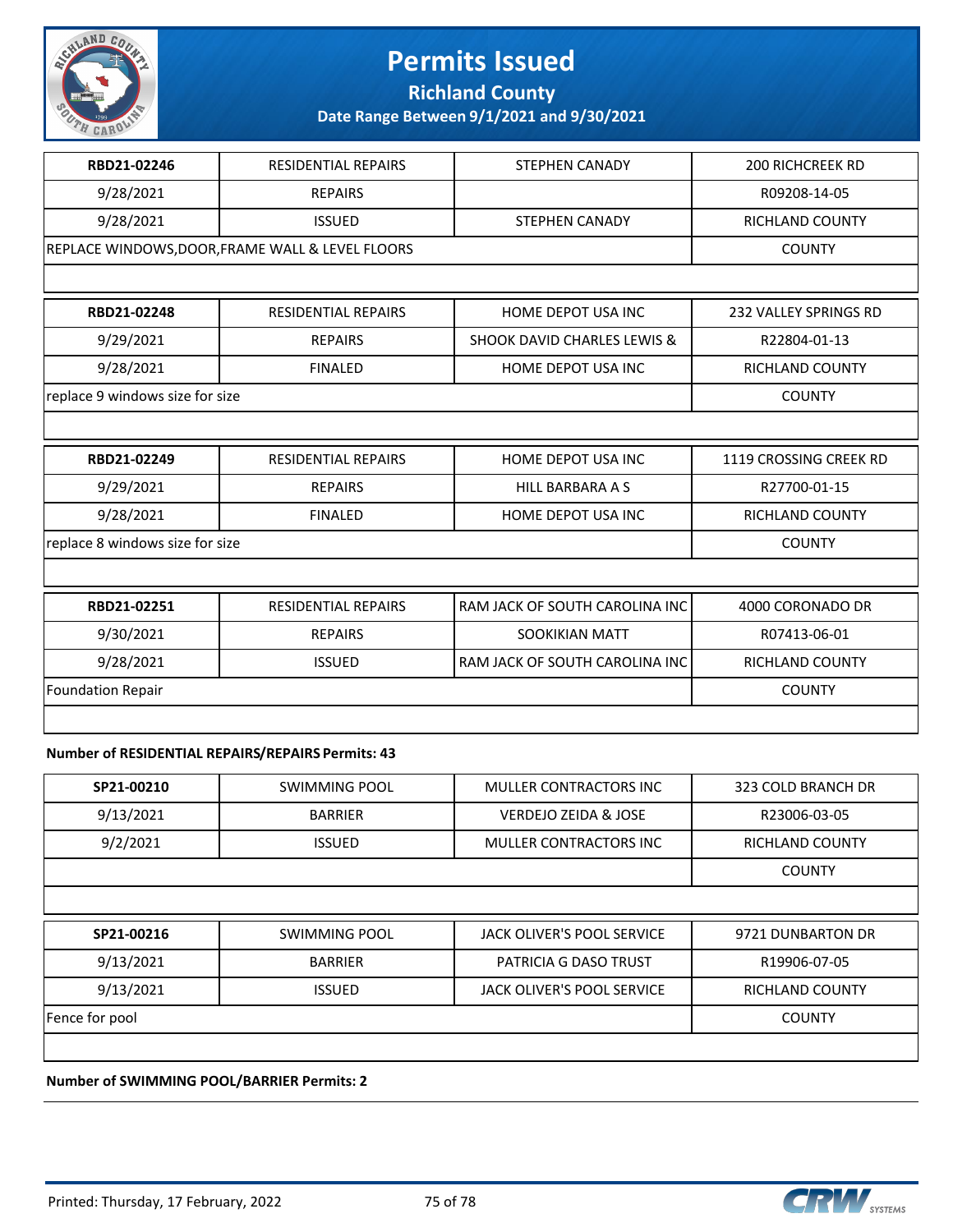

**Richland County**

**Date Range Between 9/1/2021 and 9/30/2021**

| RBD21-02246                     | <b>RESIDENTIAL REPAIRS</b>                       | <b>STEPHEN CANADY</b>                  | <b>200 RICHCREEK RD</b>      |
|---------------------------------|--------------------------------------------------|----------------------------------------|------------------------------|
| 9/28/2021                       | <b>REPAIRS</b>                                   |                                        | R09208-14-05                 |
| 9/28/2021                       | <b>ISSUED</b>                                    | <b>STEPHEN CANADY</b>                  | <b>RICHLAND COUNTY</b>       |
|                                 | REPLACE WINDOWS, DOOR, FRAME WALL & LEVEL FLOORS |                                        | <b>COUNTY</b>                |
|                                 |                                                  |                                        |                              |
| RBD21-02248                     | <b>RESIDENTIAL REPAIRS</b>                       | <b>HOME DEPOT USA INC</b>              | <b>232 VALLEY SPRINGS RD</b> |
| 9/29/2021                       | <b>REPAIRS</b>                                   | <b>SHOOK DAVID CHARLES LEWIS &amp;</b> | R22804-01-13                 |
| 9/28/2021                       | <b>FINALED</b>                                   | <b>HOME DEPOT USA INC</b>              | <b>RICHLAND COUNTY</b>       |
| replace 9 windows size for size |                                                  |                                        | <b>COUNTY</b>                |
|                                 |                                                  |                                        |                              |
| RBD21-02249                     | <b>RESIDENTIAL REPAIRS</b>                       | HOME DEPOT USA INC                     | 1119 CROSSING CREEK RD       |
| 9/29/2021                       | <b>REPAIRS</b>                                   | <b>HILL BARBARA A S</b>                | R27700-01-15                 |
| 9/28/2021                       | <b>FINALED</b>                                   | HOME DEPOT USA INC                     | RICHLAND COUNTY              |
| replace 8 windows size for size | <b>COUNTY</b>                                    |                                        |                              |
|                                 |                                                  |                                        |                              |
| RBD21-02251                     | <b>RESIDENTIAL REPAIRS</b>                       | RAM JACK OF SOUTH CAROLINA INC         | 4000 CORONADO DR             |
| 9/30/2021                       | <b>REPAIRS</b>                                   | <b>SOOKIKIAN MATT</b>                  | R07413-06-01                 |
| 9/28/2021                       | <b>ISSUED</b>                                    | RAM JACK OF SOUTH CAROLINA INC         | <b>RICHLAND COUNTY</b>       |
| <b>Foundation Repair</b>        |                                                  |                                        | <b>COUNTY</b>                |
|                                 |                                                  |                                        |                              |

#### **Number of RESIDENTIAL REPAIRS/REPAIRS Permits: 43**

| SP21-00210 | SWIMMING POOL  | MULLER CONTRACTORS INC | 323 COLD BRANCH DR     |
|------------|----------------|------------------------|------------------------|
| 9/13/2021  | <b>BARRIER</b> | VERDEJO ZEIDA & JOSE   | R23006-03-05           |
| 9/2/2021   | <b>ISSUED</b>  | MULLER CONTRACTORS INC | <b>RICHLAND COUNTY</b> |
|            |                |                        | <b>COUNTY</b>          |
|            |                |                        |                        |

| SP21-00216     | SWIMMING POOL  | JACK OLIVER'S POOL SERVICE | 9721 DUNBARTON DR |
|----------------|----------------|----------------------------|-------------------|
| 9/13/2021      | <b>BARRIER</b> | PATRICIA G DASO TRUST      | R19906-07-05      |
| 9/13/2021      | <b>ISSUED</b>  | JACK OLIVER'S POOL SERVICE | RICHLAND COUNTY   |
| Fence for pool |                |                            | <b>COUNTY</b>     |
|                |                |                            |                   |

**Number of SWIMMING POOL/BARRIER Permits: 2**

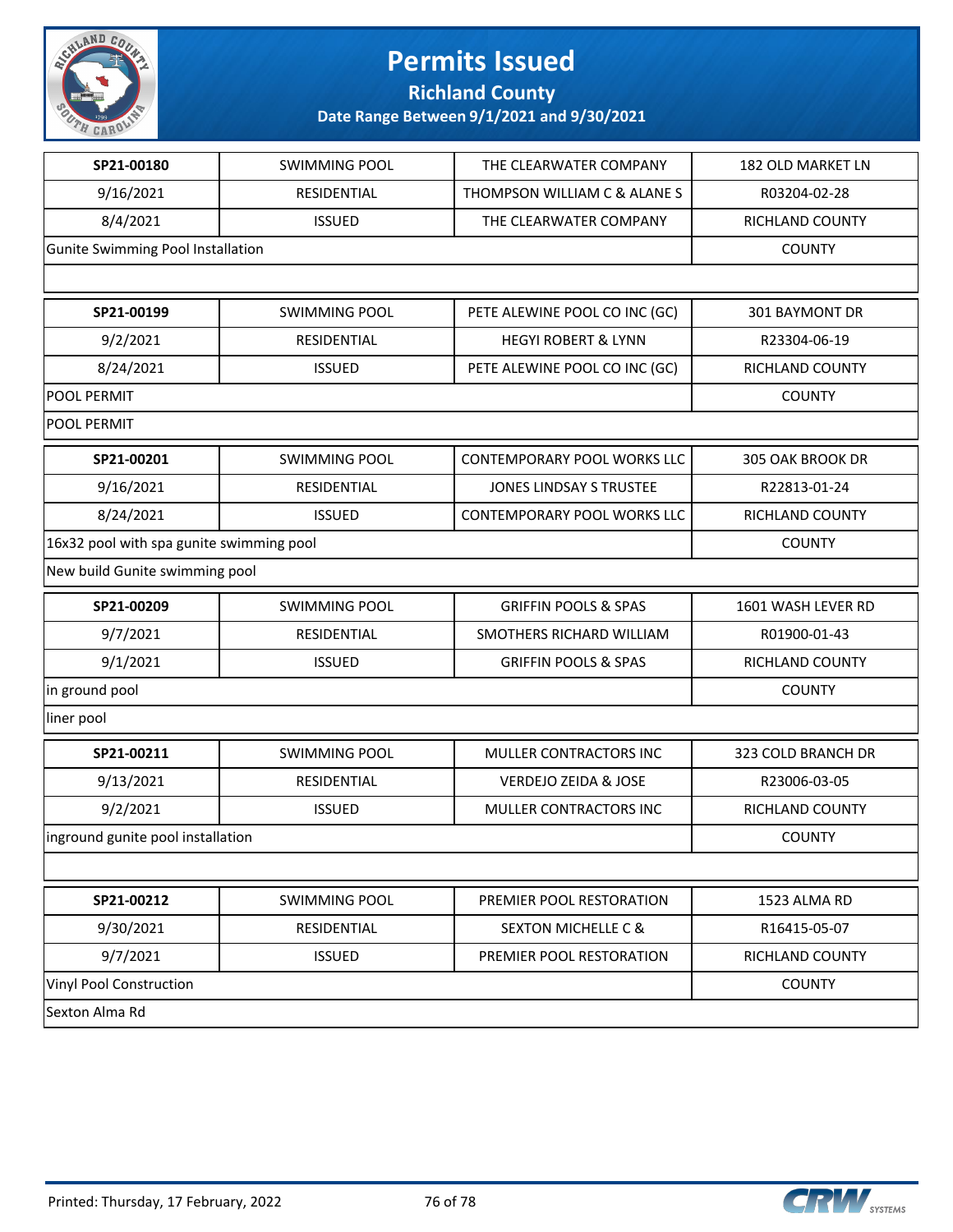

**Richland County**

| SP21-00180                               | <b>SWIMMING POOL</b> | THE CLEARWATER COMPANY             | 182 OLD MARKET LN  |
|------------------------------------------|----------------------|------------------------------------|--------------------|
| 9/16/2021                                | RESIDENTIAL          | THOMPSON WILLIAM C & ALANE S       | R03204-02-28       |
| 8/4/2021                                 | <b>ISSUED</b>        | THE CLEARWATER COMPANY             | RICHLAND COUNTY    |
| Gunite Swimming Pool Installation        |                      |                                    | <b>COUNTY</b>      |
|                                          |                      |                                    |                    |
| SP21-00199                               | <b>SWIMMING POOL</b> | PETE ALEWINE POOL CO INC (GC)      | 301 BAYMONT DR     |
| 9/2/2021                                 | RESIDENTIAL          | <b>HEGYI ROBERT &amp; LYNN</b>     | R23304-06-19       |
| 8/24/2021                                | <b>ISSUED</b>        | PETE ALEWINE POOL CO INC (GC)      | RICHLAND COUNTY    |
| <b>POOL PERMIT</b>                       |                      |                                    | <b>COUNTY</b>      |
| <b>POOL PERMIT</b>                       |                      |                                    |                    |
| SP21-00201                               | <b>SWIMMING POOL</b> | <b>CONTEMPORARY POOL WORKS LLC</b> | 305 OAK BROOK DR   |
| 9/16/2021                                | RESIDENTIAL          | <b>JONES LINDSAY S TRUSTEE</b>     | R22813-01-24       |
| 8/24/2021                                | <b>ISSUED</b>        | <b>CONTEMPORARY POOL WORKS LLC</b> | RICHLAND COUNTY    |
| 16x32 pool with spa gunite swimming pool |                      |                                    | <b>COUNTY</b>      |
| New build Gunite swimming pool           |                      |                                    |                    |
| SP21-00209                               | <b>SWIMMING POOL</b> | <b>GRIFFIN POOLS &amp; SPAS</b>    | 1601 WASH LEVER RD |
| 9/7/2021                                 | RESIDENTIAL          | SMOTHERS RICHARD WILLIAM           | R01900-01-43       |
| 9/1/2021                                 | <b>ISSUED</b>        | <b>GRIFFIN POOLS &amp; SPAS</b>    | RICHLAND COUNTY    |
| in ground pool                           |                      |                                    | <b>COUNTY</b>      |
| liner pool                               |                      |                                    |                    |
| SP21-00211                               | <b>SWIMMING POOL</b> | MULLER CONTRACTORS INC             | 323 COLD BRANCH DR |
| 9/13/2021                                | RESIDENTIAL          | <b>VERDEJO ZEIDA &amp; JOSE</b>    | R23006-03-05       |
| 9/2/2021                                 | <b>ISSUED</b>        | MULLER CONTRACTORS INC             | RICHLAND COUNTY    |
| inground gunite pool installation        |                      |                                    | <b>COUNTY</b>      |
|                                          |                      |                                    |                    |
| SP21-00212                               | <b>SWIMMING POOL</b> | PREMIER POOL RESTORATION           | 1523 ALMA RD       |
| 9/30/2021                                | RESIDENTIAL          | <b>SEXTON MICHELLE C &amp;</b>     | R16415-05-07       |
| 9/7/2021                                 | <b>ISSUED</b>        | PREMIER POOL RESTORATION           | RICHLAND COUNTY    |
| Vinyl Pool Construction                  |                      |                                    | <b>COUNTY</b>      |
| Sexton Alma Rd                           |                      |                                    |                    |
|                                          |                      |                                    |                    |

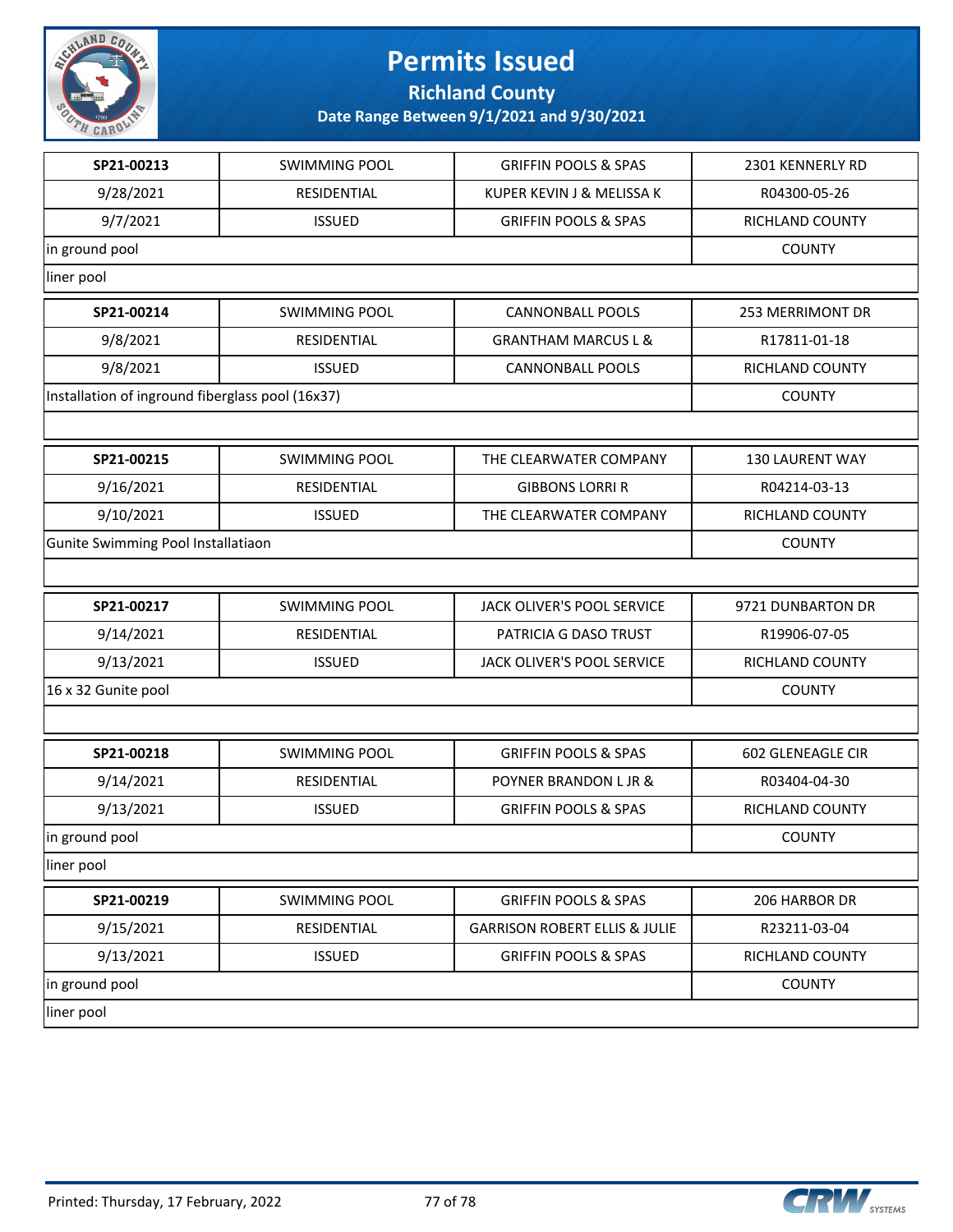

**Richland County**

| SP21-00213                                       | <b>SWIMMING POOL</b> | <b>GRIFFIN POOLS &amp; SPAS</b>          | 2301 KENNERLY RD       |
|--------------------------------------------------|----------------------|------------------------------------------|------------------------|
| 9/28/2021                                        | RESIDENTIAL          | KUPER KEVIN J & MELISSA K                | R04300-05-26           |
| 9/7/2021                                         | <b>ISSUED</b>        | <b>GRIFFIN POOLS &amp; SPAS</b>          | RICHLAND COUNTY        |
| in ground pool                                   |                      |                                          | <b>COUNTY</b>          |
| liner pool                                       |                      |                                          |                        |
| SP21-00214                                       | <b>SWIMMING POOL</b> | <b>CANNONBALL POOLS</b>                  | 253 MERRIMONT DR       |
| 9/8/2021                                         | RESIDENTIAL          | <b>GRANTHAM MARCUS L &amp;</b>           | R17811-01-18           |
| 9/8/2021                                         | <b>ISSUED</b>        | <b>CANNONBALL POOLS</b>                  | RICHLAND COUNTY        |
| Installation of inground fiberglass pool (16x37) |                      |                                          | <b>COUNTY</b>          |
|                                                  |                      |                                          |                        |
| SP21-00215                                       | <b>SWIMMING POOL</b> | THE CLEARWATER COMPANY                   | <b>130 LAURENT WAY</b> |
| 9/16/2021                                        | RESIDENTIAL          | <b>GIBBONS LORRI R</b>                   | R04214-03-13           |
| 9/10/2021                                        | <b>ISSUED</b>        | THE CLEARWATER COMPANY                   | <b>RICHLAND COUNTY</b> |
| Gunite Swimming Pool Installatiaon               |                      |                                          | <b>COUNTY</b>          |
|                                                  |                      |                                          |                        |
| SP21-00217                                       | <b>SWIMMING POOL</b> | JACK OLIVER'S POOL SERVICE               | 9721 DUNBARTON DR      |
| 9/14/2021                                        | RESIDENTIAL          | PATRICIA G DASO TRUST                    | R19906-07-05           |
| 9/13/2021                                        | <b>ISSUED</b>        | JACK OLIVER'S POOL SERVICE               | RICHLAND COUNTY        |
| 16 x 32 Gunite pool                              |                      |                                          | <b>COUNTY</b>          |
|                                                  |                      |                                          |                        |
| SP21-00218                                       | <b>SWIMMING POOL</b> | <b>GRIFFIN POOLS &amp; SPAS</b>          | 602 GLENEAGLE CIR      |
| 9/14/2021                                        | RESIDENTIAL          | POYNER BRANDON L JR &                    | R03404-04-30           |
| 9/13/2021                                        | <b>ISSUED</b>        | <b>GRIFFIN POOLS &amp; SPAS</b>          | RICHLAND COUNTY        |
| in ground pool                                   |                      |                                          | <b>COUNTY</b>          |
| liner pool                                       |                      |                                          |                        |
| SP21-00219                                       | SWIMMING POOL        | <b>GRIFFIN POOLS &amp; SPAS</b>          | 206 HARBOR DR          |
| 9/15/2021                                        | RESIDENTIAL          | <b>GARRISON ROBERT ELLIS &amp; JULIE</b> | R23211-03-04           |
| 9/13/2021                                        | <b>ISSUED</b>        | <b>GRIFFIN POOLS &amp; SPAS</b>          | RICHLAND COUNTY        |
| in ground pool                                   |                      |                                          | <b>COUNTY</b>          |
| liner pool                                       |                      |                                          |                        |